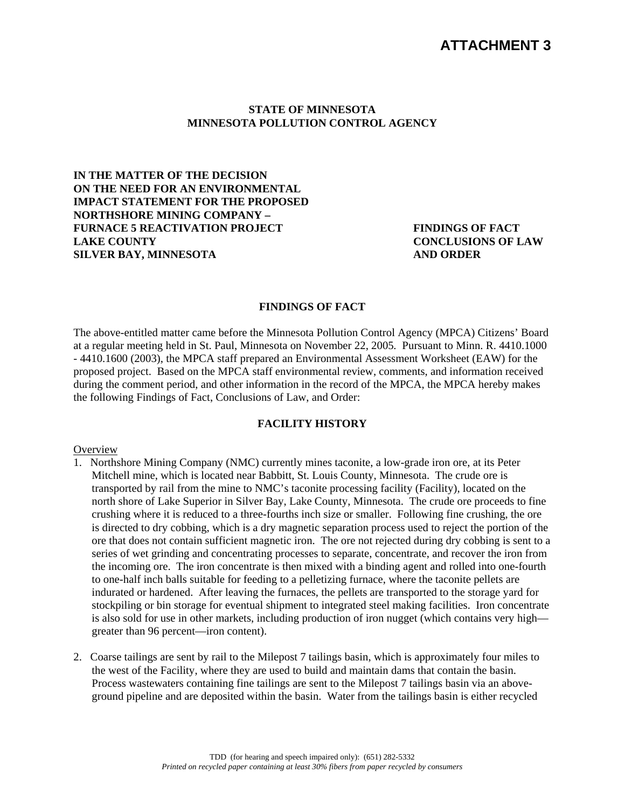# **ATTACHMENT 3**

#### **STATE OF MINNESOTA MINNESOTA POLLUTION CONTROL AGENCY**

**IN THE MATTER OF THE DECISION ON THE NEED FOR AN ENVIRONMENTAL IMPACT STATEMENT FOR THE PROPOSED NORTHSHORE MINING COMPANY – FURNACE 5 REACTIVATION PROJECT LAKE COUNTY SILVER BAY, MINNESOTA** 

**FINDINGS OF FACT CONCLUSIONS OF LAW AND ORDER** 

#### **FINDINGS OF FACT**

The above-entitled matter came before the Minnesota Pollution Control Agency (MPCA) Citizens' Board at a regular meeting held in St. Paul, Minnesota on November 22, 2005*.* Pursuant to Minn. R. 4410.1000 - 4410.1600 (2003), the MPCA staff prepared an Environmental Assessment Worksheet (EAW) for the proposed project. Based on the MPCA staff environmental review, comments, and information received during the comment period, and other information in the record of the MPCA, the MPCA hereby makes the following Findings of Fact, Conclusions of Law, and Order:

#### **FACILITY HISTORY**

#### **Overview**

- 1. Northshore Mining Company (NMC) currently mines taconite, a low-grade iron ore, at its Peter Mitchell mine, which is located near Babbitt, St. Louis County, Minnesota. The crude ore is transported by rail from the mine to NMC's taconite processing facility (Facility), located on the north shore of Lake Superior in Silver Bay, Lake County, Minnesota. The crude ore proceeds to fine crushing where it is reduced to a three-fourths inch size or smaller. Following fine crushing, the ore is directed to dry cobbing, which is a dry magnetic separation process used to reject the portion of the ore that does not contain sufficient magnetic iron. The ore not rejected during dry cobbing is sent to a series of wet grinding and concentrating processes to separate, concentrate, and recover the iron from the incoming ore. The iron concentrate is then mixed with a binding agent and rolled into one-fourth to one-half inch balls suitable for feeding to a pelletizing furnace, where the taconite pellets are indurated or hardened. After leaving the furnaces, the pellets are transported to the storage yard for stockpiling or bin storage for eventual shipment to integrated steel making facilities. Iron concentrate is also sold for use in other markets, including production of iron nugget (which contains very high greater than 96 percent—iron content).
- 2. Coarse tailings are sent by rail to the Milepost 7 tailings basin, which is approximately four miles to the west of the Facility, where they are used to build and maintain dams that contain the basin. Process wastewaters containing fine tailings are sent to the Milepost 7 tailings basin via an aboveground pipeline and are deposited within the basin. Water from the tailings basin is either recycled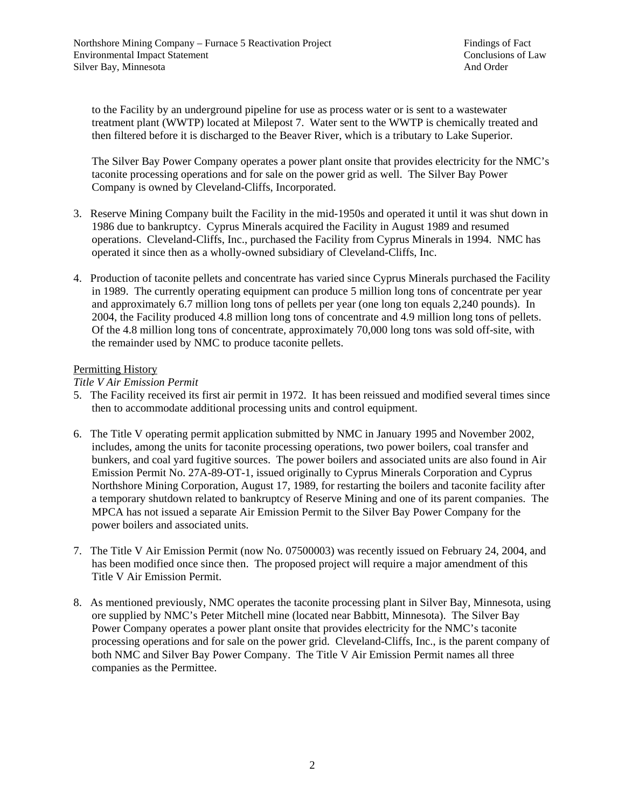to the Facility by an underground pipeline for use as process water or is sent to a wastewater treatment plant (WWTP) located at Milepost 7. Water sent to the WWTP is chemically treated and then filtered before it is discharged to the Beaver River, which is a tributary to Lake Superior.

The Silver Bay Power Company operates a power plant onsite that provides electricity for the NMC's taconite processing operations and for sale on the power grid as well. The Silver Bay Power Company is owned by Cleveland-Cliffs, Incorporated.

- 3. Reserve Mining Company built the Facility in the mid-1950s and operated it until it was shut down in 1986 due to bankruptcy. Cyprus Minerals acquired the Facility in August 1989 and resumed operations. Cleveland-Cliffs, Inc., purchased the Facility from Cyprus Minerals in 1994. NMC has operated it since then as a wholly-owned subsidiary of Cleveland-Cliffs, Inc.
- 4. Production of taconite pellets and concentrate has varied since Cyprus Minerals purchased the Facility in 1989. The currently operating equipment can produce 5 million long tons of concentrate per year and approximately 6.7 million long tons of pellets per year (one long ton equals 2,240 pounds). In 2004, the Facility produced 4.8 million long tons of concentrate and 4.9 million long tons of pellets. Of the 4.8 million long tons of concentrate, approximately 70,000 long tons was sold off-site, with the remainder used by NMC to produce taconite pellets.

### Permitting History

#### *Title V Air Emission Permit*

- 5. The Facility received its first air permit in 1972. It has been reissued and modified several times since then to accommodate additional processing units and control equipment.
- 6. The Title V operating permit application submitted by NMC in January 1995 and November 2002, includes, among the units for taconite processing operations, two power boilers, coal transfer and bunkers, and coal yard fugitive sources. The power boilers and associated units are also found in Air Emission Permit No. 27A-89-OT-1, issued originally to Cyprus Minerals Corporation and Cyprus Northshore Mining Corporation, August 17, 1989, for restarting the boilers and taconite facility after a temporary shutdown related to bankruptcy of Reserve Mining and one of its parent companies. The MPCA has not issued a separate Air Emission Permit to the Silver Bay Power Company for the power boilers and associated units.
- 7. The Title V Air Emission Permit (now No. 07500003) was recently issued on February 24, 2004, and has been modified once since then. The proposed project will require a major amendment of this Title V Air Emission Permit.
- 8. As mentioned previously, NMC operates the taconite processing plant in Silver Bay, Minnesota, using ore supplied by NMC's Peter Mitchell mine (located near Babbitt, Minnesota). The Silver Bay Power Company operates a power plant onsite that provides electricity for the NMC's taconite processing operations and for sale on the power grid. Cleveland-Cliffs, Inc., is the parent company of both NMC and Silver Bay Power Company. The Title V Air Emission Permit names all three companies as the Permittee.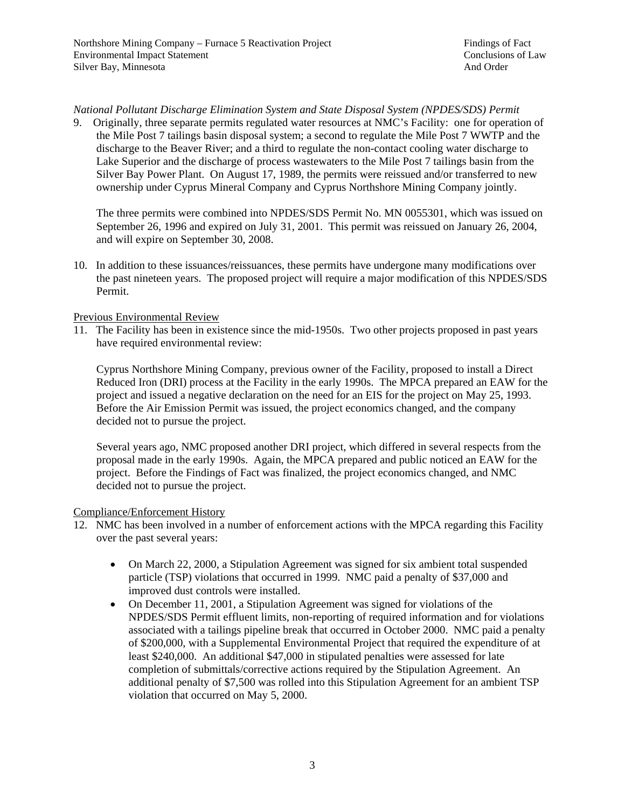### *National Pollutant Discharge Elimination System and State Disposal System (NPDES/SDS) Permit*

9. Originally, three separate permits regulated water resources at NMC's Facility: one for operation of the Mile Post 7 tailings basin disposal system; a second to regulate the Mile Post 7 WWTP and the discharge to the Beaver River; and a third to regulate the non-contact cooling water discharge to Lake Superior and the discharge of process wastewaters to the Mile Post 7 tailings basin from the Silver Bay Power Plant. On August 17, 1989, the permits were reissued and/or transferred to new ownership under Cyprus Mineral Company and Cyprus Northshore Mining Company jointly.

The three permits were combined into NPDES/SDS Permit No. MN 0055301, which was issued on September 26, 1996 and expired on July 31, 2001. This permit was reissued on January 26, 2004, and will expire on September 30, 2008.

10. In addition to these issuances/reissuances, these permits have undergone many modifications over the past nineteen years. The proposed project will require a major modification of this NPDES/SDS Permit.

#### Previous Environmental Review

11. The Facility has been in existence since the mid-1950s. Two other projects proposed in past years have required environmental review:

Cyprus Northshore Mining Company, previous owner of the Facility, proposed to install a Direct Reduced Iron (DRI) process at the Facility in the early 1990s. The MPCA prepared an EAW for the project and issued a negative declaration on the need for an EIS for the project on May 25, 1993. Before the Air Emission Permit was issued, the project economics changed, and the company decided not to pursue the project.

Several years ago, NMC proposed another DRI project, which differed in several respects from the proposal made in the early 1990s. Again, the MPCA prepared and public noticed an EAW for the project. Before the Findings of Fact was finalized, the project economics changed, and NMC decided not to pursue the project.

### Compliance/Enforcement History

- 12. NMC has been involved in a number of enforcement actions with the MPCA regarding this Facility over the past several years:
	- On March 22, 2000, a Stipulation Agreement was signed for six ambient total suspended particle (TSP) violations that occurred in 1999. NMC paid a penalty of \$37,000 and improved dust controls were installed.
	- On December 11, 2001, a Stipulation Agreement was signed for violations of the NPDES/SDS Permit effluent limits, non-reporting of required information and for violations associated with a tailings pipeline break that occurred in October 2000. NMC paid a penalty of \$200,000, with a Supplemental Environmental Project that required the expenditure of at least \$240,000. An additional \$47,000 in stipulated penalties were assessed for late completion of submittals/corrective actions required by the Stipulation Agreement. An additional penalty of \$7,500 was rolled into this Stipulation Agreement for an ambient TSP violation that occurred on May 5, 2000.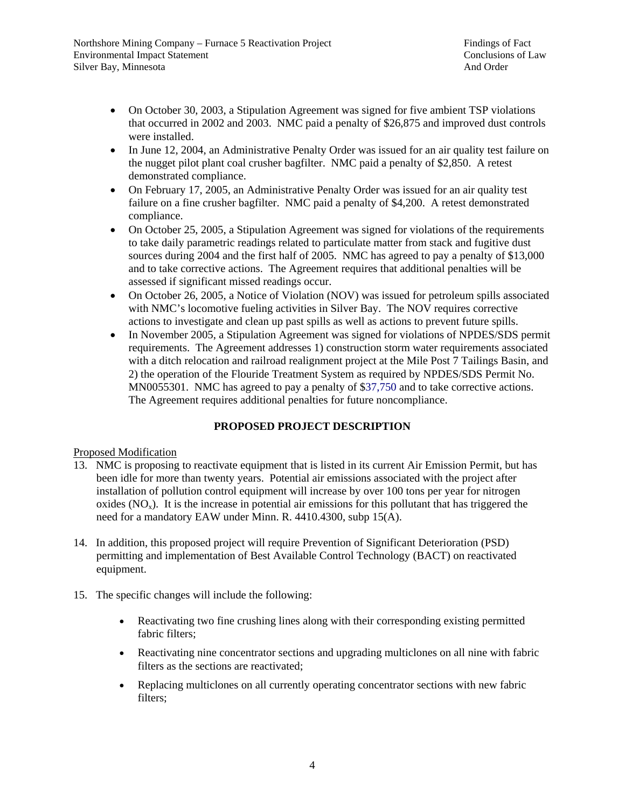- On October 30, 2003, a Stipulation Agreement was signed for five ambient TSP violations that occurred in 2002 and 2003. NMC paid a penalty of \$26,875 and improved dust controls were installed.
- In June 12, 2004, an Administrative Penalty Order was issued for an air quality test failure on the nugget pilot plant coal crusher bagfilter. NMC paid a penalty of \$2,850. A retest demonstrated compliance.
- On February 17, 2005, an Administrative Penalty Order was issued for an air quality test failure on a fine crusher bagfilter. NMC paid a penalty of \$4,200. A retest demonstrated compliance.
- On October 25, 2005, a Stipulation Agreement was signed for violations of the requirements to take daily parametric readings related to particulate matter from stack and fugitive dust sources during 2004 and the first half of 2005. NMC has agreed to pay a penalty of \$13,000 and to take corrective actions. The Agreement requires that additional penalties will be assessed if significant missed readings occur.
- On October 26, 2005, a Notice of Violation (NOV) was issued for petroleum spills associated with NMC's locomotive fueling activities in Silver Bay. The NOV requires corrective actions to investigate and clean up past spills as well as actions to prevent future spills.
- In November 2005, a Stipulation Agreement was signed for violations of NPDES/SDS permit requirements. The Agreement addresses 1) construction storm water requirements associated with a ditch relocation and railroad realignment project at the Mile Post 7 Tailings Basin, and 2) the operation of the Flouride Treatment System as required by NPDES/SDS Permit No. MN0055301. NMC has agreed to pay a penalty of \$37,750 and to take corrective actions. The Agreement requires additional penalties for future noncompliance.

# **PROPOSED PROJECT DESCRIPTION**

## Proposed Modification

- 13. NMC is proposing to reactivate equipment that is listed in its current Air Emission Permit, but has been idle for more than twenty years. Potential air emissions associated with the project after installation of pollution control equipment will increase by over 100 tons per year for nitrogen oxides  $(NO<sub>x</sub>)$ . It is the increase in potential air emissions for this pollutant that has triggered the need for a mandatory EAW under Minn. R. 4410.4300, subp 15(A).
- 14. In addition, this proposed project will require Prevention of Significant Deterioration (PSD) permitting and implementation of Best Available Control Technology (BACT) on reactivated equipment.
- 15. The specific changes will include the following:
	- Reactivating two fine crushing lines along with their corresponding existing permitted fabric filters;
	- Reactivating nine concentrator sections and upgrading multiclones on all nine with fabric filters as the sections are reactivated;
	- Replacing multiclones on all currently operating concentrator sections with new fabric filters;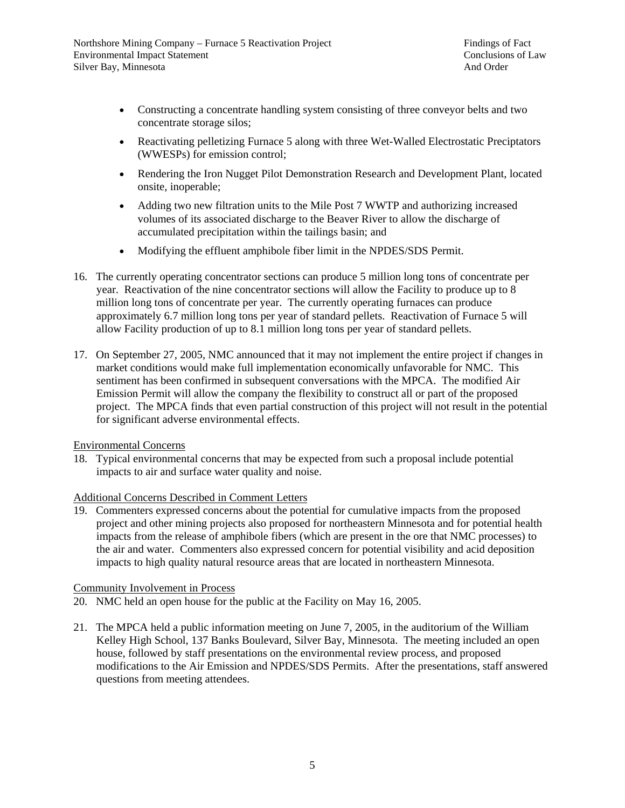- Constructing a concentrate handling system consisting of three conveyor belts and two concentrate storage silos;
- Reactivating pelletizing Furnace 5 along with three Wet-Walled Electrostatic Preciptators (WWESPs) for emission control;
- Rendering the Iron Nugget Pilot Demonstration Research and Development Plant, located onsite, inoperable;
- Adding two new filtration units to the Mile Post 7 WWTP and authorizing increased volumes of its associated discharge to the Beaver River to allow the discharge of accumulated precipitation within the tailings basin; and
- Modifying the effluent amphibole fiber limit in the NPDES/SDS Permit.
- 16. The currently operating concentrator sections can produce 5 million long tons of concentrate per year. Reactivation of the nine concentrator sections will allow the Facility to produce up to 8 million long tons of concentrate per year. The currently operating furnaces can produce approximately 6.7 million long tons per year of standard pellets. Reactivation of Furnace 5 will allow Facility production of up to 8.1 million long tons per year of standard pellets.
- 17. On September 27, 2005, NMC announced that it may not implement the entire project if changes in market conditions would make full implementation economically unfavorable for NMC. This sentiment has been confirmed in subsequent conversations with the MPCA. The modified Air Emission Permit will allow the company the flexibility to construct all or part of the proposed project. The MPCA finds that even partial construction of this project will not result in the potential for significant adverse environmental effects.

Environmental Concerns

18. Typical environmental concerns that may be expected from such a proposal include potential impacts to air and surface water quality and noise.

### Additional Concerns Described in Comment Letters

19. Commenters expressed concerns about the potential for cumulative impacts from the proposed project and other mining projects also proposed for northeastern Minnesota and for potential health impacts from the release of amphibole fibers (which are present in the ore that NMC processes) to the air and water. Commenters also expressed concern for potential visibility and acid deposition impacts to high quality natural resource areas that are located in northeastern Minnesota.

### Community Involvement in Process

- 20. NMC held an open house for the public at the Facility on May 16, 2005.
- 21. The MPCA held a public information meeting on June 7, 2005, in the auditorium of the William Kelley High School, 137 Banks Boulevard, Silver Bay, Minnesota. The meeting included an open house, followed by staff presentations on the environmental review process, and proposed modifications to the Air Emission and NPDES/SDS Permits. After the presentations, staff answered questions from meeting attendees.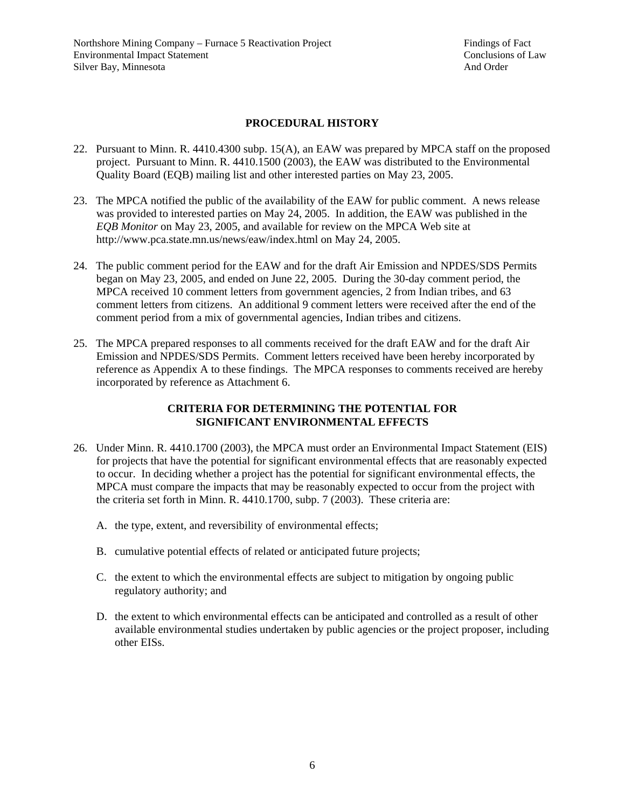### **PROCEDURAL HISTORY**

- 22. Pursuant to Minn. R. 4410.4300 subp. 15(A), an EAW was prepared by MPCA staff on the proposed project. Pursuant to Minn. R. 4410.1500 (2003), the EAW was distributed to the Environmental Quality Board (EQB) mailing list and other interested parties on May 23, 2005.
- 23. The MPCA notified the public of the availability of the EAW for public comment. A news release was provided to interested parties on May 24, 2005. In addition, the EAW was published in the *EQB Monitor* on May 23, 2005, and available for review on the MPCA Web site at http://www.pca.state.mn.us/news/eaw/index.html on May 24, 2005.
- 24. The public comment period for the EAW and for the draft Air Emission and NPDES/SDS Permits began on May 23, 2005, and ended on June 22, 2005. During the 30-day comment period, the MPCA received 10 comment letters from government agencies, 2 from Indian tribes, and 63 comment letters from citizens. An additional 9 comment letters were received after the end of the comment period from a mix of governmental agencies, Indian tribes and citizens.
- 25. The MPCA prepared responses to all comments received for the draft EAW and for the draft Air Emission and NPDES/SDS Permits. Comment letters received have been hereby incorporated by reference as Appendix A to these findings. The MPCA responses to comments received are hereby incorporated by reference as Attachment 6.

### **CRITERIA FOR DETERMINING THE POTENTIAL FOR SIGNIFICANT ENVIRONMENTAL EFFECTS**

- 26. Under Minn. R. 4410.1700 (2003), the MPCA must order an Environmental Impact Statement (EIS) for projects that have the potential for significant environmental effects that are reasonably expected to occur. In deciding whether a project has the potential for significant environmental effects, the MPCA must compare the impacts that may be reasonably expected to occur from the project with the criteria set forth in Minn. R. 4410.1700, subp. 7 (2003). These criteria are:
	- A. the type, extent, and reversibility of environmental effects;
	- B. cumulative potential effects of related or anticipated future projects;
	- C. the extent to which the environmental effects are subject to mitigation by ongoing public regulatory authority; and
	- D. the extent to which environmental effects can be anticipated and controlled as a result of other available environmental studies undertaken by public agencies or the project proposer, including other EISs.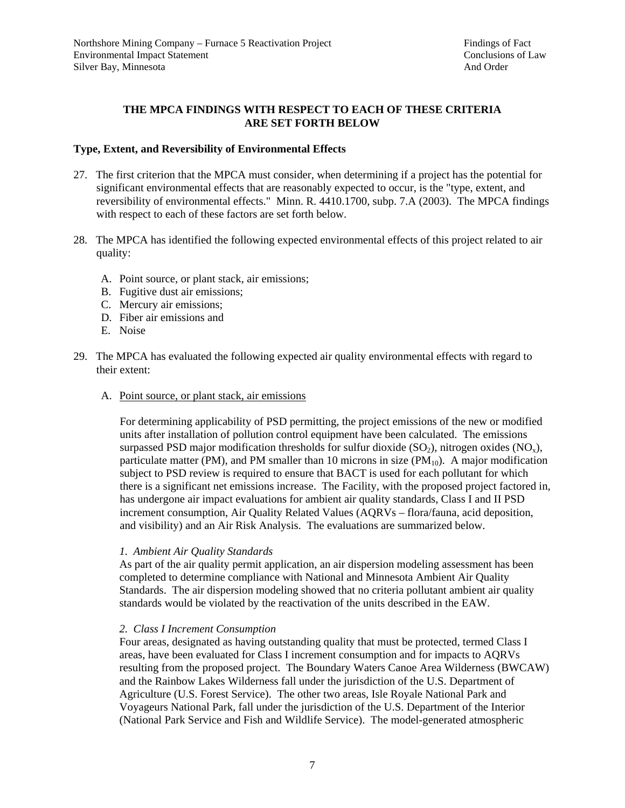### **THE MPCA FINDINGS WITH RESPECT TO EACH OF THESE CRITERIA ARE SET FORTH BELOW**

#### **Type, Extent, and Reversibility of Environmental Effects**

- 27. The first criterion that the MPCA must consider, when determining if a project has the potential for significant environmental effects that are reasonably expected to occur, is the "type, extent, and reversibility of environmental effects." Minn. R. 4410.1700, subp. 7.A (2003). The MPCA findings with respect to each of these factors are set forth below.
- 28. The MPCA has identified the following expected environmental effects of this project related to air quality:
	- A. Point source, or plant stack, air emissions;
	- B. Fugitive dust air emissions;
	- C. Mercury air emissions;
	- D. Fiber air emissions and
	- E. Noise
- 29. The MPCA has evaluated the following expected air quality environmental effects with regard to their extent:
	- A. Point source, or plant stack, air emissions

For determining applicability of PSD permitting, the project emissions of the new or modified units after installation of pollution control equipment have been calculated. The emissions surpassed PSD major modification thresholds for sulfur dioxide  $(SO<sub>2</sub>)$ , nitrogen oxides  $(NO<sub>x</sub>)$ , particulate matter (PM), and PM smaller than 10 microns in size (PM $_{10}$ ). A major modification subject to PSD review is required to ensure that BACT is used for each pollutant for which there is a significant net emissions increase. The Facility, with the proposed project factored in, has undergone air impact evaluations for ambient air quality standards, Class I and II PSD increment consumption, Air Quality Related Values (AQRVs – flora/fauna, acid deposition, and visibility) and an Air Risk Analysis. The evaluations are summarized below.

#### *1. Ambient Air Quality Standards*

As part of the air quality permit application, an air dispersion modeling assessment has been completed to determine compliance with National and Minnesota Ambient Air Quality Standards. The air dispersion modeling showed that no criteria pollutant ambient air quality standards would be violated by the reactivation of the units described in the EAW.

#### *2. Class I Increment Consumption*

Four areas, designated as having outstanding quality that must be protected, termed Class I areas, have been evaluated for Class I increment consumption and for impacts to AQRVs resulting from the proposed project. The Boundary Waters Canoe Area Wilderness (BWCAW) and the Rainbow Lakes Wilderness fall under the jurisdiction of the U.S. Department of Agriculture (U.S. Forest Service). The other two areas, Isle Royale National Park and Voyageurs National Park, fall under the jurisdiction of the U.S. Department of the Interior (National Park Service and Fish and Wildlife Service). The model-generated atmospheric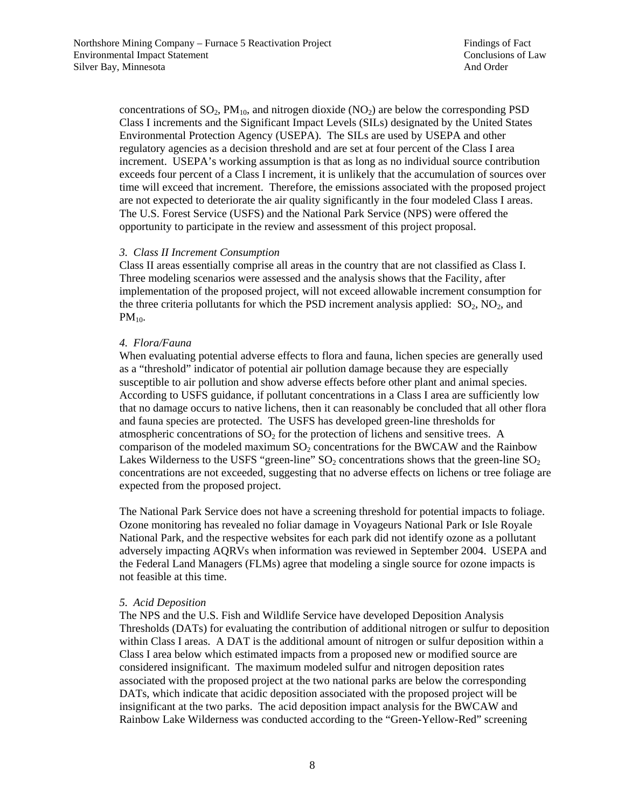concentrations of  $SO_2$ ,  $PM_{10}$ , and nitrogen dioxide  $(NO_2)$  are below the corresponding PSD Class I increments and the Significant Impact Levels (SILs) designated by the United States Environmental Protection Agency (USEPA). The SILs are used by USEPA and other regulatory agencies as a decision threshold and are set at four percent of the Class I area increment. USEPA's working assumption is that as long as no individual source contribution exceeds four percent of a Class I increment, it is unlikely that the accumulation of sources over time will exceed that increment. Therefore, the emissions associated with the proposed project are not expected to deteriorate the air quality significantly in the four modeled Class I areas. The U.S. Forest Service (USFS) and the National Park Service (NPS) were offered the opportunity to participate in the review and assessment of this project proposal.

### *3. Class II Increment Consumption*

Class II areas essentially comprise all areas in the country that are not classified as Class I. Three modeling scenarios were assessed and the analysis shows that the Facility, after implementation of the proposed project, will not exceed allowable increment consumption for the three criteria pollutants for which the PSD increment analysis applied:  $SO_2$ ,  $NO_2$ , and  $PM_{10}$ .

#### *4. Flora/Fauna*

When evaluating potential adverse effects to flora and fauna, lichen species are generally used as a "threshold" indicator of potential air pollution damage because they are especially susceptible to air pollution and show adverse effects before other plant and animal species. According to USFS guidance, if pollutant concentrations in a Class I area are sufficiently low that no damage occurs to native lichens, then it can reasonably be concluded that all other flora and fauna species are protected. The USFS has developed green-line thresholds for atmospheric concentrations of  $SO<sub>2</sub>$  for the protection of lichens and sensitive trees. A comparison of the modeled maximum  $SO<sub>2</sub>$  concentrations for the BWCAW and the Rainbow Lakes Wilderness to the USFS "green-line"  $SO_2$  concentrations shows that the green-line  $SO_2$ concentrations are not exceeded, suggesting that no adverse effects on lichens or tree foliage are expected from the proposed project.

The National Park Service does not have a screening threshold for potential impacts to foliage. Ozone monitoring has revealed no foliar damage in Voyageurs National Park or Isle Royale National Park, and the respective websites for each park did not identify ozone as a pollutant adversely impacting AQRVs when information was reviewed in September 2004. USEPA and the Federal Land Managers (FLMs) agree that modeling a single source for ozone impacts is not feasible at this time.

### *5. Acid Deposition*

The NPS and the U.S. Fish and Wildlife Service have developed Deposition Analysis Thresholds (DATs) for evaluating the contribution of additional nitrogen or sulfur to deposition within Class I areas. A DAT is the additional amount of nitrogen or sulfur deposition within a Class I area below which estimated impacts from a proposed new or modified source are considered insignificant. The maximum modeled sulfur and nitrogen deposition rates associated with the proposed project at the two national parks are below the corresponding DATs, which indicate that acidic deposition associated with the proposed project will be insignificant at the two parks. The acid deposition impact analysis for the BWCAW and Rainbow Lake Wilderness was conducted according to the "Green-Yellow-Red" screening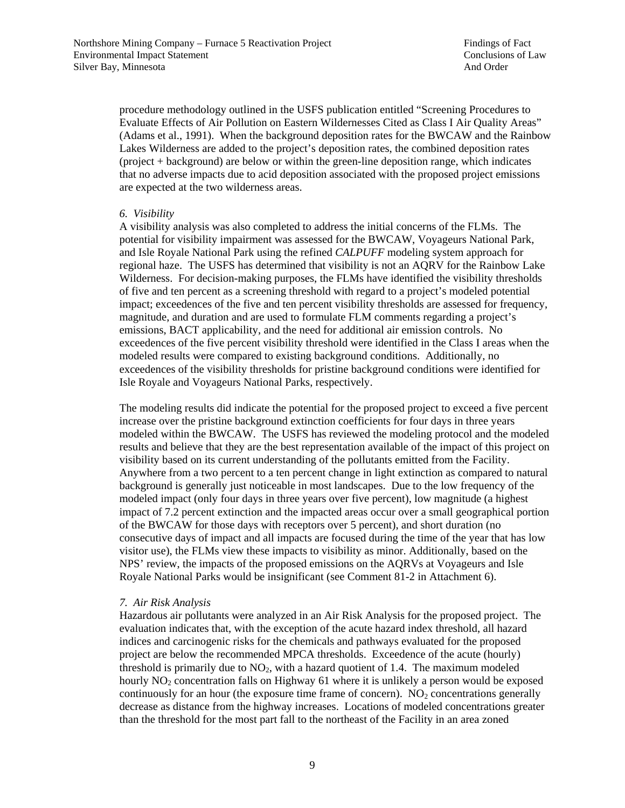procedure methodology outlined in the USFS publication entitled "Screening Procedures to Evaluate Effects of Air Pollution on Eastern Wildernesses Cited as Class I Air Quality Areas" (Adams et al., 1991). When the background deposition rates for the BWCAW and the Rainbow Lakes Wilderness are added to the project's deposition rates, the combined deposition rates (project + background) are below or within the green-line deposition range, which indicates that no adverse impacts due to acid deposition associated with the proposed project emissions are expected at the two wilderness areas.

#### *6. Visibility*

A visibility analysis was also completed to address the initial concerns of the FLMs. The potential for visibility impairment was assessed for the BWCAW, Voyageurs National Park, and Isle Royale National Park using the refined *CALPUFF* modeling system approach for regional haze. The USFS has determined that visibility is not an AQRV for the Rainbow Lake Wilderness. For decision-making purposes, the FLMs have identified the visibility thresholds of five and ten percent as a screening threshold with regard to a project's modeled potential impact; exceedences of the five and ten percent visibility thresholds are assessed for frequency, magnitude, and duration and are used to formulate FLM comments regarding a project's emissions, BACT applicability, and the need for additional air emission controls. No exceedences of the five percent visibility threshold were identified in the Class I areas when the modeled results were compared to existing background conditions. Additionally, no exceedences of the visibility thresholds for pristine background conditions were identified for Isle Royale and Voyageurs National Parks, respectively.

The modeling results did indicate the potential for the proposed project to exceed a five percent increase over the pristine background extinction coefficients for four days in three years modeled within the BWCAW. The USFS has reviewed the modeling protocol and the modeled results and believe that they are the best representation available of the impact of this project on visibility based on its current understanding of the pollutants emitted from the Facility. Anywhere from a two percent to a ten percent change in light extinction as compared to natural background is generally just noticeable in most landscapes. Due to the low frequency of the modeled impact (only four days in three years over five percent), low magnitude (a highest impact of 7.2 percent extinction and the impacted areas occur over a small geographical portion of the BWCAW for those days with receptors over 5 percent), and short duration (no consecutive days of impact and all impacts are focused during the time of the year that has low visitor use), the FLMs view these impacts to visibility as minor. Additionally, based on the NPS' review, the impacts of the proposed emissions on the AQRVs at Voyageurs and Isle Royale National Parks would be insignificant (see Comment 81-2 in Attachment 6).

### *7. Air Risk Analysis*

Hazardous air pollutants were analyzed in an Air Risk Analysis for the proposed project. The evaluation indicates that, with the exception of the acute hazard index threshold, all hazard indices and carcinogenic risks for the chemicals and pathways evaluated for the proposed project are below the recommended MPCA thresholds. Exceedence of the acute (hourly) threshold is primarily due to  $NO<sub>2</sub>$ , with a hazard quotient of 1.4. The maximum modeled hourly  $NO<sub>2</sub>$  concentration falls on Highway 61 where it is unlikely a person would be exposed continuously for an hour (the exposure time frame of concern).  $NO<sub>2</sub>$  concentrations generally decrease as distance from the highway increases. Locations of modeled concentrations greater than the threshold for the most part fall to the northeast of the Facility in an area zoned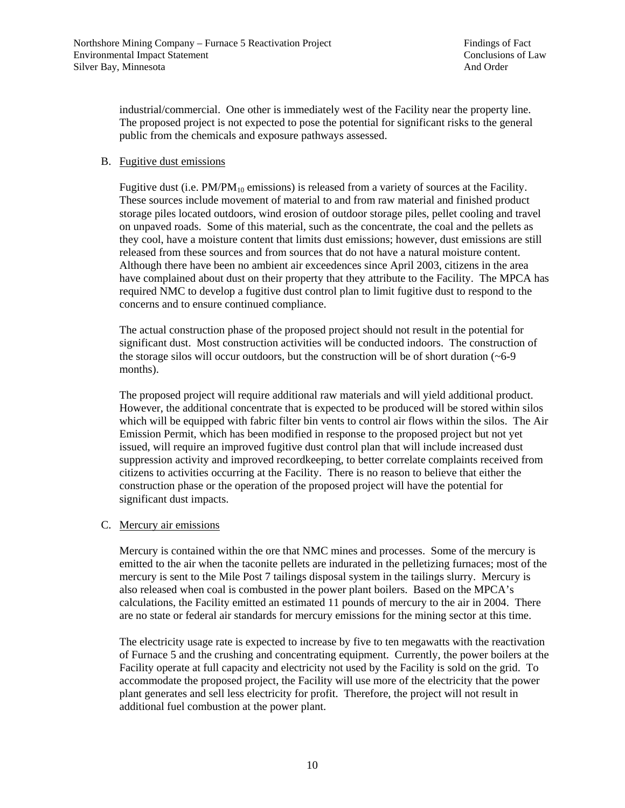industrial/commercial. One other is immediately west of the Facility near the property line. The proposed project is not expected to pose the potential for significant risks to the general public from the chemicals and exposure pathways assessed.

### B. Fugitive dust emissions

Fugitive dust (i.e.  $PM/PM_{10}$  emissions) is released from a variety of sources at the Facility. These sources include movement of material to and from raw material and finished product storage piles located outdoors, wind erosion of outdoor storage piles, pellet cooling and travel on unpaved roads. Some of this material, such as the concentrate, the coal and the pellets as they cool, have a moisture content that limits dust emissions; however, dust emissions are still released from these sources and from sources that do not have a natural moisture content. Although there have been no ambient air exceedences since April 2003, citizens in the area have complained about dust on their property that they attribute to the Facility. The MPCA has required NMC to develop a fugitive dust control plan to limit fugitive dust to respond to the concerns and to ensure continued compliance.

The actual construction phase of the proposed project should not result in the potential for significant dust. Most construction activities will be conducted indoors. The construction of the storage silos will occur outdoors, but the construction will be of short duration  $(-6-9)$ months).

The proposed project will require additional raw materials and will yield additional product. However, the additional concentrate that is expected to be produced will be stored within silos which will be equipped with fabric filter bin vents to control air flows within the silos. The Air Emission Permit, which has been modified in response to the proposed project but not yet issued, will require an improved fugitive dust control plan that will include increased dust suppression activity and improved recordkeeping, to better correlate complaints received from citizens to activities occurring at the Facility. There is no reason to believe that either the construction phase or the operation of the proposed project will have the potential for significant dust impacts.

#### C. Mercury air emissions

Mercury is contained within the ore that NMC mines and processes. Some of the mercury is emitted to the air when the taconite pellets are indurated in the pelletizing furnaces; most of the mercury is sent to the Mile Post 7 tailings disposal system in the tailings slurry. Mercury is also released when coal is combusted in the power plant boilers. Based on the MPCA's calculations, the Facility emitted an estimated 11 pounds of mercury to the air in 2004. There are no state or federal air standards for mercury emissions for the mining sector at this time.

The electricity usage rate is expected to increase by five to ten megawatts with the reactivation of Furnace 5 and the crushing and concentrating equipment. Currently, the power boilers at the Facility operate at full capacity and electricity not used by the Facility is sold on the grid. To accommodate the proposed project, the Facility will use more of the electricity that the power plant generates and sell less electricity for profit. Therefore, the project will not result in additional fuel combustion at the power plant.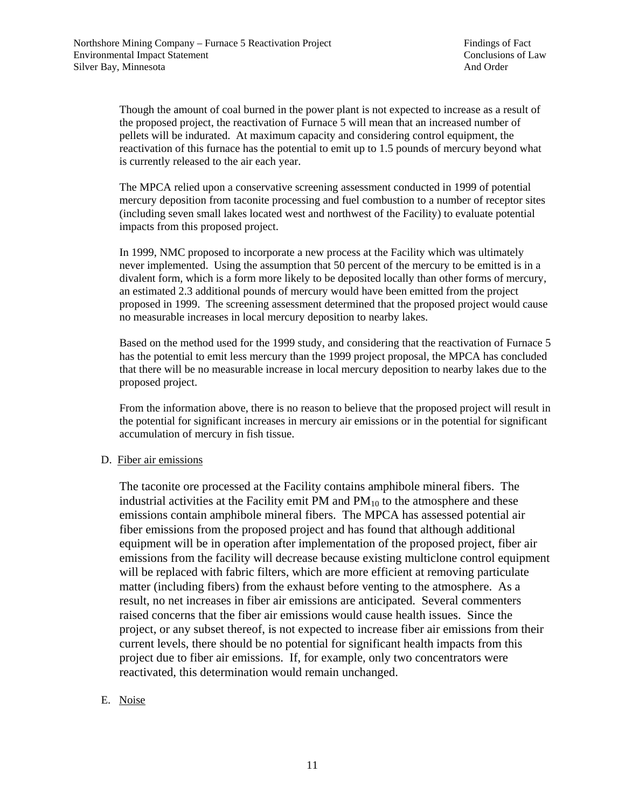Though the amount of coal burned in the power plant is not expected to increase as a result of the proposed project, the reactivation of Furnace 5 will mean that an increased number of pellets will be indurated. At maximum capacity and considering control equipment, the reactivation of this furnace has the potential to emit up to 1.5 pounds of mercury beyond what is currently released to the air each year.

The MPCA relied upon a conservative screening assessment conducted in 1999 of potential mercury deposition from taconite processing and fuel combustion to a number of receptor sites (including seven small lakes located west and northwest of the Facility) to evaluate potential impacts from this proposed project.

In 1999, NMC proposed to incorporate a new process at the Facility which was ultimately never implemented. Using the assumption that 50 percent of the mercury to be emitted is in a divalent form, which is a form more likely to be deposited locally than other forms of mercury, an estimated 2.3 additional pounds of mercury would have been emitted from the project proposed in 1999. The screening assessment determined that the proposed project would cause no measurable increases in local mercury deposition to nearby lakes.

Based on the method used for the 1999 study, and considering that the reactivation of Furnace 5 has the potential to emit less mercury than the 1999 project proposal, the MPCA has concluded that there will be no measurable increase in local mercury deposition to nearby lakes due to the proposed project.

From the information above, there is no reason to believe that the proposed project will result in the potential for significant increases in mercury air emissions or in the potential for significant accumulation of mercury in fish tissue.

### D. Fiber air emissions

The taconite ore processed at the Facility contains amphibole mineral fibers. The industrial activities at the Facility emit PM and  $PM_{10}$  to the atmosphere and these emissions contain amphibole mineral fibers. The MPCA has assessed potential air fiber emissions from the proposed project and has found that although additional equipment will be in operation after implementation of the proposed project, fiber air emissions from the facility will decrease because existing multiclone control equipment will be replaced with fabric filters, which are more efficient at removing particulate matter (including fibers) from the exhaust before venting to the atmosphere. As a result, no net increases in fiber air emissions are anticipated. Several commenters raised concerns that the fiber air emissions would cause health issues. Since the project, or any subset thereof, is not expected to increase fiber air emissions from their current levels, there should be no potential for significant health impacts from this project due to fiber air emissions. If, for example, only two concentrators were reactivated, this determination would remain unchanged.

## E. Noise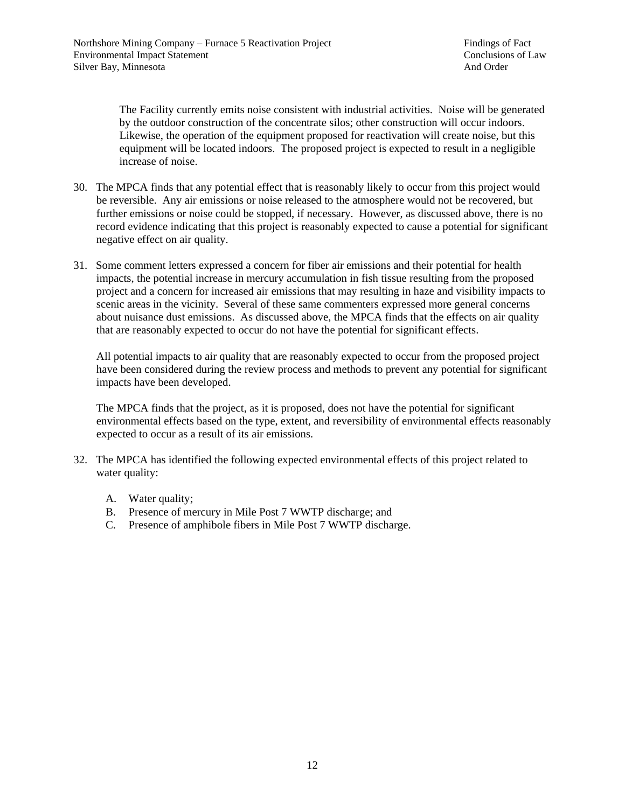The Facility currently emits noise consistent with industrial activities. Noise will be generated by the outdoor construction of the concentrate silos; other construction will occur indoors. Likewise, the operation of the equipment proposed for reactivation will create noise, but this equipment will be located indoors. The proposed project is expected to result in a negligible increase of noise.

- 30. The MPCA finds that any potential effect that is reasonably likely to occur from this project would be reversible. Any air emissions or noise released to the atmosphere would not be recovered, but further emissions or noise could be stopped, if necessary. However, as discussed above, there is no record evidence indicating that this project is reasonably expected to cause a potential for significant negative effect on air quality.
- 31. Some comment letters expressed a concern for fiber air emissions and their potential for health impacts, the potential increase in mercury accumulation in fish tissue resulting from the proposed project and a concern for increased air emissions that may resulting in haze and visibility impacts to scenic areas in the vicinity. Several of these same commenters expressed more general concerns about nuisance dust emissions. As discussed above, the MPCA finds that the effects on air quality that are reasonably expected to occur do not have the potential for significant effects.

All potential impacts to air quality that are reasonably expected to occur from the proposed project have been considered during the review process and methods to prevent any potential for significant impacts have been developed.

The MPCA finds that the project, as it is proposed, does not have the potential for significant environmental effects based on the type, extent, and reversibility of environmental effects reasonably expected to occur as a result of its air emissions.

- 32. The MPCA has identified the following expected environmental effects of this project related to water quality:
	- A. Water quality;
	- B. Presence of mercury in Mile Post 7 WWTP discharge; and
	- C. Presence of amphibole fibers in Mile Post 7 WWTP discharge.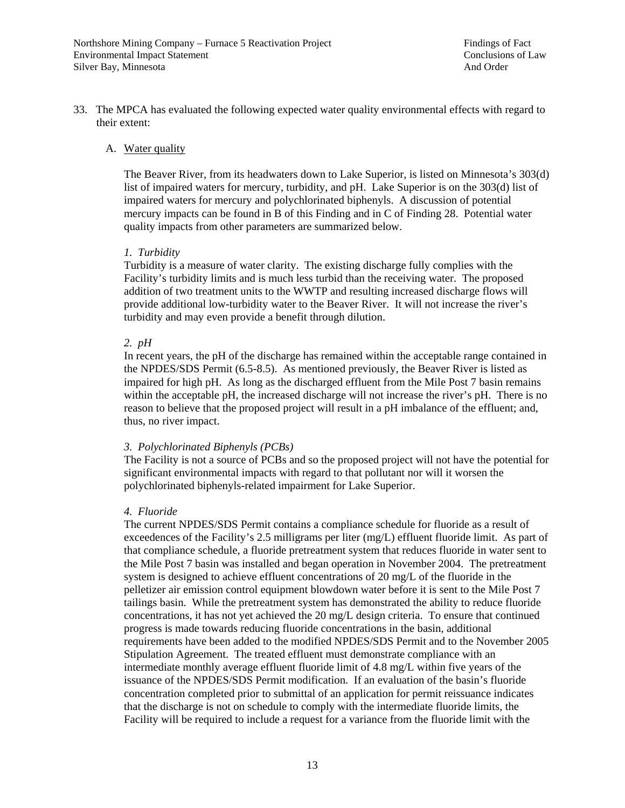33. The MPCA has evaluated the following expected water quality environmental effects with regard to their extent:

#### A. Water quality

The Beaver River, from its headwaters down to Lake Superior, is listed on Minnesota's 303(d) list of impaired waters for mercury, turbidity, and pH. Lake Superior is on the 303(d) list of impaired waters for mercury and polychlorinated biphenyls. A discussion of potential mercury impacts can be found in B of this Finding and in C of Finding 28. Potential water quality impacts from other parameters are summarized below.

#### *1. Turbidity*

Turbidity is a measure of water clarity. The existing discharge fully complies with the Facility's turbidity limits and is much less turbid than the receiving water. The proposed addition of two treatment units to the WWTP and resulting increased discharge flows will provide additional low-turbidity water to the Beaver River. It will not increase the river's turbidity and may even provide a benefit through dilution.

#### *2. pH*

In recent years, the pH of the discharge has remained within the acceptable range contained in the NPDES/SDS Permit (6.5-8.5). As mentioned previously, the Beaver River is listed as impaired for high pH. As long as the discharged effluent from the Mile Post 7 basin remains within the acceptable pH, the increased discharge will not increase the river's pH. There is no reason to believe that the proposed project will result in a pH imbalance of the effluent; and, thus, no river impact.

#### *3. Polychlorinated Biphenyls (PCBs)*

The Facility is not a source of PCBs and so the proposed project will not have the potential for significant environmental impacts with regard to that pollutant nor will it worsen the polychlorinated biphenyls-related impairment for Lake Superior.

#### *4. Fluoride*

The current NPDES/SDS Permit contains a compliance schedule for fluoride as a result of exceedences of the Facility's 2.5 milligrams per liter (mg/L) effluent fluoride limit. As part of that compliance schedule, a fluoride pretreatment system that reduces fluoride in water sent to the Mile Post 7 basin was installed and began operation in November 2004. The pretreatment system is designed to achieve effluent concentrations of 20 mg/L of the fluoride in the pelletizer air emission control equipment blowdown water before it is sent to the Mile Post 7 tailings basin. While the pretreatment system has demonstrated the ability to reduce fluoride concentrations, it has not yet achieved the 20 mg/L design criteria. To ensure that continued progress is made towards reducing fluoride concentrations in the basin, additional requirements have been added to the modified NPDES/SDS Permit and to the November 2005 Stipulation Agreement. The treated effluent must demonstrate compliance with an intermediate monthly average effluent fluoride limit of 4.8 mg/L within five years of the issuance of the NPDES/SDS Permit modification. If an evaluation of the basin's fluoride concentration completed prior to submittal of an application for permit reissuance indicates that the discharge is not on schedule to comply with the intermediate fluoride limits, the Facility will be required to include a request for a variance from the fluoride limit with the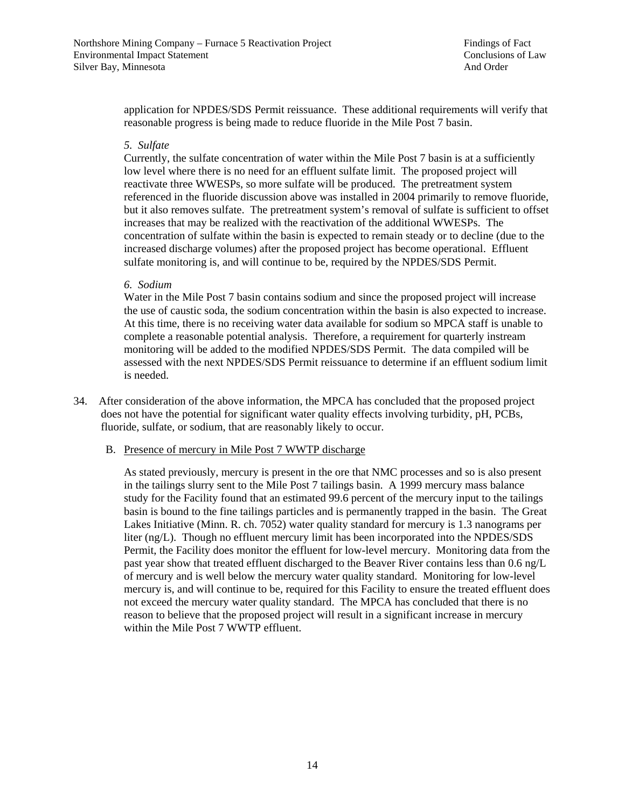application for NPDES/SDS Permit reissuance. These additional requirements will verify that reasonable progress is being made to reduce fluoride in the Mile Post 7 basin.

#### *5. Sulfate*

Currently, the sulfate concentration of water within the Mile Post 7 basin is at a sufficiently low level where there is no need for an effluent sulfate limit. The proposed project will reactivate three WWESPs, so more sulfate will be produced. The pretreatment system referenced in the fluoride discussion above was installed in 2004 primarily to remove fluoride, but it also removes sulfate. The pretreatment system's removal of sulfate is sufficient to offset increases that may be realized with the reactivation of the additional WWESPs. The concentration of sulfate within the basin is expected to remain steady or to decline (due to the increased discharge volumes) after the proposed project has become operational. Effluent sulfate monitoring is, and will continue to be, required by the NPDES/SDS Permit.

#### *6. Sodium*

Water in the Mile Post 7 basin contains sodium and since the proposed project will increase the use of caustic soda, the sodium concentration within the basin is also expected to increase. At this time, there is no receiving water data available for sodium so MPCA staff is unable to complete a reasonable potential analysis. Therefore, a requirement for quarterly instream monitoring will be added to the modified NPDES/SDS Permit. The data compiled will be assessed with the next NPDES/SDS Permit reissuance to determine if an effluent sodium limit is needed.

34. After consideration of the above information, the MPCA has concluded that the proposed project does not have the potential for significant water quality effects involving turbidity, pH, PCBs, fluoride, sulfate, or sodium, that are reasonably likely to occur.

#### B. Presence of mercury in Mile Post 7 WWTP discharge

As stated previously, mercury is present in the ore that NMC processes and so is also present in the tailings slurry sent to the Mile Post 7 tailings basin. A 1999 mercury mass balance study for the Facility found that an estimated 99.6 percent of the mercury input to the tailings basin is bound to the fine tailings particles and is permanently trapped in the basin. The Great Lakes Initiative (Minn. R. ch. 7052) water quality standard for mercury is 1.3 nanograms per liter (ng/L). Though no effluent mercury limit has been incorporated into the NPDES/SDS Permit, the Facility does monitor the effluent for low-level mercury. Monitoring data from the past year show that treated effluent discharged to the Beaver River contains less than 0.6 ng/L of mercury and is well below the mercury water quality standard. Monitoring for low-level mercury is, and will continue to be, required for this Facility to ensure the treated effluent does not exceed the mercury water quality standard. The MPCA has concluded that there is no reason to believe that the proposed project will result in a significant increase in mercury within the Mile Post 7 WWTP effluent.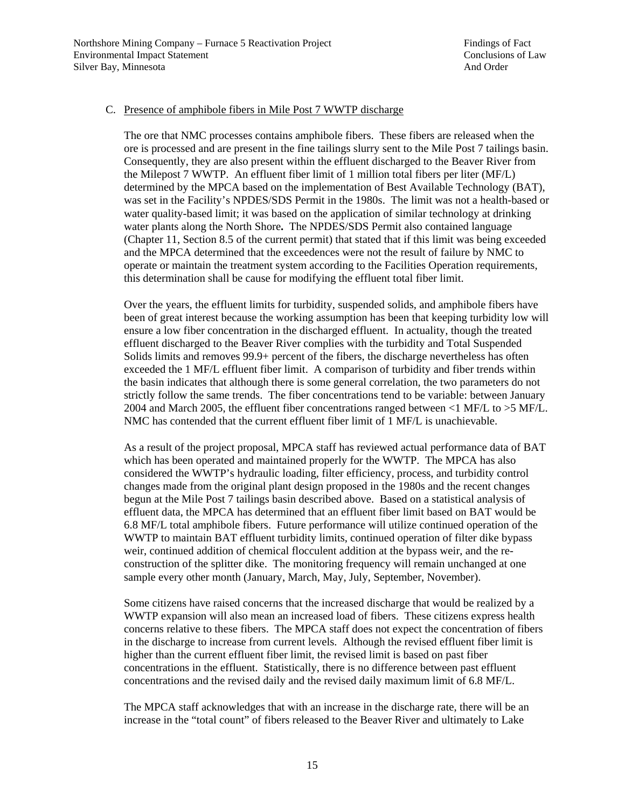#### C. Presence of amphibole fibers in Mile Post 7 WWTP discharge

The ore that NMC processes contains amphibole fibers. These fibers are released when the ore is processed and are present in the fine tailings slurry sent to the Mile Post 7 tailings basin. Consequently, they are also present within the effluent discharged to the Beaver River from the Milepost 7 WWTP. An effluent fiber limit of 1 million total fibers per liter (MF/L) determined by the MPCA based on the implementation of Best Available Technology (BAT), was set in the Facility's NPDES/SDS Permit in the 1980s. The limit was not a health-based or water quality-based limit; it was based on the application of similar technology at drinking water plants along the North Shore**.** The NPDES/SDS Permit also contained language (Chapter 11, Section 8.5 of the current permit) that stated that if this limit was being exceeded and the MPCA determined that the exceedences were not the result of failure by NMC to operate or maintain the treatment system according to the Facilities Operation requirements, this determination shall be cause for modifying the effluent total fiber limit.

Over the years, the effluent limits for turbidity, suspended solids, and amphibole fibers have been of great interest because the working assumption has been that keeping turbidity low will ensure a low fiber concentration in the discharged effluent. In actuality, though the treated effluent discharged to the Beaver River complies with the turbidity and Total Suspended Solids limits and removes 99.9+ percent of the fibers, the discharge nevertheless has often exceeded the 1 MF/L effluent fiber limit. A comparison of turbidity and fiber trends within the basin indicates that although there is some general correlation, the two parameters do not strictly follow the same trends. The fiber concentrations tend to be variable: between January 2004 and March 2005, the effluent fiber concentrations ranged between <1 MF/L to >5 MF/L. NMC has contended that the current effluent fiber limit of 1 MF/L is unachievable.

As a result of the project proposal, MPCA staff has reviewed actual performance data of BAT which has been operated and maintained properly for the WWTP. The MPCA has also considered the WWTP's hydraulic loading, filter efficiency, process, and turbidity control changes made from the original plant design proposed in the 1980s and the recent changes begun at the Mile Post 7 tailings basin described above. Based on a statistical analysis of effluent data, the MPCA has determined that an effluent fiber limit based on BAT would be 6.8 MF/L total amphibole fibers. Future performance will utilize continued operation of the WWTP to maintain BAT effluent turbidity limits, continued operation of filter dike bypass weir, continued addition of chemical flocculent addition at the bypass weir, and the reconstruction of the splitter dike. The monitoring frequency will remain unchanged at one sample every other month (January, March, May, July, September, November).

Some citizens have raised concerns that the increased discharge that would be realized by a WWTP expansion will also mean an increased load of fibers. These citizens express health concerns relative to these fibers. The MPCA staff does not expect the concentration of fibers in the discharge to increase from current levels. Although the revised effluent fiber limit is higher than the current effluent fiber limit, the revised limit is based on past fiber concentrations in the effluent. Statistically, there is no difference between past effluent concentrations and the revised daily and the revised daily maximum limit of 6.8 MF/L.

The MPCA staff acknowledges that with an increase in the discharge rate, there will be an increase in the "total count" of fibers released to the Beaver River and ultimately to Lake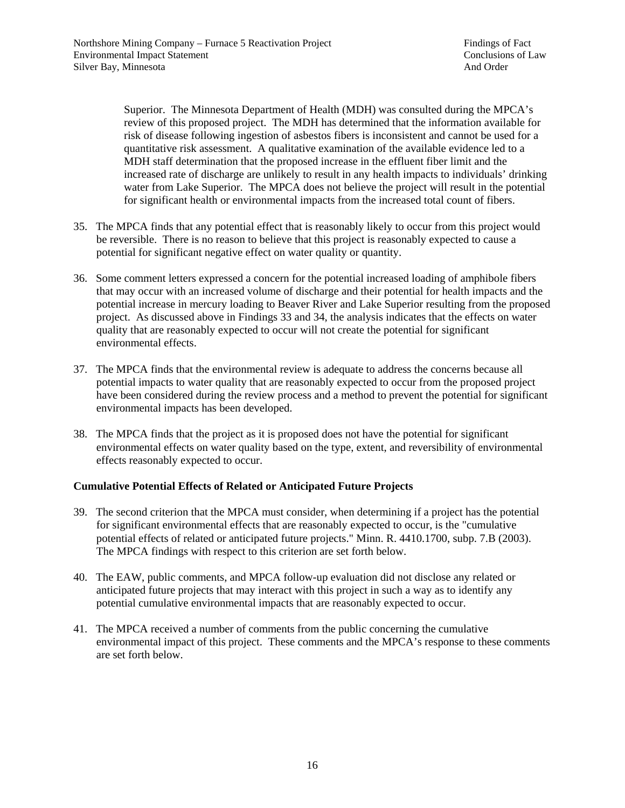Superior. The Minnesota Department of Health (MDH) was consulted during the MPCA's review of this proposed project. The MDH has determined that the information available for risk of disease following ingestion of asbestos fibers is inconsistent and cannot be used for a quantitative risk assessment. A qualitative examination of the available evidence led to a MDH staff determination that the proposed increase in the effluent fiber limit and the increased rate of discharge are unlikely to result in any health impacts to individuals' drinking water from Lake Superior. The MPCA does not believe the project will result in the potential for significant health or environmental impacts from the increased total count of fibers.

- 35. The MPCA finds that any potential effect that is reasonably likely to occur from this project would be reversible. There is no reason to believe that this project is reasonably expected to cause a potential for significant negative effect on water quality or quantity.
- 36. Some comment letters expressed a concern for the potential increased loading of amphibole fibers that may occur with an increased volume of discharge and their potential for health impacts and the potential increase in mercury loading to Beaver River and Lake Superior resulting from the proposed project. As discussed above in Findings 33 and 34, the analysis indicates that the effects on water quality that are reasonably expected to occur will not create the potential for significant environmental effects.
- 37. The MPCA finds that the environmental review is adequate to address the concerns because all potential impacts to water quality that are reasonably expected to occur from the proposed project have been considered during the review process and a method to prevent the potential for significant environmental impacts has been developed.
- 38. The MPCA finds that the project as it is proposed does not have the potential for significant environmental effects on water quality based on the type, extent, and reversibility of environmental effects reasonably expected to occur.

## **Cumulative Potential Effects of Related or Anticipated Future Projects**

- 39. The second criterion that the MPCA must consider, when determining if a project has the potential for significant environmental effects that are reasonably expected to occur, is the "cumulative potential effects of related or anticipated future projects." Minn. R. 4410.1700, subp. 7.B (2003). The MPCA findings with respect to this criterion are set forth below.
- 40. The EAW, public comments, and MPCA follow-up evaluation did not disclose any related or anticipated future projects that may interact with this project in such a way as to identify any potential cumulative environmental impacts that are reasonably expected to occur.
- 41. The MPCA received a number of comments from the public concerning the cumulative environmental impact of this project. These comments and the MPCA's response to these comments are set forth below.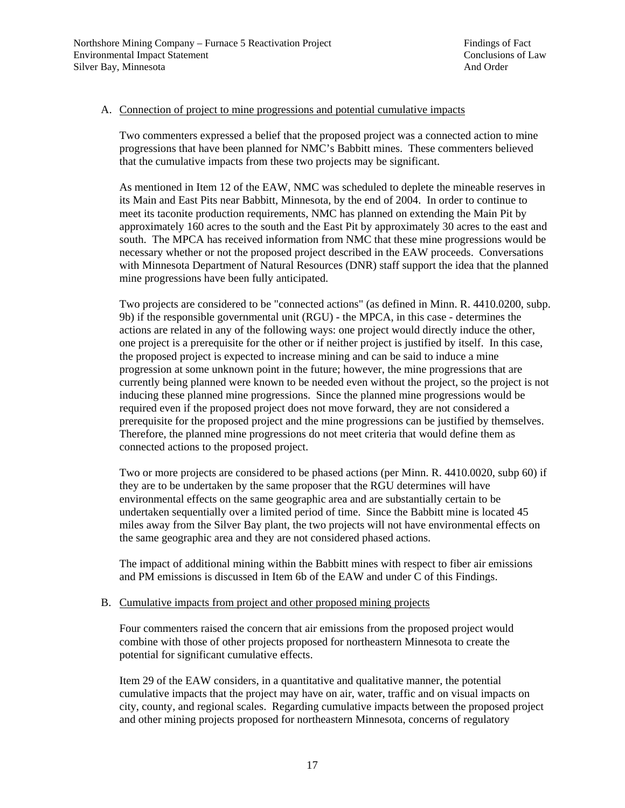#### A. Connection of project to mine progressions and potential cumulative impacts

Two commenters expressed a belief that the proposed project was a connected action to mine progressions that have been planned for NMC's Babbitt mines. These commenters believed that the cumulative impacts from these two projects may be significant.

As mentioned in Item 12 of the EAW, NMC was scheduled to deplete the mineable reserves in its Main and East Pits near Babbitt, Minnesota, by the end of 2004. In order to continue to meet its taconite production requirements, NMC has planned on extending the Main Pit by approximately 160 acres to the south and the East Pit by approximately 30 acres to the east and south. The MPCA has received information from NMC that these mine progressions would be necessary whether or not the proposed project described in the EAW proceeds. Conversations with Minnesota Department of Natural Resources (DNR) staff support the idea that the planned mine progressions have been fully anticipated.

Two projects are considered to be "connected actions" (as defined in Minn. R. 4410.0200, subp. 9b) if the responsible governmental unit (RGU) - the MPCA, in this case - determines the actions are related in any of the following ways: one project would directly induce the other, one project is a prerequisite for the other or if neither project is justified by itself. In this case, the proposed project is expected to increase mining and can be said to induce a mine progression at some unknown point in the future; however, the mine progressions that are currently being planned were known to be needed even without the project, so the project is not inducing these planned mine progressions. Since the planned mine progressions would be required even if the proposed project does not move forward, they are not considered a prerequisite for the proposed project and the mine progressions can be justified by themselves. Therefore, the planned mine progressions do not meet criteria that would define them as connected actions to the proposed project.

Two or more projects are considered to be phased actions (per Minn. R. 4410.0020, subp 60) if they are to be undertaken by the same proposer that the RGU determines will have environmental effects on the same geographic area and are substantially certain to be undertaken sequentially over a limited period of time. Since the Babbitt mine is located 45 miles away from the Silver Bay plant, the two projects will not have environmental effects on the same geographic area and they are not considered phased actions.

The impact of additional mining within the Babbitt mines with respect to fiber air emissions and PM emissions is discussed in Item 6b of the EAW and under C of this Findings.

#### B. Cumulative impacts from project and other proposed mining projects

Four commenters raised the concern that air emissions from the proposed project would combine with those of other projects proposed for northeastern Minnesota to create the potential for significant cumulative effects.

Item 29 of the EAW considers, in a quantitative and qualitative manner, the potential cumulative impacts that the project may have on air, water, traffic and on visual impacts on city, county, and regional scales. Regarding cumulative impacts between the proposed project and other mining projects proposed for northeastern Minnesota, concerns of regulatory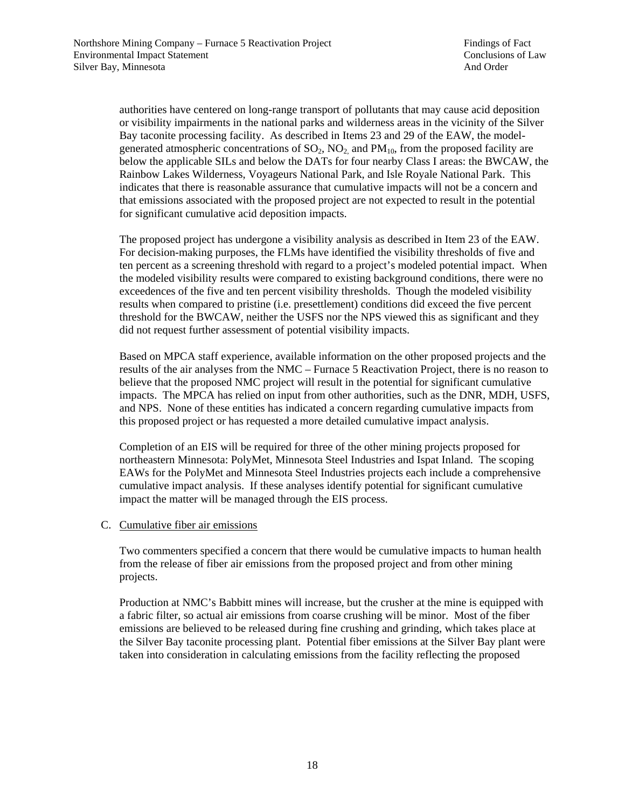authorities have centered on long-range transport of pollutants that may cause acid deposition or visibility impairments in the national parks and wilderness areas in the vicinity of the Silver Bay taconite processing facility. As described in Items 23 and 29 of the EAW, the modelgenerated atmospheric concentrations of  $SO_2$ ,  $NO_2$  and  $PM_{10}$ , from the proposed facility are below the applicable SILs and below the DATs for four nearby Class I areas: the BWCAW, the Rainbow Lakes Wilderness, Voyageurs National Park, and Isle Royale National Park. This indicates that there is reasonable assurance that cumulative impacts will not be a concern and that emissions associated with the proposed project are not expected to result in the potential for significant cumulative acid deposition impacts.

The proposed project has undergone a visibility analysis as described in Item 23 of the EAW. For decision-making purposes, the FLMs have identified the visibility thresholds of five and ten percent as a screening threshold with regard to a project's modeled potential impact. When the modeled visibility results were compared to existing background conditions, there were no exceedences of the five and ten percent visibility thresholds. Though the modeled visibility results when compared to pristine (i.e. presettlement) conditions did exceed the five percent threshold for the BWCAW, neither the USFS nor the NPS viewed this as significant and they did not request further assessment of potential visibility impacts.

Based on MPCA staff experience, available information on the other proposed projects and the results of the air analyses from the NMC – Furnace 5 Reactivation Project, there is no reason to believe that the proposed NMC project will result in the potential for significant cumulative impacts. The MPCA has relied on input from other authorities, such as the DNR, MDH, USFS, and NPS. None of these entities has indicated a concern regarding cumulative impacts from this proposed project or has requested a more detailed cumulative impact analysis.

Completion of an EIS will be required for three of the other mining projects proposed for northeastern Minnesota: PolyMet, Minnesota Steel Industries and Ispat Inland. The scoping EAWs for the PolyMet and Minnesota Steel Industries projects each include a comprehensive cumulative impact analysis. If these analyses identify potential for significant cumulative impact the matter will be managed through the EIS process.

### C. Cumulative fiber air emissions

Two commenters specified a concern that there would be cumulative impacts to human health from the release of fiber air emissions from the proposed project and from other mining projects.

Production at NMC's Babbitt mines will increase, but the crusher at the mine is equipped with a fabric filter, so actual air emissions from coarse crushing will be minor. Most of the fiber emissions are believed to be released during fine crushing and grinding, which takes place at the Silver Bay taconite processing plant. Potential fiber emissions at the Silver Bay plant were taken into consideration in calculating emissions from the facility reflecting the proposed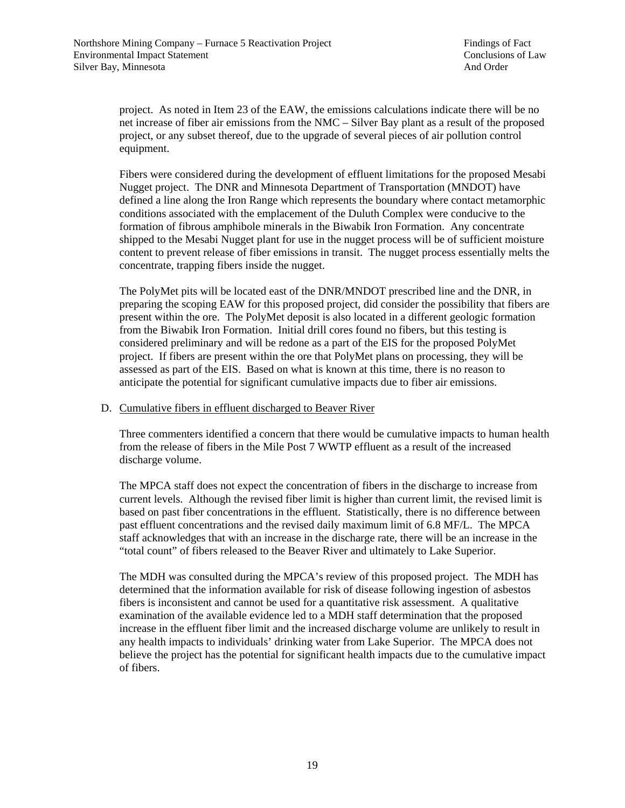project. As noted in Item 23 of the EAW, the emissions calculations indicate there will be no net increase of fiber air emissions from the NMC – Silver Bay plant as a result of the proposed project, or any subset thereof, due to the upgrade of several pieces of air pollution control equipment.

Fibers were considered during the development of effluent limitations for the proposed Mesabi Nugget project. The DNR and Minnesota Department of Transportation (MNDOT) have defined a line along the Iron Range which represents the boundary where contact metamorphic conditions associated with the emplacement of the Duluth Complex were conducive to the formation of fibrous amphibole minerals in the Biwabik Iron Formation. Any concentrate shipped to the Mesabi Nugget plant for use in the nugget process will be of sufficient moisture content to prevent release of fiber emissions in transit. The nugget process essentially melts the concentrate, trapping fibers inside the nugget.

The PolyMet pits will be located east of the DNR/MNDOT prescribed line and the DNR, in preparing the scoping EAW for this proposed project, did consider the possibility that fibers are present within the ore. The PolyMet deposit is also located in a different geologic formation from the Biwabik Iron Formation. Initial drill cores found no fibers, but this testing is considered preliminary and will be redone as a part of the EIS for the proposed PolyMet project. If fibers are present within the ore that PolyMet plans on processing, they will be assessed as part of the EIS. Based on what is known at this time, there is no reason to anticipate the potential for significant cumulative impacts due to fiber air emissions.

#### D. Cumulative fibers in effluent discharged to Beaver River

Three commenters identified a concern that there would be cumulative impacts to human health from the release of fibers in the Mile Post 7 WWTP effluent as a result of the increased discharge volume.

The MPCA staff does not expect the concentration of fibers in the discharge to increase from current levels. Although the revised fiber limit is higher than current limit, the revised limit is based on past fiber concentrations in the effluent. Statistically, there is no difference between past effluent concentrations and the revised daily maximum limit of 6.8 MF/L. The MPCA staff acknowledges that with an increase in the discharge rate, there will be an increase in the "total count" of fibers released to the Beaver River and ultimately to Lake Superior.

The MDH was consulted during the MPCA's review of this proposed project. The MDH has determined that the information available for risk of disease following ingestion of asbestos fibers is inconsistent and cannot be used for a quantitative risk assessment. A qualitative examination of the available evidence led to a MDH staff determination that the proposed increase in the effluent fiber limit and the increased discharge volume are unlikely to result in any health impacts to individuals' drinking water from Lake Superior. The MPCA does not believe the project has the potential for significant health impacts due to the cumulative impact of fibers.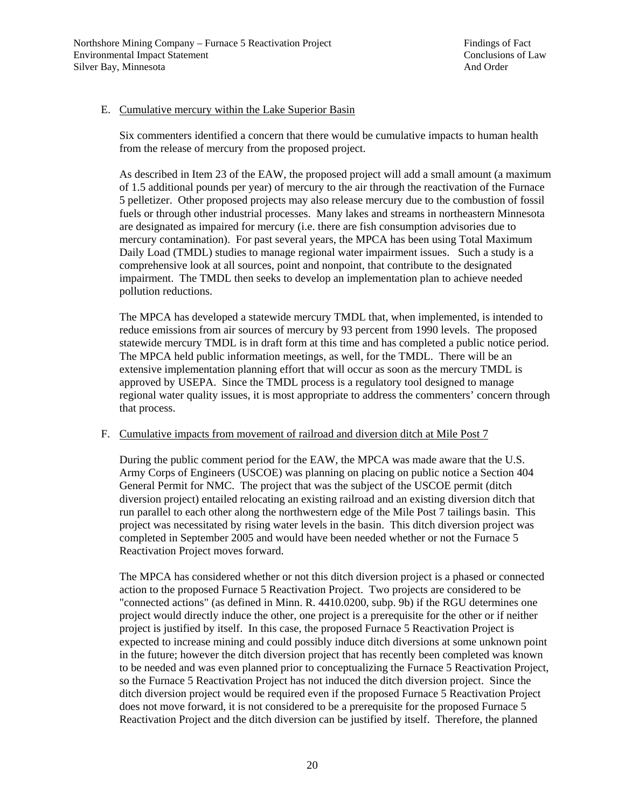#### E. Cumulative mercury within the Lake Superior Basin

Six commenters identified a concern that there would be cumulative impacts to human health from the release of mercury from the proposed project.

As described in Item 23 of the EAW, the proposed project will add a small amount (a maximum of 1.5 additional pounds per year) of mercury to the air through the reactivation of the Furnace 5 pelletizer. Other proposed projects may also release mercury due to the combustion of fossil fuels or through other industrial processes. Many lakes and streams in northeastern Minnesota are designated as impaired for mercury (i.e. there are fish consumption advisories due to mercury contamination). For past several years, the MPCA has been using Total Maximum Daily Load (TMDL) studies to manage regional water impairment issues. Such a study is a comprehensive look at all sources, point and nonpoint, that contribute to the designated impairment. The TMDL then seeks to develop an implementation plan to achieve needed pollution reductions.

The MPCA has developed a statewide mercury TMDL that, when implemented, is intended to reduce emissions from air sources of mercury by 93 percent from 1990 levels. The proposed statewide mercury TMDL is in draft form at this time and has completed a public notice period. The MPCA held public information meetings, as well, for the TMDL. There will be an extensive implementation planning effort that will occur as soon as the mercury TMDL is approved by USEPA. Since the TMDL process is a regulatory tool designed to manage regional water quality issues, it is most appropriate to address the commenters' concern through that process.

#### F. Cumulative impacts from movement of railroad and diversion ditch at Mile Post 7

During the public comment period for the EAW, the MPCA was made aware that the U.S. Army Corps of Engineers (USCOE) was planning on placing on public notice a Section 404 General Permit for NMC. The project that was the subject of the USCOE permit (ditch diversion project) entailed relocating an existing railroad and an existing diversion ditch that run parallel to each other along the northwestern edge of the Mile Post 7 tailings basin. This project was necessitated by rising water levels in the basin. This ditch diversion project was completed in September 2005 and would have been needed whether or not the Furnace 5 Reactivation Project moves forward.

The MPCA has considered whether or not this ditch diversion project is a phased or connected action to the proposed Furnace 5 Reactivation Project. Two projects are considered to be "connected actions" (as defined in Minn. R. 4410.0200, subp. 9b) if the RGU determines one project would directly induce the other, one project is a prerequisite for the other or if neither project is justified by itself. In this case, the proposed Furnace 5 Reactivation Project is expected to increase mining and could possibly induce ditch diversions at some unknown point in the future; however the ditch diversion project that has recently been completed was known to be needed and was even planned prior to conceptualizing the Furnace 5 Reactivation Project, so the Furnace 5 Reactivation Project has not induced the ditch diversion project. Since the ditch diversion project would be required even if the proposed Furnace 5 Reactivation Project does not move forward, it is not considered to be a prerequisite for the proposed Furnace 5 Reactivation Project and the ditch diversion can be justified by itself. Therefore, the planned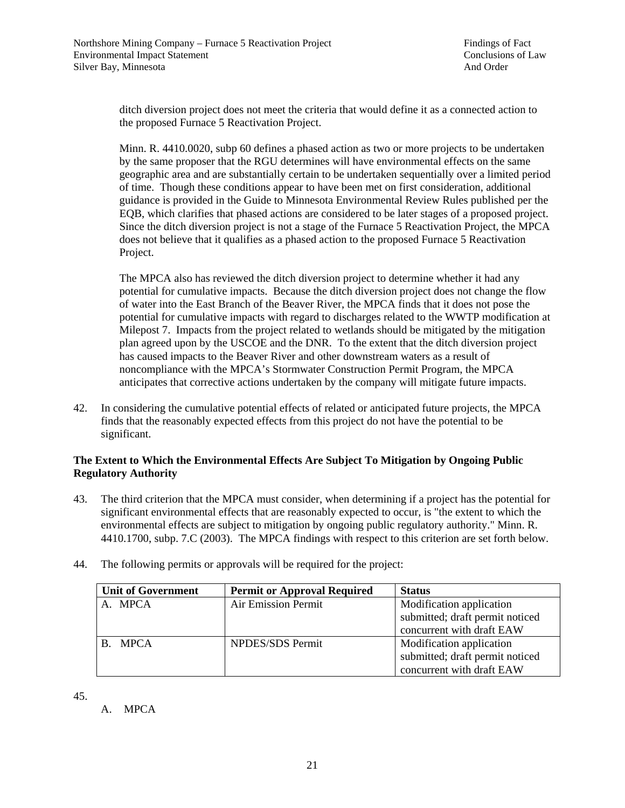ditch diversion project does not meet the criteria that would define it as a connected action to the proposed Furnace 5 Reactivation Project.

Minn. R. 4410.0020, subp 60 defines a phased action as two or more projects to be undertaken by the same proposer that the RGU determines will have environmental effects on the same geographic area and are substantially certain to be undertaken sequentially over a limited period of time. Though these conditions appear to have been met on first consideration, additional guidance is provided in the Guide to Minnesota Environmental Review Rules published per the EQB, which clarifies that phased actions are considered to be later stages of a proposed project. Since the ditch diversion project is not a stage of the Furnace 5 Reactivation Project, the MPCA does not believe that it qualifies as a phased action to the proposed Furnace 5 Reactivation Project.

The MPCA also has reviewed the ditch diversion project to determine whether it had any potential for cumulative impacts. Because the ditch diversion project does not change the flow of water into the East Branch of the Beaver River, the MPCA finds that it does not pose the potential for cumulative impacts with regard to discharges related to the WWTP modification at Milepost 7. Impacts from the project related to wetlands should be mitigated by the mitigation plan agreed upon by the USCOE and the DNR. To the extent that the ditch diversion project has caused impacts to the Beaver River and other downstream waters as a result of noncompliance with the MPCA's Stormwater Construction Permit Program, the MPCA anticipates that corrective actions undertaken by the company will mitigate future impacts.

42. In considering the cumulative potential effects of related or anticipated future projects, the MPCA finds that the reasonably expected effects from this project do not have the potential to be significant.

### **The Extent to Which the Environmental Effects Are Subject To Mitigation by Ongoing Public Regulatory Authority**

- 43. The third criterion that the MPCA must consider, when determining if a project has the potential for significant environmental effects that are reasonably expected to occur, is "the extent to which the environmental effects are subject to mitigation by ongoing public regulatory authority." Minn. R. 4410.1700, subp. 7.C (2003). The MPCA findings with respect to this criterion are set forth below.
- 44. The following permits or approvals will be required for the project:

| <b>Unit of Government</b> | <b>Permit or Approval Required</b> | <b>Status</b>                   |
|---------------------------|------------------------------------|---------------------------------|
| A. MPCA                   | Air Emission Permit                | Modification application        |
|                           |                                    | submitted; draft permit noticed |
|                           |                                    | concurrent with draft EAW       |
| B. MPCA                   | NPDES/SDS Permit                   | Modification application        |
|                           |                                    | submitted; draft permit noticed |
|                           |                                    | concurrent with draft EAW       |

45.

A. MPCA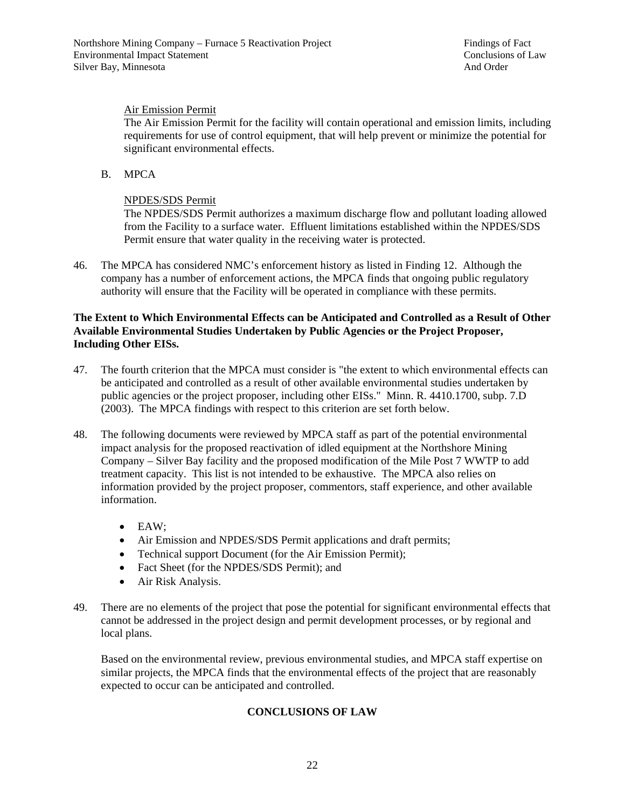## Air Emission Permit

The Air Emission Permit for the facility will contain operational and emission limits, including requirements for use of control equipment, that will help prevent or minimize the potential for significant environmental effects.

B. MPCA

### NPDES/SDS Permit

The NPDES/SDS Permit authorizes a maximum discharge flow and pollutant loading allowed from the Facility to a surface water. Effluent limitations established within the NPDES/SDS Permit ensure that water quality in the receiving water is protected.

46. The MPCA has considered NMC's enforcement history as listed in Finding 12. Although the company has a number of enforcement actions, the MPCA finds that ongoing public regulatory authority will ensure that the Facility will be operated in compliance with these permits.

#### **The Extent to Which Environmental Effects can be Anticipated and Controlled as a Result of Other Available Environmental Studies Undertaken by Public Agencies or the Project Proposer, Including Other EISs.**

- 47. The fourth criterion that the MPCA must consider is "the extent to which environmental effects can be anticipated and controlled as a result of other available environmental studies undertaken by public agencies or the project proposer, including other EISs." Minn. R. 4410.1700, subp. 7.D (2003). The MPCA findings with respect to this criterion are set forth below.
- 48. The following documents were reviewed by MPCA staff as part of the potential environmental impact analysis for the proposed reactivation of idled equipment at the Northshore Mining Company – Silver Bay facility and the proposed modification of the Mile Post 7 WWTP to add treatment capacity. This list is not intended to be exhaustive. The MPCA also relies on information provided by the project proposer, commentors, staff experience, and other available information.
	- EAW;
	- Air Emission and NPDES/SDS Permit applications and draft permits;
	- Technical support Document (for the Air Emission Permit);
	- Fact Sheet (for the NPDES/SDS Permit); and
	- Air Risk Analysis.
- 49. There are no elements of the project that pose the potential for significant environmental effects that cannot be addressed in the project design and permit development processes, or by regional and local plans.

Based on the environmental review, previous environmental studies, and MPCA staff expertise on similar projects, the MPCA finds that the environmental effects of the project that are reasonably expected to occur can be anticipated and controlled.

### **CONCLUSIONS OF LAW**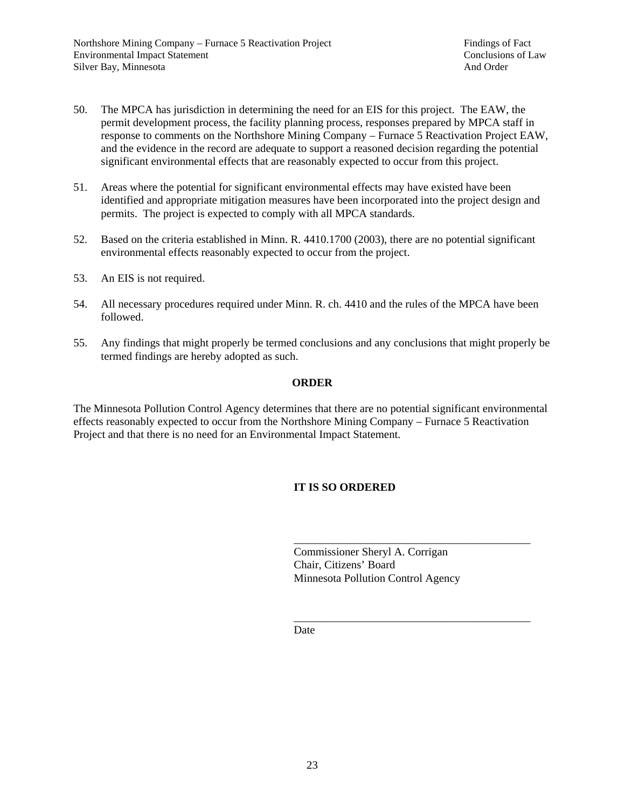- 50. The MPCA has jurisdiction in determining the need for an EIS for this project. The EAW, the permit development process, the facility planning process, responses prepared by MPCA staff in response to comments on the Northshore Mining Company – Furnace 5 Reactivation Project EAW, and the evidence in the record are adequate to support a reasoned decision regarding the potential significant environmental effects that are reasonably expected to occur from this project.
- 51. Areas where the potential for significant environmental effects may have existed have been identified and appropriate mitigation measures have been incorporated into the project design and permits. The project is expected to comply with all MPCA standards.
- 52. Based on the criteria established in Minn. R. 4410.1700 (2003), there are no potential significant environmental effects reasonably expected to occur from the project.
- 53. An EIS is not required.
- 54. All necessary procedures required under Minn. R. ch. 4410 and the rules of the MPCA have been followed.
- 55. Any findings that might properly be termed conclusions and any conclusions that might properly be termed findings are hereby adopted as such.

#### **ORDER**

The Minnesota Pollution Control Agency determines that there are no potential significant environmental effects reasonably expected to occur from the Northshore Mining Company – Furnace 5 Reactivation Project and that there is no need for an Environmental Impact Statement.

## **IT IS SO ORDERED**

 Commissioner Sheryl A. Corrigan Chair, Citizens' Board Minnesota Pollution Control Agency

 $\overline{\phantom{a}}$  , and the contract of the contract of the contract of the contract of the contract of the contract of the contract of the contract of the contract of the contract of the contract of the contract of the contrac **Date** 

 $\overline{\phantom{a}}$  , and the contract of the contract of the contract of the contract of the contract of the contract of the contract of the contract of the contract of the contract of the contract of the contract of the contrac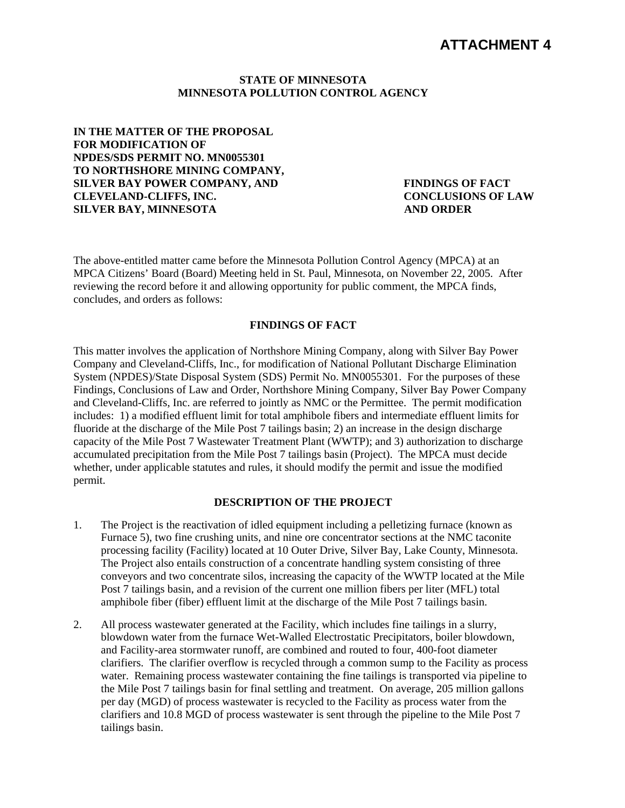#### **STATE OF MINNESOTA MINNESOTA POLLUTION CONTROL AGENCY**

**IN THE MATTER OF THE PROPOSAL FOR MODIFICATION OF NPDES/SDS PERMIT NO. MN0055301 TO NORTHSHORE MINING COMPANY, SILVER BAY POWER COMPANY, AND CLEVELAND-CLIFFS, INC. SILVER BAY, MINNESOTA** 

**FINDINGS OF FACT CONCLUSIONS OF LAW AND ORDER** 

The above-entitled matter came before the Minnesota Pollution Control Agency (MPCA) at an MPCA Citizens' Board (Board) Meeting held in St. Paul, Minnesota, on November 22, 2005. After reviewing the record before it and allowing opportunity for public comment, the MPCA finds, concludes, and orders as follows:

#### **FINDINGS OF FACT**

This matter involves the application of Northshore Mining Company, along with Silver Bay Power Company and Cleveland-Cliffs, Inc., for modification of National Pollutant Discharge Elimination System (NPDES)/State Disposal System (SDS) Permit No. MN0055301. For the purposes of these Findings, Conclusions of Law and Order, Northshore Mining Company, Silver Bay Power Company and Cleveland-Cliffs, Inc. are referred to jointly as NMC or the Permittee. The permit modification includes: 1) a modified effluent limit for total amphibole fibers and intermediate effluent limits for fluoride at the discharge of the Mile Post 7 tailings basin; 2) an increase in the design discharge capacity of the Mile Post 7 Wastewater Treatment Plant (WWTP); and 3) authorization to discharge accumulated precipitation from the Mile Post 7 tailings basin (Project). The MPCA must decide whether, under applicable statutes and rules, it should modify the permit and issue the modified permit.

#### **DESCRIPTION OF THE PROJECT**

- 1. The Project is the reactivation of idled equipment including a pelletizing furnace (known as Furnace 5), two fine crushing units, and nine ore concentrator sections at the NMC taconite processing facility (Facility) located at 10 Outer Drive, Silver Bay, Lake County, Minnesota. The Project also entails construction of a concentrate handling system consisting of three conveyors and two concentrate silos, increasing the capacity of the WWTP located at the Mile Post 7 tailings basin, and a revision of the current one million fibers per liter (MFL) total amphibole fiber (fiber) effluent limit at the discharge of the Mile Post 7 tailings basin.
- 2. All process wastewater generated at the Facility, which includes fine tailings in a slurry, blowdown water from the furnace Wet-Walled Electrostatic Precipitators, boiler blowdown, and Facility-area stormwater runoff, are combined and routed to four, 400-foot diameter clarifiers. The clarifier overflow is recycled through a common sump to the Facility as process water. Remaining process wastewater containing the fine tailings is transported via pipeline to the Mile Post 7 tailings basin for final settling and treatment. On average, 205 million gallons per day (MGD) of process wastewater is recycled to the Facility as process water from the clarifiers and 10.8 MGD of process wastewater is sent through the pipeline to the Mile Post 7 tailings basin.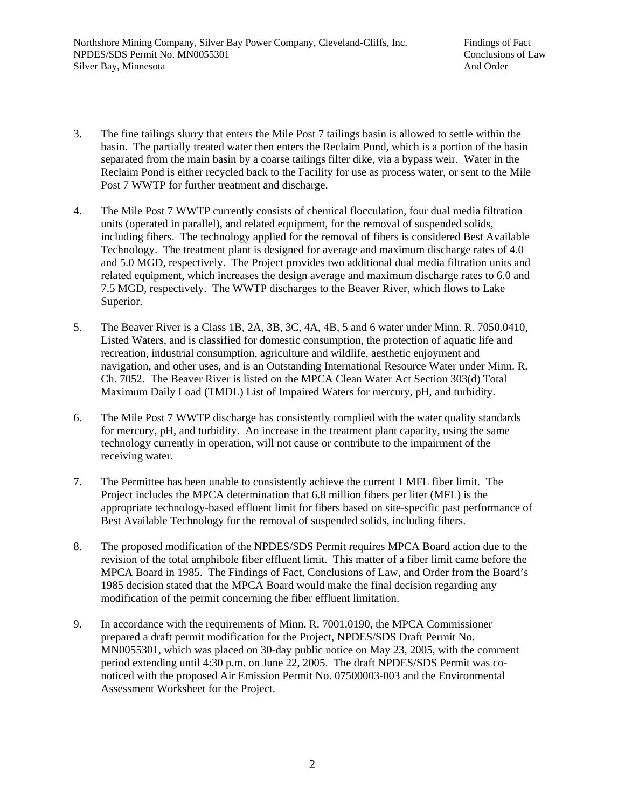- 3. The fine tailings slurry that enters the Mile Post 7 tailings basin is allowed to settle within the basin. The partially treated water then enters the Reclaim Pond, which is a portion of the basin separated from the main basin by a coarse tailings filter dike, via a bypass weir. Water in the Reclaim Pond is either recycled back to the Facility for use as process water, or sent to the Mile Post 7 WWTP for further treatment and discharge.
- 4. The Mile Post 7 WWTP currently consists of chemical flocculation, four dual media filtration units (operated in parallel), and related equipment, for the removal of suspended solids, including fibers. The technology applied for the removal of fibers is considered Best Available Technology. The treatment plant is designed for average and maximum discharge rates of 4.0 and 5.0 MGD, respectively. The Project provides two additional dual media filtration units and related equipment, which increases the design average and maximum discharge rates to 6.0 and 7.5 MGD, respectively. The WWTP discharges to the Beaver River, which flows to Lake Superior.
- 5. The Beaver River is a Class 1B, 2A, 3B, 3C, 4A, 4B, 5 and 6 water under Minn. R. 7050.0410, Listed Waters, and is classified for domestic consumption, the protection of aquatic life and recreation, industrial consumption, agriculture and wildlife, aesthetic enjoyment and navigation, and other uses, and is an Outstanding International Resource Water under Minn. R. Ch. 7052. The Beaver River is listed on the MPCA Clean Water Act Section 303(d) Total Maximum Daily Load (TMDL) List of Impaired Waters for mercury, pH, and turbidity.
- 6. The Mile Post 7 WWTP discharge has consistently complied with the water quality standards for mercury, pH, and turbidity. An increase in the treatment plant capacity, using the same technology currently in operation, will not cause or contribute to the impairment of the receiving water.
- 7. The Permittee has been unable to consistently achieve the current 1 MFL fiber limit. The Project includes the MPCA determination that 6.8 million fibers per liter (MFL) is the appropriate technology-based effluent limit for fibers based on site-specific past performance of Best Available Technology for the removal of suspended solids, including fibers.
- 8. The proposed modification of the NPDES/SDS Permit requires MPCA Board action due to the revision of the total amphibole fiber effluent limit. This matter of a fiber limit came before the MPCA Board in 1985. The Findings of Fact, Conclusions of Law, and Order from the Board's 1985 decision stated that the MPCA Board would make the final decision regarding any modification of the permit concerning the fiber effluent limitation.
- 9. In accordance with the requirements of Minn. R. 7001.0190, the MPCA Commissioner prepared a draft permit modification for the Project, NPDES/SDS Draft Permit No. MN0055301, which was placed on 30-day public notice on May 23, 2005, with the comment period extending until 4:30 p.m. on June 22, 2005. The draft NPDES/SDS Permit was conoticed with the proposed Air Emission Permit No. 07500003-003 and the Environmental Assessment Worksheet for the Project.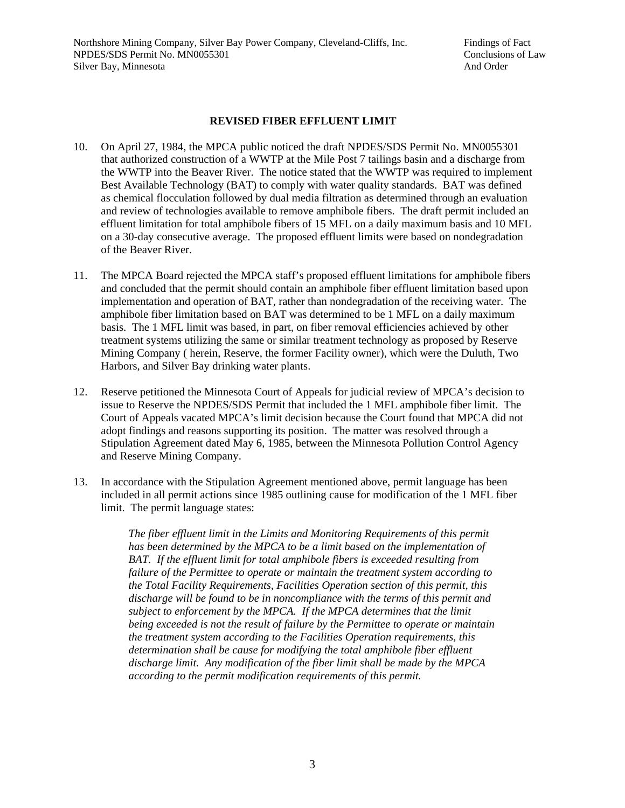### **REVISED FIBER EFFLUENT LIMIT**

- 10. On April 27, 1984, the MPCA public noticed the draft NPDES/SDS Permit No. MN0055301 that authorized construction of a WWTP at the Mile Post 7 tailings basin and a discharge from the WWTP into the Beaver River. The notice stated that the WWTP was required to implement Best Available Technology (BAT) to comply with water quality standards. BAT was defined as chemical flocculation followed by dual media filtration as determined through an evaluation and review of technologies available to remove amphibole fibers. The draft permit included an effluent limitation for total amphibole fibers of 15 MFL on a daily maximum basis and 10 MFL on a 30-day consecutive average. The proposed effluent limits were based on nondegradation of the Beaver River.
- 11. The MPCA Board rejected the MPCA staff's proposed effluent limitations for amphibole fibers and concluded that the permit should contain an amphibole fiber effluent limitation based upon implementation and operation of BAT, rather than nondegradation of the receiving water. The amphibole fiber limitation based on BAT was determined to be 1 MFL on a daily maximum basis. The 1 MFL limit was based, in part, on fiber removal efficiencies achieved by other treatment systems utilizing the same or similar treatment technology as proposed by Reserve Mining Company ( herein, Reserve, the former Facility owner), which were the Duluth, Two Harbors, and Silver Bay drinking water plants.
- 12. Reserve petitioned the Minnesota Court of Appeals for judicial review of MPCA's decision to issue to Reserve the NPDES/SDS Permit that included the 1 MFL amphibole fiber limit. The Court of Appeals vacated MPCA's limit decision because the Court found that MPCA did not adopt findings and reasons supporting its position. The matter was resolved through a Stipulation Agreement dated May 6, 1985, between the Minnesota Pollution Control Agency and Reserve Mining Company.
- 13. In accordance with the Stipulation Agreement mentioned above, permit language has been included in all permit actions since 1985 outlining cause for modification of the 1 MFL fiber limit. The permit language states:

*The fiber effluent limit in the Limits and Monitoring Requirements of this permit has been determined by the MPCA to be a limit based on the implementation of BAT. If the effluent limit for total amphibole fibers is exceeded resulting from failure of the Permittee to operate or maintain the treatment system according to the Total Facility Requirements, Facilities Operation section of this permit, this discharge will be found to be in noncompliance with the terms of this permit and subject to enforcement by the MPCA. If the MPCA determines that the limit being exceeded is not the result of failure by the Permittee to operate or maintain the treatment system according to the Facilities Operation requirements, this determination shall be cause for modifying the total amphibole fiber effluent discharge limit. Any modification of the fiber limit shall be made by the MPCA according to the permit modification requirements of this permit.*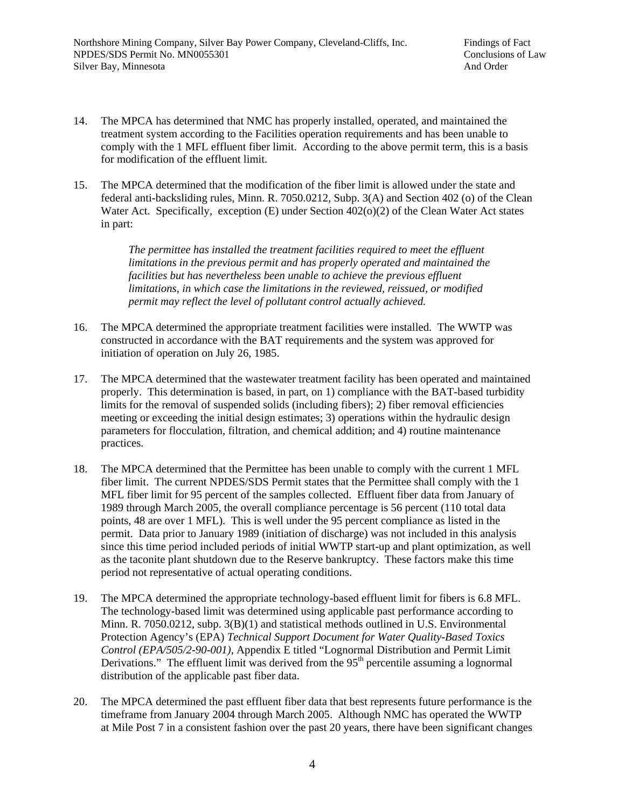- 14. The MPCA has determined that NMC has properly installed, operated, and maintained the treatment system according to the Facilities operation requirements and has been unable to comply with the 1 MFL effluent fiber limit. According to the above permit term, this is a basis for modification of the effluent limit.
- 15. The MPCA determined that the modification of the fiber limit is allowed under the state and federal anti-backsliding rules, Minn. R. 7050.0212, Subp. 3(A) and Section 402 (o) of the Clean Water Act. Specifically, exception  $(E)$  under Section  $402(0)(2)$  of the Clean Water Act states in part:

*The permittee has installed the treatment facilities required to meet the effluent limitations in the previous permit and has properly operated and maintained the facilities but has nevertheless been unable to achieve the previous effluent limitations, in which case the limitations in the reviewed, reissued, or modified permit may reflect the level of pollutant control actually achieved.* 

- 16. The MPCA determined the appropriate treatment facilities were installed. The WWTP was constructed in accordance with the BAT requirements and the system was approved for initiation of operation on July 26, 1985.
- 17. The MPCA determined that the wastewater treatment facility has been operated and maintained properly. This determination is based, in part, on 1) compliance with the BAT-based turbidity limits for the removal of suspended solids (including fibers); 2) fiber removal efficiencies meeting or exceeding the initial design estimates; 3) operations within the hydraulic design parameters for flocculation, filtration, and chemical addition; and 4) routine maintenance practices.
- 18. The MPCA determined that the Permittee has been unable to comply with the current 1 MFL fiber limit. The current NPDES/SDS Permit states that the Permittee shall comply with the 1 MFL fiber limit for 95 percent of the samples collected. Effluent fiber data from January of 1989 through March 2005, the overall compliance percentage is 56 percent (110 total data points, 48 are over 1 MFL). This is well under the 95 percent compliance as listed in the permit. Data prior to January 1989 (initiation of discharge) was not included in this analysis since this time period included periods of initial WWTP start-up and plant optimization, as well as the taconite plant shutdown due to the Reserve bankruptcy. These factors make this time period not representative of actual operating conditions.
- 19. The MPCA determined the appropriate technology-based effluent limit for fibers is 6.8 MFL. The technology-based limit was determined using applicable past performance according to Minn. R. 7050.0212, subp. 3(B)(1) and statistical methods outlined in U.S. Environmental Protection Agency's (EPA) *Technical Support Document for Water Quality-Based Toxics Control (EPA/505/2-90-001)*, Appendix E titled "Lognormal Distribution and Permit Limit Derivations." The effluent limit was derived from the  $95<sup>th</sup>$  percentile assuming a lognormal distribution of the applicable past fiber data.
- 20. The MPCA determined the past effluent fiber data that best represents future performance is the timeframe from January 2004 through March 2005. Although NMC has operated the WWTP at Mile Post 7 in a consistent fashion over the past 20 years, there have been significant changes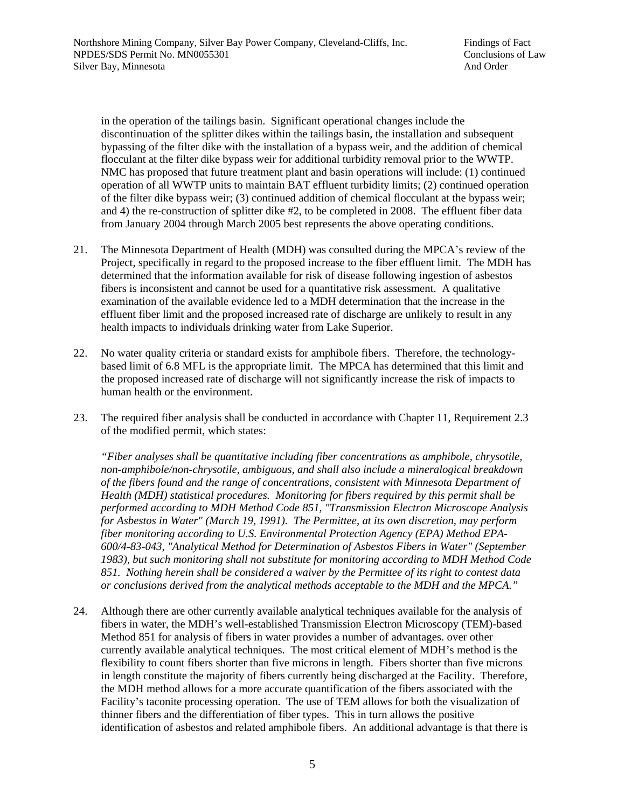in the operation of the tailings basin. Significant operational changes include the discontinuation of the splitter dikes within the tailings basin, the installation and subsequent bypassing of the filter dike with the installation of a bypass weir, and the addition of chemical flocculant at the filter dike bypass weir for additional turbidity removal prior to the WWTP. NMC has proposed that future treatment plant and basin operations will include: (1) continued operation of all WWTP units to maintain BAT effluent turbidity limits; (2) continued operation of the filter dike bypass weir; (3) continued addition of chemical flocculant at the bypass weir; and 4) the re-construction of splitter dike #2, to be completed in 2008. The effluent fiber data from January 2004 through March 2005 best represents the above operating conditions.

- 21. The Minnesota Department of Health (MDH) was consulted during the MPCA's review of the Project, specifically in regard to the proposed increase to the fiber effluent limit. The MDH has determined that the information available for risk of disease following ingestion of asbestos fibers is inconsistent and cannot be used for a quantitative risk assessment. A qualitative examination of the available evidence led to a MDH determination that the increase in the effluent fiber limit and the proposed increased rate of discharge are unlikely to result in any health impacts to individuals drinking water from Lake Superior.
- 22. No water quality criteria or standard exists for amphibole fibers. Therefore, the technologybased limit of 6.8 MFL is the appropriate limit. The MPCA has determined that this limit and the proposed increased rate of discharge will not significantly increase the risk of impacts to human health or the environment.
- 23. The required fiber analysis shall be conducted in accordance with Chapter 11, Requirement 2.3 of the modified permit, which states:

*"Fiber analyses shall be quantitative including fiber concentrations as amphibole, chrysotile, non-amphibole/non-chrysotile, ambiguous, and shall also include a mineralogical breakdown of the fibers found and the range of concentrations, consistent with Minnesota Department of Health (MDH) statistical procedures. Monitoring for fibers required by this permit shall be performed according to MDH Method Code 851, "Transmission Electron Microscope Analysis for Asbestos in Water" (March 19, 1991). The Permittee, at its own discretion, may perform fiber monitoring according to U.S. Environmental Protection Agency (EPA) Method EPA-600/4-83-043, "Analytical Method for Determination of Asbestos Fibers in Water" (September 1983), but such monitoring shall not substitute for monitoring according to MDH Method Code 851. Nothing herein shall be considered a waiver by the Permittee of its right to contest data or conclusions derived from the analytical methods acceptable to the MDH and the MPCA."* 

24. Although there are other currently available analytical techniques available for the analysis of fibers in water, the MDH's well-established Transmission Electron Microscopy (TEM)-based Method 851 for analysis of fibers in water provides a number of advantages. over other currently available analytical techniques. The most critical element of MDH's method is the flexibility to count fibers shorter than five microns in length. Fibers shorter than five microns in length constitute the majority of fibers currently being discharged at the Facility. Therefore, the MDH method allows for a more accurate quantification of the fibers associated with the Facility's taconite processing operation. The use of TEM allows for both the visualization of thinner fibers and the differentiation of fiber types. This in turn allows the positive identification of asbestos and related amphibole fibers. An additional advantage is that there is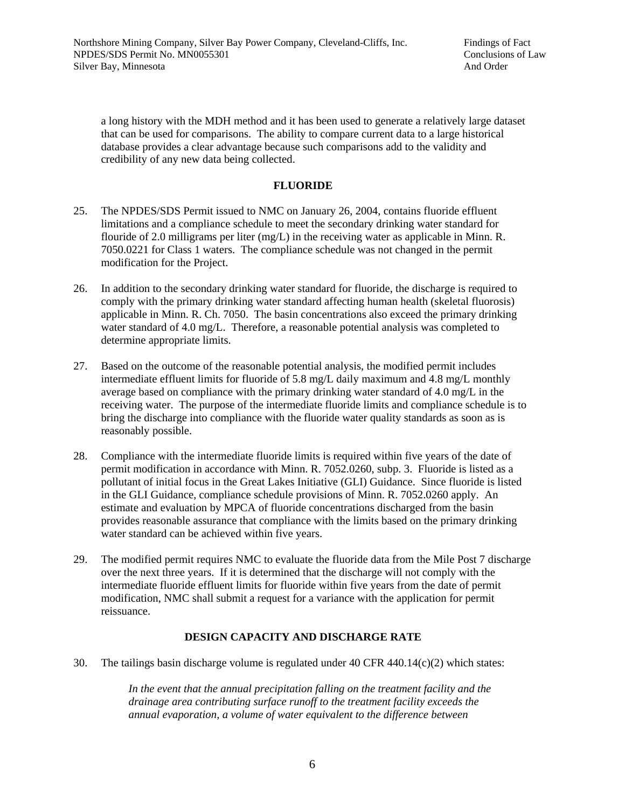a long history with the MDH method and it has been used to generate a relatively large dataset that can be used for comparisons. The ability to compare current data to a large historical database provides a clear advantage because such comparisons add to the validity and credibility of any new data being collected.

### **FLUORIDE**

- 25. The NPDES/SDS Permit issued to NMC on January 26, 2004, contains fluoride effluent limitations and a compliance schedule to meet the secondary drinking water standard for flouride of 2.0 milligrams per liter (mg/L) in the receiving water as applicable in Minn. R. 7050.0221 for Class 1 waters. The compliance schedule was not changed in the permit modification for the Project.
- 26. In addition to the secondary drinking water standard for fluoride, the discharge is required to comply with the primary drinking water standard affecting human health (skeletal fluorosis) applicable in Minn. R. Ch. 7050. The basin concentrations also exceed the primary drinking water standard of 4.0 mg/L. Therefore, a reasonable potential analysis was completed to determine appropriate limits.
- 27. Based on the outcome of the reasonable potential analysis, the modified permit includes intermediate effluent limits for fluoride of 5.8 mg/L daily maximum and 4.8 mg/L monthly average based on compliance with the primary drinking water standard of 4.0 mg/L in the receiving water. The purpose of the intermediate fluoride limits and compliance schedule is to bring the discharge into compliance with the fluoride water quality standards as soon as is reasonably possible.
- 28. Compliance with the intermediate fluoride limits is required within five years of the date of permit modification in accordance with Minn. R. 7052.0260, subp. 3. Fluoride is listed as a pollutant of initial focus in the Great Lakes Initiative (GLI) Guidance. Since fluoride is listed in the GLI Guidance, compliance schedule provisions of Minn. R. 7052.0260 apply. An estimate and evaluation by MPCA of fluoride concentrations discharged from the basin provides reasonable assurance that compliance with the limits based on the primary drinking water standard can be achieved within five years.
- 29. The modified permit requires NMC to evaluate the fluoride data from the Mile Post 7 discharge over the next three years. If it is determined that the discharge will not comply with the intermediate fluoride effluent limits for fluoride within five years from the date of permit modification, NMC shall submit a request for a variance with the application for permit reissuance.

## **DESIGN CAPACITY AND DISCHARGE RATE**

30. The tailings basin discharge volume is regulated under 40 CFR 440.14 $(c)(2)$  which states:

*In the event that the annual precipitation falling on the treatment facility and the drainage area contributing surface runoff to the treatment facility exceeds the annual evaporation, a volume of water equivalent to the difference between*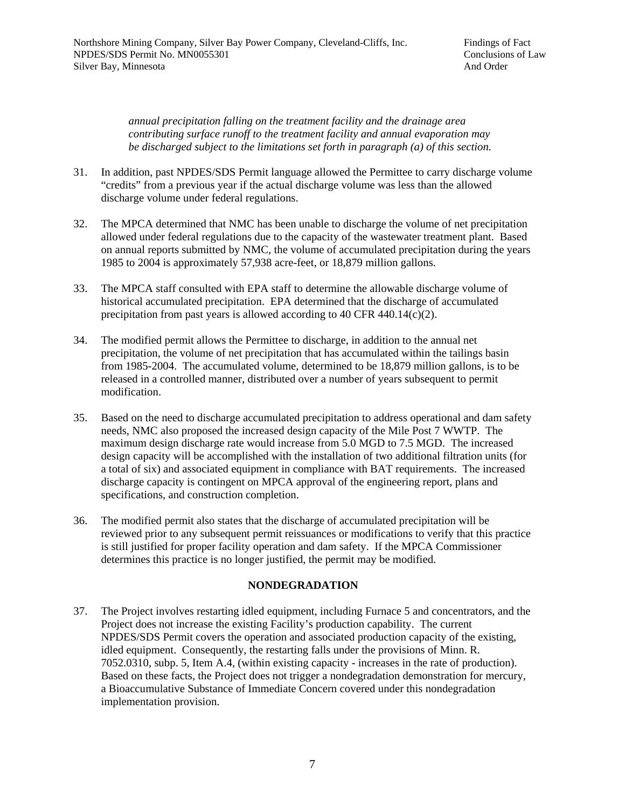*annual precipitation falling on the treatment facility and the drainage area contributing surface runoff to the treatment facility and annual evaporation may be discharged subject to the limitations set forth in paragraph (a) of this section.* 

- 31. In addition, past NPDES/SDS Permit language allowed the Permittee to carry discharge volume "credits" from a previous year if the actual discharge volume was less than the allowed discharge volume under federal regulations.
- 32. The MPCA determined that NMC has been unable to discharge the volume of net precipitation allowed under federal regulations due to the capacity of the wastewater treatment plant. Based on annual reports submitted by NMC, the volume of accumulated precipitation during the years 1985 to 2004 is approximately 57,938 acre-feet, or 18,879 million gallons.
- 33. The MPCA staff consulted with EPA staff to determine the allowable discharge volume of historical accumulated precipitation. EPA determined that the discharge of accumulated precipitation from past years is allowed according to 40 CFR 440.14(c)(2).
- 34. The modified permit allows the Permittee to discharge, in addition to the annual net precipitation, the volume of net precipitation that has accumulated within the tailings basin from 1985-2004. The accumulated volume, determined to be 18,879 million gallons, is to be released in a controlled manner, distributed over a number of years subsequent to permit modification.
- 35. Based on the need to discharge accumulated precipitation to address operational and dam safety needs, NMC also proposed the increased design capacity of the Mile Post 7 WWTP. The maximum design discharge rate would increase from 5.0 MGD to 7.5 MGD. The increased design capacity will be accomplished with the installation of two additional filtration units (for a total of six) and associated equipment in compliance with BAT requirements. The increased discharge capacity is contingent on MPCA approval of the engineering report, plans and specifications, and construction completion.
- 36. The modified permit also states that the discharge of accumulated precipitation will be reviewed prior to any subsequent permit reissuances or modifications to verify that this practice is still justified for proper facility operation and dam safety. If the MPCA Commissioner determines this practice is no longer justified, the permit may be modified.

### **NONDEGRADATION**

37. The Project involves restarting idled equipment, including Furnace 5 and concentrators, and the Project does not increase the existing Facility's production capability. The current NPDES/SDS Permit covers the operation and associated production capacity of the existing, idled equipment. Consequently, the restarting falls under the provisions of Minn. R. 7052.0310, subp. 5, Item A.4, (within existing capacity - increases in the rate of production). Based on these facts, the Project does not trigger a nondegradation demonstration for mercury, a Bioaccumulative Substance of Immediate Concern covered under this nondegradation implementation provision.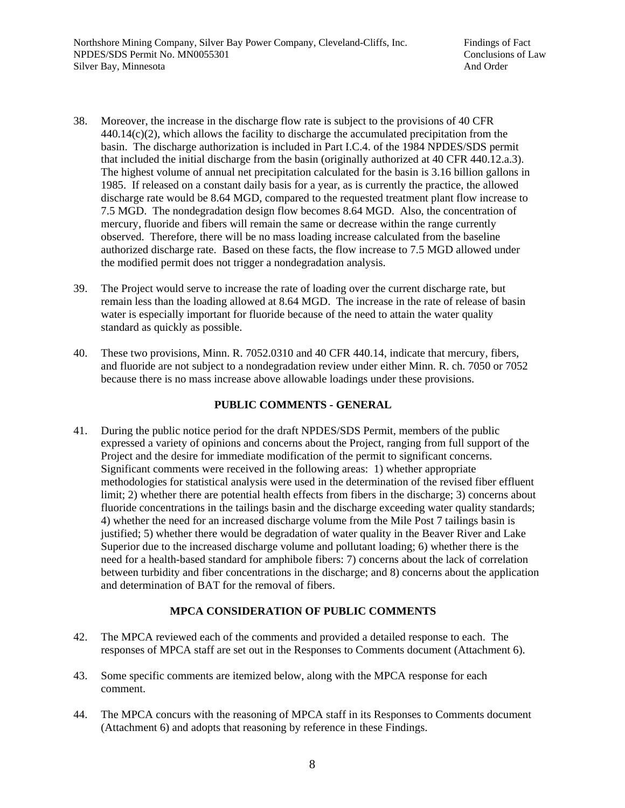- 38. Moreover, the increase in the discharge flow rate is subject to the provisions of 40 CFR  $440.14(c)(2)$ , which allows the facility to discharge the accumulated precipitation from the basin. The discharge authorization is included in Part I.C.4. of the 1984 NPDES/SDS permit that included the initial discharge from the basin (originally authorized at 40 CFR 440.12.a.3). The highest volume of annual net precipitation calculated for the basin is 3.16 billion gallons in 1985. If released on a constant daily basis for a year, as is currently the practice, the allowed discharge rate would be 8.64 MGD, compared to the requested treatment plant flow increase to 7.5 MGD. The nondegradation design flow becomes 8.64 MGD. Also, the concentration of mercury, fluoride and fibers will remain the same or decrease within the range currently observed. Therefore, there will be no mass loading increase calculated from the baseline authorized discharge rate. Based on these facts, the flow increase to 7.5 MGD allowed under the modified permit does not trigger a nondegradation analysis.
- 39. The Project would serve to increase the rate of loading over the current discharge rate, but remain less than the loading allowed at 8.64 MGD. The increase in the rate of release of basin water is especially important for fluoride because of the need to attain the water quality standard as quickly as possible.
- 40. These two provisions, Minn. R. 7052.0310 and 40 CFR 440.14, indicate that mercury, fibers, and fluoride are not subject to a nondegradation review under either Minn. R. ch. 7050 or 7052 because there is no mass increase above allowable loadings under these provisions.

### **PUBLIC COMMENTS - GENERAL**

41. During the public notice period for the draft NPDES/SDS Permit, members of the public expressed a variety of opinions and concerns about the Project, ranging from full support of the Project and the desire for immediate modification of the permit to significant concerns. Significant comments were received in the following areas: 1) whether appropriate methodologies for statistical analysis were used in the determination of the revised fiber effluent limit; 2) whether there are potential health effects from fibers in the discharge; 3) concerns about fluoride concentrations in the tailings basin and the discharge exceeding water quality standards; 4) whether the need for an increased discharge volume from the Mile Post 7 tailings basin is justified; 5) whether there would be degradation of water quality in the Beaver River and Lake Superior due to the increased discharge volume and pollutant loading; 6) whether there is the need for a health-based standard for amphibole fibers: 7) concerns about the lack of correlation between turbidity and fiber concentrations in the discharge; and 8) concerns about the application and determination of BAT for the removal of fibers.

## **MPCA CONSIDERATION OF PUBLIC COMMENTS**

- 42. The MPCA reviewed each of the comments and provided a detailed response to each. The responses of MPCA staff are set out in the Responses to Comments document (Attachment 6).
- 43. Some specific comments are itemized below, along with the MPCA response for each comment.
- 44. The MPCA concurs with the reasoning of MPCA staff in its Responses to Comments document (Attachment 6) and adopts that reasoning by reference in these Findings.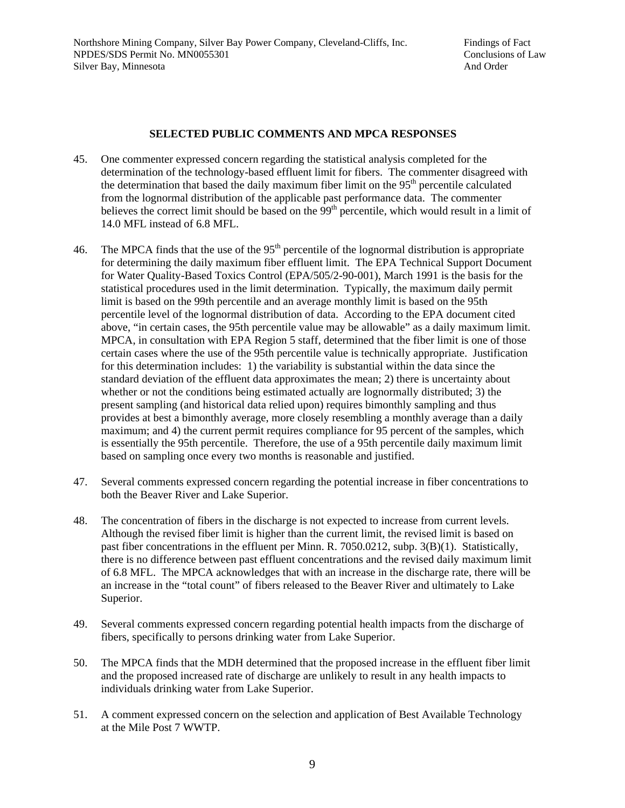### **SELECTED PUBLIC COMMENTS AND MPCA RESPONSES**

- 45. One commenter expressed concern regarding the statistical analysis completed for the determination of the technology-based effluent limit for fibers. The commenter disagreed with the determination that based the daily maximum fiber limit on the  $95<sup>th</sup>$  percentile calculated from the lognormal distribution of the applicable past performance data. The commenter believes the correct limit should be based on the  $99<sup>th</sup>$  percentile, which would result in a limit of 14.0 MFL instead of 6.8 MFL.
- 46. The MPCA finds that the use of the  $95<sup>th</sup>$  percentile of the lognormal distribution is appropriate for determining the daily maximum fiber effluent limit. The EPA Technical Support Document for Water Quality-Based Toxics Control (EPA/505/2-90-001), March 1991 is the basis for the statistical procedures used in the limit determination. Typically, the maximum daily permit limit is based on the 99th percentile and an average monthly limit is based on the 95th percentile level of the lognormal distribution of data. According to the EPA document cited above, "in certain cases, the 95th percentile value may be allowable" as a daily maximum limit. MPCA, in consultation with EPA Region 5 staff, determined that the fiber limit is one of those certain cases where the use of the 95th percentile value is technically appropriate. Justification for this determination includes: 1) the variability is substantial within the data since the standard deviation of the effluent data approximates the mean; 2) there is uncertainty about whether or not the conditions being estimated actually are lognormally distributed; 3) the present sampling (and historical data relied upon) requires bimonthly sampling and thus provides at best a bimonthly average, more closely resembling a monthly average than a daily maximum; and 4) the current permit requires compliance for 95 percent of the samples, which is essentially the 95th percentile. Therefore, the use of a 95th percentile daily maximum limit based on sampling once every two months is reasonable and justified.
- 47. Several comments expressed concern regarding the potential increase in fiber concentrations to both the Beaver River and Lake Superior.
- 48. The concentration of fibers in the discharge is not expected to increase from current levels. Although the revised fiber limit is higher than the current limit, the revised limit is based on past fiber concentrations in the effluent per Minn. R. 7050.0212, subp. 3(B)(1). Statistically, there is no difference between past effluent concentrations and the revised daily maximum limit of 6.8 MFL. The MPCA acknowledges that with an increase in the discharge rate, there will be an increase in the "total count" of fibers released to the Beaver River and ultimately to Lake Superior.
- 49. Several comments expressed concern regarding potential health impacts from the discharge of fibers, specifically to persons drinking water from Lake Superior.
- 50. The MPCA finds that the MDH determined that the proposed increase in the effluent fiber limit and the proposed increased rate of discharge are unlikely to result in any health impacts to individuals drinking water from Lake Superior.
- 51. A comment expressed concern on the selection and application of Best Available Technology at the Mile Post 7 WWTP.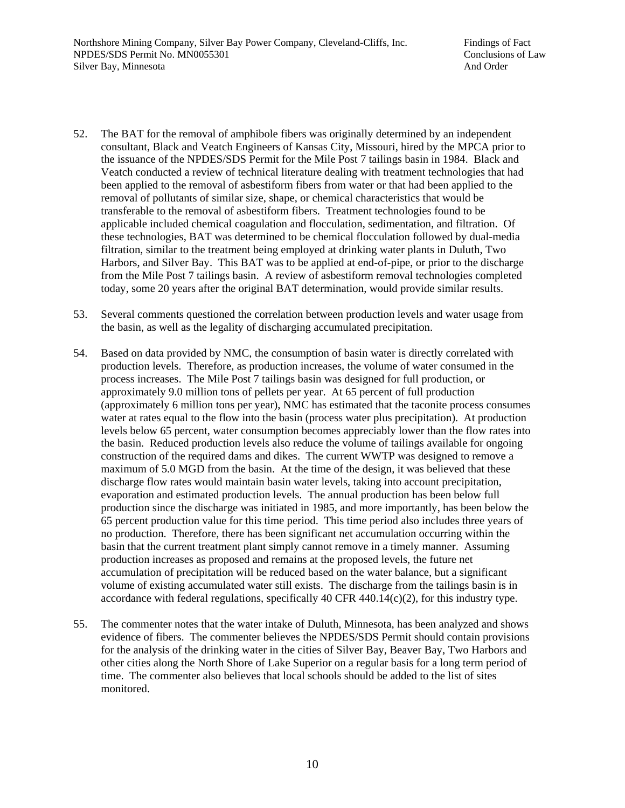- 52. The BAT for the removal of amphibole fibers was originally determined by an independent consultant, Black and Veatch Engineers of Kansas City, Missouri, hired by the MPCA prior to the issuance of the NPDES/SDS Permit for the Mile Post 7 tailings basin in 1984. Black and Veatch conducted a review of technical literature dealing with treatment technologies that had been applied to the removal of asbestiform fibers from water or that had been applied to the removal of pollutants of similar size, shape, or chemical characteristics that would be transferable to the removal of asbestiform fibers. Treatment technologies found to be applicable included chemical coagulation and flocculation, sedimentation, and filtration. Of these technologies, BAT was determined to be chemical flocculation followed by dual-media filtration, similar to the treatment being employed at drinking water plants in Duluth, Two Harbors, and Silver Bay. This BAT was to be applied at end-of-pipe, or prior to the discharge from the Mile Post 7 tailings basin. A review of asbestiform removal technologies completed today, some 20 years after the original BAT determination, would provide similar results.
- 53. Several comments questioned the correlation between production levels and water usage from the basin, as well as the legality of discharging accumulated precipitation.
- 54. Based on data provided by NMC, the consumption of basin water is directly correlated with production levels. Therefore, as production increases, the volume of water consumed in the process increases. The Mile Post 7 tailings basin was designed for full production, or approximately 9.0 million tons of pellets per year. At 65 percent of full production (approximately 6 million tons per year), NMC has estimated that the taconite process consumes water at rates equal to the flow into the basin (process water plus precipitation). At production levels below 65 percent, water consumption becomes appreciably lower than the flow rates into the basin. Reduced production levels also reduce the volume of tailings available for ongoing construction of the required dams and dikes. The current WWTP was designed to remove a maximum of 5.0 MGD from the basin. At the time of the design, it was believed that these discharge flow rates would maintain basin water levels, taking into account precipitation, evaporation and estimated production levels. The annual production has been below full production since the discharge was initiated in 1985, and more importantly, has been below the 65 percent production value for this time period. This time period also includes three years of no production. Therefore, there has been significant net accumulation occurring within the basin that the current treatment plant simply cannot remove in a timely manner. Assuming production increases as proposed and remains at the proposed levels, the future net accumulation of precipitation will be reduced based on the water balance, but a significant volume of existing accumulated water still exists. The discharge from the tailings basin is in accordance with federal regulations, specifically 40 CFR 440.14 $(c)(2)$ , for this industry type.
- 55. The commenter notes that the water intake of Duluth, Minnesota, has been analyzed and shows evidence of fibers. The commenter believes the NPDES/SDS Permit should contain provisions for the analysis of the drinking water in the cities of Silver Bay, Beaver Bay, Two Harbors and other cities along the North Shore of Lake Superior on a regular basis for a long term period of time. The commenter also believes that local schools should be added to the list of sites monitored.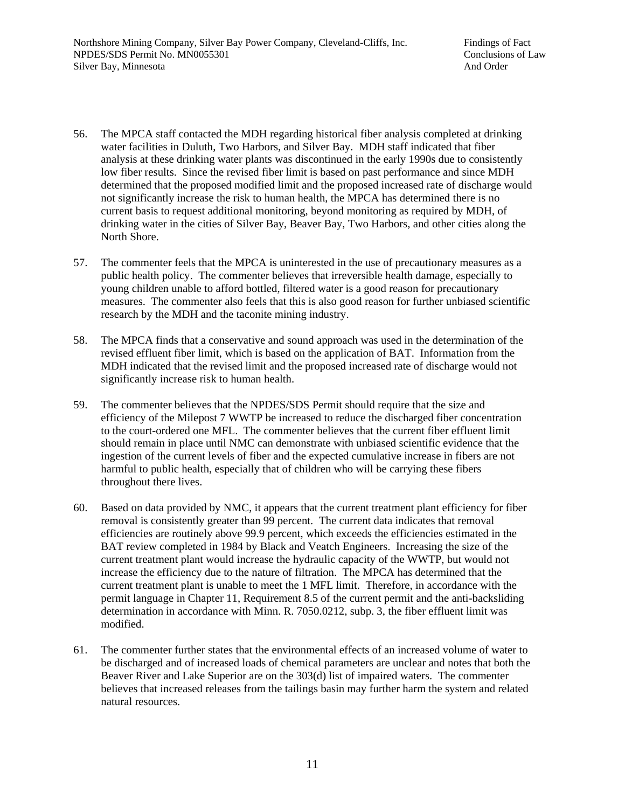- 56. The MPCA staff contacted the MDH regarding historical fiber analysis completed at drinking water facilities in Duluth, Two Harbors, and Silver Bay. MDH staff indicated that fiber analysis at these drinking water plants was discontinued in the early 1990s due to consistently low fiber results. Since the revised fiber limit is based on past performance and since MDH determined that the proposed modified limit and the proposed increased rate of discharge would not significantly increase the risk to human health, the MPCA has determined there is no current basis to request additional monitoring, beyond monitoring as required by MDH, of drinking water in the cities of Silver Bay, Beaver Bay, Two Harbors, and other cities along the North Shore.
- 57. The commenter feels that the MPCA is uninterested in the use of precautionary measures as a public health policy. The commenter believes that irreversible health damage, especially to young children unable to afford bottled, filtered water is a good reason for precautionary measures. The commenter also feels that this is also good reason for further unbiased scientific research by the MDH and the taconite mining industry.
- 58. The MPCA finds that a conservative and sound approach was used in the determination of the revised effluent fiber limit, which is based on the application of BAT. Information from the MDH indicated that the revised limit and the proposed increased rate of discharge would not significantly increase risk to human health.
- 59. The commenter believes that the NPDES/SDS Permit should require that the size and efficiency of the Milepost 7 WWTP be increased to reduce the discharged fiber concentration to the court-ordered one MFL. The commenter believes that the current fiber effluent limit should remain in place until NMC can demonstrate with unbiased scientific evidence that the ingestion of the current levels of fiber and the expected cumulative increase in fibers are not harmful to public health, especially that of children who will be carrying these fibers throughout there lives.
- 60. Based on data provided by NMC, it appears that the current treatment plant efficiency for fiber removal is consistently greater than 99 percent. The current data indicates that removal efficiencies are routinely above 99.9 percent, which exceeds the efficiencies estimated in the BAT review completed in 1984 by Black and Veatch Engineers. Increasing the size of the current treatment plant would increase the hydraulic capacity of the WWTP, but would not increase the efficiency due to the nature of filtration. The MPCA has determined that the current treatment plant is unable to meet the 1 MFL limit. Therefore, in accordance with the permit language in Chapter 11, Requirement 8.5 of the current permit and the anti-backsliding determination in accordance with Minn. R. 7050.0212, subp. 3, the fiber effluent limit was modified.
- 61. The commenter further states that the environmental effects of an increased volume of water to be discharged and of increased loads of chemical parameters are unclear and notes that both the Beaver River and Lake Superior are on the 303(d) list of impaired waters. The commenter believes that increased releases from the tailings basin may further harm the system and related natural resources.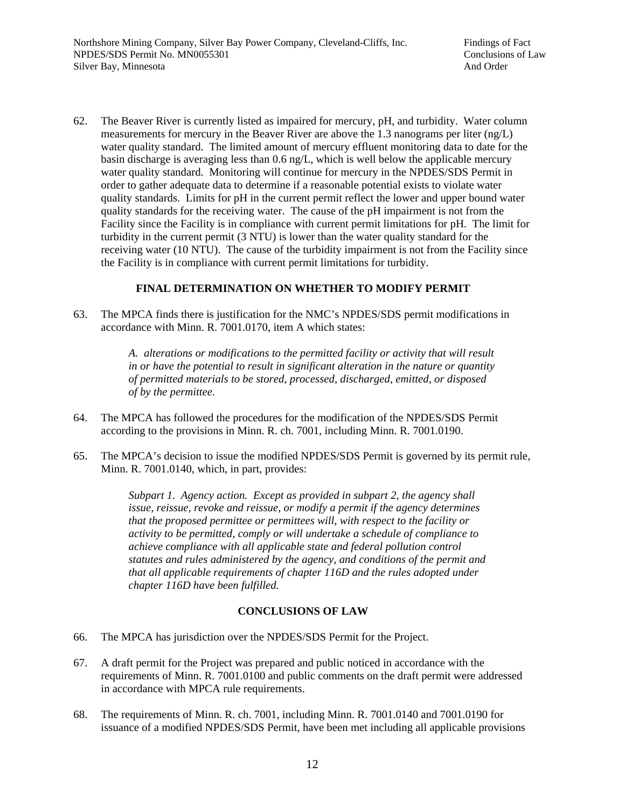62. The Beaver River is currently listed as impaired for mercury, pH, and turbidity. Water column measurements for mercury in the Beaver River are above the 1.3 nanograms per liter (ng/L) water quality standard. The limited amount of mercury effluent monitoring data to date for the basin discharge is averaging less than 0.6 ng/L, which is well below the applicable mercury water quality standard. Monitoring will continue for mercury in the NPDES/SDS Permit in order to gather adequate data to determine if a reasonable potential exists to violate water quality standards. Limits for pH in the current permit reflect the lower and upper bound water quality standards for the receiving water. The cause of the pH impairment is not from the Facility since the Facility is in compliance with current permit limitations for pH. The limit for turbidity in the current permit (3 NTU) is lower than the water quality standard for the receiving water (10 NTU). The cause of the turbidity impairment is not from the Facility since the Facility is in compliance with current permit limitations for turbidity.

## **FINAL DETERMINATION ON WHETHER TO MODIFY PERMIT**

63. The MPCA finds there is justification for the NMC's NPDES/SDS permit modifications in accordance with Minn. R. 7001.0170, item A which states:

> *A. alterations or modifications to the permitted facility or activity that will result in or have the potential to result in significant alteration in the nature or quantity of permitted materials to be stored, processed, discharged, emitted, or disposed of by the permittee.*

- 64. The MPCA has followed the procedures for the modification of the NPDES/SDS Permit according to the provisions in Minn. R. ch. 7001, including Minn. R. 7001.0190.
- 65. The MPCA's decision to issue the modified NPDES/SDS Permit is governed by its permit rule, Minn. R. 7001.0140, which, in part, provides:

*Subpart 1. Agency action. Except as provided in subpart 2, the agency shall issue, reissue, revoke and reissue, or modify a permit if the agency determines that the proposed permittee or permittees will, with respect to the facility or activity to be permitted, comply or will undertake a schedule of compliance to achieve compliance with all applicable state and federal pollution control statutes and rules administered by the agency, and conditions of the permit and that all applicable requirements of chapter 116D and the rules adopted under chapter 116D have been fulfilled.*

### **CONCLUSIONS OF LAW**

- 66. The MPCA has jurisdiction over the NPDES/SDS Permit for the Project.
- 67. A draft permit for the Project was prepared and public noticed in accordance with the requirements of Minn. R. 7001.0100 and public comments on the draft permit were addressed in accordance with MPCA rule requirements.
- 68. The requirements of Minn. R. ch. 7001, including Minn. R. 7001.0140 and 7001.0190 for issuance of a modified NPDES/SDS Permit, have been met including all applicable provisions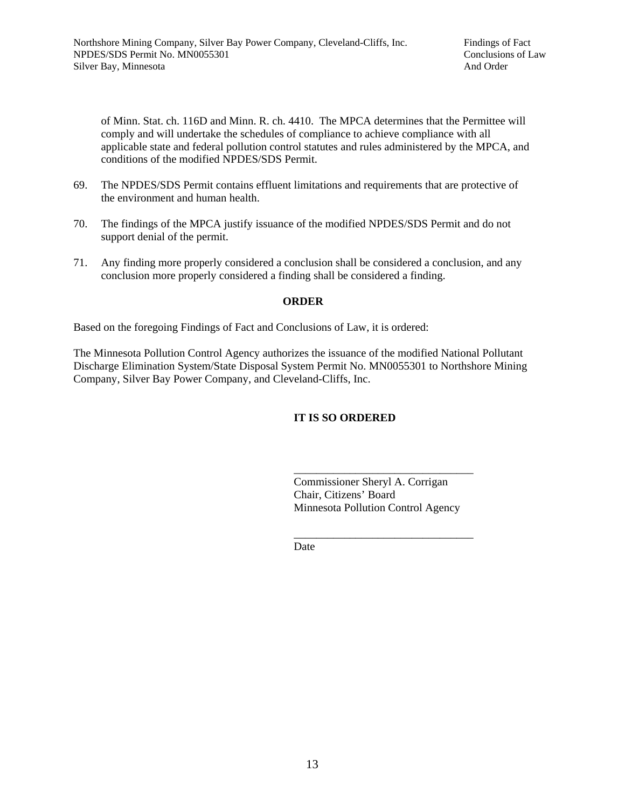of Minn. Stat. ch. 116D and Minn. R. ch. 4410. The MPCA determines that the Permittee will comply and will undertake the schedules of compliance to achieve compliance with all applicable state and federal pollution control statutes and rules administered by the MPCA, and conditions of the modified NPDES/SDS Permit.

- 69. The NPDES/SDS Permit contains effluent limitations and requirements that are protective of the environment and human health.
- 70. The findings of the MPCA justify issuance of the modified NPDES/SDS Permit and do not support denial of the permit.
- 71. Any finding more properly considered a conclusion shall be considered a conclusion, and any conclusion more properly considered a finding shall be considered a finding.

### **ORDER**

Based on the foregoing Findings of Fact and Conclusions of Law, it is ordered:

The Minnesota Pollution Control Agency authorizes the issuance of the modified National Pollutant Discharge Elimination System/State Disposal System Permit No. MN0055301 to Northshore Mining Company, Silver Bay Power Company, and Cleveland-Cliffs, Inc.

# **IT IS SO ORDERED**

 Commissioner Sheryl A. Corrigan Chair, Citizens' Board Minnesota Pollution Control Agency

\_\_\_\_\_\_\_\_\_\_\_\_\_\_\_\_\_\_\_\_\_\_\_\_\_\_\_\_\_\_\_\_

**Date Date** 

 $\frac{1}{\sqrt{2\pi}}$  , which is a set of the set of the set of the set of the set of the set of the set of the set of the set of the set of the set of the set of the set of the set of the set of the set of the set of the set of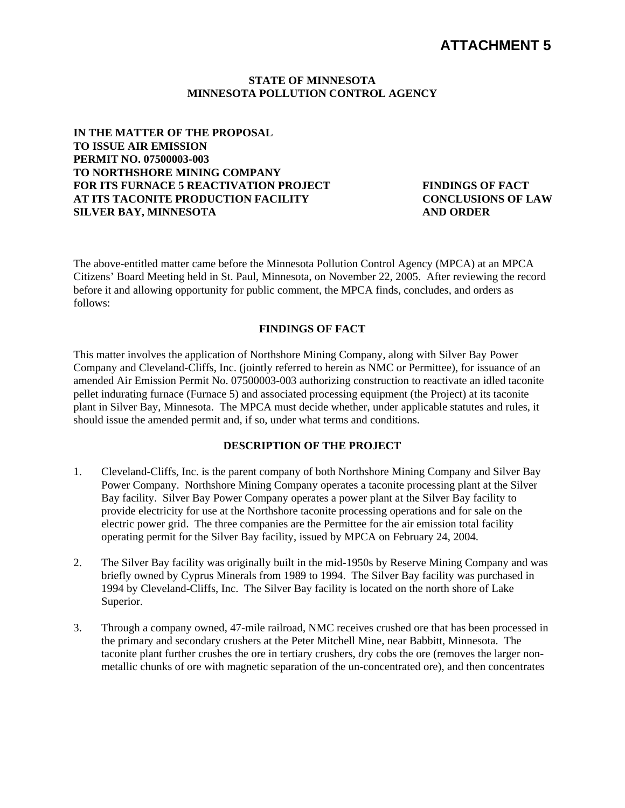# **STATE OF MINNESOTA MINNESOTA POLLUTION CONTROL AGENCY**

**IN THE MATTER OF THE PROPOSAL TO ISSUE AIR EMISSION PERMIT NO. 07500003-003 TO NORTHSHORE MINING COMPANY FOR ITS FURNACE 5 REACTIVATION PROJECT AT ITS TACONITE PRODUCTION FACILITY SILVER BAY, MINNESOTA** 

**FINDINGS OF FACT CONCLUSIONS OF LAW AND ORDER** 

The above-entitled matter came before the Minnesota Pollution Control Agency (MPCA) at an MPCA Citizens' Board Meeting held in St. Paul, Minnesota, on November 22, 2005. After reviewing the record before it and allowing opportunity for public comment, the MPCA finds, concludes, and orders as follows:

# **FINDINGS OF FACT**

This matter involves the application of Northshore Mining Company, along with Silver Bay Power Company and Cleveland-Cliffs, Inc. (jointly referred to herein as NMC or Permittee), for issuance of an amended Air Emission Permit No. 07500003-003 authorizing construction to reactivate an idled taconite pellet indurating furnace (Furnace 5) and associated processing equipment (the Project) at its taconite plant in Silver Bay, Minnesota. The MPCA must decide whether, under applicable statutes and rules, it should issue the amended permit and, if so, under what terms and conditions.

# **DESCRIPTION OF THE PROJECT**

- 1. Cleveland-Cliffs, Inc. is the parent company of both Northshore Mining Company and Silver Bay Power Company. Northshore Mining Company operates a taconite processing plant at the Silver Bay facility. Silver Bay Power Company operates a power plant at the Silver Bay facility to provide electricity for use at the Northshore taconite processing operations and for sale on the electric power grid. The three companies are the Permittee for the air emission total facility operating permit for the Silver Bay facility, issued by MPCA on February 24, 2004.
- 2. The Silver Bay facility was originally built in the mid-1950s by Reserve Mining Company and was briefly owned by Cyprus Minerals from 1989 to 1994. The Silver Bay facility was purchased in 1994 by Cleveland-Cliffs, Inc. The Silver Bay facility is located on the north shore of Lake Superior.
- 3. Through a company owned, 47-mile railroad, NMC receives crushed ore that has been processed in the primary and secondary crushers at the Peter Mitchell Mine, near Babbitt, Minnesota. The taconite plant further crushes the ore in tertiary crushers, dry cobs the ore (removes the larger nonmetallic chunks of ore with magnetic separation of the un-concentrated ore), and then concentrates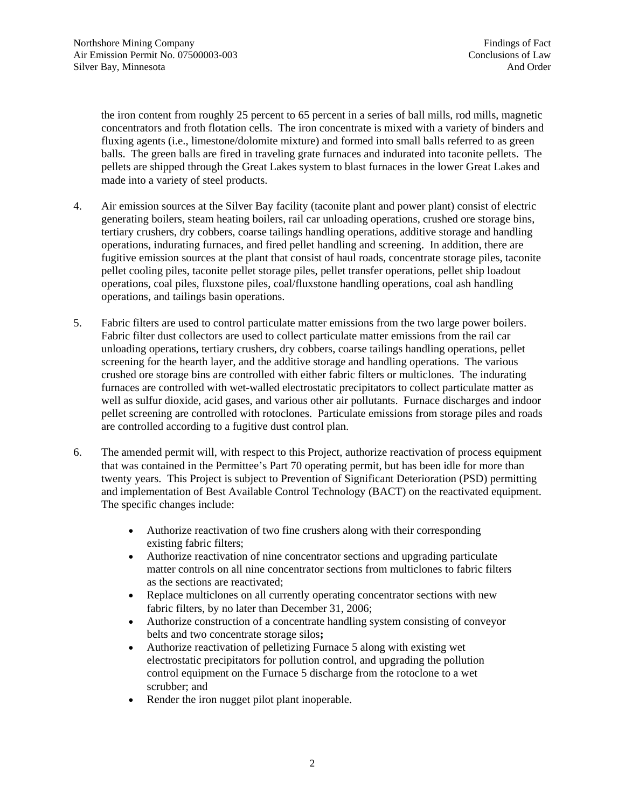the iron content from roughly 25 percent to 65 percent in a series of ball mills, rod mills, magnetic concentrators and froth flotation cells. The iron concentrate is mixed with a variety of binders and fluxing agents (i.e., limestone/dolomite mixture) and formed into small balls referred to as green balls. The green balls are fired in traveling grate furnaces and indurated into taconite pellets. The pellets are shipped through the Great Lakes system to blast furnaces in the lower Great Lakes and made into a variety of steel products.

- 4. Air emission sources at the Silver Bay facility (taconite plant and power plant) consist of electric generating boilers, steam heating boilers, rail car unloading operations, crushed ore storage bins, tertiary crushers, dry cobbers, coarse tailings handling operations, additive storage and handling operations, indurating furnaces, and fired pellet handling and screening. In addition, there are fugitive emission sources at the plant that consist of haul roads, concentrate storage piles, taconite pellet cooling piles, taconite pellet storage piles, pellet transfer operations, pellet ship loadout operations, coal piles, fluxstone piles, coal/fluxstone handling operations, coal ash handling operations, and tailings basin operations.
- 5. Fabric filters are used to control particulate matter emissions from the two large power boilers. Fabric filter dust collectors are used to collect particulate matter emissions from the rail car unloading operations, tertiary crushers, dry cobbers, coarse tailings handling operations, pellet screening for the hearth layer, and the additive storage and handling operations. The various crushed ore storage bins are controlled with either fabric filters or multiclones. The indurating furnaces are controlled with wet-walled electrostatic precipitators to collect particulate matter as well as sulfur dioxide, acid gases, and various other air pollutants. Furnace discharges and indoor pellet screening are controlled with rotoclones. Particulate emissions from storage piles and roads are controlled according to a fugitive dust control plan.
- 6. The amended permit will, with respect to this Project, authorize reactivation of process equipment that was contained in the Permittee's Part 70 operating permit, but has been idle for more than twenty years. This Project is subject to Prevention of Significant Deterioration (PSD) permitting and implementation of Best Available Control Technology (BACT) on the reactivated equipment. The specific changes include:
	- Authorize reactivation of two fine crushers along with their corresponding existing fabric filters;
	- Authorize reactivation of nine concentrator sections and upgrading particulate matter controls on all nine concentrator sections from multiclones to fabric filters as the sections are reactivated;
	- Replace multiclones on all currently operating concentrator sections with new fabric filters, by no later than December 31, 2006;
	- Authorize construction of a concentrate handling system consisting of conveyor belts and two concentrate storage silos**;**
	- Authorize reactivation of pelletizing Furnace 5 along with existing wet electrostatic precipitators for pollution control, and upgrading the pollution control equipment on the Furnace 5 discharge from the rotoclone to a wet scrubber; and
	- Render the iron nugget pilot plant inoperable.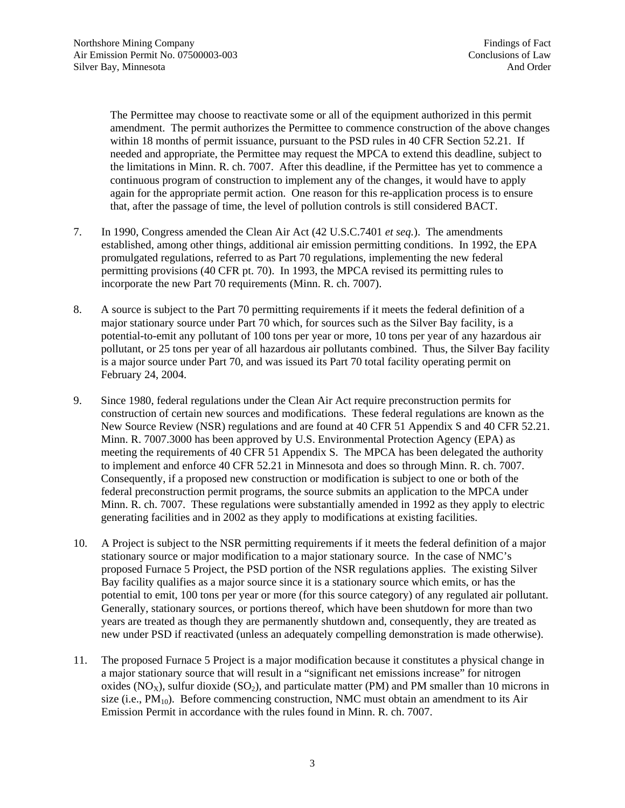The Permittee may choose to reactivate some or all of the equipment authorized in this permit amendment. The permit authorizes the Permittee to commence construction of the above changes within 18 months of permit issuance, pursuant to the PSD rules in 40 CFR Section 52.21. If needed and appropriate, the Permittee may request the MPCA to extend this deadline, subject to the limitations in Minn. R. ch. 7007. After this deadline, if the Permittee has yet to commence a continuous program of construction to implement any of the changes, it would have to apply again for the appropriate permit action. One reason for this re-application process is to ensure that, after the passage of time, the level of pollution controls is still considered BACT.

- 7. In 1990, Congress amended the Clean Air Act (42 U.S.C.7401 *et seq.*). The amendments established, among other things, additional air emission permitting conditions. In 1992, the EPA promulgated regulations, referred to as Part 70 regulations, implementing the new federal permitting provisions (40 CFR pt. 70). In 1993, the MPCA revised its permitting rules to incorporate the new Part 70 requirements (Minn. R. ch. 7007).
- 8. A source is subject to the Part 70 permitting requirements if it meets the federal definition of a major stationary source under Part 70 which, for sources such as the Silver Bay facility, is a potential-to-emit any pollutant of 100 tons per year or more, 10 tons per year of any hazardous air pollutant, or 25 tons per year of all hazardous air pollutants combined. Thus, the Silver Bay facility is a major source under Part 70, and was issued its Part 70 total facility operating permit on February 24, 2004.
- 9. Since 1980, federal regulations under the Clean Air Act require preconstruction permits for construction of certain new sources and modifications. These federal regulations are known as the New Source Review (NSR) regulations and are found at 40 CFR 51 Appendix S and 40 CFR 52.21. Minn. R. 7007.3000 has been approved by U.S. Environmental Protection Agency (EPA) as meeting the requirements of 40 CFR 51 Appendix S. The MPCA has been delegated the authority to implement and enforce 40 CFR 52.21 in Minnesota and does so through Minn. R. ch. 7007. Consequently, if a proposed new construction or modification is subject to one or both of the federal preconstruction permit programs, the source submits an application to the MPCA under Minn. R. ch. 7007. These regulations were substantially amended in 1992 as they apply to electric generating facilities and in 2002 as they apply to modifications at existing facilities.
- 10. A Project is subject to the NSR permitting requirements if it meets the federal definition of a major stationary source or major modification to a major stationary source. In the case of NMC's proposed Furnace 5 Project, the PSD portion of the NSR regulations applies. The existing Silver Bay facility qualifies as a major source since it is a stationary source which emits, or has the potential to emit, 100 tons per year or more (for this source category) of any regulated air pollutant. Generally, stationary sources, or portions thereof, which have been shutdown for more than two years are treated as though they are permanently shutdown and, consequently, they are treated as new under PSD if reactivated (unless an adequately compelling demonstration is made otherwise).
- 11. The proposed Furnace 5 Project is a major modification because it constitutes a physical change in a major stationary source that will result in a "significant net emissions increase" for nitrogen oxides ( $NO_x$ ), sulfur dioxide ( $SO_2$ ), and particulate matter (PM) and PM smaller than 10 microns in size (i.e.,  $PM_{10}$ ). Before commencing construction, NMC must obtain an amendment to its Air Emission Permit in accordance with the rules found in Minn. R. ch. 7007.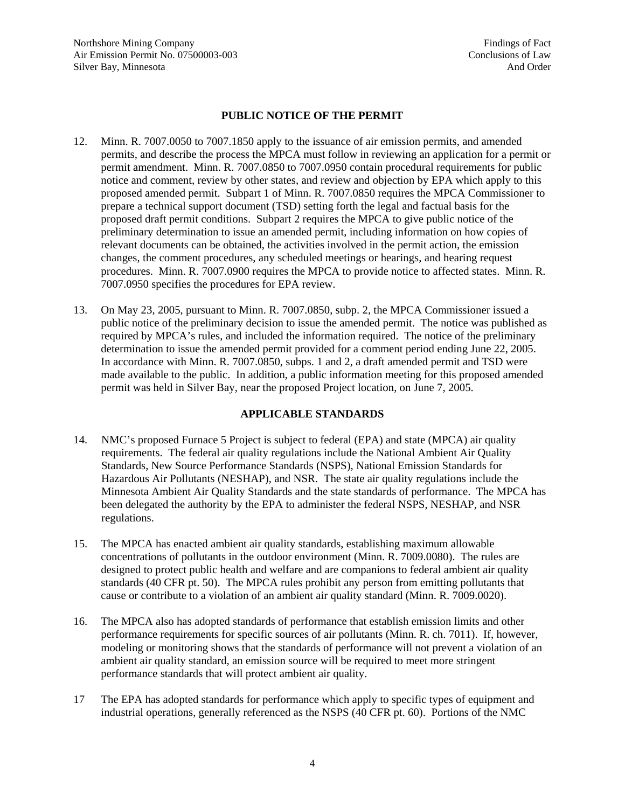Northshore Mining Company Findings of Fact Air Emission Permit No. 07500003-003 Conclusions of Law Silver Bay, Minnesota **And Order** And Order

# **PUBLIC NOTICE OF THE PERMIT**

- 12. Minn. R. 7007.0050 to 7007.1850 apply to the issuance of air emission permits, and amended permits, and describe the process the MPCA must follow in reviewing an application for a permit or permit amendment. Minn. R. 7007.0850 to 7007.0950 contain procedural requirements for public notice and comment, review by other states, and review and objection by EPA which apply to this proposed amended permit. Subpart 1 of Minn. R. 7007.0850 requires the MPCA Commissioner to prepare a technical support document (TSD) setting forth the legal and factual basis for the proposed draft permit conditions. Subpart 2 requires the MPCA to give public notice of the preliminary determination to issue an amended permit, including information on how copies of relevant documents can be obtained, the activities involved in the permit action, the emission changes, the comment procedures, any scheduled meetings or hearings, and hearing request procedures. Minn. R. 7007.0900 requires the MPCA to provide notice to affected states. Minn. R. 7007.0950 specifies the procedures for EPA review.
- 13. On May 23, 2005, pursuant to Minn. R. 7007.0850, subp. 2, the MPCA Commissioner issued a public notice of the preliminary decision to issue the amended permit.The notice was published as required by MPCA's rules, and included the information required. The notice of the preliminary determination to issue the amended permit provided for a comment period ending June 22, 2005. In accordance with Minn. R. 7007.0850, subps. 1 and 2, a draft amended permit and TSD were made available to the public. In addition, a public information meeting for this proposed amended permit was held in Silver Bay, near the proposed Project location, on June 7, 2005.

# **APPLICABLE STANDARDS**

- 14. NMC's proposed Furnace 5 Project is subject to federal (EPA) and state (MPCA) air quality requirements. The federal air quality regulations include the National Ambient Air Quality Standards, New Source Performance Standards (NSPS), National Emission Standards for Hazardous Air Pollutants (NESHAP), and NSR. The state air quality regulations include the Minnesota Ambient Air Quality Standards and the state standards of performance. The MPCA has been delegated the authority by the EPA to administer the federal NSPS, NESHAP, and NSR regulations.
- 15. The MPCA has enacted ambient air quality standards, establishing maximum allowable concentrations of pollutants in the outdoor environment (Minn. R. 7009.0080). The rules are designed to protect public health and welfare and are companions to federal ambient air quality standards (40 CFR pt. 50). The MPCA rules prohibit any person from emitting pollutants that cause or contribute to a violation of an ambient air quality standard (Minn. R. 7009.0020).
- 16. The MPCA also has adopted standards of performance that establish emission limits and other performance requirements for specific sources of air pollutants (Minn. R. ch. 7011). If, however, modeling or monitoring shows that the standards of performance will not prevent a violation of an ambient air quality standard, an emission source will be required to meet more stringent performance standards that will protect ambient air quality.
- 17 The EPA has adopted standards for performance which apply to specific types of equipment and industrial operations, generally referenced as the NSPS (40 CFR pt. 60). Portions of the NMC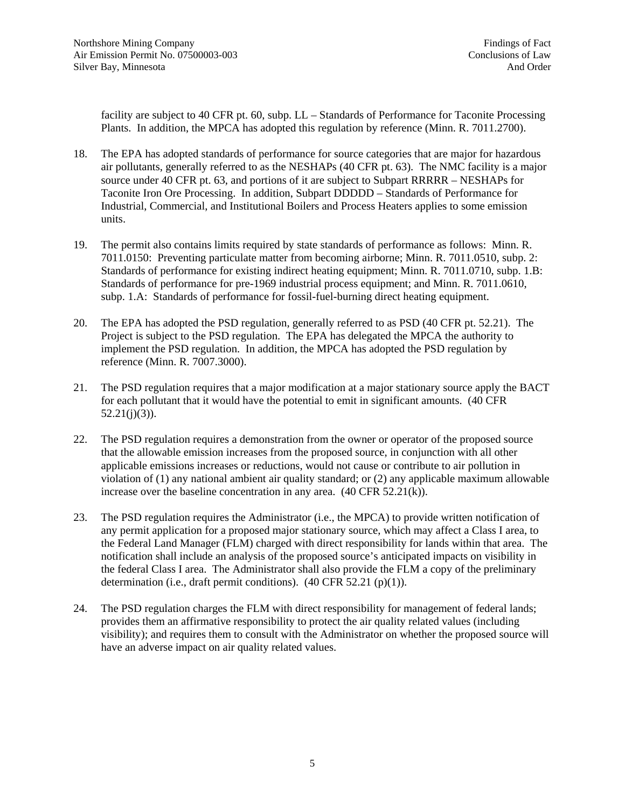facility are subject to 40 CFR pt. 60, subp. LL – Standards of Performance for Taconite Processing Plants. In addition, the MPCA has adopted this regulation by reference (Minn. R. 7011.2700).

- 18. The EPA has adopted standards of performance for source categories that are major for hazardous air pollutants, generally referred to as the NESHAPs (40 CFR pt. 63). The NMC facility is a major source under 40 CFR pt. 63, and portions of it are subject to Subpart RRRRR – NESHAPs for Taconite Iron Ore Processing. In addition, Subpart DDDDD – Standards of Performance for Industrial, Commercial, and Institutional Boilers and Process Heaters applies to some emission units.
- 19. The permit also contains limits required by state standards of performance as follows: Minn. R. 7011.0150: Preventing particulate matter from becoming airborne; Minn. R. 7011.0510, subp. 2: Standards of performance for existing indirect heating equipment; Minn. R. 7011.0710, subp. 1.B: Standards of performance for pre-1969 industrial process equipment; and Minn. R. 7011.0610, subp. 1.A: Standards of performance for fossil-fuel-burning direct heating equipment.
- 20. The EPA has adopted the PSD regulation, generally referred to as PSD (40 CFR pt. 52.21). The Project is subject to the PSD regulation. The EPA has delegated the MPCA the authority to implement the PSD regulation. In addition, the MPCA has adopted the PSD regulation by reference (Minn. R. 7007.3000).
- 21. The PSD regulation requires that a major modification at a major stationary source apply the BACT for each pollutant that it would have the potential to emit in significant amounts. (40 CFR  $52.21(j)(3)$ ).
- 22. The PSD regulation requires a demonstration from the owner or operator of the proposed source that the allowable emission increases from the proposed source, in conjunction with all other applicable emissions increases or reductions, would not cause or contribute to air pollution in violation of (1) any national ambient air quality standard; or (2) any applicable maximum allowable increase over the baseline concentration in any area. (40 CFR 52.21(k)).
- 23. The PSD regulation requires the Administrator (i.e., the MPCA) to provide written notification of any permit application for a proposed major stationary source, which may affect a Class I area, to the Federal Land Manager (FLM) charged with direct responsibility for lands within that area. The notification shall include an analysis of the proposed source's anticipated impacts on visibility in the federal Class I area. The Administrator shall also provide the FLM a copy of the preliminary determination (i.e., draft permit conditions).  $(40 \text{ CFR } 52.21 \text{ (p)}(1))$ .
- 24. The PSD regulation charges the FLM with direct responsibility for management of federal lands; provides them an affirmative responsibility to protect the air quality related values (including visibility); and requires them to consult with the Administrator on whether the proposed source will have an adverse impact on air quality related values.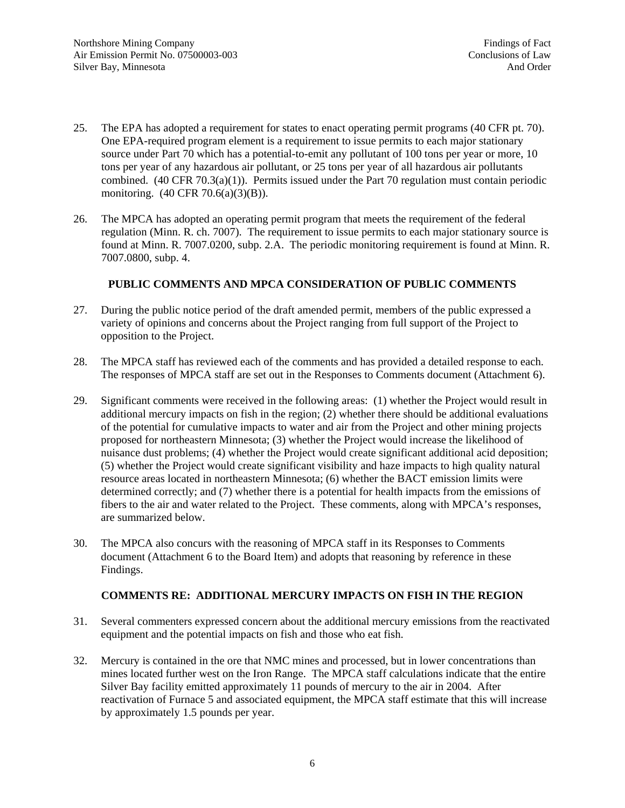- 25. The EPA has adopted a requirement for states to enact operating permit programs (40 CFR pt. 70). One EPA-required program element is a requirement to issue permits to each major stationary source under Part 70 which has a potential-to-emit any pollutant of 100 tons per year or more, 10 tons per year of any hazardous air pollutant, or 25 tons per year of all hazardous air pollutants combined. (40 CFR 70.3(a)(1)). Permits issued under the Part 70 regulation must contain periodic monitoring. (40 CFR 70.6(a)(3)(B)).
- 26. The MPCA has adopted an operating permit program that meets the requirement of the federal regulation (Minn. R. ch. 7007). The requirement to issue permits to each major stationary source is found at Minn. R. 7007.0200, subp. 2.A. The periodic monitoring requirement is found at Minn. R. 7007.0800, subp. 4.

# **PUBLIC COMMENTS AND MPCA CONSIDERATION OF PUBLIC COMMENTS**

- 27. During the public notice period of the draft amended permit, members of the public expressed a variety of opinions and concerns about the Project ranging from full support of the Project to opposition to the Project.
- 28. The MPCA staff has reviewed each of the comments and has provided a detailed response to each. The responses of MPCA staff are set out in the Responses to Comments document (Attachment 6).
- 29. Significant comments were received in the following areas: (1) whether the Project would result in additional mercury impacts on fish in the region; (2) whether there should be additional evaluations of the potential for cumulative impacts to water and air from the Project and other mining projects proposed for northeastern Minnesota; (3) whether the Project would increase the likelihood of nuisance dust problems; (4) whether the Project would create significant additional acid deposition; (5) whether the Project would create significant visibility and haze impacts to high quality natural resource areas located in northeastern Minnesota; (6) whether the BACT emission limits were determined correctly; and (7) whether there is a potential for health impacts from the emissions of fibers to the air and water related to the Project. These comments, along with MPCA's responses, are summarized below.
- 30. The MPCA also concurs with the reasoning of MPCA staff in its Responses to Comments document (Attachment 6 to the Board Item) and adopts that reasoning by reference in these Findings.

# **COMMENTS RE: ADDITIONAL MERCURY IMPACTS ON FISH IN THE REGION**

- 31. Several commenters expressed concern about the additional mercury emissions from the reactivated equipment and the potential impacts on fish and those who eat fish.
- 32. Mercury is contained in the ore that NMC mines and processed, but in lower concentrations than mines located further west on the Iron Range. The MPCA staff calculations indicate that the entire Silver Bay facility emitted approximately 11 pounds of mercury to the air in 2004. After reactivation of Furnace 5 and associated equipment, the MPCA staff estimate that this will increase by approximately 1.5 pounds per year.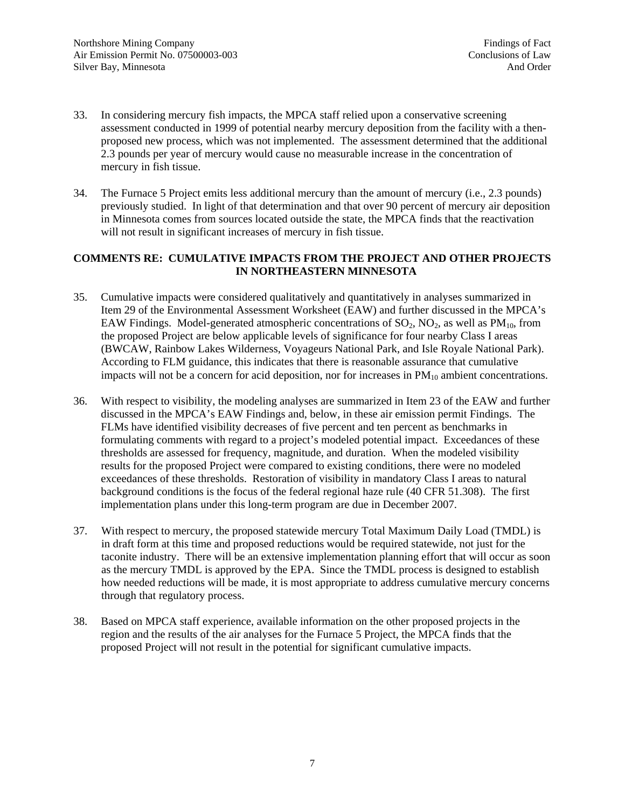- 33. In considering mercury fish impacts, the MPCA staff relied upon a conservative screening assessment conducted in 1999 of potential nearby mercury deposition from the facility with a thenproposed new process, which was not implemented. The assessment determined that the additional 2.3 pounds per year of mercury would cause no measurable increase in the concentration of mercury in fish tissue.
- 34. The Furnace 5 Project emits less additional mercury than the amount of mercury (i.e., 2.3 pounds) previously studied. In light of that determination and that over 90 percent of mercury air deposition in Minnesota comes from sources located outside the state, the MPCA finds that the reactivation will not result in significant increases of mercury in fish tissue.

# **COMMENTS RE: CUMULATIVE IMPACTS FROM THE PROJECT AND OTHER PROJECTS IN NORTHEASTERN MINNESOTA**

- 35. Cumulative impacts were considered qualitatively and quantitatively in analyses summarized in Item 29 of the Environmental Assessment Worksheet (EAW) and further discussed in the MPCA's EAW Findings. Model-generated atmospheric concentrations of  $SO_2$ ,  $NO_2$ , as well as  $PM_{10}$ , from the proposed Project are below applicable levels of significance for four nearby Class I areas (BWCAW, Rainbow Lakes Wilderness, Voyageurs National Park, and Isle Royale National Park). According to FLM guidance, this indicates that there is reasonable assurance that cumulative impacts will not be a concern for acid deposition, nor for increases in  $PM_{10}$  ambient concentrations.
- 36. With respect to visibility, the modeling analyses are summarized in Item 23 of the EAW and further discussed in the MPCA's EAW Findings and, below, in these air emission permit Findings. The FLMs have identified visibility decreases of five percent and ten percent as benchmarks in formulating comments with regard to a project's modeled potential impact. Exceedances of these thresholds are assessed for frequency, magnitude, and duration. When the modeled visibility results for the proposed Project were compared to existing conditions, there were no modeled exceedances of these thresholds. Restoration of visibility in mandatory Class I areas to natural background conditions is the focus of the federal regional haze rule (40 CFR 51.308). The first implementation plans under this long-term program are due in December 2007.
- 37. With respect to mercury, the proposed statewide mercury Total Maximum Daily Load (TMDL) is in draft form at this time and proposed reductions would be required statewide, not just for the taconite industry. There will be an extensive implementation planning effort that will occur as soon as the mercury TMDL is approved by the EPA. Since the TMDL process is designed to establish how needed reductions will be made, it is most appropriate to address cumulative mercury concerns through that regulatory process.
- 38. Based on MPCA staff experience, available information on the other proposed projects in the region and the results of the air analyses for the Furnace 5 Project, the MPCA finds that the proposed Project will not result in the potential for significant cumulative impacts.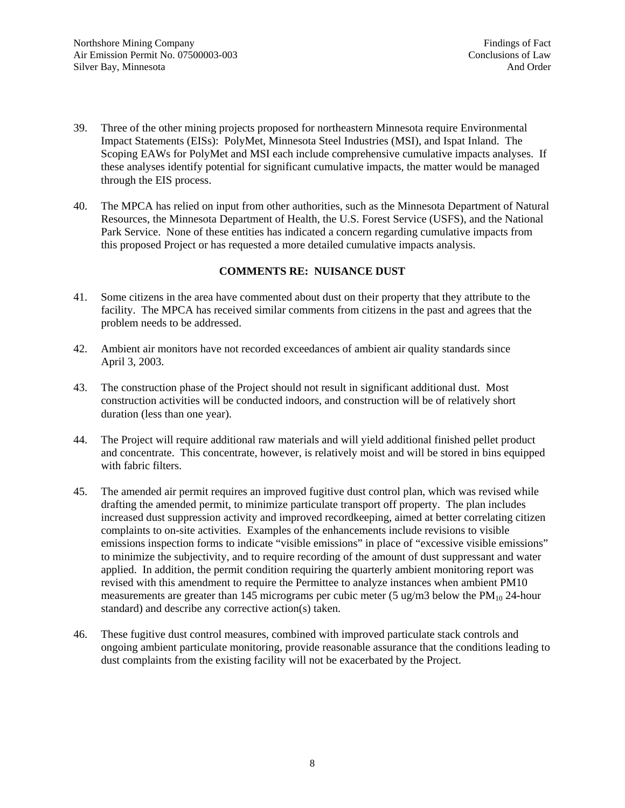- 39. Three of the other mining projects proposed for northeastern Minnesota require Environmental Impact Statements (EISs): PolyMet, Minnesota Steel Industries (MSI), and Ispat Inland. The Scoping EAWs for PolyMet and MSI each include comprehensive cumulative impacts analyses. If these analyses identify potential for significant cumulative impacts, the matter would be managed through the EIS process.
- 40. The MPCA has relied on input from other authorities, such as the Minnesota Department of Natural Resources, the Minnesota Department of Health, the U.S. Forest Service (USFS), and the National Park Service. None of these entities has indicated a concern regarding cumulative impacts from this proposed Project or has requested a more detailed cumulative impacts analysis.

# **COMMENTS RE: NUISANCE DUST**

- 41. Some citizens in the area have commented about dust on their property that they attribute to the facility. The MPCA has received similar comments from citizens in the past and agrees that the problem needs to be addressed.
- 42. Ambient air monitors have not recorded exceedances of ambient air quality standards since April 3, 2003.
- 43. The construction phase of the Project should not result in significant additional dust. Most construction activities will be conducted indoors, and construction will be of relatively short duration (less than one year).
- 44. The Project will require additional raw materials and will yield additional finished pellet product and concentrate. This concentrate, however, is relatively moist and will be stored in bins equipped with fabric filters.
- 45. The amended air permit requires an improved fugitive dust control plan, which was revised while drafting the amended permit, to minimize particulate transport off property. The plan includes increased dust suppression activity and improved recordkeeping, aimed at better correlating citizen complaints to on-site activities. Examples of the enhancements include revisions to visible emissions inspection forms to indicate "visible emissions" in place of "excessive visible emissions" to minimize the subjectivity, and to require recording of the amount of dust suppressant and water applied. In addition, the permit condition requiring the quarterly ambient monitoring report was revised with this amendment to require the Permittee to analyze instances when ambient PM10 measurements are greater than 145 micrograms per cubic meter (5 ug/m3 below the  $PM_{10}$  24-hour standard) and describe any corrective action(s) taken.
- 46. These fugitive dust control measures, combined with improved particulate stack controls and ongoing ambient particulate monitoring, provide reasonable assurance that the conditions leading to dust complaints from the existing facility will not be exacerbated by the Project.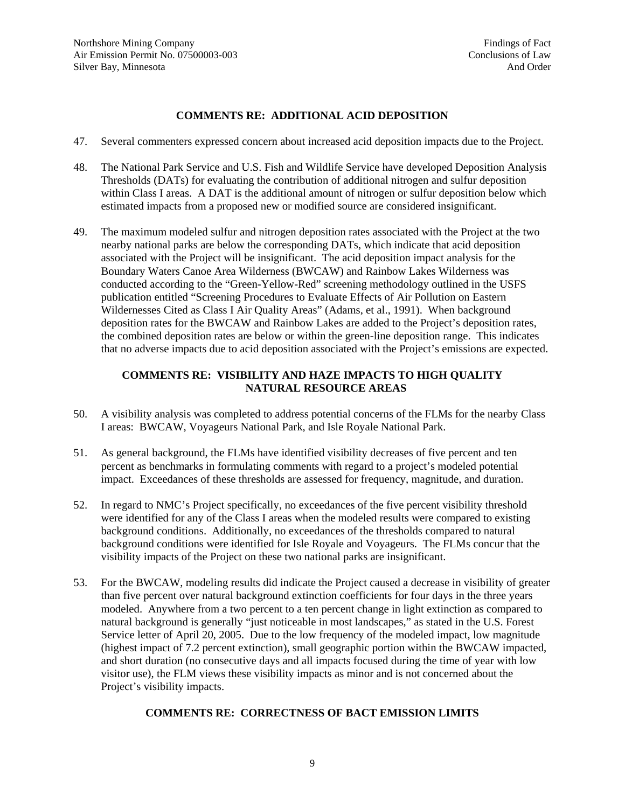# **COMMENTS RE: ADDITIONAL ACID DEPOSITION**

- 47. Several commenters expressed concern about increased acid deposition impacts due to the Project.
- 48. The National Park Service and U.S. Fish and Wildlife Service have developed Deposition Analysis Thresholds (DATs) for evaluating the contribution of additional nitrogen and sulfur deposition within Class I areas. A DAT is the additional amount of nitrogen or sulfur deposition below which estimated impacts from a proposed new or modified source are considered insignificant.
- 49. The maximum modeled sulfur and nitrogen deposition rates associated with the Project at the two nearby national parks are below the corresponding DATs, which indicate that acid deposition associated with the Project will be insignificant. The acid deposition impact analysis for the Boundary Waters Canoe Area Wilderness (BWCAW) and Rainbow Lakes Wilderness was conducted according to the "Green-Yellow-Red" screening methodology outlined in the USFS publication entitled "Screening Procedures to Evaluate Effects of Air Pollution on Eastern Wildernesses Cited as Class I Air Quality Areas" (Adams, et al., 1991). When background deposition rates for the BWCAW and Rainbow Lakes are added to the Project's deposition rates, the combined deposition rates are below or within the green-line deposition range. This indicates that no adverse impacts due to acid deposition associated with the Project's emissions are expected.

# **COMMENTS RE: VISIBILITY AND HAZE IMPACTS TO HIGH QUALITY NATURAL RESOURCE AREAS**

- 50. A visibility analysis was completed to address potential concerns of the FLMs for the nearby Class I areas: BWCAW, Voyageurs National Park, and Isle Royale National Park.
- 51. As general background, the FLMs have identified visibility decreases of five percent and ten percent as benchmarks in formulating comments with regard to a project's modeled potential impact. Exceedances of these thresholds are assessed for frequency, magnitude, and duration.
- 52. In regard to NMC's Project specifically, no exceedances of the five percent visibility threshold were identified for any of the Class I areas when the modeled results were compared to existing background conditions. Additionally, no exceedances of the thresholds compared to natural background conditions were identified for Isle Royale and Voyageurs. The FLMs concur that the visibility impacts of the Project on these two national parks are insignificant.
- 53. For the BWCAW, modeling results did indicate the Project caused a decrease in visibility of greater than five percent over natural background extinction coefficients for four days in the three years modeled. Anywhere from a two percent to a ten percent change in light extinction as compared to natural background is generally "just noticeable in most landscapes," as stated in the U.S. Forest Service letter of April 20, 2005. Due to the low frequency of the modeled impact, low magnitude (highest impact of 7.2 percent extinction), small geographic portion within the BWCAW impacted, and short duration (no consecutive days and all impacts focused during the time of year with low visitor use), the FLM views these visibility impacts as minor and is not concerned about the Project's visibility impacts.

# **COMMENTS RE: CORRECTNESS OF BACT EMISSION LIMITS**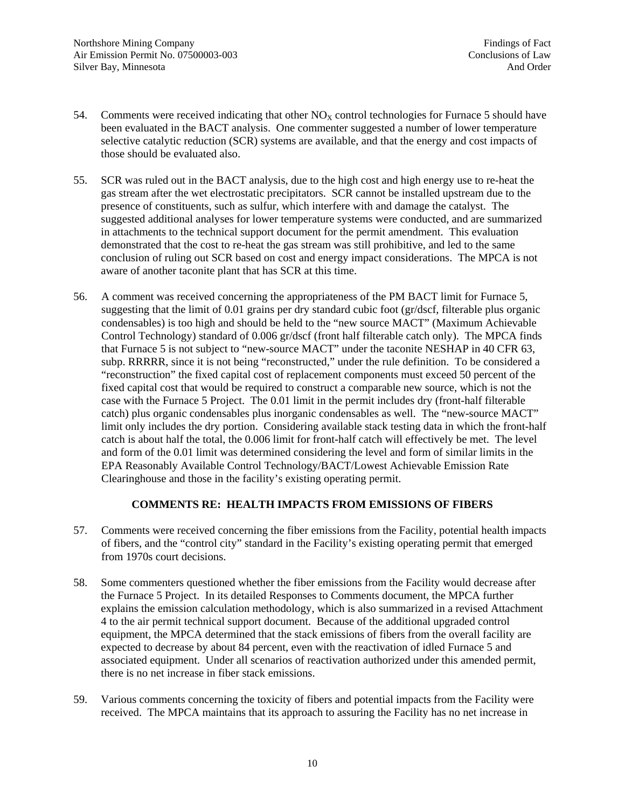- 54. Comments were received indicating that other  $NO<sub>x</sub>$  control technologies for Furnace 5 should have been evaluated in the BACT analysis. One commenter suggested a number of lower temperature selective catalytic reduction (SCR) systems are available, and that the energy and cost impacts of those should be evaluated also.
- 55. SCR was ruled out in the BACT analysis, due to the high cost and high energy use to re-heat the gas stream after the wet electrostatic precipitators. SCR cannot be installed upstream due to the presence of constituents, such as sulfur, which interfere with and damage the catalyst. The suggested additional analyses for lower temperature systems were conducted, and are summarized in attachments to the technical support document for the permit amendment. This evaluation demonstrated that the cost to re-heat the gas stream was still prohibitive, and led to the same conclusion of ruling out SCR based on cost and energy impact considerations. The MPCA is not aware of another taconite plant that has SCR at this time.
- 56. A comment was received concerning the appropriateness of the PM BACT limit for Furnace 5, suggesting that the limit of 0.01 grains per dry standard cubic foot (gr/dscf, filterable plus organic condensables) is too high and should be held to the "new source MACT" (Maximum Achievable Control Technology) standard of 0.006 gr/dscf (front half filterable catch only). The MPCA finds that Furnace 5 is not subject to "new-source MACT" under the taconite NESHAP in 40 CFR 63, subp. RRRRR, since it is not being "reconstructed," under the rule definition. To be considered a "reconstruction" the fixed capital cost of replacement components must exceed 50 percent of the fixed capital cost that would be required to construct a comparable new source, which is not the case with the Furnace 5 Project. The 0.01 limit in the permit includes dry (front-half filterable catch) plus organic condensables plus inorganic condensables as well. The "new-source MACT" limit only includes the dry portion. Considering available stack testing data in which the front-half catch is about half the total, the 0.006 limit for front-half catch will effectively be met. The level and form of the 0.01 limit was determined considering the level and form of similar limits in the EPA Reasonably Available Control Technology/BACT/Lowest Achievable Emission Rate Clearinghouse and those in the facility's existing operating permit.

# **COMMENTS RE: HEALTH IMPACTS FROM EMISSIONS OF FIBERS**

- 57. Comments were received concerning the fiber emissions from the Facility, potential health impacts of fibers, and the "control city" standard in the Facility's existing operating permit that emerged from 1970s court decisions.
- 58. Some commenters questioned whether the fiber emissions from the Facility would decrease after the Furnace 5 Project. In its detailed Responses to Comments document, the MPCA further explains the emission calculation methodology, which is also summarized in a revised Attachment 4 to the air permit technical support document. Because of the additional upgraded control equipment, the MPCA determined that the stack emissions of fibers from the overall facility are expected to decrease by about 84 percent, even with the reactivation of idled Furnace 5 and associated equipment. Under all scenarios of reactivation authorized under this amended permit, there is no net increase in fiber stack emissions.
- 59. Various comments concerning the toxicity of fibers and potential impacts from the Facility were received. The MPCA maintains that its approach to assuring the Facility has no net increase in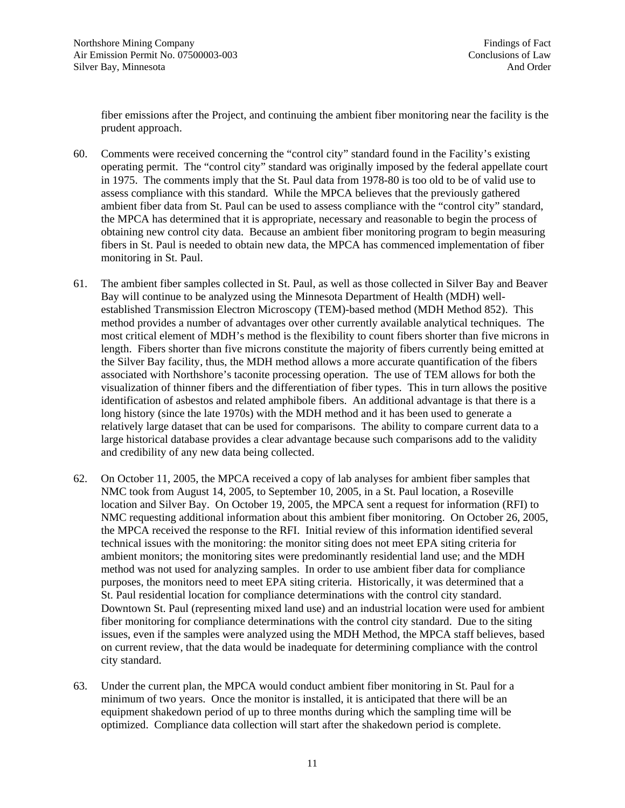fiber emissions after the Project, and continuing the ambient fiber monitoring near the facility is the prudent approach.

- 60. Comments were received concerning the "control city" standard found in the Facility's existing operating permit. The "control city" standard was originally imposed by the federal appellate court in 1975. The comments imply that the St. Paul data from 1978-80 is too old to be of valid use to assess compliance with this standard. While the MPCA believes that the previously gathered ambient fiber data from St. Paul can be used to assess compliance with the "control city" standard, the MPCA has determined that it is appropriate, necessary and reasonable to begin the process of obtaining new control city data. Because an ambient fiber monitoring program to begin measuring fibers in St. Paul is needed to obtain new data, the MPCA has commenced implementation of fiber monitoring in St. Paul.
- 61. The ambient fiber samples collected in St. Paul, as well as those collected in Silver Bay and Beaver Bay will continue to be analyzed using the Minnesota Department of Health (MDH) wellestablished Transmission Electron Microscopy (TEM)-based method (MDH Method 852). This method provides a number of advantages over other currently available analytical techniques. The most critical element of MDH's method is the flexibility to count fibers shorter than five microns in length. Fibers shorter than five microns constitute the majority of fibers currently being emitted at the Silver Bay facility, thus, the MDH method allows a more accurate quantification of the fibers associated with Northshore's taconite processing operation. The use of TEM allows for both the visualization of thinner fibers and the differentiation of fiber types. This in turn allows the positive identification of asbestos and related amphibole fibers. An additional advantage is that there is a long history (since the late 1970s) with the MDH method and it has been used to generate a relatively large dataset that can be used for comparisons. The ability to compare current data to a large historical database provides a clear advantage because such comparisons add to the validity and credibility of any new data being collected.
- 62. On October 11, 2005, the MPCA received a copy of lab analyses for ambient fiber samples that NMC took from August 14, 2005, to September 10, 2005, in a St. Paul location, a Roseville location and Silver Bay. On October 19, 2005, the MPCA sent a request for information (RFI) to NMC requesting additional information about this ambient fiber monitoring. On October 26, 2005, the MPCA received the response to the RFI. Initial review of this information identified several technical issues with the monitoring: the monitor siting does not meet EPA siting criteria for ambient monitors; the monitoring sites were predominantly residential land use; and the MDH method was not used for analyzing samples. In order to use ambient fiber data for compliance purposes, the monitors need to meet EPA siting criteria. Historically, it was determined that a St. Paul residential location for compliance determinations with the control city standard. Downtown St. Paul (representing mixed land use) and an industrial location were used for ambient fiber monitoring for compliance determinations with the control city standard. Due to the siting issues, even if the samples were analyzed using the MDH Method, the MPCA staff believes, based on current review, that the data would be inadequate for determining compliance with the control city standard.
- 63. Under the current plan, the MPCA would conduct ambient fiber monitoring in St. Paul for a minimum of two years. Once the monitor is installed, it is anticipated that there will be an equipment shakedown period of up to three months during which the sampling time will be optimized. Compliance data collection will start after the shakedown period is complete.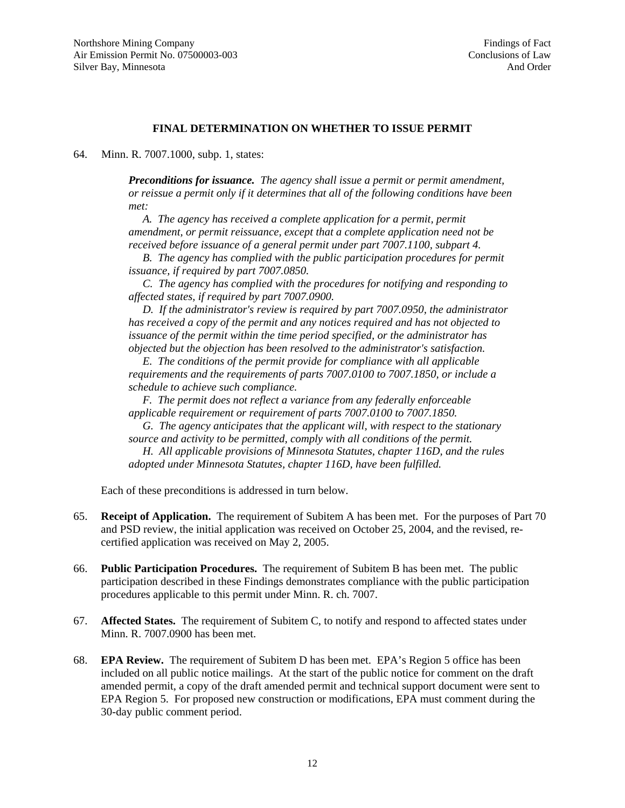#### **FINAL DETERMINATION ON WHETHER TO ISSUE PERMIT**

64. Minn. R. 7007.1000, subp. 1, states:

*Preconditions for issuance. The agency shall issue a permit or permit amendment, or reissue a permit only if it determines that all of the following conditions have been met:* 

A. The agency has received a complete application for a permit, permit *amendment, or permit reissuance, except that a complete application need not be received before issuance of a general permit under part 7007.1100, subpart 4.* 

 *B. The agency has complied with the public participation procedures for permit issuance, if required by part 7007.0850.* 

 *C. The agency has complied with the procedures for notifying and responding to affected states, if required by part 7007.0900.* 

 *D. If the administrator's review is required by part 7007.0950, the administrator has received a copy of the permit and any notices required and has not objected to issuance of the permit within the time period specified, or the administrator has objected but the objection has been resolved to the administrator's satisfaction.* 

 *E. The conditions of the permit provide for compliance with all applicable requirements and the requirements of parts 7007.0100 to 7007.1850, or include a schedule to achieve such compliance.* 

 *F. The permit does not reflect a variance from any federally enforceable applicable requirement or requirement of parts 7007.0100 to 7007.1850.* 

 *G. The agency anticipates that the applicant will, with respect to the stationary source and activity to be permitted, comply with all conditions of the permit.* 

 *H. All applicable provisions of Minnesota Statutes, chapter 116D, and the rules adopted under Minnesota Statutes, chapter 116D, have been fulfilled.*

Each of these preconditions is addressed in turn below.

- 65. **Receipt of Application.** The requirement of Subitem A has been met. For the purposes of Part 70 and PSD review, the initial application was received on October 25, 2004, and the revised, recertified application was received on May 2, 2005.
- 66. **Public Participation Procedures.** The requirement of Subitem B has been met. The public participation described in these Findings demonstrates compliance with the public participation procedures applicable to this permit under Minn. R. ch. 7007.
- 67. **Affected States.** The requirement of Subitem C, to notify and respond to affected states under Minn. R. 7007.0900 has been met.
- 68. **EPA Review.** The requirement of Subitem D has been met. EPA's Region 5 office has been included on all public notice mailings. At the start of the public notice for comment on the draft amended permit, a copy of the draft amended permit and technical support document were sent to EPA Region 5. For proposed new construction or modifications, EPA must comment during the 30-day public comment period.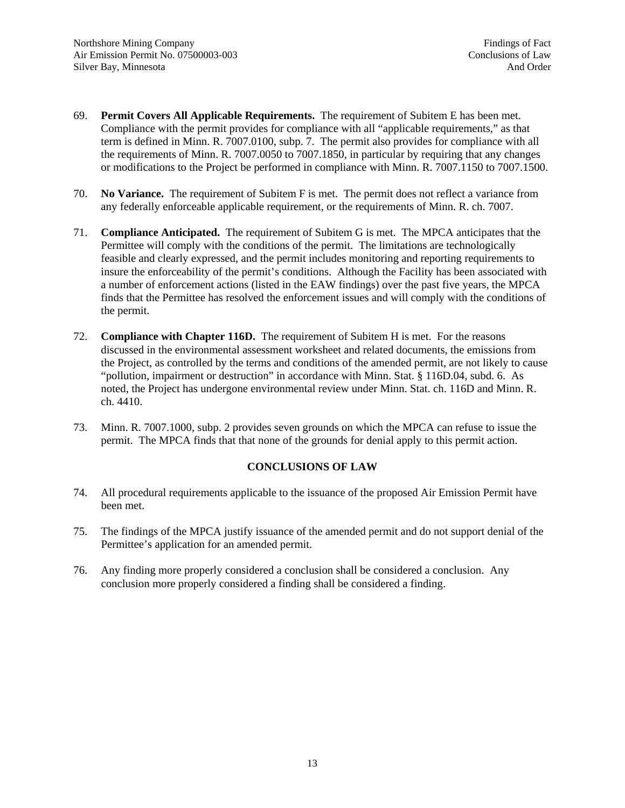- 69. **Permit Covers All Applicable Requirements.** The requirement of Subitem E has been met. Compliance with the permit provides for compliance with all "applicable requirements," as that term is defined in Minn. R. 7007.0100, subp. 7. The permit also provides for compliance with all the requirements of Minn. R. 7007.0050 to 7007.1850, in particular by requiring that any changes or modifications to the Project be performed in compliance with Minn. R. 7007.1150 to 7007.1500.
- 70. **No Variance.** The requirement of Subitem F is met. The permit does not reflect a variance from any federally enforceable applicable requirement, or the requirements of Minn. R. ch. 7007.
- 71. **Compliance Anticipated.** The requirement of Subitem G is met. The MPCA anticipates that the Permittee will comply with the conditions of the permit. The limitations are technologically feasible and clearly expressed, and the permit includes monitoring and reporting requirements to insure the enforceability of the permit's conditions. Although the Facility has been associated with a number of enforcement actions (listed in the EAW findings) over the past five years, the MPCA finds that the Permittee has resolved the enforcement issues and will comply with the conditions of the permit.
- 72. **Compliance with Chapter 116D.** The requirement of Subitem H is met. For the reasons discussed in the environmental assessment worksheet and related documents, the emissions from the Project, as controlled by the terms and conditions of the amended permit, are not likely to cause "pollution, impairment or destruction" in accordance with Minn. Stat. § 116D.04, subd. 6. As noted, the Project has undergone environmental review under Minn. Stat. ch. 116D and Minn. R. ch. 4410.
- 73. Minn. R. 7007.1000, subp. 2 provides seven grounds on which the MPCA can refuse to issue the permit. The MPCA finds that that none of the grounds for denial apply to this permit action.

# **CONCLUSIONS OF LAW**

- 74. All procedural requirements applicable to the issuance of the proposed Air Emission Permit have been met.
- 75. The findings of the MPCA justify issuance of the amended permit and do not support denial of the Permittee's application for an amended permit.
- 76. Any finding more properly considered a conclusion shall be considered a conclusion. Any conclusion more properly considered a finding shall be considered a finding.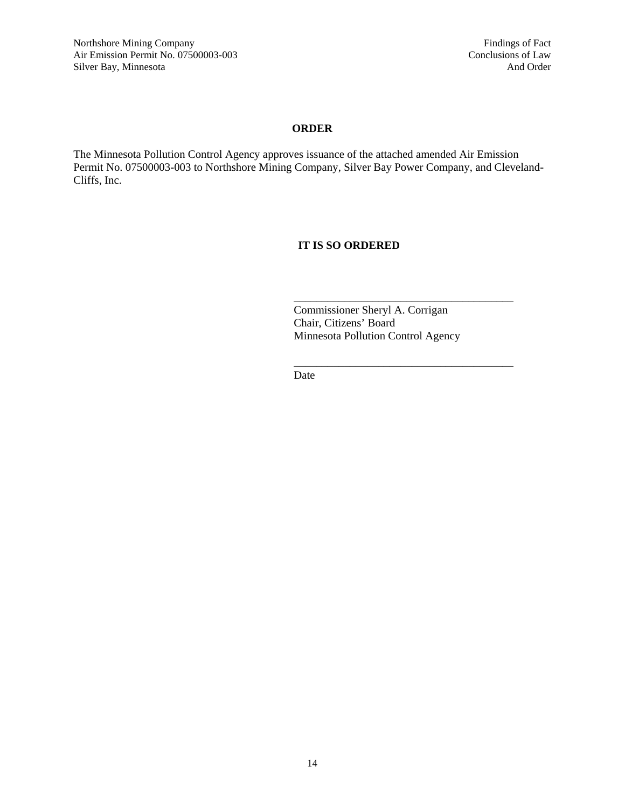# **ORDER**

The Minnesota Pollution Control Agency approves issuance of the attached amended Air Emission Permit No. 07500003-003 to Northshore Mining Company, Silver Bay Power Company, and Cleveland-Cliffs, Inc.

# **IT IS SO ORDERED**

 Commissioner Sheryl A. Corrigan Chair, Citizens' Board Minnesota Pollution Control Agency

Date

 $\overline{\phantom{a}}$  , and the contract of the contract of the contract of the contract of the contract of the contract of the contract of the contract of the contract of the contract of the contract of the contract of the contrac

 $\overline{\phantom{a}}$  , and the contract of the contract of the contract of the contract of the contract of the contract of the contract of the contract of the contract of the contract of the contract of the contract of the contrac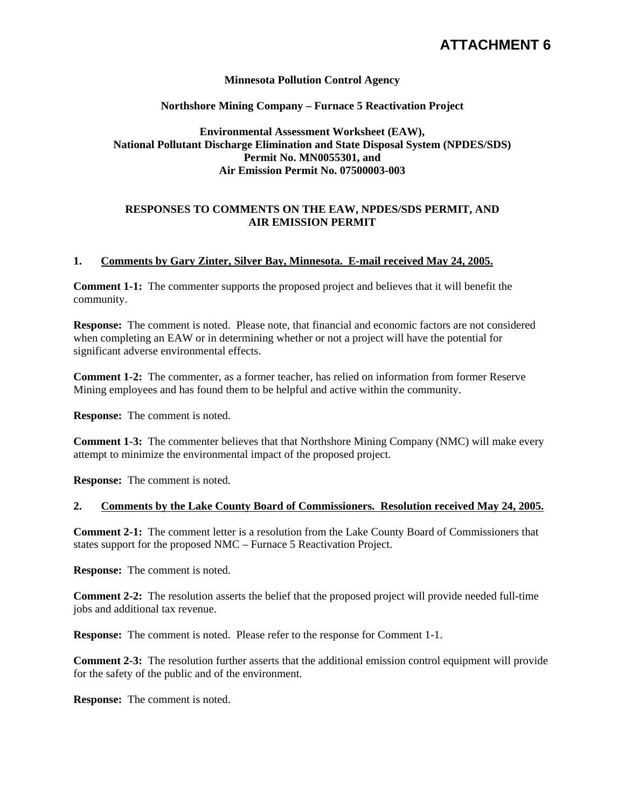# **ATTACHMENT 6**

#### **Minnesota Pollution Control Agency**

#### **Northshore Mining Company – Furnace 5 Reactivation Project**

# **Environmental Assessment Worksheet (EAW), National Pollutant Discharge Elimination and State Disposal System (NPDES/SDS) Permit No. MN0055301, and Air Emission Permit No. 07500003-003**

#### **RESPONSES TO COMMENTS ON THE EAW, NPDES/SDS PERMIT, AND AIR EMISSION PERMIT**

#### **1. Comments by Gary Zinter, Silver Bay, Minnesota. E-mail received May 24, 2005.**

**Comment 1-1:** The commenter supports the proposed project and believes that it will benefit the community.

**Response:** The comment is noted. Please note, that financial and economic factors are not considered when completing an EAW or in determining whether or not a project will have the potential for significant adverse environmental effects.

**Comment 1-2:** The commenter, as a former teacher, has relied on information from former Reserve Mining employees and has found them to be helpful and active within the community.

**Response:** The comment is noted.

**Comment 1-3:** The commenter believes that that Northshore Mining Company (NMC) will make every attempt to minimize the environmental impact of the proposed project.

**Response:** The comment is noted.

#### **2. Comments by the Lake County Board of Commissioners. Resolution received May 24, 2005.**

**Comment 2-1:** The comment letter is a resolution from the Lake County Board of Commissioners that states support for the proposed NMC – Furnace 5 Reactivation Project.

**Response:** The comment is noted.

**Comment 2-2:** The resolution asserts the belief that the proposed project will provide needed full-time jobs and additional tax revenue.

**Response:** The comment is noted. Please refer to the response for Comment 1-1.

**Comment 2-3:** The resolution further asserts that the additional emission control equipment will provide for the safety of the public and of the environment.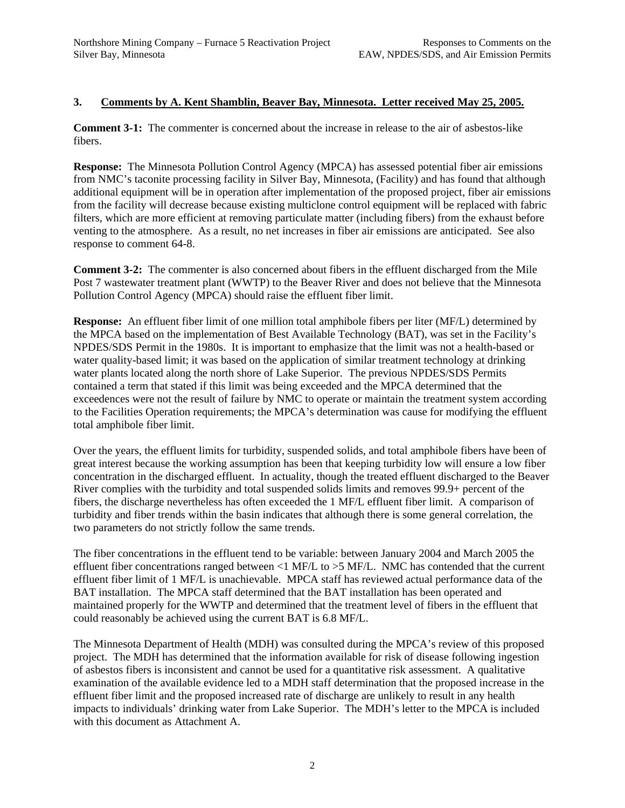# **3. Comments by A. Kent Shamblin, Beaver Bay, Minnesota. Letter received May 25, 2005.**

**Comment 3-1:** The commenter is concerned about the increase in release to the air of asbestos-like fibers.

**Response:** The Minnesota Pollution Control Agency (MPCA) has assessed potential fiber air emissions from NMC's taconite processing facility in Silver Bay, Minnesota, (Facility) and has found that although additional equipment will be in operation after implementation of the proposed project, fiber air emissions from the facility will decrease because existing multiclone control equipment will be replaced with fabric filters, which are more efficient at removing particulate matter (including fibers) from the exhaust before venting to the atmosphere. As a result, no net increases in fiber air emissions are anticipated. See also response to comment 64-8.

**Comment 3-2:** The commenter is also concerned about fibers in the effluent discharged from the Mile Post 7 wastewater treatment plant (WWTP) to the Beaver River and does not believe that the Minnesota Pollution Control Agency (MPCA) should raise the effluent fiber limit.

**Response:** An effluent fiber limit of one million total amphibole fibers per liter (MF/L) determined by the MPCA based on the implementation of Best Available Technology (BAT), was set in the Facility's NPDES/SDS Permit in the 1980s. It is important to emphasize that the limit was not a health-based or water quality-based limit; it was based on the application of similar treatment technology at drinking water plants located along the north shore of Lake Superior. The previous NPDES/SDS Permits contained a term that stated if this limit was being exceeded and the MPCA determined that the exceedences were not the result of failure by NMC to operate or maintain the treatment system according to the Facilities Operation requirements; the MPCA's determination was cause for modifying the effluent total amphibole fiber limit.

Over the years, the effluent limits for turbidity, suspended solids, and total amphibole fibers have been of great interest because the working assumption has been that keeping turbidity low will ensure a low fiber concentration in the discharged effluent. In actuality, though the treated effluent discharged to the Beaver River complies with the turbidity and total suspended solids limits and removes 99.9+ percent of the fibers, the discharge nevertheless has often exceeded the 1 MF/L effluent fiber limit. A comparison of turbidity and fiber trends within the basin indicates that although there is some general correlation, the two parameters do not strictly follow the same trends.

The fiber concentrations in the effluent tend to be variable: between January 2004 and March 2005 the effluent fiber concentrations ranged between <1 MF/L to >5 MF/L. NMC has contended that the current effluent fiber limit of 1 MF/L is unachievable. MPCA staff has reviewed actual performance data of the BAT installation. The MPCA staff determined that the BAT installation has been operated and maintained properly for the WWTP and determined that the treatment level of fibers in the effluent that could reasonably be achieved using the current BAT is 6.8 MF/L.

The Minnesota Department of Health (MDH) was consulted during the MPCA's review of this proposed project. The MDH has determined that the information available for risk of disease following ingestion of asbestos fibers is inconsistent and cannot be used for a quantitative risk assessment. A qualitative examination of the available evidence led to a MDH staff determination that the proposed increase in the effluent fiber limit and the proposed increased rate of discharge are unlikely to result in any health impacts to individuals' drinking water from Lake Superior. The MDH's letter to the MPCA is included with this document as Attachment A.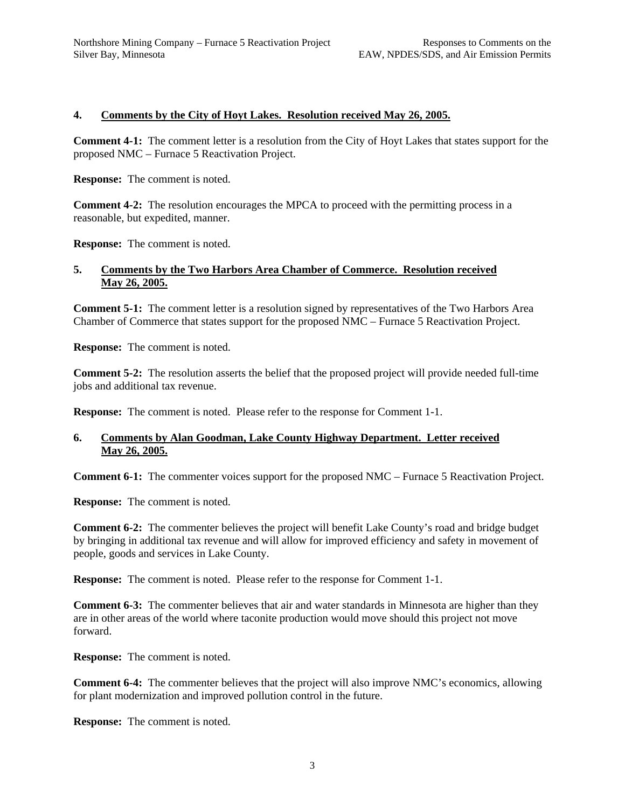# **4. Comments by the City of Hoyt Lakes. Resolution received May 26, 2005.**

**Comment 4-1:** The comment letter is a resolution from the City of Hoyt Lakes that states support for the proposed NMC – Furnace 5 Reactivation Project.

**Response:** The comment is noted.

**Comment 4-2:** The resolution encourages the MPCA to proceed with the permitting process in a reasonable, but expedited, manner.

**Response:** The comment is noted.

#### **5. Comments by the Two Harbors Area Chamber of Commerce. Resolution received May 26, 2005.**

**Comment 5-1:** The comment letter is a resolution signed by representatives of the Two Harbors Area Chamber of Commerce that states support for the proposed NMC – Furnace 5 Reactivation Project.

**Response:** The comment is noted.

**Comment 5-2:** The resolution asserts the belief that the proposed project will provide needed full-time jobs and additional tax revenue.

**Response:** The comment is noted. Please refer to the response for Comment 1-1.

# **6. Comments by Alan Goodman, Lake County Highway Department. Letter received May 26, 2005.**

**Comment 6-1:** The commenter voices support for the proposed NMC – Furnace 5 Reactivation Project.

**Response:** The comment is noted.

**Comment 6-2:** The commenter believes the project will benefit Lake County's road and bridge budget by bringing in additional tax revenue and will allow for improved efficiency and safety in movement of people, goods and services in Lake County.

**Response:** The comment is noted. Please refer to the response for Comment 1-1.

**Comment 6-3:** The commenter believes that air and water standards in Minnesota are higher than they are in other areas of the world where taconite production would move should this project not move forward.

**Response:** The comment is noted.

**Comment 6-4:** The commenter believes that the project will also improve NMC's economics, allowing for plant modernization and improved pollution control in the future.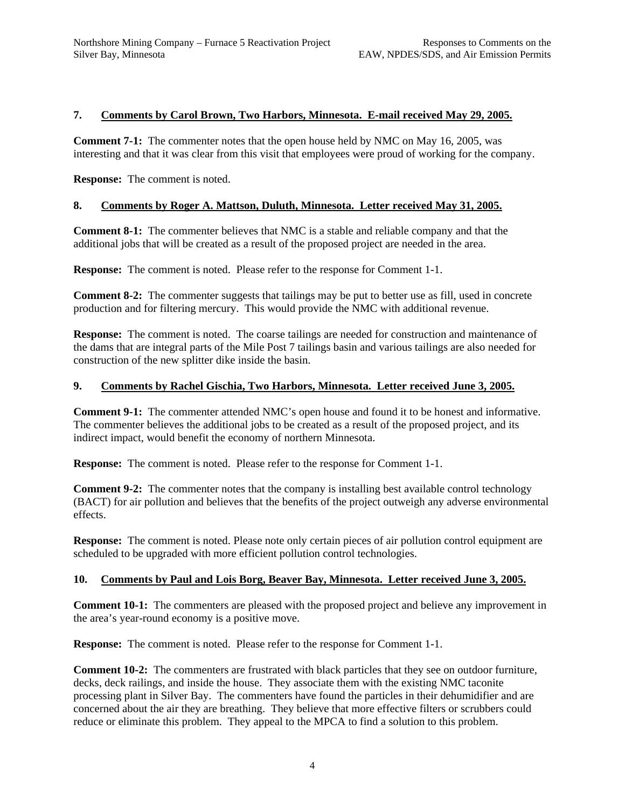# **7. Comments by Carol Brown, Two Harbors, Minnesota. E-mail received May 29, 2005.**

**Comment 7-1:** The commenter notes that the open house held by NMC on May 16, 2005, was interesting and that it was clear from this visit that employees were proud of working for the company.

**Response:** The comment is noted.

# **8. Comments by Roger A. Mattson, Duluth, Minnesota. Letter received May 31, 2005.**

**Comment 8-1:** The commenter believes that NMC is a stable and reliable company and that the additional jobs that will be created as a result of the proposed project are needed in the area.

**Response:** The comment is noted. Please refer to the response for Comment 1-1.

**Comment 8-2:** The commenter suggests that tailings may be put to better use as fill, used in concrete production and for filtering mercury. This would provide the NMC with additional revenue.

**Response:** The comment is noted. The coarse tailings are needed for construction and maintenance of the dams that are integral parts of the Mile Post 7 tailings basin and various tailings are also needed for construction of the new splitter dike inside the basin.

#### **9. Comments by Rachel Gischia, Two Harbors, Minnesota. Letter received June 3, 2005.**

**Comment 9-1:** The commenter attended NMC's open house and found it to be honest and informative. The commenter believes the additional jobs to be created as a result of the proposed project, and its indirect impact, would benefit the economy of northern Minnesota.

**Response:** The comment is noted. Please refer to the response for Comment 1-1.

**Comment 9-2:** The commenter notes that the company is installing best available control technology (BACT) for air pollution and believes that the benefits of the project outweigh any adverse environmental effects.

**Response:** The comment is noted. Please note only certain pieces of air pollution control equipment are scheduled to be upgraded with more efficient pollution control technologies.

#### **10. Comments by Paul and Lois Borg, Beaver Bay, Minnesota. Letter received June 3, 2005.**

**Comment 10-1:** The commenters are pleased with the proposed project and believe any improvement in the area's year-round economy is a positive move.

**Response:** The comment is noted. Please refer to the response for Comment 1-1.

**Comment 10-2:** The commenters are frustrated with black particles that they see on outdoor furniture, decks, deck railings, and inside the house. They associate them with the existing NMC taconite processing plant in Silver Bay. The commenters have found the particles in their dehumidifier and are concerned about the air they are breathing. They believe that more effective filters or scrubbers could reduce or eliminate this problem. They appeal to the MPCA to find a solution to this problem.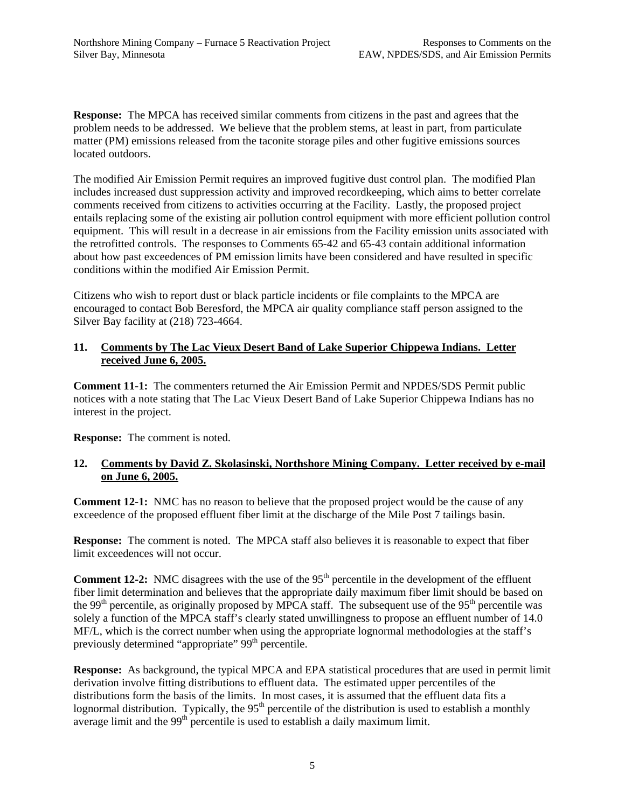**Response:** The MPCA has received similar comments from citizens in the past and agrees that the problem needs to be addressed. We believe that the problem stems, at least in part, from particulate matter (PM) emissions released from the taconite storage piles and other fugitive emissions sources located outdoors.

The modified Air Emission Permit requires an improved fugitive dust control plan. The modified Plan includes increased dust suppression activity and improved recordkeeping, which aims to better correlate comments received from citizens to activities occurring at the Facility. Lastly, the proposed project entails replacing some of the existing air pollution control equipment with more efficient pollution control equipment. This will result in a decrease in air emissions from the Facility emission units associated with the retrofitted controls. The responses to Comments 65-42 and 65-43 contain additional information about how past exceedences of PM emission limits have been considered and have resulted in specific conditions within the modified Air Emission Permit.

Citizens who wish to report dust or black particle incidents or file complaints to the MPCA are encouraged to contact Bob Beresford, the MPCA air quality compliance staff person assigned to the Silver Bay facility at (218) 723-4664.

# **11. Comments by The Lac Vieux Desert Band of Lake Superior Chippewa Indians. Letter received June 6, 2005.**

**Comment 11-1:** The commenters returned the Air Emission Permit and NPDES/SDS Permit public notices with a note stating that The Lac Vieux Desert Band of Lake Superior Chippewa Indians has no interest in the project.

**Response:** The comment is noted.

# **12. Comments by David Z. Skolasinski, Northshore Mining Company. Letter received by e-mail on June 6, 2005.**

**Comment 12-1:** NMC has no reason to believe that the proposed project would be the cause of any exceedence of the proposed effluent fiber limit at the discharge of the Mile Post 7 tailings basin.

**Response:** The comment is noted. The MPCA staff also believes it is reasonable to expect that fiber limit exceedences will not occur.

**Comment 12-2:** NMC disagrees with the use of the 95<sup>th</sup> percentile in the development of the effluent fiber limit determination and believes that the appropriate daily maximum fiber limit should be based on the 99<sup>th</sup> percentile, as originally proposed by MPCA staff. The subsequent use of the 95<sup>th</sup> percentile was solely a function of the MPCA staff's clearly stated unwillingness to propose an effluent number of 14.0 MF/L, which is the correct number when using the appropriate lognormal methodologies at the staff's previously determined "appropriate" 99<sup>th</sup> percentile.

**Response:** As background, the typical MPCA and EPA statistical procedures that are used in permit limit derivation involve fitting distributions to effluent data. The estimated upper percentiles of the distributions form the basis of the limits. In most cases, it is assumed that the effluent data fits a lognormal distribution. Typically, the  $95<sup>th</sup>$  percentile of the distribution is used to establish a monthly average limit and the  $99<sup>th</sup>$  percentile is used to establish a daily maximum limit.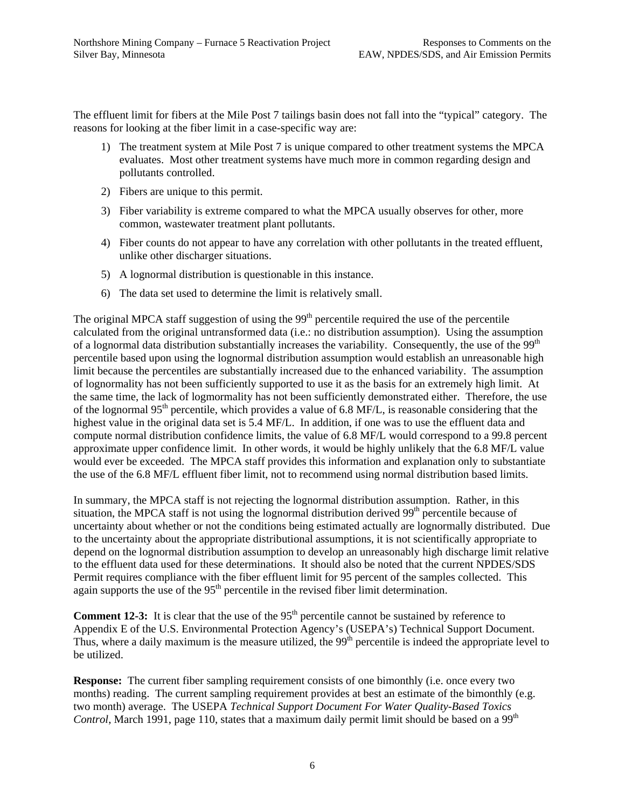The effluent limit for fibers at the Mile Post 7 tailings basin does not fall into the "typical" category. The reasons for looking at the fiber limit in a case-specific way are:

- 1) The treatment system at Mile Post 7 is unique compared to other treatment systems the MPCA evaluates. Most other treatment systems have much more in common regarding design and pollutants controlled.
- 2) Fibers are unique to this permit.
- 3) Fiber variability is extreme compared to what the MPCA usually observes for other, more common, wastewater treatment plant pollutants.
- 4) Fiber counts do not appear to have any correlation with other pollutants in the treated effluent, unlike other discharger situations.
- 5) A lognormal distribution is questionable in this instance.
- 6) The data set used to determine the limit is relatively small.

The original MPCA staff suggestion of using the  $99<sup>th</sup>$  percentile required the use of the percentile calculated from the original untransformed data (i.e.: no distribution assumption). Using the assumption of a lognormal data distribution substantially increases the variability. Consequently, the use of the 99<sup>th</sup> percentile based upon using the lognormal distribution assumption would establish an unreasonable high limit because the percentiles are substantially increased due to the enhanced variability. The assumption of lognormality has not been sufficiently supported to use it as the basis for an extremely high limit. At the same time, the lack of logmormality has not been sufficiently demonstrated either. Therefore, the use of the lognormal 95<sup>th</sup> percentile, which provides a value of 6.8 MF/L, is reasonable considering that the highest value in the original data set is 5.4 MF/L. In addition, if one was to use the effluent data and compute normal distribution confidence limits, the value of 6.8 MF/L would correspond to a 99.8 percent approximate upper confidence limit. In other words, it would be highly unlikely that the 6.8 MF/L value would ever be exceeded. The MPCA staff provides this information and explanation only to substantiate the use of the 6.8 MF/L effluent fiber limit, not to recommend using normal distribution based limits.

In summary, the MPCA staff is not rejecting the lognormal distribution assumption. Rather, in this situation, the MPCA staff is not using the lognormal distribution derived 99<sup>th</sup> percentile because of uncertainty about whether or not the conditions being estimated actually are lognormally distributed. Due to the uncertainty about the appropriate distributional assumptions, it is not scientifically appropriate to depend on the lognormal distribution assumption to develop an unreasonably high discharge limit relative to the effluent data used for these determinations. It should also be noted that the current NPDES/SDS Permit requires compliance with the fiber effluent limit for 95 percent of the samples collected. This again supports the use of the  $95<sup>th</sup>$  percentile in the revised fiber limit determination.

**Comment 12-3:** It is clear that the use of the 95<sup>th</sup> percentile cannot be sustained by reference to Appendix E of the U.S. Environmental Protection Agency's (USEPA's) Technical Support Document. Thus, where a daily maximum is the measure utilized, the  $99<sup>th</sup>$  percentile is indeed the appropriate level to be utilized.

**Response:** The current fiber sampling requirement consists of one bimonthly (i.e. once every two months) reading. The current sampling requirement provides at best an estimate of the bimonthly (e.g. two month) average. The USEPA *Technical Support Document For Water Quality-Based Toxics Control*, March 1991, page 110, states that a maximum daily permit limit should be based on a 99<sup>th</sup>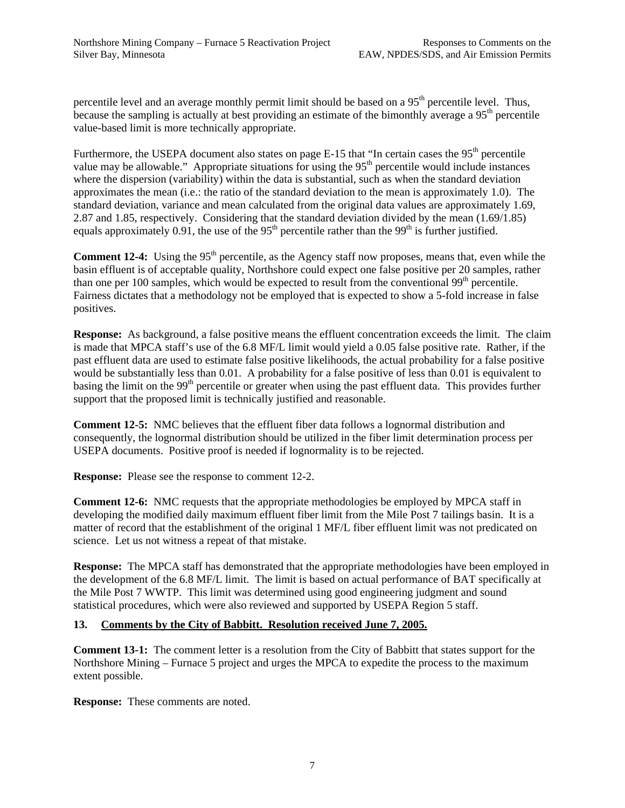percentile level and an average monthly permit limit should be based on a 95<sup>th</sup> percentile level. Thus, because the sampling is actually at best providing an estimate of the bimonthly average a 95<sup>th</sup> percentile value-based limit is more technically appropriate.

Furthermore, the USEPA document also states on page  $E-15$  that "In certain cases the  $95<sup>th</sup>$  percentile value may be allowable." Appropriate situations for using the 95<sup>th</sup> percentile would include instances where the dispersion (variability) within the data is substantial, such as when the standard deviation approximates the mean (i.e.: the ratio of the standard deviation to the mean is approximately 1.0). The standard deviation, variance and mean calculated from the original data values are approximately 1.69, 2.87 and 1.85, respectively. Considering that the standard deviation divided by the mean (1.69/1.85) equals approximately 0.91, the use of the  $95<sup>th</sup>$  percentile rather than the  $99<sup>th</sup>$  is further justified.

**Comment 12-4:** Using the 95<sup>th</sup> percentile, as the Agency staff now proposes, means that, even while the basin effluent is of acceptable quality, Northshore could expect one false positive per 20 samples, rather than one per 100 samples, which would be expected to result from the conventional  $99<sup>th</sup>$  percentile. Fairness dictates that a methodology not be employed that is expected to show a 5-fold increase in false positives.

**Response:** As background, a false positive means the effluent concentration exceeds the limit. The claim is made that MPCA staff's use of the 6.8 MF/L limit would yield a 0.05 false positive rate. Rather, if the past effluent data are used to estimate false positive likelihoods, the actual probability for a false positive would be substantially less than 0.01. A probability for a false positive of less than 0.01 is equivalent to basing the limit on the 99<sup>th</sup> percentile or greater when using the past effluent data. This provides further support that the proposed limit is technically justified and reasonable.

**Comment 12-5:** NMC believes that the effluent fiber data follows a lognormal distribution and consequently, the lognormal distribution should be utilized in the fiber limit determination process per USEPA documents. Positive proof is needed if lognormality is to be rejected.

**Response:** Please see the response to comment 12-2.

**Comment 12-6:** NMC requests that the appropriate methodologies be employed by MPCA staff in developing the modified daily maximum effluent fiber limit from the Mile Post 7 tailings basin. It is a matter of record that the establishment of the original 1 MF/L fiber effluent limit was not predicated on science. Let us not witness a repeat of that mistake.

**Response:** The MPCA staff has demonstrated that the appropriate methodologies have been employed in the development of the 6.8 MF/L limit. The limit is based on actual performance of BAT specifically at the Mile Post 7 WWTP. This limit was determined using good engineering judgment and sound statistical procedures, which were also reviewed and supported by USEPA Region 5 staff.

# **13. Comments by the City of Babbitt. Resolution received June 7, 2005.**

**Comment 13-1:** The comment letter is a resolution from the City of Babbitt that states support for the Northshore Mining – Furnace 5 project and urges the MPCA to expedite the process to the maximum extent possible.

**Response:** These comments are noted.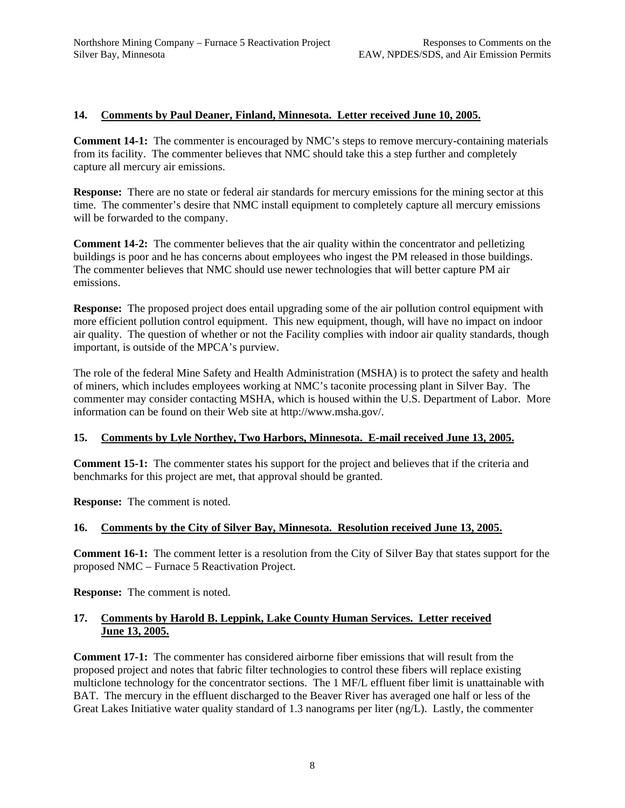# **14. Comments by Paul Deaner, Finland, Minnesota. Letter received June 10, 2005.**

**Comment 14-1:** The commenter is encouraged by NMC's steps to remove mercury-containing materials from its facility. The commenter believes that NMC should take this a step further and completely capture all mercury air emissions.

**Response:** There are no state or federal air standards for mercury emissions for the mining sector at this time. The commenter's desire that NMC install equipment to completely capture all mercury emissions will be forwarded to the company.

**Comment 14-2:** The commenter believes that the air quality within the concentrator and pelletizing buildings is poor and he has concerns about employees who ingest the PM released in those buildings. The commenter believes that NMC should use newer technologies that will better capture PM air emissions.

**Response:** The proposed project does entail upgrading some of the air pollution control equipment with more efficient pollution control equipment. This new equipment, though, will have no impact on indoor air quality. The question of whether or not the Facility complies with indoor air quality standards, though important, is outside of the MPCA's purview.

The role of the federal Mine Safety and Health Administration (MSHA) is to protect the safety and health of miners, which includes employees working at NMC's taconite processing plant in Silver Bay. The commenter may consider contacting MSHA, which is housed within the U.S. Department of Labor. More information can be found on their Web site at http://www.msha.gov/.

# **15. Comments by Lyle Northey, Two Harbors, Minnesota. E-mail received June 13, 2005.**

**Comment 15-1:** The commenter states his support for the project and believes that if the criteria and benchmarks for this project are met, that approval should be granted.

**Response:** The comment is noted.

# **16. Comments by the City of Silver Bay, Minnesota. Resolution received June 13, 2005.**

**Comment 16-1:** The comment letter is a resolution from the City of Silver Bay that states support for the proposed NMC – Furnace 5 Reactivation Project.

**Response:** The comment is noted.

# **17. Comments by Harold B. Leppink, Lake County Human Services. Letter received June 13, 2005.**

**Comment 17-1:** The commenter has considered airborne fiber emissions that will result from the proposed project and notes that fabric filter technologies to control these fibers will replace existing multiclone technology for the concentrator sections. The 1 MF/L effluent fiber limit is unattainable with BAT. The mercury in the effluent discharged to the Beaver River has averaged one half or less of the Great Lakes Initiative water quality standard of 1.3 nanograms per liter (ng/L). Lastly, the commenter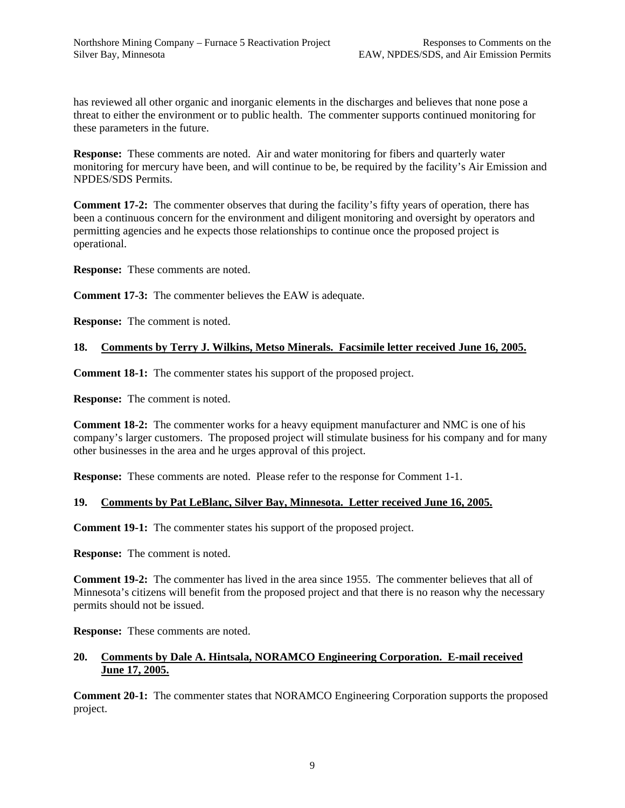has reviewed all other organic and inorganic elements in the discharges and believes that none pose a threat to either the environment or to public health. The commenter supports continued monitoring for these parameters in the future.

**Response:** These comments are noted. Air and water monitoring for fibers and quarterly water monitoring for mercury have been, and will continue to be, be required by the facility's Air Emission and NPDES/SDS Permits.

**Comment 17-2:** The commenter observes that during the facility's fifty years of operation, there has been a continuous concern for the environment and diligent monitoring and oversight by operators and permitting agencies and he expects those relationships to continue once the proposed project is operational.

**Response:** These comments are noted.

**Comment 17-3:** The commenter believes the EAW is adequate.

**Response:** The comment is noted.

# **18. Comments by Terry J. Wilkins, Metso Minerals. Facsimile letter received June 16, 2005.**

**Comment 18-1:** The commenter states his support of the proposed project.

**Response:** The comment is noted.

**Comment 18-2:** The commenter works for a heavy equipment manufacturer and NMC is one of his company's larger customers. The proposed project will stimulate business for his company and for many other businesses in the area and he urges approval of this project.

**Response:** These comments are noted. Please refer to the response for Comment 1-1.

# **19. Comments by Pat LeBlanc, Silver Bay, Minnesota. Letter received June 16, 2005.**

**Comment 19-1:** The commenter states his support of the proposed project.

**Response:** The comment is noted.

**Comment 19-2:** The commenter has lived in the area since 1955. The commenter believes that all of Minnesota's citizens will benefit from the proposed project and that there is no reason why the necessary permits should not be issued.

**Response:** These comments are noted.

# **20. Comments by Dale A. Hintsala, NORAMCO Engineering Corporation. E-mail received June 17, 2005.**

**Comment 20-1:** The commenter states that NORAMCO Engineering Corporation supports the proposed project.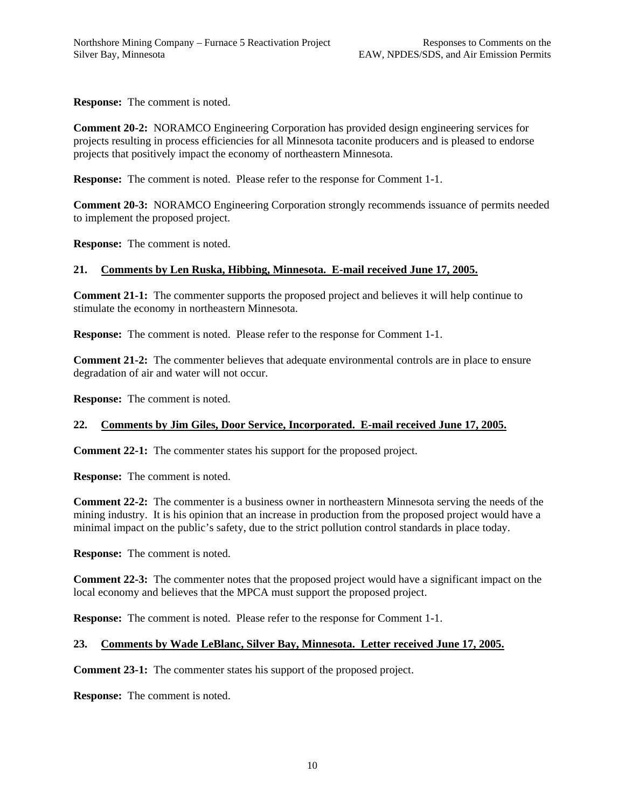**Response:** The comment is noted.

**Comment 20-2:** NORAMCO Engineering Corporation has provided design engineering services for projects resulting in process efficiencies for all Minnesota taconite producers and is pleased to endorse projects that positively impact the economy of northeastern Minnesota.

**Response:** The comment is noted. Please refer to the response for Comment 1-1.

**Comment 20-3:** NORAMCO Engineering Corporation strongly recommends issuance of permits needed to implement the proposed project.

**Response:** The comment is noted.

# **21. Comments by Len Ruska, Hibbing, Minnesota. E-mail received June 17, 2005.**

**Comment 21-1:** The commenter supports the proposed project and believes it will help continue to stimulate the economy in northeastern Minnesota.

**Response:** The comment is noted. Please refer to the response for Comment 1-1.

**Comment 21-2:** The commenter believes that adequate environmental controls are in place to ensure degradation of air and water will not occur.

**Response:** The comment is noted.

# **22. Comments by Jim Giles, Door Service, Incorporated. E-mail received June 17, 2005.**

**Comment 22-1:** The commenter states his support for the proposed project.

**Response:** The comment is noted.

**Comment 22-2:** The commenter is a business owner in northeastern Minnesota serving the needs of the mining industry. It is his opinion that an increase in production from the proposed project would have a minimal impact on the public's safety, due to the strict pollution control standards in place today.

**Response:** The comment is noted.

**Comment 22-3:** The commenter notes that the proposed project would have a significant impact on the local economy and believes that the MPCA must support the proposed project.

**Response:** The comment is noted. Please refer to the response for Comment 1-1.

# **23. Comments by Wade LeBlanc, Silver Bay, Minnesota. Letter received June 17, 2005.**

**Comment 23-1:** The commenter states his support of the proposed project.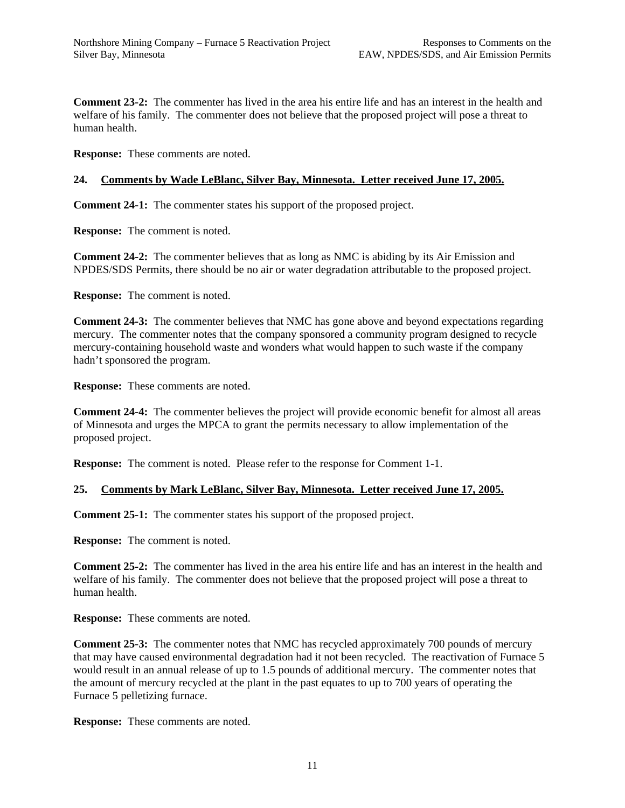**Comment 23-2:** The commenter has lived in the area his entire life and has an interest in the health and welfare of his family. The commenter does not believe that the proposed project will pose a threat to human health.

**Response:** These comments are noted.

# **24. Comments by Wade LeBlanc, Silver Bay, Minnesota. Letter received June 17, 2005.**

**Comment 24-1:** The commenter states his support of the proposed project.

**Response:** The comment is noted.

**Comment 24-2:** The commenter believes that as long as NMC is abiding by its Air Emission and NPDES/SDS Permits, there should be no air or water degradation attributable to the proposed project.

**Response:** The comment is noted.

**Comment 24-3:** The commenter believes that NMC has gone above and beyond expectations regarding mercury. The commenter notes that the company sponsored a community program designed to recycle mercury-containing household waste and wonders what would happen to such waste if the company hadn't sponsored the program.

**Response:** These comments are noted.

**Comment 24-4:** The commenter believes the project will provide economic benefit for almost all areas of Minnesota and urges the MPCA to grant the permits necessary to allow implementation of the proposed project.

**Response:** The comment is noted. Please refer to the response for Comment 1-1.

# **25. Comments by Mark LeBlanc, Silver Bay, Minnesota. Letter received June 17, 2005.**

**Comment 25-1:** The commenter states his support of the proposed project.

**Response:** The comment is noted.

**Comment 25-2:** The commenter has lived in the area his entire life and has an interest in the health and welfare of his family. The commenter does not believe that the proposed project will pose a threat to human health.

**Response:** These comments are noted.

**Comment 25-3:** The commenter notes that NMC has recycled approximately 700 pounds of mercury that may have caused environmental degradation had it not been recycled. The reactivation of Furnace 5 would result in an annual release of up to 1.5 pounds of additional mercury. The commenter notes that the amount of mercury recycled at the plant in the past equates to up to 700 years of operating the Furnace 5 pelletizing furnace.

**Response:** These comments are noted.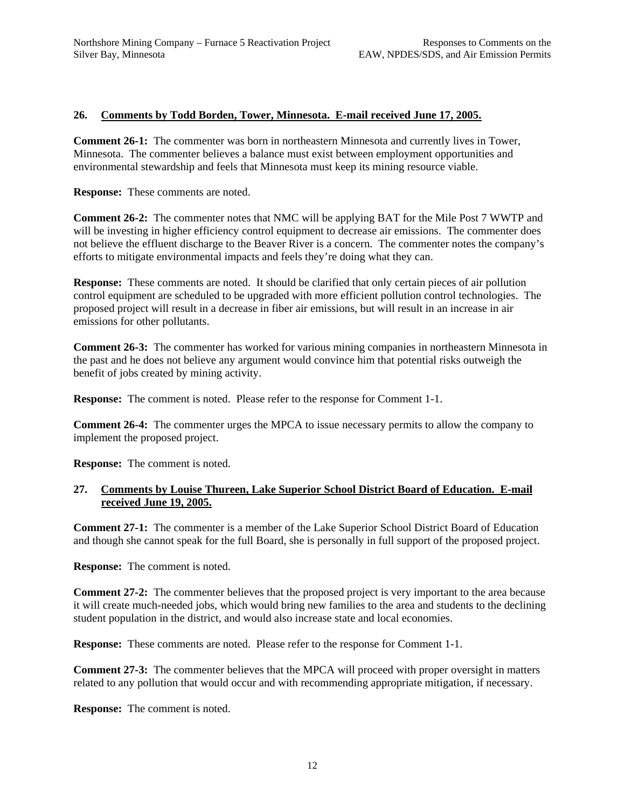# **26. Comments by Todd Borden, Tower, Minnesota. E-mail received June 17, 2005.**

**Comment 26-1:** The commenter was born in northeastern Minnesota and currently lives in Tower, Minnesota. The commenter believes a balance must exist between employment opportunities and environmental stewardship and feels that Minnesota must keep its mining resource viable.

**Response:** These comments are noted.

**Comment 26-2:** The commenter notes that NMC will be applying BAT for the Mile Post 7 WWTP and will be investing in higher efficiency control equipment to decrease air emissions. The commenter does not believe the effluent discharge to the Beaver River is a concern. The commenter notes the company's efforts to mitigate environmental impacts and feels they're doing what they can.

**Response:** These comments are noted. It should be clarified that only certain pieces of air pollution control equipment are scheduled to be upgraded with more efficient pollution control technologies. The proposed project will result in a decrease in fiber air emissions, but will result in an increase in air emissions for other pollutants.

**Comment 26-3:** The commenter has worked for various mining companies in northeastern Minnesota in the past and he does not believe any argument would convince him that potential risks outweigh the benefit of jobs created by mining activity.

**Response:** The comment is noted. Please refer to the response for Comment 1-1.

**Comment 26-4:** The commenter urges the MPCA to issue necessary permits to allow the company to implement the proposed project.

**Response:** The comment is noted.

# **27. Comments by Louise Thureen, Lake Superior School District Board of Education. E-mail received June 19, 2005.**

**Comment 27-1:** The commenter is a member of the Lake Superior School District Board of Education and though she cannot speak for the full Board, she is personally in full support of the proposed project.

**Response:** The comment is noted.

**Comment 27-2:** The commenter believes that the proposed project is very important to the area because it will create much-needed jobs, which would bring new families to the area and students to the declining student population in the district, and would also increase state and local economies.

**Response:** These comments are noted. Please refer to the response for Comment 1-1.

**Comment 27-3:** The commenter believes that the MPCA will proceed with proper oversight in matters related to any pollution that would occur and with recommending appropriate mitigation, if necessary.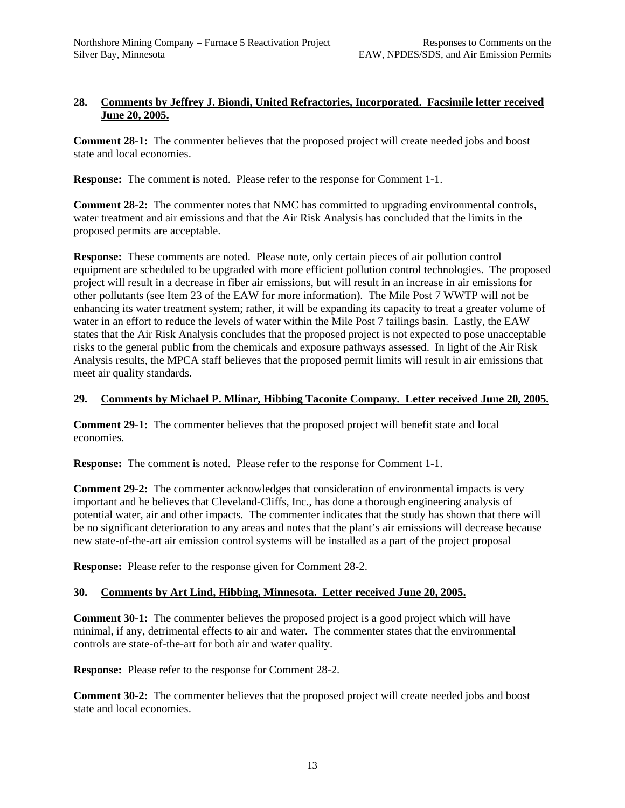# **28. Comments by Jeffrey J. Biondi, United Refractories, Incorporated. Facsimile letter received June 20, 2005.**

**Comment 28-1:** The commenter believes that the proposed project will create needed jobs and boost state and local economies.

**Response:** The comment is noted. Please refer to the response for Comment 1-1.

**Comment 28-2:** The commenter notes that NMC has committed to upgrading environmental controls, water treatment and air emissions and that the Air Risk Analysis has concluded that the limits in the proposed permits are acceptable.

**Response:** These comments are noted. Please note, only certain pieces of air pollution control equipment are scheduled to be upgraded with more efficient pollution control technologies. The proposed project will result in a decrease in fiber air emissions, but will result in an increase in air emissions for other pollutants (see Item 23 of the EAW for more information). The Mile Post 7 WWTP will not be enhancing its water treatment system; rather, it will be expanding its capacity to treat a greater volume of water in an effort to reduce the levels of water within the Mile Post 7 tailings basin. Lastly, the EAW states that the Air Risk Analysis concludes that the proposed project is not expected to pose unacceptable risks to the general public from the chemicals and exposure pathways assessed. In light of the Air Risk Analysis results, the MPCA staff believes that the proposed permit limits will result in air emissions that meet air quality standards.

# **29. Comments by Michael P. Mlinar, Hibbing Taconite Company. Letter received June 20, 2005.**

**Comment 29-1:** The commenter believes that the proposed project will benefit state and local economies.

**Response:** The comment is noted. Please refer to the response for Comment 1-1.

**Comment 29-2:** The commenter acknowledges that consideration of environmental impacts is very important and he believes that Cleveland-Cliffs, Inc., has done a thorough engineering analysis of potential water, air and other impacts. The commenter indicates that the study has shown that there will be no significant deterioration to any areas and notes that the plant's air emissions will decrease because new state-of-the-art air emission control systems will be installed as a part of the project proposal

**Response:** Please refer to the response given for Comment 28-2.

# **30. Comments by Art Lind, Hibbing, Minnesota. Letter received June 20, 2005.**

**Comment 30-1:** The commenter believes the proposed project is a good project which will have minimal, if any, detrimental effects to air and water. The commenter states that the environmental controls are state-of-the-art for both air and water quality.

**Response:** Please refer to the response for Comment 28-2.

**Comment 30-2:** The commenter believes that the proposed project will create needed jobs and boost state and local economies.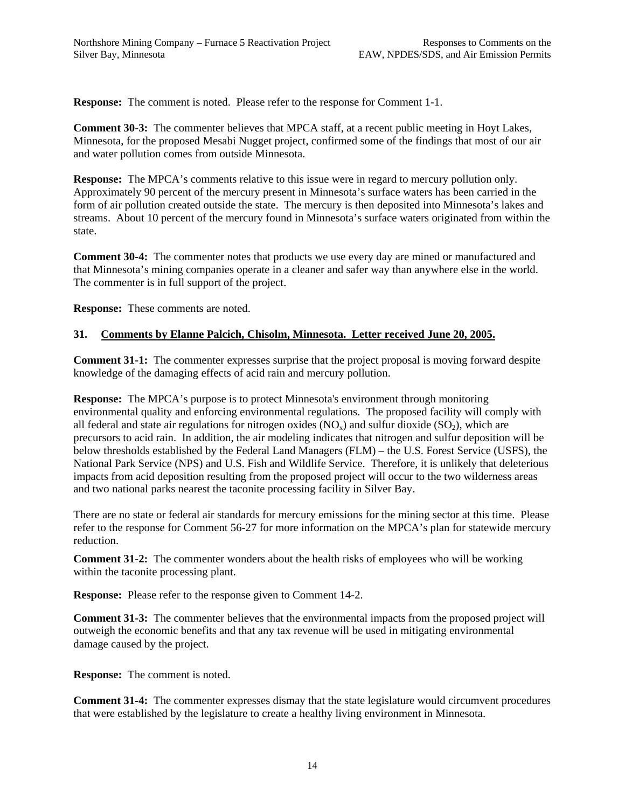**Response:** The comment is noted. Please refer to the response for Comment 1-1.

**Comment 30-3:** The commenter believes that MPCA staff, at a recent public meeting in Hoyt Lakes, Minnesota, for the proposed Mesabi Nugget project, confirmed some of the findings that most of our air and water pollution comes from outside Minnesota.

**Response:** The MPCA's comments relative to this issue were in regard to mercury pollution only. Approximately 90 percent of the mercury present in Minnesota's surface waters has been carried in the form of air pollution created outside the state. The mercury is then deposited into Minnesota's lakes and streams. About 10 percent of the mercury found in Minnesota's surface waters originated from within the state.

**Comment 30-4:** The commenter notes that products we use every day are mined or manufactured and that Minnesota's mining companies operate in a cleaner and safer way than anywhere else in the world. The commenter is in full support of the project.

**Response:** These comments are noted.

# **31. Comments by Elanne Palcich, Chisolm, Minnesota. Letter received June 20, 2005.**

**Comment 31-1:** The commenter expresses surprise that the project proposal is moving forward despite knowledge of the damaging effects of acid rain and mercury pollution.

**Response:** The MPCA's purpose is to protect Minnesota's environment through monitoring environmental quality and enforcing environmental regulations. The proposed facility will comply with all federal and state air regulations for nitrogen oxides ( $NO<sub>x</sub>$ ) and sulfur dioxide ( $SO<sub>2</sub>$ ), which are precursors to acid rain. In addition, the air modeling indicates that nitrogen and sulfur deposition will be below thresholds established by the Federal Land Managers (FLM) – the U.S. Forest Service (USFS), the National Park Service (NPS) and U.S. Fish and Wildlife Service. Therefore, it is unlikely that deleterious impacts from acid deposition resulting from the proposed project will occur to the two wilderness areas and two national parks nearest the taconite processing facility in Silver Bay.

There are no state or federal air standards for mercury emissions for the mining sector at this time. Please refer to the response for Comment 56-27 for more information on the MPCA's plan for statewide mercury reduction.

**Comment 31-2:** The commenter wonders about the health risks of employees who will be working within the taconite processing plant.

**Response:** Please refer to the response given to Comment 14-2.

**Comment 31-3:** The commenter believes that the environmental impacts from the proposed project will outweigh the economic benefits and that any tax revenue will be used in mitigating environmental damage caused by the project.

**Response:** The comment is noted.

**Comment 31-4:** The commenter expresses dismay that the state legislature would circumvent procedures that were established by the legislature to create a healthy living environment in Minnesota.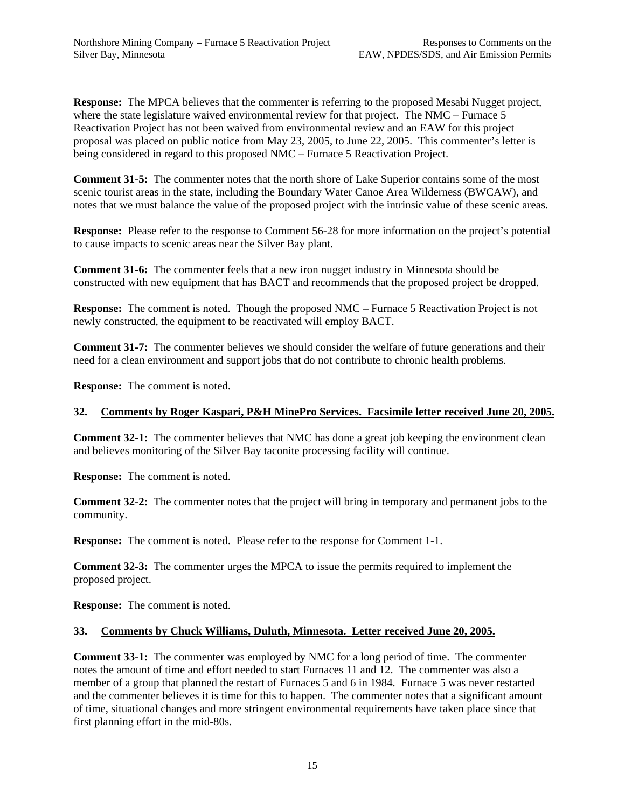**Response:** The MPCA believes that the commenter is referring to the proposed Mesabi Nugget project, where the state legislature waived environmental review for that project. The NMC – Furnace 5 Reactivation Project has not been waived from environmental review and an EAW for this project proposal was placed on public notice from May 23, 2005, to June 22, 2005. This commenter's letter is being considered in regard to this proposed NMC – Furnace 5 Reactivation Project.

**Comment 31-5:** The commenter notes that the north shore of Lake Superior contains some of the most scenic tourist areas in the state, including the Boundary Water Canoe Area Wilderness (BWCAW), and notes that we must balance the value of the proposed project with the intrinsic value of these scenic areas.

**Response:** Please refer to the response to Comment 56-28 for more information on the project's potential to cause impacts to scenic areas near the Silver Bay plant.

**Comment 31-6:** The commenter feels that a new iron nugget industry in Minnesota should be constructed with new equipment that has BACT and recommends that the proposed project be dropped.

**Response:** The comment is noted. Though the proposed NMC – Furnace 5 Reactivation Project is not newly constructed, the equipment to be reactivated will employ BACT.

**Comment 31-7:** The commenter believes we should consider the welfare of future generations and their need for a clean environment and support jobs that do not contribute to chronic health problems.

**Response:** The comment is noted.

# **32. Comments by Roger Kaspari, P&H MinePro Services. Facsimile letter received June 20, 2005.**

**Comment 32-1:** The commenter believes that NMC has done a great job keeping the environment clean and believes monitoring of the Silver Bay taconite processing facility will continue.

**Response:** The comment is noted.

**Comment 32-2:** The commenter notes that the project will bring in temporary and permanent jobs to the community.

**Response:** The comment is noted. Please refer to the response for Comment 1-1.

**Comment 32-3:** The commenter urges the MPCA to issue the permits required to implement the proposed project.

**Response:** The comment is noted.

# **33. Comments by Chuck Williams, Duluth, Minnesota. Letter received June 20, 2005.**

**Comment 33-1:** The commenter was employed by NMC for a long period of time. The commenter notes the amount of time and effort needed to start Furnaces 11 and 12. The commenter was also a member of a group that planned the restart of Furnaces 5 and 6 in 1984. Furnace 5 was never restarted and the commenter believes it is time for this to happen. The commenter notes that a significant amount of time, situational changes and more stringent environmental requirements have taken place since that first planning effort in the mid-80s.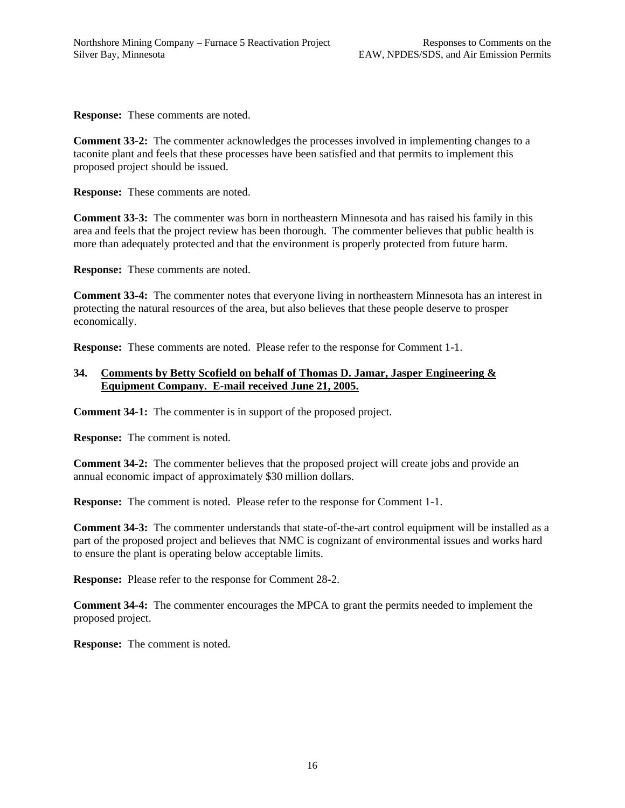**Response:** These comments are noted.

**Comment 33-2:** The commenter acknowledges the processes involved in implementing changes to a taconite plant and feels that these processes have been satisfied and that permits to implement this proposed project should be issued.

**Response:** These comments are noted.

**Comment 33-3:** The commenter was born in northeastern Minnesota and has raised his family in this area and feels that the project review has been thorough. The commenter believes that public health is more than adequately protected and that the environment is properly protected from future harm.

**Response:** These comments are noted.

**Comment 33-4:** The commenter notes that everyone living in northeastern Minnesota has an interest in protecting the natural resources of the area, but also believes that these people deserve to prosper economically.

**Response:** These comments are noted. Please refer to the response for Comment 1-1.

# **34. Comments by Betty Scofield on behalf of Thomas D. Jamar, Jasper Engineering & Equipment Company. E-mail received June 21, 2005.**

**Comment 34-1:** The commenter is in support of the proposed project.

**Response:** The comment is noted.

**Comment 34-2:** The commenter believes that the proposed project will create jobs and provide an annual economic impact of approximately \$30 million dollars.

**Response:** The comment is noted. Please refer to the response for Comment 1-1.

**Comment 34-3:** The commenter understands that state-of-the-art control equipment will be installed as a part of the proposed project and believes that NMC is cognizant of environmental issues and works hard to ensure the plant is operating below acceptable limits.

**Response:** Please refer to the response for Comment 28-2.

**Comment 34-4:** The commenter encourages the MPCA to grant the permits needed to implement the proposed project.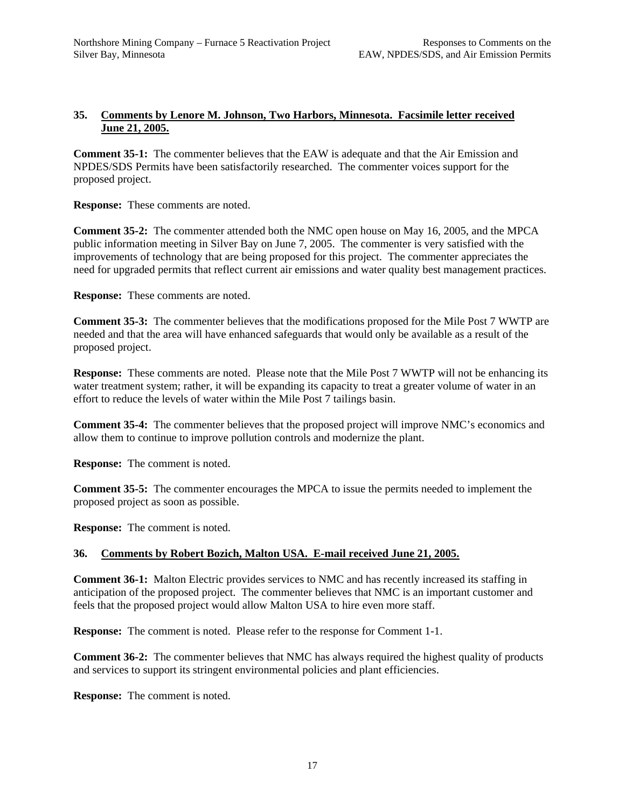# **35. Comments by Lenore M. Johnson, Two Harbors, Minnesota. Facsimile letter received June 21, 2005.**

**Comment 35-1:** The commenter believes that the EAW is adequate and that the Air Emission and NPDES/SDS Permits have been satisfactorily researched. The commenter voices support for the proposed project.

**Response:** These comments are noted.

**Comment 35-2:** The commenter attended both the NMC open house on May 16, 2005, and the MPCA public information meeting in Silver Bay on June 7, 2005. The commenter is very satisfied with the improvements of technology that are being proposed for this project. The commenter appreciates the need for upgraded permits that reflect current air emissions and water quality best management practices.

**Response:** These comments are noted.

**Comment 35-3:** The commenter believes that the modifications proposed for the Mile Post 7 WWTP are needed and that the area will have enhanced safeguards that would only be available as a result of the proposed project.

**Response:** These comments are noted. Please note that the Mile Post 7 WWTP will not be enhancing its water treatment system; rather, it will be expanding its capacity to treat a greater volume of water in an effort to reduce the levels of water within the Mile Post 7 tailings basin.

**Comment 35-4:** The commenter believes that the proposed project will improve NMC's economics and allow them to continue to improve pollution controls and modernize the plant.

**Response:** The comment is noted.

**Comment 35-5:** The commenter encourages the MPCA to issue the permits needed to implement the proposed project as soon as possible.

**Response:** The comment is noted.

# **36. Comments by Robert Bozich, Malton USA. E-mail received June 21, 2005.**

**Comment 36-1:** Malton Electric provides services to NMC and has recently increased its staffing in anticipation of the proposed project. The commenter believes that NMC is an important customer and feels that the proposed project would allow Malton USA to hire even more staff.

**Response:** The comment is noted. Please refer to the response for Comment 1-1.

**Comment 36-2:** The commenter believes that NMC has always required the highest quality of products and services to support its stringent environmental policies and plant efficiencies.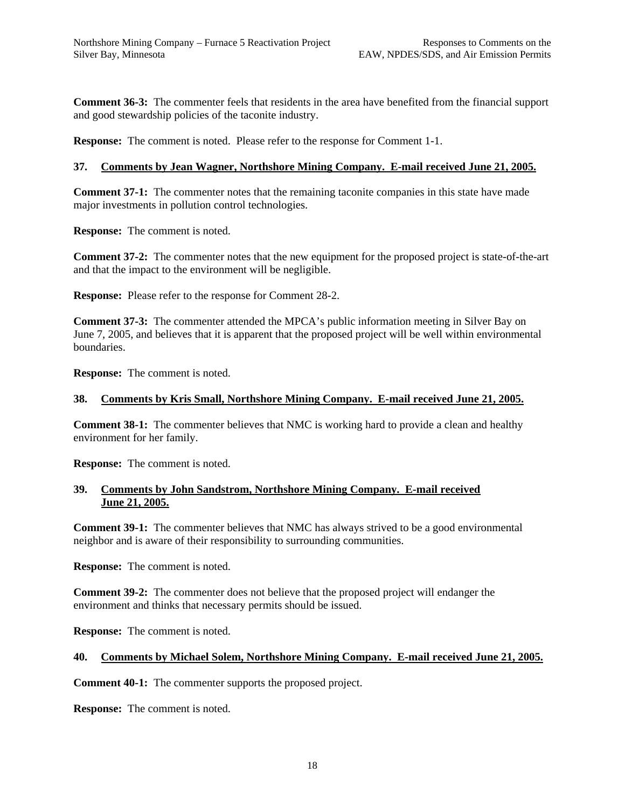**Comment 36-3:** The commenter feels that residents in the area have benefited from the financial support and good stewardship policies of the taconite industry.

**Response:** The comment is noted. Please refer to the response for Comment 1-1.

#### **37. Comments by Jean Wagner, Northshore Mining Company. E-mail received June 21, 2005.**

**Comment 37-1:** The commenter notes that the remaining taconite companies in this state have made major investments in pollution control technologies.

**Response:** The comment is noted.

**Comment 37-2:** The commenter notes that the new equipment for the proposed project is state-of-the-art and that the impact to the environment will be negligible.

**Response:** Please refer to the response for Comment 28-2.

**Comment 37-3:** The commenter attended the MPCA's public information meeting in Silver Bay on June 7, 2005, and believes that it is apparent that the proposed project will be well within environmental boundaries.

**Response:** The comment is noted.

#### **38. Comments by Kris Small, Northshore Mining Company. E-mail received June 21, 2005.**

**Comment 38-1:** The commenter believes that NMC is working hard to provide a clean and healthy environment for her family.

**Response:** The comment is noted.

# **39. Comments by John Sandstrom, Northshore Mining Company. E-mail received June 21, 2005.**

**Comment 39-1:** The commenter believes that NMC has always strived to be a good environmental neighbor and is aware of their responsibility to surrounding communities.

**Response:** The comment is noted.

**Comment 39-2:** The commenter does not believe that the proposed project will endanger the environment and thinks that necessary permits should be issued.

**Response:** The comment is noted.

#### **40. Comments by Michael Solem, Northshore Mining Company. E-mail received June 21, 2005.**

**Comment 40-1:** The commenter supports the proposed project.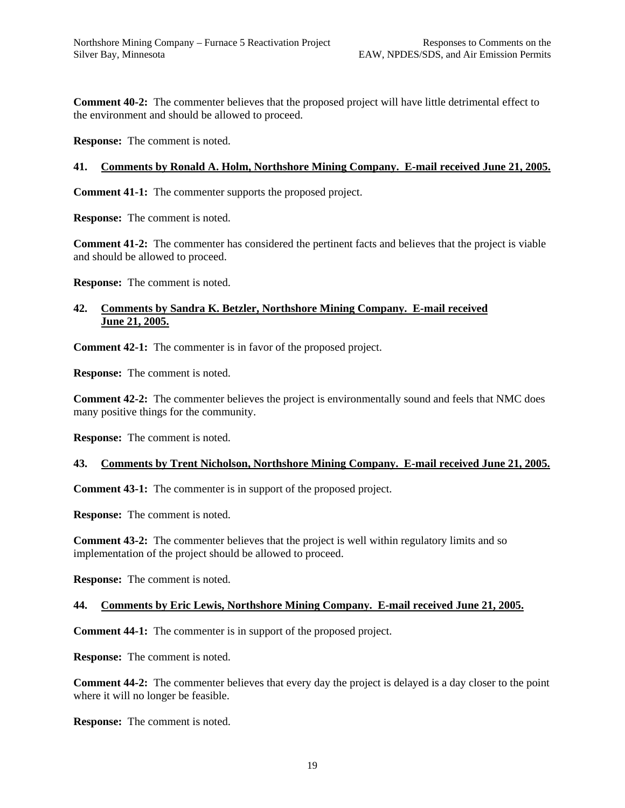**Comment 40-2:** The commenter believes that the proposed project will have little detrimental effect to the environment and should be allowed to proceed.

**Response:** The comment is noted.

#### **41. Comments by Ronald A. Holm, Northshore Mining Company. E-mail received June 21, 2005.**

**Comment 41-1:** The commenter supports the proposed project.

**Response:** The comment is noted.

**Comment 41-2:** The commenter has considered the pertinent facts and believes that the project is viable and should be allowed to proceed.

**Response:** The comment is noted.

# **42. Comments by Sandra K. Betzler, Northshore Mining Company. E-mail received June 21, 2005.**

**Comment 42-1:** The commenter is in favor of the proposed project.

**Response:** The comment is noted.

**Comment 42-2:** The commenter believes the project is environmentally sound and feels that NMC does many positive things for the community.

**Response:** The comment is noted.

# **43. Comments by Trent Nicholson, Northshore Mining Company. E-mail received June 21, 2005.**

**Comment 43-1:** The commenter is in support of the proposed project.

**Response:** The comment is noted.

**Comment 43-2:** The commenter believes that the project is well within regulatory limits and so implementation of the project should be allowed to proceed.

**Response:** The comment is noted.

#### **44. Comments by Eric Lewis, Northshore Mining Company. E-mail received June 21, 2005.**

**Comment 44-1:** The commenter is in support of the proposed project.

**Response:** The comment is noted.

**Comment 44-2:** The commenter believes that every day the project is delayed is a day closer to the point where it will no longer be feasible.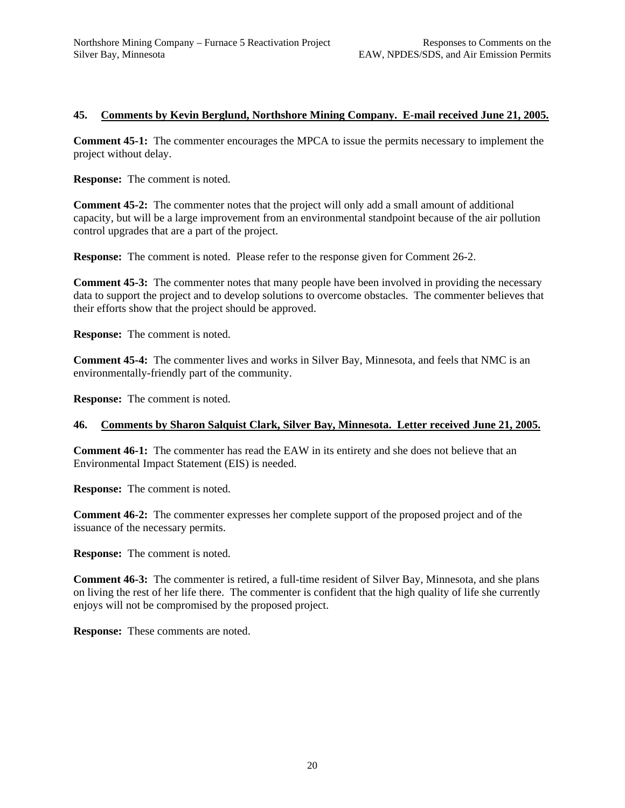# **45. Comments by Kevin Berglund, Northshore Mining Company. E-mail received June 21, 2005.**

**Comment 45-1:** The commenter encourages the MPCA to issue the permits necessary to implement the project without delay.

**Response:** The comment is noted.

**Comment 45-2:** The commenter notes that the project will only add a small amount of additional capacity, but will be a large improvement from an environmental standpoint because of the air pollution control upgrades that are a part of the project.

**Response:** The comment is noted. Please refer to the response given for Comment 26-2.

**Comment 45-3:** The commenter notes that many people have been involved in providing the necessary data to support the project and to develop solutions to overcome obstacles. The commenter believes that their efforts show that the project should be approved.

**Response:** The comment is noted.

**Comment 45-4:** The commenter lives and works in Silver Bay, Minnesota, and feels that NMC is an environmentally-friendly part of the community.

**Response:** The comment is noted.

#### **46. Comments by Sharon Salquist Clark, Silver Bay, Minnesota. Letter received June 21, 2005.**

**Comment 46-1:** The commenter has read the EAW in its entirety and she does not believe that an Environmental Impact Statement (EIS) is needed.

**Response:** The comment is noted.

**Comment 46-2:** The commenter expresses her complete support of the proposed project and of the issuance of the necessary permits.

**Response:** The comment is noted.

**Comment 46-3:** The commenter is retired, a full-time resident of Silver Bay, Minnesota, and she plans on living the rest of her life there. The commenter is confident that the high quality of life she currently enjoys will not be compromised by the proposed project.

**Response:** These comments are noted.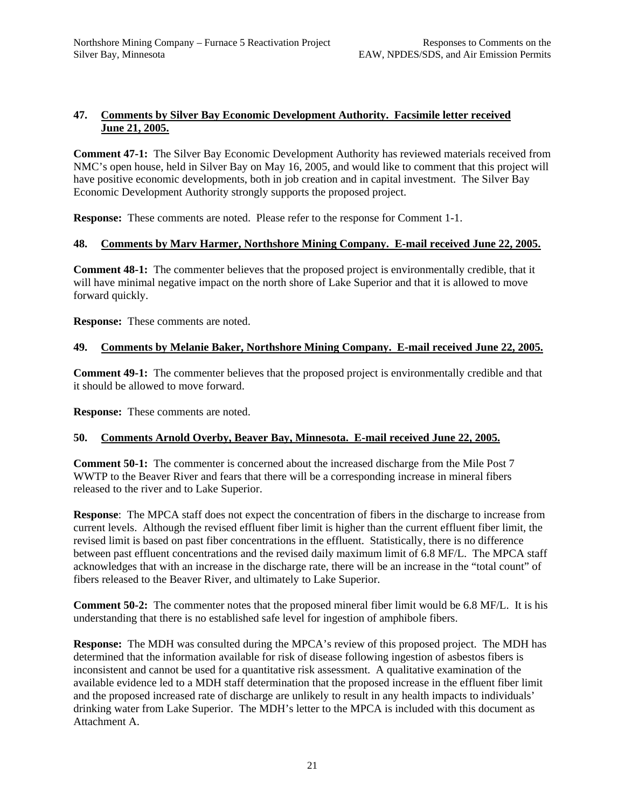# **47. Comments by Silver Bay Economic Development Authority. Facsimile letter received June 21, 2005.**

**Comment 47-1:** The Silver Bay Economic Development Authority has reviewed materials received from NMC's open house, held in Silver Bay on May 16, 2005, and would like to comment that this project will have positive economic developments, both in job creation and in capital investment. The Silver Bay Economic Development Authority strongly supports the proposed project.

**Response:** These comments are noted. Please refer to the response for Comment 1-1.

# **48. Comments by Marv Harmer, Northshore Mining Company. E-mail received June 22, 2005.**

**Comment 48-1:** The commenter believes that the proposed project is environmentally credible, that it will have minimal negative impact on the north shore of Lake Superior and that it is allowed to move forward quickly.

**Response:** These comments are noted.

# **49. Comments by Melanie Baker, Northshore Mining Company. E-mail received June 22, 2005.**

**Comment 49-1:** The commenter believes that the proposed project is environmentally credible and that it should be allowed to move forward.

**Response:** These comments are noted.

# **50. Comments Arnold Overby, Beaver Bay, Minnesota. E-mail received June 22, 2005.**

**Comment 50-1:** The commenter is concerned about the increased discharge from the Mile Post 7 WWTP to the Beaver River and fears that there will be a corresponding increase in mineral fibers released to the river and to Lake Superior.

**Response**: The MPCA staff does not expect the concentration of fibers in the discharge to increase from current levels. Although the revised effluent fiber limit is higher than the current effluent fiber limit, the revised limit is based on past fiber concentrations in the effluent. Statistically, there is no difference between past effluent concentrations and the revised daily maximum limit of 6.8 MF/L. The MPCA staff acknowledges that with an increase in the discharge rate, there will be an increase in the "total count" of fibers released to the Beaver River, and ultimately to Lake Superior.

**Comment 50-2:** The commenter notes that the proposed mineral fiber limit would be 6.8 MF/L. It is his understanding that there is no established safe level for ingestion of amphibole fibers.

**Response:** The MDH was consulted during the MPCA's review of this proposed project. The MDH has determined that the information available for risk of disease following ingestion of asbestos fibers is inconsistent and cannot be used for a quantitative risk assessment. A qualitative examination of the available evidence led to a MDH staff determination that the proposed increase in the effluent fiber limit and the proposed increased rate of discharge are unlikely to result in any health impacts to individuals' drinking water from Lake Superior. The MDH's letter to the MPCA is included with this document as Attachment A.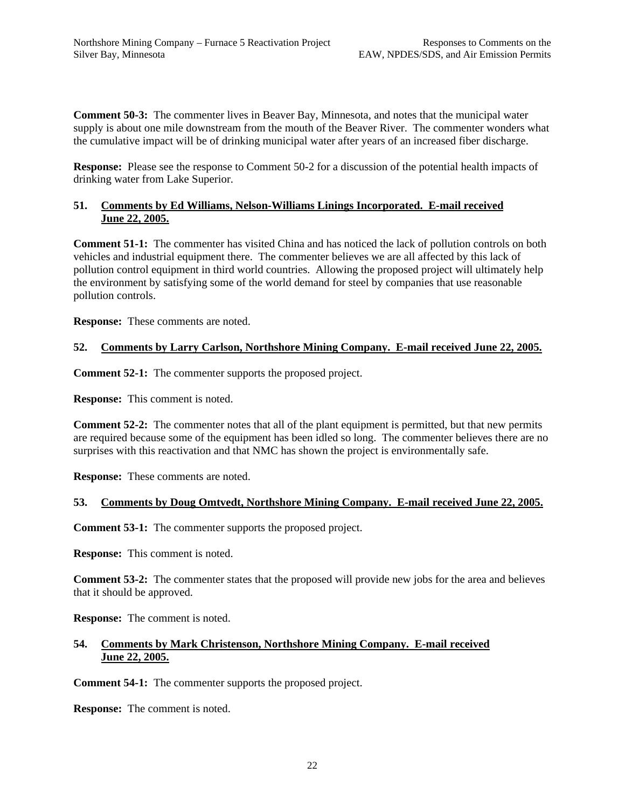**Comment 50-3:** The commenter lives in Beaver Bay, Minnesota, and notes that the municipal water supply is about one mile downstream from the mouth of the Beaver River. The commenter wonders what the cumulative impact will be of drinking municipal water after years of an increased fiber discharge.

**Response:** Please see the response to Comment 50-2 for a discussion of the potential health impacts of drinking water from Lake Superior.

# **51. Comments by Ed Williams, Nelson-Williams Linings Incorporated. E-mail received June 22, 2005.**

**Comment 51-1:** The commenter has visited China and has noticed the lack of pollution controls on both vehicles and industrial equipment there. The commenter believes we are all affected by this lack of pollution control equipment in third world countries. Allowing the proposed project will ultimately help the environment by satisfying some of the world demand for steel by companies that use reasonable pollution controls.

**Response:** These comments are noted.

# **52. Comments by Larry Carlson, Northshore Mining Company. E-mail received June 22, 2005.**

**Comment 52-1:** The commenter supports the proposed project.

**Response:** This comment is noted.

**Comment 52-2:** The commenter notes that all of the plant equipment is permitted, but that new permits are required because some of the equipment has been idled so long. The commenter believes there are no surprises with this reactivation and that NMC has shown the project is environmentally safe.

**Response:** These comments are noted.

# **53. Comments by Doug Omtvedt, Northshore Mining Company. E-mail received June 22, 2005.**

**Comment 53-1:** The commenter supports the proposed project.

**Response:** This comment is noted.

**Comment 53-2:** The commenter states that the proposed will provide new jobs for the area and believes that it should be approved.

**Response:** The comment is noted.

#### **54. Comments by Mark Christenson, Northshore Mining Company. E-mail received June 22, 2005.**

**Comment 54-1:** The commenter supports the proposed project.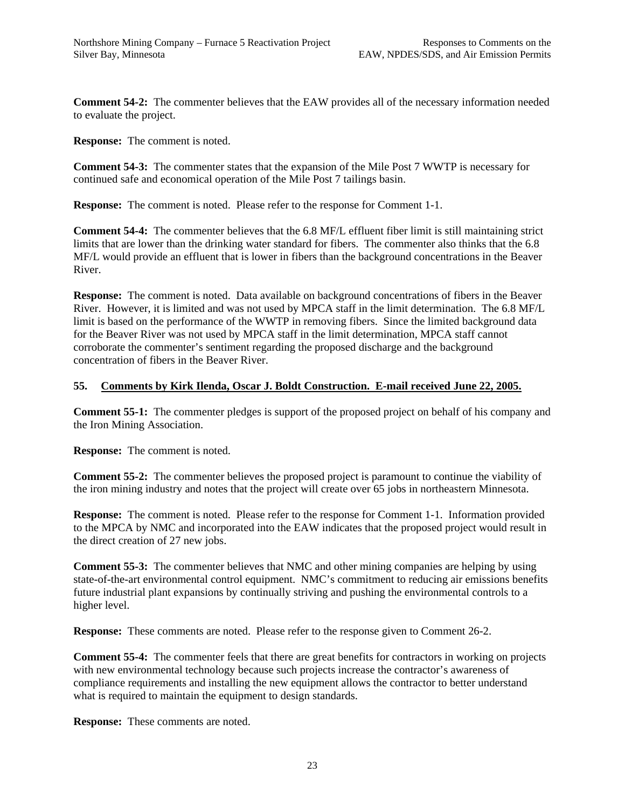**Comment 54-2:** The commenter believes that the EAW provides all of the necessary information needed to evaluate the project.

**Response:** The comment is noted.

**Comment 54-3:** The commenter states that the expansion of the Mile Post 7 WWTP is necessary for continued safe and economical operation of the Mile Post 7 tailings basin.

**Response:** The comment is noted. Please refer to the response for Comment 1-1.

**Comment 54-4:** The commenter believes that the 6.8 MF/L effluent fiber limit is still maintaining strict limits that are lower than the drinking water standard for fibers. The commenter also thinks that the 6.8 MF/L would provide an effluent that is lower in fibers than the background concentrations in the Beaver River.

**Response:** The comment is noted. Data available on background concentrations of fibers in the Beaver River. However, it is limited and was not used by MPCA staff in the limit determination. The 6.8 MF/L limit is based on the performance of the WWTP in removing fibers. Since the limited background data for the Beaver River was not used by MPCA staff in the limit determination, MPCA staff cannot corroborate the commenter's sentiment regarding the proposed discharge and the background concentration of fibers in the Beaver River.

## **55. Comments by Kirk Ilenda, Oscar J. Boldt Construction. E-mail received June 22, 2005.**

**Comment 55-1:** The commenter pledges is support of the proposed project on behalf of his company and the Iron Mining Association.

**Response:** The comment is noted.

**Comment 55-2:** The commenter believes the proposed project is paramount to continue the viability of the iron mining industry and notes that the project will create over 65 jobs in northeastern Minnesota.

**Response:** The comment is noted. Please refer to the response for Comment 1-1. Information provided to the MPCA by NMC and incorporated into the EAW indicates that the proposed project would result in the direct creation of 27 new jobs.

**Comment 55-3:** The commenter believes that NMC and other mining companies are helping by using state-of-the-art environmental control equipment. NMC's commitment to reducing air emissions benefits future industrial plant expansions by continually striving and pushing the environmental controls to a higher level.

**Response:** These comments are noted. Please refer to the response given to Comment 26-2.

**Comment 55-4:** The commenter feels that there are great benefits for contractors in working on projects with new environmental technology because such projects increase the contractor's awareness of compliance requirements and installing the new equipment allows the contractor to better understand what is required to maintain the equipment to design standards.

**Response:** These comments are noted.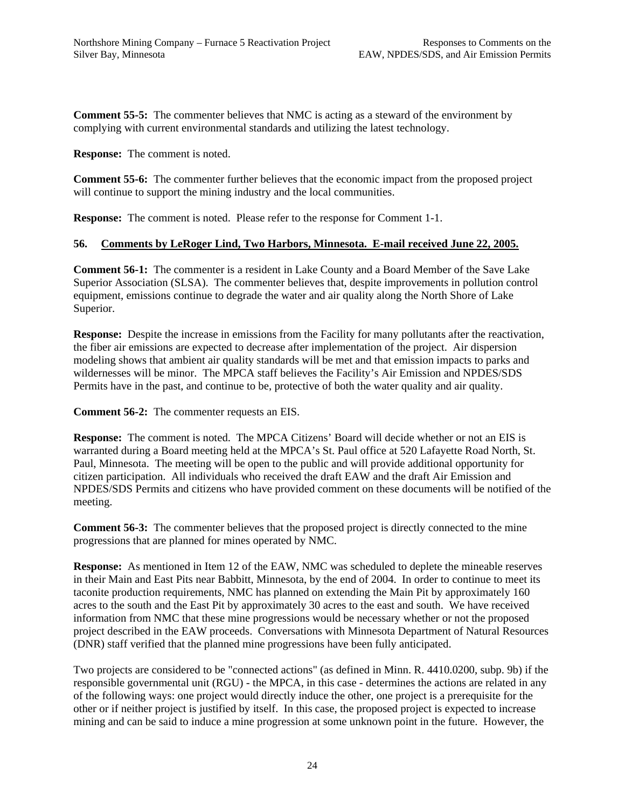**Comment 55-5:** The commenter believes that NMC is acting as a steward of the environment by complying with current environmental standards and utilizing the latest technology.

**Response:** The comment is noted.

**Comment 55-6:** The commenter further believes that the economic impact from the proposed project will continue to support the mining industry and the local communities.

**Response:** The comment is noted. Please refer to the response for Comment 1-1.

## **56. Comments by LeRoger Lind, Two Harbors, Minnesota. E-mail received June 22, 2005.**

**Comment 56-1:** The commenter is a resident in Lake County and a Board Member of the Save Lake Superior Association (SLSA). The commenter believes that, despite improvements in pollution control equipment, emissions continue to degrade the water and air quality along the North Shore of Lake Superior.

**Response:** Despite the increase in emissions from the Facility for many pollutants after the reactivation, the fiber air emissions are expected to decrease after implementation of the project. Air dispersion modeling shows that ambient air quality standards will be met and that emission impacts to parks and wildernesses will be minor. The MPCA staff believes the Facility's Air Emission and NPDES/SDS Permits have in the past, and continue to be, protective of both the water quality and air quality.

**Comment 56-2:** The commenter requests an EIS.

**Response:** The comment is noted. The MPCA Citizens' Board will decide whether or not an EIS is warranted during a Board meeting held at the MPCA's St. Paul office at 520 Lafayette Road North, St. Paul, Minnesota. The meeting will be open to the public and will provide additional opportunity for citizen participation. All individuals who received the draft EAW and the draft Air Emission and NPDES/SDS Permits and citizens who have provided comment on these documents will be notified of the meeting.

**Comment 56-3:** The commenter believes that the proposed project is directly connected to the mine progressions that are planned for mines operated by NMC.

**Response:** As mentioned in Item 12 of the EAW, NMC was scheduled to deplete the mineable reserves in their Main and East Pits near Babbitt, Minnesota, by the end of 2004. In order to continue to meet its taconite production requirements, NMC has planned on extending the Main Pit by approximately 160 acres to the south and the East Pit by approximately 30 acres to the east and south. We have received information from NMC that these mine progressions would be necessary whether or not the proposed project described in the EAW proceeds. Conversations with Minnesota Department of Natural Resources (DNR) staff verified that the planned mine progressions have been fully anticipated.

Two projects are considered to be "connected actions" (as defined in Minn. R. 4410.0200, subp. 9b) if the responsible governmental unit (RGU) - the MPCA, in this case - determines the actions are related in any of the following ways: one project would directly induce the other, one project is a prerequisite for the other or if neither project is justified by itself. In this case, the proposed project is expected to increase mining and can be said to induce a mine progression at some unknown point in the future. However, the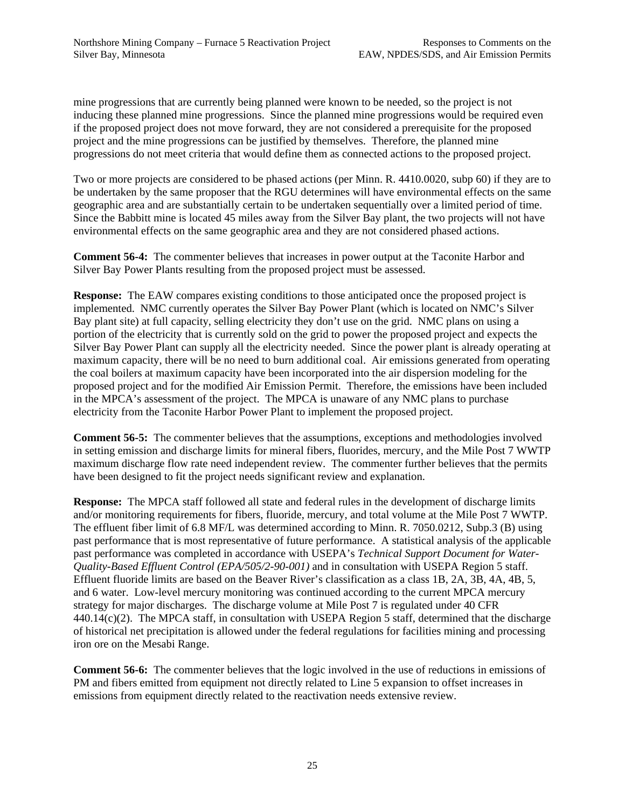mine progressions that are currently being planned were known to be needed, so the project is not inducing these planned mine progressions. Since the planned mine progressions would be required even if the proposed project does not move forward, they are not considered a prerequisite for the proposed project and the mine progressions can be justified by themselves. Therefore, the planned mine progressions do not meet criteria that would define them as connected actions to the proposed project.

Two or more projects are considered to be phased actions (per Minn. R. 4410.0020, subp 60) if they are to be undertaken by the same proposer that the RGU determines will have environmental effects on the same geographic area and are substantially certain to be undertaken sequentially over a limited period of time. Since the Babbitt mine is located 45 miles away from the Silver Bay plant, the two projects will not have environmental effects on the same geographic area and they are not considered phased actions.

**Comment 56-4:** The commenter believes that increases in power output at the Taconite Harbor and Silver Bay Power Plants resulting from the proposed project must be assessed.

**Response:** The EAW compares existing conditions to those anticipated once the proposed project is implemented. NMC currently operates the Silver Bay Power Plant (which is located on NMC's Silver Bay plant site) at full capacity, selling electricity they don't use on the grid. NMC plans on using a portion of the electricity that is currently sold on the grid to power the proposed project and expects the Silver Bay Power Plant can supply all the electricity needed. Since the power plant is already operating at maximum capacity, there will be no need to burn additional coal. Air emissions generated from operating the coal boilers at maximum capacity have been incorporated into the air dispersion modeling for the proposed project and for the modified Air Emission Permit. Therefore, the emissions have been included in the MPCA's assessment of the project. The MPCA is unaware of any NMC plans to purchase electricity from the Taconite Harbor Power Plant to implement the proposed project.

**Comment 56-5:** The commenter believes that the assumptions, exceptions and methodologies involved in setting emission and discharge limits for mineral fibers, fluorides, mercury, and the Mile Post 7 WWTP maximum discharge flow rate need independent review. The commenter further believes that the permits have been designed to fit the project needs significant review and explanation.

**Response:** The MPCA staff followed all state and federal rules in the development of discharge limits and/or monitoring requirements for fibers, fluoride, mercury, and total volume at the Mile Post 7 WWTP. The effluent fiber limit of 6.8 MF/L was determined according to Minn. R. 7050.0212, Subp.3 (B) using past performance that is most representative of future performance. A statistical analysis of the applicable past performance was completed in accordance with USEPA's *Technical Support Document for Water-Quality-Based Effluent Control (EPA/505/2-90-001)* and in consultation with USEPA Region 5 staff. Effluent fluoride limits are based on the Beaver River's classification as a class 1B, 2A, 3B, 4A, 4B, 5, and 6 water. Low-level mercury monitoring was continued according to the current MPCA mercury strategy for major discharges. The discharge volume at Mile Post 7 is regulated under 40 CFR  $440.14(c)(2)$ . The MPCA staff, in consultation with USEPA Region 5 staff, determined that the discharge of historical net precipitation is allowed under the federal regulations for facilities mining and processing iron ore on the Mesabi Range.

**Comment 56-6:** The commenter believes that the logic involved in the use of reductions in emissions of PM and fibers emitted from equipment not directly related to Line 5 expansion to offset increases in emissions from equipment directly related to the reactivation needs extensive review.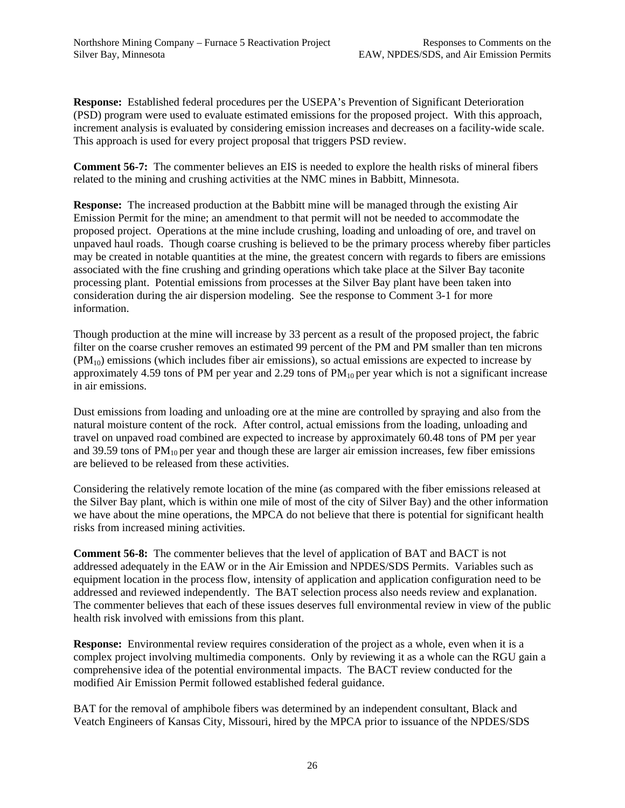**Response:** Established federal procedures per the USEPA's Prevention of Significant Deterioration (PSD) program were used to evaluate estimated emissions for the proposed project. With this approach, increment analysis is evaluated by considering emission increases and decreases on a facility-wide scale. This approach is used for every project proposal that triggers PSD review.

**Comment 56-7:** The commenter believes an EIS is needed to explore the health risks of mineral fibers related to the mining and crushing activities at the NMC mines in Babbitt, Minnesota.

**Response:** The increased production at the Babbitt mine will be managed through the existing Air Emission Permit for the mine; an amendment to that permit will not be needed to accommodate the proposed project. Operations at the mine include crushing, loading and unloading of ore, and travel on unpaved haul roads. Though coarse crushing is believed to be the primary process whereby fiber particles may be created in notable quantities at the mine, the greatest concern with regards to fibers are emissions associated with the fine crushing and grinding operations which take place at the Silver Bay taconite processing plant. Potential emissions from processes at the Silver Bay plant have been taken into consideration during the air dispersion modeling. See the response to Comment 3-1 for more information.

Though production at the mine will increase by 33 percent as a result of the proposed project, the fabric filter on the coarse crusher removes an estimated 99 percent of the PM and PM smaller than ten microns  $(PM_{10})$  emissions (which includes fiber air emissions), so actual emissions are expected to increase by approximately 4.59 tons of PM per year and 2.29 tons of  $PM_{10}$  per year which is not a significant increase in air emissions.

Dust emissions from loading and unloading ore at the mine are controlled by spraying and also from the natural moisture content of the rock. After control, actual emissions from the loading, unloading and travel on unpaved road combined are expected to increase by approximately 60.48 tons of PM per year and 39.59 tons of  $PM_{10}$  per year and though these are larger air emission increases, few fiber emissions are believed to be released from these activities.

Considering the relatively remote location of the mine (as compared with the fiber emissions released at the Silver Bay plant, which is within one mile of most of the city of Silver Bay) and the other information we have about the mine operations, the MPCA do not believe that there is potential for significant health risks from increased mining activities.

**Comment 56-8:** The commenter believes that the level of application of BAT and BACT is not addressed adequately in the EAW or in the Air Emission and NPDES/SDS Permits. Variables such as equipment location in the process flow, intensity of application and application configuration need to be addressed and reviewed independently. The BAT selection process also needs review and explanation. The commenter believes that each of these issues deserves full environmental review in view of the public health risk involved with emissions from this plant.

**Response:** Environmental review requires consideration of the project as a whole, even when it is a complex project involving multimedia components. Only by reviewing it as a whole can the RGU gain a comprehensive idea of the potential environmental impacts.The BACT review conducted for the modified Air Emission Permit followed established federal guidance.

BAT for the removal of amphibole fibers was determined by an independent consultant, Black and Veatch Engineers of Kansas City, Missouri, hired by the MPCA prior to issuance of the NPDES/SDS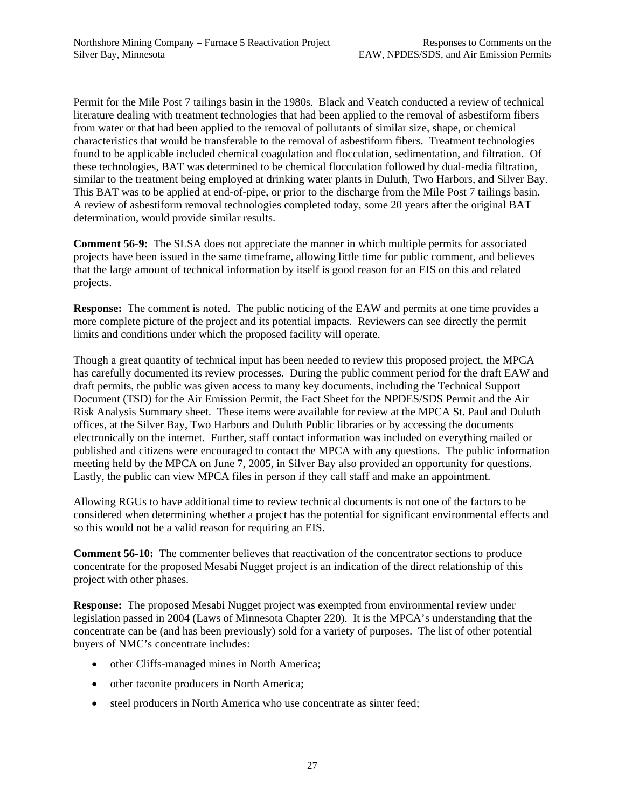Permit for the Mile Post 7 tailings basin in the 1980s. Black and Veatch conducted a review of technical literature dealing with treatment technologies that had been applied to the removal of asbestiform fibers from water or that had been applied to the removal of pollutants of similar size, shape, or chemical characteristics that would be transferable to the removal of asbestiform fibers. Treatment technologies found to be applicable included chemical coagulation and flocculation, sedimentation, and filtration. Of these technologies, BAT was determined to be chemical flocculation followed by dual-media filtration, similar to the treatment being employed at drinking water plants in Duluth, Two Harbors, and Silver Bay. This BAT was to be applied at end-of-pipe, or prior to the discharge from the Mile Post 7 tailings basin. A review of asbestiform removal technologies completed today, some 20 years after the original BAT determination, would provide similar results.

**Comment 56-9:** The SLSA does not appreciate the manner in which multiple permits for associated projects have been issued in the same timeframe, allowing little time for public comment, and believes that the large amount of technical information by itself is good reason for an EIS on this and related projects.

**Response:** The comment is noted. The public noticing of the EAW and permits at one time provides a more complete picture of the project and its potential impacts. Reviewers can see directly the permit limits and conditions under which the proposed facility will operate.

Though a great quantity of technical input has been needed to review this proposed project, the MPCA has carefully documented its review processes. During the public comment period for the draft EAW and draft permits, the public was given access to many key documents, including the Technical Support Document (TSD) for the Air Emission Permit, the Fact Sheet for the NPDES/SDS Permit and the Air Risk Analysis Summary sheet.These items were available for review at the MPCA St. Paul and Duluth offices, at the Silver Bay, Two Harbors and Duluth Public libraries or by accessing the documents electronically on the internet. Further, staff contact information was included on everything mailed or published and citizens were encouraged to contact the MPCA with any questions. The public information meeting held by the MPCA on June 7, 2005, in Silver Bay also provided an opportunity for questions. Lastly, the public can view MPCA files in person if they call staff and make an appointment.

Allowing RGUs to have additional time to review technical documents is not one of the factors to be considered when determining whether a project has the potential for significant environmental effects and so this would not be a valid reason for requiring an EIS.

**Comment 56-10:** The commenter believes that reactivation of the concentrator sections to produce concentrate for the proposed Mesabi Nugget project is an indication of the direct relationship of this project with other phases.

**Response:** The proposed Mesabi Nugget project was exempted from environmental review under legislation passed in 2004 (Laws of Minnesota Chapter 220). It is the MPCA's understanding that the concentrate can be (and has been previously) sold for a variety of purposes. The list of other potential buyers of NMC's concentrate includes:

- other Cliffs-managed mines in North America;
- other taconite producers in North America;
- steel producers in North America who use concentrate as sinter feed;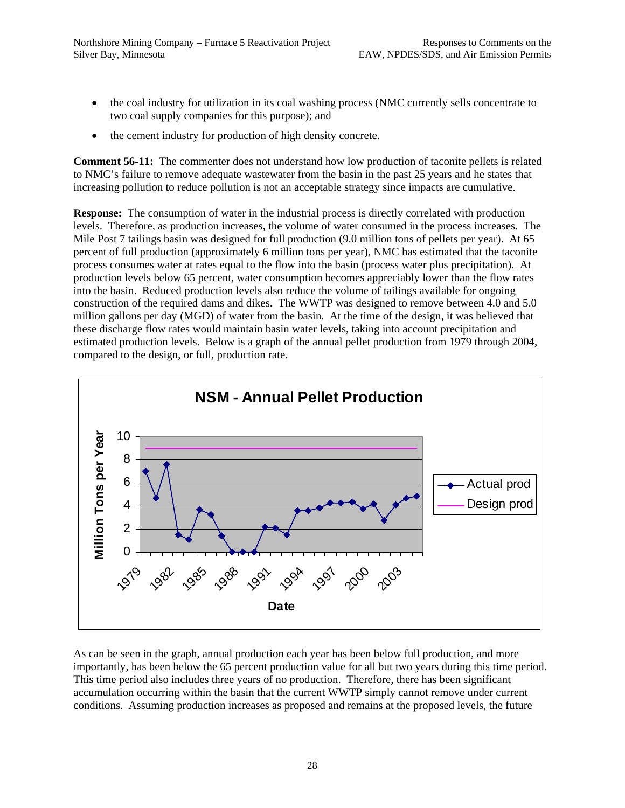- the coal industry for utilization in its coal washing process (NMC currently sells concentrate to two coal supply companies for this purpose); and
- the cement industry for production of high density concrete.

**Comment 56-11:** The commenter does not understand how low production of taconite pellets is related to NMC's failure to remove adequate wastewater from the basin in the past 25 years and he states that increasing pollution to reduce pollution is not an acceptable strategy since impacts are cumulative.

**Response:** The consumption of water in the industrial process is directly correlated with production levels. Therefore, as production increases, the volume of water consumed in the process increases. The Mile Post 7 tailings basin was designed for full production (9.0 million tons of pellets per year). At 65 percent of full production (approximately 6 million tons per year), NMC has estimated that the taconite process consumes water at rates equal to the flow into the basin (process water plus precipitation). At production levels below 65 percent, water consumption becomes appreciably lower than the flow rates into the basin. Reduced production levels also reduce the volume of tailings available for ongoing construction of the required dams and dikes. The WWTP was designed to remove between 4.0 and 5.0 million gallons per day (MGD) of water from the basin. At the time of the design, it was believed that these discharge flow rates would maintain basin water levels, taking into account precipitation and estimated production levels. Below is a graph of the annual pellet production from 1979 through 2004, compared to the design, or full, production rate.



As can be seen in the graph, annual production each year has been below full production, and more importantly, has been below the 65 percent production value for all but two years during this time period. This time period also includes three years of no production. Therefore, there has been significant accumulation occurring within the basin that the current WWTP simply cannot remove under current conditions. Assuming production increases as proposed and remains at the proposed levels, the future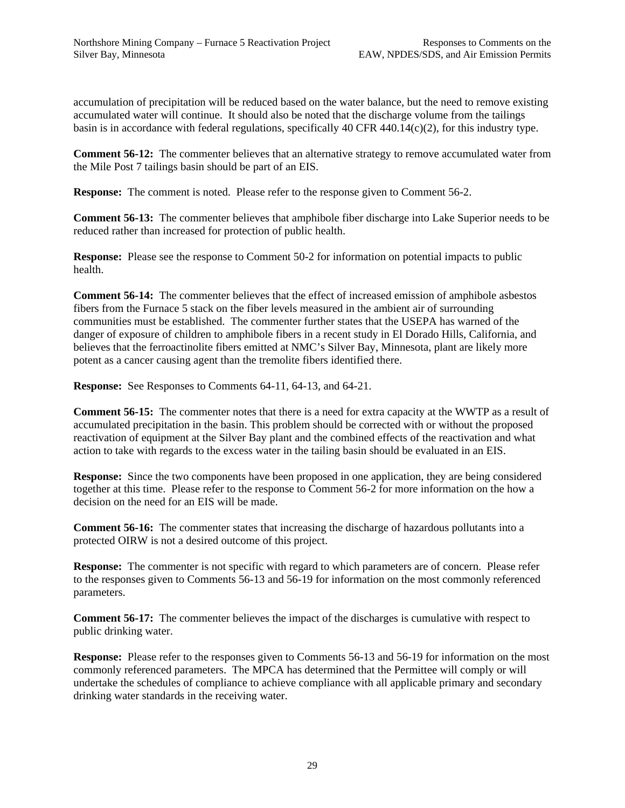accumulation of precipitation will be reduced based on the water balance, but the need to remove existing accumulated water will continue. It should also be noted that the discharge volume from the tailings basin is in accordance with federal regulations, specifically 40 CFR 440.14(c)(2), for this industry type.

**Comment 56-12:** The commenter believes that an alternative strategy to remove accumulated water from the Mile Post 7 tailings basin should be part of an EIS.

**Response:** The comment is noted. Please refer to the response given to Comment 56-2.

**Comment 56-13:** The commenter believes that amphibole fiber discharge into Lake Superior needs to be reduced rather than increased for protection of public health.

**Response:** Please see the response to Comment 50-2 for information on potential impacts to public health.

**Comment 56-14:** The commenter believes that the effect of increased emission of amphibole asbestos fibers from the Furnace 5 stack on the fiber levels measured in the ambient air of surrounding communities must be established. The commenter further states that the USEPA has warned of the danger of exposure of children to amphibole fibers in a recent study in El Dorado Hills, California, and believes that the ferroactinolite fibers emitted at NMC's Silver Bay, Minnesota, plant are likely more potent as a cancer causing agent than the tremolite fibers identified there.

**Response:** See Responses to Comments 64-11, 64-13, and 64-21.

**Comment 56-15:** The commenter notes that there is a need for extra capacity at the WWTP as a result of accumulated precipitation in the basin. This problem should be corrected with or without the proposed reactivation of equipment at the Silver Bay plant and the combined effects of the reactivation and what action to take with regards to the excess water in the tailing basin should be evaluated in an EIS.

**Response:** Since the two components have been proposed in one application, they are being considered together at this time. Please refer to the response to Comment 56-2 for more information on the how a decision on the need for an EIS will be made.

**Comment 56-16:** The commenter states that increasing the discharge of hazardous pollutants into a protected OIRW is not a desired outcome of this project.

**Response:** The commenter is not specific with regard to which parameters are of concern. Please refer to the responses given to Comments 56-13 and 56-19 for information on the most commonly referenced parameters.

**Comment 56-17:** The commenter believes the impact of the discharges is cumulative with respect to public drinking water.

**Response:** Please refer to the responses given to Comments 56-13 and 56-19 for information on the most commonly referenced parameters. The MPCA has determined that the Permittee will comply or will undertake the schedules of compliance to achieve compliance with all applicable primary and secondary drinking water standards in the receiving water.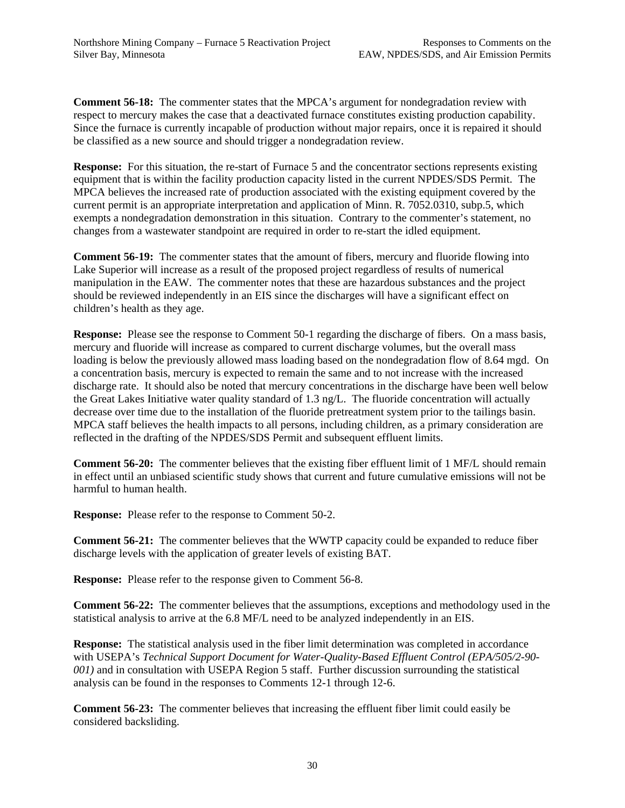**Comment 56-18:** The commenter states that the MPCA's argument for nondegradation review with respect to mercury makes the case that a deactivated furnace constitutes existing production capability. Since the furnace is currently incapable of production without major repairs, once it is repaired it should be classified as a new source and should trigger a nondegradation review.

**Response:** For this situation, the re-start of Furnace 5 and the concentrator sections represents existing equipment that is within the facility production capacity listed in the current NPDES/SDS Permit. The MPCA believes the increased rate of production associated with the existing equipment covered by the current permit is an appropriate interpretation and application of Minn. R. 7052.0310, subp.5, which exempts a nondegradation demonstration in this situation. Contrary to the commenter's statement, no changes from a wastewater standpoint are required in order to re-start the idled equipment.

**Comment 56-19:** The commenter states that the amount of fibers, mercury and fluoride flowing into Lake Superior will increase as a result of the proposed project regardless of results of numerical manipulation in the EAW. The commenter notes that these are hazardous substances and the project should be reviewed independently in an EIS since the discharges will have a significant effect on children's health as they age.

**Response:** Please see the response to Comment 50-1 regarding the discharge of fibers. On a mass basis, mercury and fluoride will increase as compared to current discharge volumes, but the overall mass loading is below the previously allowed mass loading based on the nondegradation flow of 8.64 mgd. On a concentration basis, mercury is expected to remain the same and to not increase with the increased discharge rate. It should also be noted that mercury concentrations in the discharge have been well below the Great Lakes Initiative water quality standard of 1.3 ng/L. The fluoride concentration will actually decrease over time due to the installation of the fluoride pretreatment system prior to the tailings basin. MPCA staff believes the health impacts to all persons, including children, as a primary consideration are reflected in the drafting of the NPDES/SDS Permit and subsequent effluent limits.

**Comment 56-20:** The commenter believes that the existing fiber effluent limit of 1 MF/L should remain in effect until an unbiased scientific study shows that current and future cumulative emissions will not be harmful to human health.

**Response:** Please refer to the response to Comment 50-2.

**Comment 56-21:** The commenter believes that the WWTP capacity could be expanded to reduce fiber discharge levels with the application of greater levels of existing BAT.

**Response:** Please refer to the response given to Comment 56-8.

**Comment 56-22:** The commenter believes that the assumptions, exceptions and methodology used in the statistical analysis to arrive at the 6.8 MF/L need to be analyzed independently in an EIS.

**Response:** The statistical analysis used in the fiber limit determination was completed in accordance with USEPA's *Technical Support Document for Water-Quality-Based Effluent Control (EPA/505/2-90- 001)* and in consultation with USEPA Region 5 staff. Further discussion surrounding the statistical analysis can be found in the responses to Comments 12-1 through 12-6.

**Comment 56-23:** The commenter believes that increasing the effluent fiber limit could easily be considered backsliding.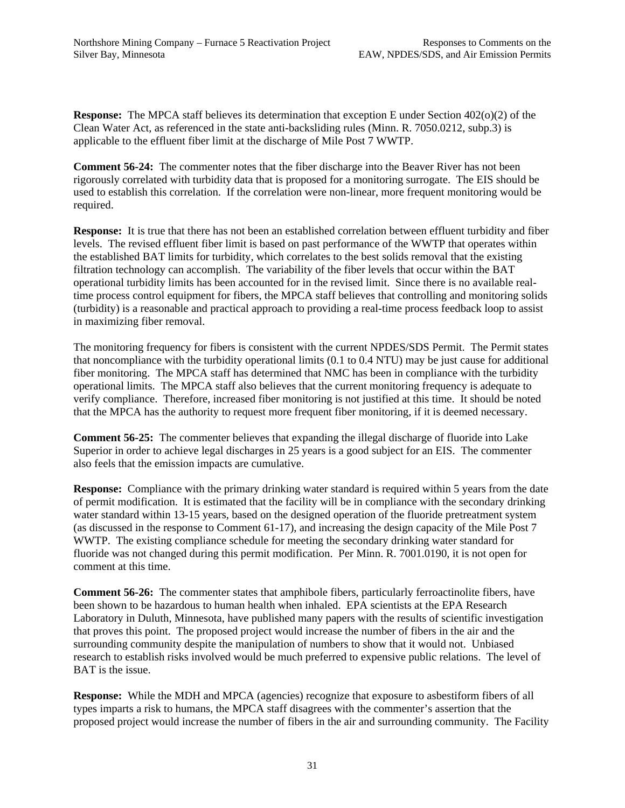**Response:** The MPCA staff believes its determination that exception E under Section 402(o)(2) of the Clean Water Act, as referenced in the state anti-backsliding rules (Minn. R. 7050.0212, subp.3) is applicable to the effluent fiber limit at the discharge of Mile Post 7 WWTP.

**Comment 56-24:** The commenter notes that the fiber discharge into the Beaver River has not been rigorously correlated with turbidity data that is proposed for a monitoring surrogate. The EIS should be used to establish this correlation. If the correlation were non-linear, more frequent monitoring would be required.

**Response:** It is true that there has not been an established correlation between effluent turbidity and fiber levels. The revised effluent fiber limit is based on past performance of the WWTP that operates within the established BAT limits for turbidity, which correlates to the best solids removal that the existing filtration technology can accomplish. The variability of the fiber levels that occur within the BAT operational turbidity limits has been accounted for in the revised limit. Since there is no available realtime process control equipment for fibers, the MPCA staff believes that controlling and monitoring solids (turbidity) is a reasonable and practical approach to providing a real-time process feedback loop to assist in maximizing fiber removal.

The monitoring frequency for fibers is consistent with the current NPDES/SDS Permit. The Permit states that noncompliance with the turbidity operational limits (0.1 to 0.4 NTU) may be just cause for additional fiber monitoring. The MPCA staff has determined that NMC has been in compliance with the turbidity operational limits. The MPCA staff also believes that the current monitoring frequency is adequate to verify compliance. Therefore, increased fiber monitoring is not justified at this time. It should be noted that the MPCA has the authority to request more frequent fiber monitoring, if it is deemed necessary.

**Comment 56-25:** The commenter believes that expanding the illegal discharge of fluoride into Lake Superior in order to achieve legal discharges in 25 years is a good subject for an EIS. The commenter also feels that the emission impacts are cumulative.

**Response:** Compliance with the primary drinking water standard is required within 5 years from the date of permit modification. It is estimated that the facility will be in compliance with the secondary drinking water standard within 13-15 years, based on the designed operation of the fluoride pretreatment system (as discussed in the response to Comment 61-17), and increasing the design capacity of the Mile Post 7 WWTP. The existing compliance schedule for meeting the secondary drinking water standard for fluoride was not changed during this permit modification. Per Minn. R. 7001.0190, it is not open for comment at this time.

**Comment 56-26:** The commenter states that amphibole fibers, particularly ferroactinolite fibers, have been shown to be hazardous to human health when inhaled. EPA scientists at the EPA Research Laboratory in Duluth, Minnesota, have published many papers with the results of scientific investigation that proves this point. The proposed project would increase the number of fibers in the air and the surrounding community despite the manipulation of numbers to show that it would not. Unbiased research to establish risks involved would be much preferred to expensive public relations. The level of BAT is the issue.

**Response:** While the MDH and MPCA (agencies) recognize that exposure to asbestiform fibers of all types imparts a risk to humans, the MPCA staff disagrees with the commenter's assertion that the proposed project would increase the number of fibers in the air and surrounding community. The Facility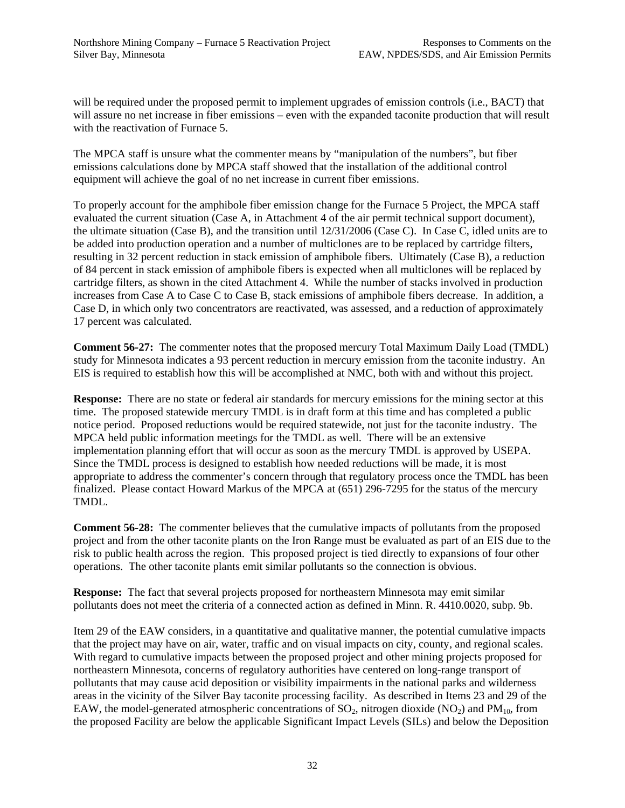will be required under the proposed permit to implement upgrades of emission controls (i.e., BACT) that will assure no net increase in fiber emissions – even with the expanded taconite production that will result with the reactivation of Furnace 5.

The MPCA staff is unsure what the commenter means by "manipulation of the numbers", but fiber emissions calculations done by MPCA staff showed that the installation of the additional control equipment will achieve the goal of no net increase in current fiber emissions.

To properly account for the amphibole fiber emission change for the Furnace 5 Project, the MPCA staff evaluated the current situation (Case A, in Attachment 4 of the air permit technical support document), the ultimate situation (Case B), and the transition until 12/31/2006 (Case C). In Case C, idled units are to be added into production operation and a number of multiclones are to be replaced by cartridge filters, resulting in 32 percent reduction in stack emission of amphibole fibers. Ultimately (Case B), a reduction of 84 percent in stack emission of amphibole fibers is expected when all multiclones will be replaced by cartridge filters, as shown in the cited Attachment 4. While the number of stacks involved in production increases from Case A to Case C to Case B, stack emissions of amphibole fibers decrease. In addition, a Case D, in which only two concentrators are reactivated, was assessed, and a reduction of approximately 17 percent was calculated.

**Comment 56-27:** The commenter notes that the proposed mercury Total Maximum Daily Load (TMDL) study for Minnesota indicates a 93 percent reduction in mercury emission from the taconite industry. An EIS is required to establish how this will be accomplished at NMC, both with and without this project.

**Response:** There are no state or federal air standards for mercury emissions for the mining sector at this time. The proposed statewide mercury TMDL is in draft form at this time and has completed a public notice period. Proposed reductions would be required statewide, not just for the taconite industry. The MPCA held public information meetings for the TMDL as well. There will be an extensive implementation planning effort that will occur as soon as the mercury TMDL is approved by USEPA. Since the TMDL process is designed to establish how needed reductions will be made, it is most appropriate to address the commenter's concern through that regulatory process once the TMDL has been finalized. Please contact Howard Markus of the MPCA at (651) 296-7295 for the status of the mercury TMDL.

**Comment 56-28:** The commenter believes that the cumulative impacts of pollutants from the proposed project and from the other taconite plants on the Iron Range must be evaluated as part of an EIS due to the risk to public health across the region. This proposed project is tied directly to expansions of four other operations. The other taconite plants emit similar pollutants so the connection is obvious.

**Response:** The fact that several projects proposed for northeastern Minnesota may emit similar pollutants does not meet the criteria of a connected action as defined in Minn. R. 4410.0020, subp. 9b.

Item 29 of the EAW considers, in a quantitative and qualitative manner, the potential cumulative impacts that the project may have on air, water, traffic and on visual impacts on city, county, and regional scales. With regard to cumulative impacts between the proposed project and other mining projects proposed for northeastern Minnesota, concerns of regulatory authorities have centered on long-range transport of pollutants that may cause acid deposition or visibility impairments in the national parks and wilderness areas in the vicinity of the Silver Bay taconite processing facility. As described in Items 23 and 29 of the EAW, the model-generated atmospheric concentrations of  $SO_2$ , nitrogen dioxide  $(NO_2)$  and  $PM_{10}$ , from the proposed Facility are below the applicable Significant Impact Levels (SILs) and below the Deposition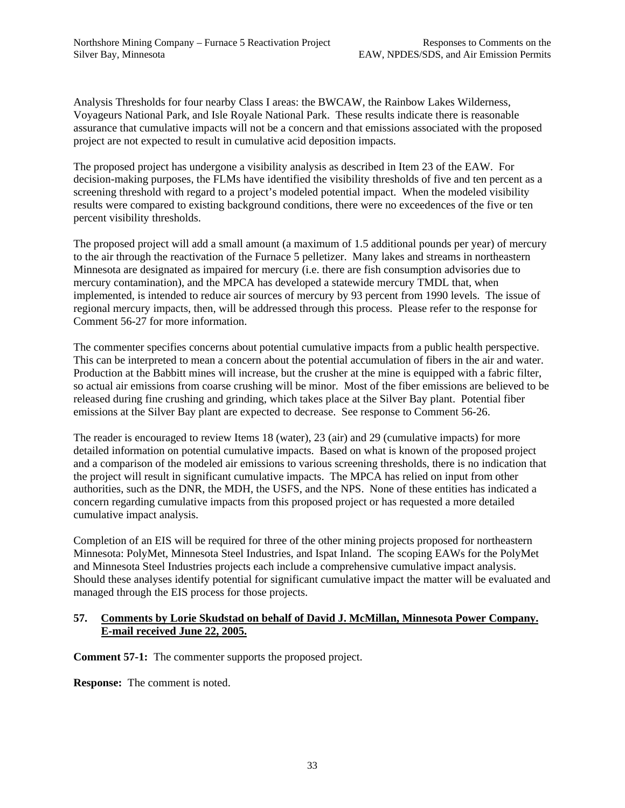Analysis Thresholds for four nearby Class I areas: the BWCAW, the Rainbow Lakes Wilderness, Voyageurs National Park, and Isle Royale National Park. These results indicate there is reasonable assurance that cumulative impacts will not be a concern and that emissions associated with the proposed project are not expected to result in cumulative acid deposition impacts.

The proposed project has undergone a visibility analysis as described in Item 23 of the EAW. For decision-making purposes, the FLMs have identified the visibility thresholds of five and ten percent as a screening threshold with regard to a project's modeled potential impact. When the modeled visibility results were compared to existing background conditions, there were no exceedences of the five or ten percent visibility thresholds.

The proposed project will add a small amount (a maximum of 1.5 additional pounds per year) of mercury to the air through the reactivation of the Furnace 5 pelletizer. Many lakes and streams in northeastern Minnesota are designated as impaired for mercury (i.e. there are fish consumption advisories due to mercury contamination), and the MPCA has developed a statewide mercury TMDL that, when implemented, is intended to reduce air sources of mercury by 93 percent from 1990 levels. The issue of regional mercury impacts, then, will be addressed through this process. Please refer to the response for Comment 56-27 for more information.

The commenter specifies concerns about potential cumulative impacts from a public health perspective. This can be interpreted to mean a concern about the potential accumulation of fibers in the air and water. Production at the Babbitt mines will increase, but the crusher at the mine is equipped with a fabric filter, so actual air emissions from coarse crushing will be minor. Most of the fiber emissions are believed to be released during fine crushing and grinding, which takes place at the Silver Bay plant. Potential fiber emissions at the Silver Bay plant are expected to decrease. See response to Comment 56-26.

The reader is encouraged to review Items 18 (water), 23 (air) and 29 (cumulative impacts) for more detailed information on potential cumulative impacts. Based on what is known of the proposed project and a comparison of the modeled air emissions to various screening thresholds, there is no indication that the project will result in significant cumulative impacts. The MPCA has relied on input from other authorities, such as the DNR, the MDH, the USFS, and the NPS. None of these entities has indicated a concern regarding cumulative impacts from this proposed project or has requested a more detailed cumulative impact analysis.

Completion of an EIS will be required for three of the other mining projects proposed for northeastern Minnesota: PolyMet, Minnesota Steel Industries, and Ispat Inland. The scoping EAWs for the PolyMet and Minnesota Steel Industries projects each include a comprehensive cumulative impact analysis. Should these analyses identify potential for significant cumulative impact the matter will be evaluated and managed through the EIS process for those projects.

## **57. Comments by Lorie Skudstad on behalf of David J. McMillan, Minnesota Power Company. E-mail received June 22, 2005.**

**Comment 57-1:** The commenter supports the proposed project.

**Response:** The comment is noted.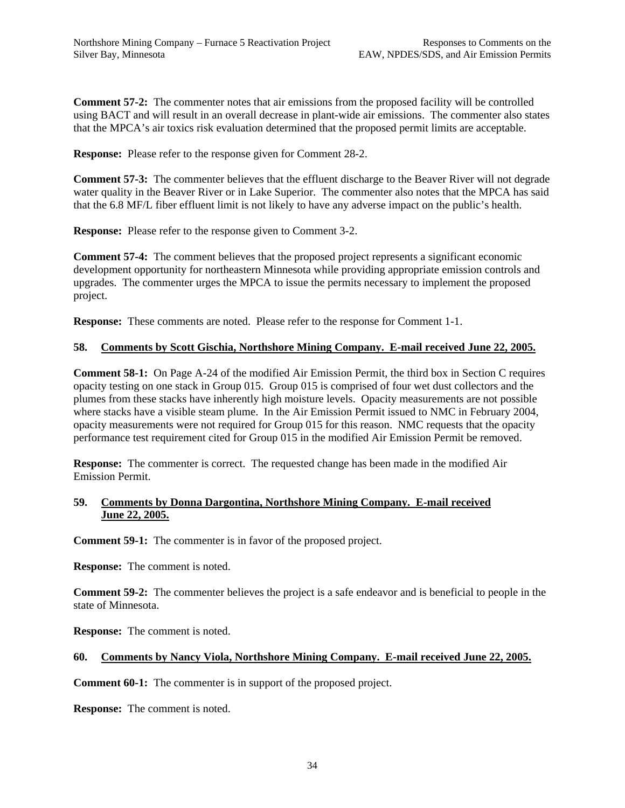**Comment 57-2:** The commenter notes that air emissions from the proposed facility will be controlled using BACT and will result in an overall decrease in plant-wide air emissions. The commenter also states that the MPCA's air toxics risk evaluation determined that the proposed permit limits are acceptable.

**Response:** Please refer to the response given for Comment 28-2.

**Comment 57-3:** The commenter believes that the effluent discharge to the Beaver River will not degrade water quality in the Beaver River or in Lake Superior. The commenter also notes that the MPCA has said that the 6.8 MF/L fiber effluent limit is not likely to have any adverse impact on the public's health.

**Response:** Please refer to the response given to Comment 3-2.

**Comment 57-4:** The comment believes that the proposed project represents a significant economic development opportunity for northeastern Minnesota while providing appropriate emission controls and upgrades. The commenter urges the MPCA to issue the permits necessary to implement the proposed project.

**Response:** These comments are noted. Please refer to the response for Comment 1-1.

## **58. Comments by Scott Gischia, Northshore Mining Company. E-mail received June 22, 2005.**

**Comment 58-1:** On Page A-24 of the modified Air Emission Permit, the third box in Section C requires opacity testing on one stack in Group 015. Group 015 is comprised of four wet dust collectors and the plumes from these stacks have inherently high moisture levels. Opacity measurements are not possible where stacks have a visible steam plume. In the Air Emission Permit issued to NMC in February 2004, opacity measurements were not required for Group 015 for this reason. NMC requests that the opacity performance test requirement cited for Group 015 in the modified Air Emission Permit be removed.

**Response:** The commenter is correct. The requested change has been made in the modified Air Emission Permit.

#### **59. Comments by Donna Dargontina, Northshore Mining Company. E-mail received June 22, 2005.**

**Comment 59-1:** The commenter is in favor of the proposed project.

**Response:** The comment is noted.

**Comment 59-2:** The commenter believes the project is a safe endeavor and is beneficial to people in the state of Minnesota.

**Response:** The comment is noted.

#### **60. Comments by Nancy Viola, Northshore Mining Company. E-mail received June 22, 2005.**

**Comment 60-1:** The commenter is in support of the proposed project.

**Response:** The comment is noted.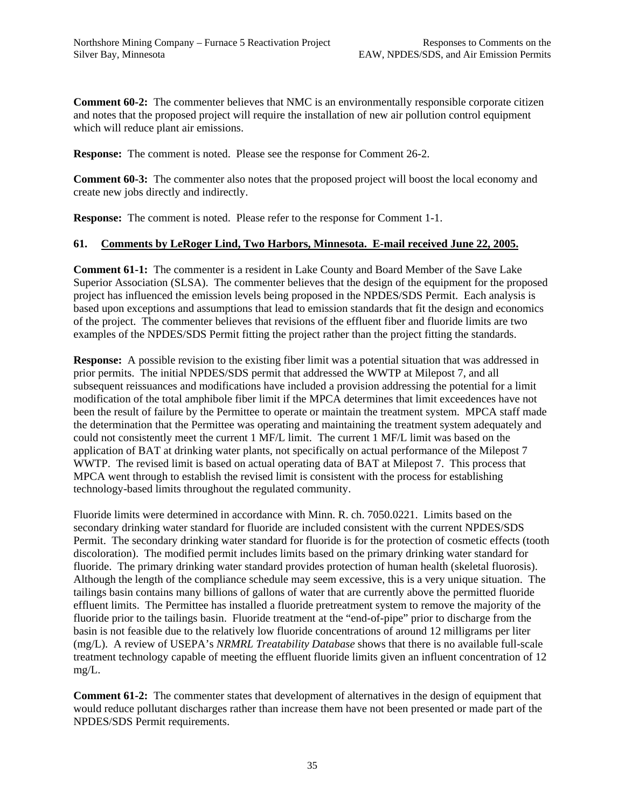**Comment 60-2:** The commenter believes that NMC is an environmentally responsible corporate citizen and notes that the proposed project will require the installation of new air pollution control equipment which will reduce plant air emissions.

**Response:** The comment is noted. Please see the response for Comment 26-2.

**Comment 60-3:** The commenter also notes that the proposed project will boost the local economy and create new jobs directly and indirectly.

**Response:** The comment is noted. Please refer to the response for Comment 1-1.

## **61. Comments by LeRoger Lind, Two Harbors, Minnesota. E-mail received June 22, 2005.**

**Comment 61-1:** The commenter is a resident in Lake County and Board Member of the Save Lake Superior Association (SLSA). The commenter believes that the design of the equipment for the proposed project has influenced the emission levels being proposed in the NPDES/SDS Permit. Each analysis is based upon exceptions and assumptions that lead to emission standards that fit the design and economics of the project. The commenter believes that revisions of the effluent fiber and fluoride limits are two examples of the NPDES/SDS Permit fitting the project rather than the project fitting the standards.

**Response:** A possible revision to the existing fiber limit was a potential situation that was addressed in prior permits. The initial NPDES/SDS permit that addressed the WWTP at Milepost 7, and all subsequent reissuances and modifications have included a provision addressing the potential for a limit modification of the total amphibole fiber limit if the MPCA determines that limit exceedences have not been the result of failure by the Permittee to operate or maintain the treatment system. MPCA staff made the determination that the Permittee was operating and maintaining the treatment system adequately and could not consistently meet the current 1 MF/L limit. The current 1 MF/L limit was based on the application of BAT at drinking water plants, not specifically on actual performance of the Milepost 7 WWTP. The revised limit is based on actual operating data of BAT at Milepost 7. This process that MPCA went through to establish the revised limit is consistent with the process for establishing technology-based limits throughout the regulated community.

Fluoride limits were determined in accordance with Minn. R. ch. 7050.0221. Limits based on the secondary drinking water standard for fluoride are included consistent with the current NPDES/SDS Permit. The secondary drinking water standard for fluoride is for the protection of cosmetic effects (tooth discoloration). The modified permit includes limits based on the primary drinking water standard for fluoride. The primary drinking water standard provides protection of human health (skeletal fluorosis). Although the length of the compliance schedule may seem excessive, this is a very unique situation. The tailings basin contains many billions of gallons of water that are currently above the permitted fluoride effluent limits. The Permittee has installed a fluoride pretreatment system to remove the majority of the fluoride prior to the tailings basin. Fluoride treatment at the "end-of-pipe" prior to discharge from the basin is not feasible due to the relatively low fluoride concentrations of around 12 milligrams per liter (mg/L). A review of USEPA's *NRMRL Treatability Database* shows that there is no available full-scale treatment technology capable of meeting the effluent fluoride limits given an influent concentration of 12 mg/L.

**Comment 61-2:** The commenter states that development of alternatives in the design of equipment that would reduce pollutant discharges rather than increase them have not been presented or made part of the NPDES/SDS Permit requirements.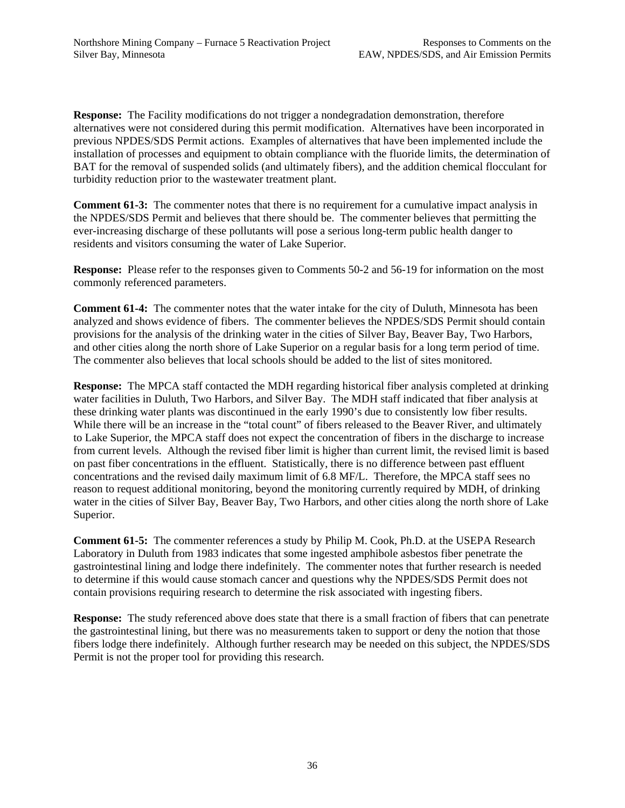**Response:** The Facility modifications do not trigger a nondegradation demonstration, therefore alternatives were not considered during this permit modification. Alternatives have been incorporated in previous NPDES/SDS Permit actions. Examples of alternatives that have been implemented include the installation of processes and equipment to obtain compliance with the fluoride limits, the determination of BAT for the removal of suspended solids (and ultimately fibers), and the addition chemical flocculant for turbidity reduction prior to the wastewater treatment plant.

**Comment 61-3:** The commenter notes that there is no requirement for a cumulative impact analysis in the NPDES/SDS Permit and believes that there should be. The commenter believes that permitting the ever-increasing discharge of these pollutants will pose a serious long-term public health danger to residents and visitors consuming the water of Lake Superior.

**Response:** Please refer to the responses given to Comments 50-2 and 56-19 for information on the most commonly referenced parameters.

**Comment 61-4:** The commenter notes that the water intake for the city of Duluth, Minnesota has been analyzed and shows evidence of fibers. The commenter believes the NPDES/SDS Permit should contain provisions for the analysis of the drinking water in the cities of Silver Bay, Beaver Bay, Two Harbors, and other cities along the north shore of Lake Superior on a regular basis for a long term period of time. The commenter also believes that local schools should be added to the list of sites monitored.

**Response:** The MPCA staff contacted the MDH regarding historical fiber analysis completed at drinking water facilities in Duluth, Two Harbors, and Silver Bay. The MDH staff indicated that fiber analysis at these drinking water plants was discontinued in the early 1990's due to consistently low fiber results. While there will be an increase in the "total count" of fibers released to the Beaver River, and ultimately to Lake Superior, the MPCA staff does not expect the concentration of fibers in the discharge to increase from current levels. Although the revised fiber limit is higher than current limit, the revised limit is based on past fiber concentrations in the effluent. Statistically, there is no difference between past effluent concentrations and the revised daily maximum limit of 6.8 MF/L. Therefore, the MPCA staff sees no reason to request additional monitoring, beyond the monitoring currently required by MDH, of drinking water in the cities of Silver Bay, Beaver Bay, Two Harbors, and other cities along the north shore of Lake Superior.

**Comment 61-5:** The commenter references a study by Philip M. Cook, Ph.D. at the USEPA Research Laboratory in Duluth from 1983 indicates that some ingested amphibole asbestos fiber penetrate the gastrointestinal lining and lodge there indefinitely. The commenter notes that further research is needed to determine if this would cause stomach cancer and questions why the NPDES/SDS Permit does not contain provisions requiring research to determine the risk associated with ingesting fibers.

**Response:** The study referenced above does state that there is a small fraction of fibers that can penetrate the gastrointestinal lining, but there was no measurements taken to support or deny the notion that those fibers lodge there indefinitely. Although further research may be needed on this subject, the NPDES/SDS Permit is not the proper tool for providing this research.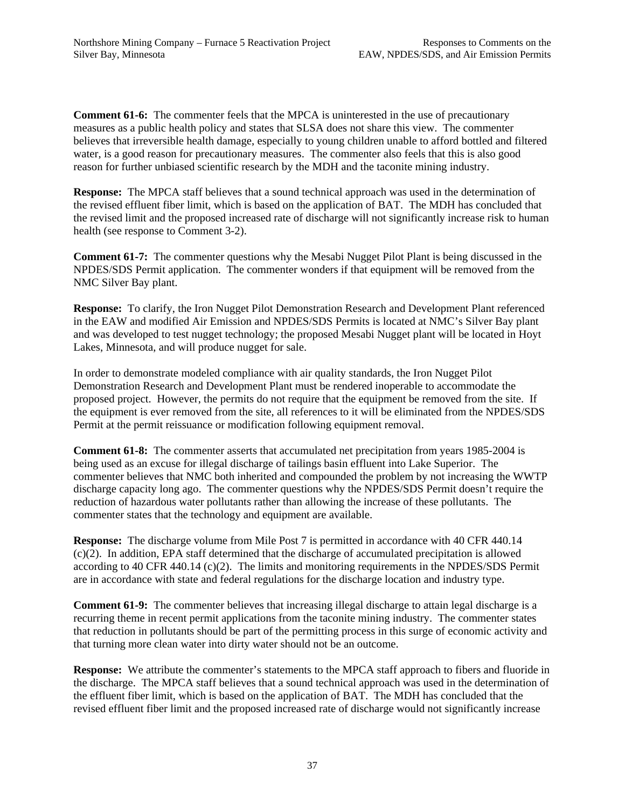**Comment 61-6:** The commenter feels that the MPCA is uninterested in the use of precautionary measures as a public health policy and states that SLSA does not share this view. The commenter believes that irreversible health damage, especially to young children unable to afford bottled and filtered water, is a good reason for precautionary measures. The commenter also feels that this is also good reason for further unbiased scientific research by the MDH and the taconite mining industry.

**Response:** The MPCA staff believes that a sound technical approach was used in the determination of the revised effluent fiber limit, which is based on the application of BAT. The MDH has concluded that the revised limit and the proposed increased rate of discharge will not significantly increase risk to human health (see response to Comment 3-2).

**Comment 61-7:** The commenter questions why the Mesabi Nugget Pilot Plant is being discussed in the NPDES/SDS Permit application. The commenter wonders if that equipment will be removed from the NMC Silver Bay plant.

**Response:** To clarify, the Iron Nugget Pilot Demonstration Research and Development Plant referenced in the EAW and modified Air Emission and NPDES/SDS Permits is located at NMC's Silver Bay plant and was developed to test nugget technology; the proposed Mesabi Nugget plant will be located in Hoyt Lakes, Minnesota, and will produce nugget for sale.

In order to demonstrate modeled compliance with air quality standards, the Iron Nugget Pilot Demonstration Research and Development Plant must be rendered inoperable to accommodate the proposed project. However, the permits do not require that the equipment be removed from the site. If the equipment is ever removed from the site, all references to it will be eliminated from the NPDES/SDS Permit at the permit reissuance or modification following equipment removal.

**Comment 61-8:** The commenter asserts that accumulated net precipitation from years 1985-2004 is being used as an excuse for illegal discharge of tailings basin effluent into Lake Superior. The commenter believes that NMC both inherited and compounded the problem by not increasing the WWTP discharge capacity long ago. The commenter questions why the NPDES/SDS Permit doesn't require the reduction of hazardous water pollutants rather than allowing the increase of these pollutants. The commenter states that the technology and equipment are available.

**Response:** The discharge volume from Mile Post 7 is permitted in accordance with 40 CFR 440.14 (c)(2). In addition, EPA staff determined that the discharge of accumulated precipitation is allowed according to 40 CFR 440.14 (c)(2). The limits and monitoring requirements in the NPDES/SDS Permit are in accordance with state and federal regulations for the discharge location and industry type.

**Comment 61-9:** The commenter believes that increasing illegal discharge to attain legal discharge is a recurring theme in recent permit applications from the taconite mining industry. The commenter states that reduction in pollutants should be part of the permitting process in this surge of economic activity and that turning more clean water into dirty water should not be an outcome.

**Response:** We attribute the commenter's statements to the MPCA staff approach to fibers and fluoride in the discharge. The MPCA staff believes that a sound technical approach was used in the determination of the effluent fiber limit, which is based on the application of BAT. The MDH has concluded that the revised effluent fiber limit and the proposed increased rate of discharge would not significantly increase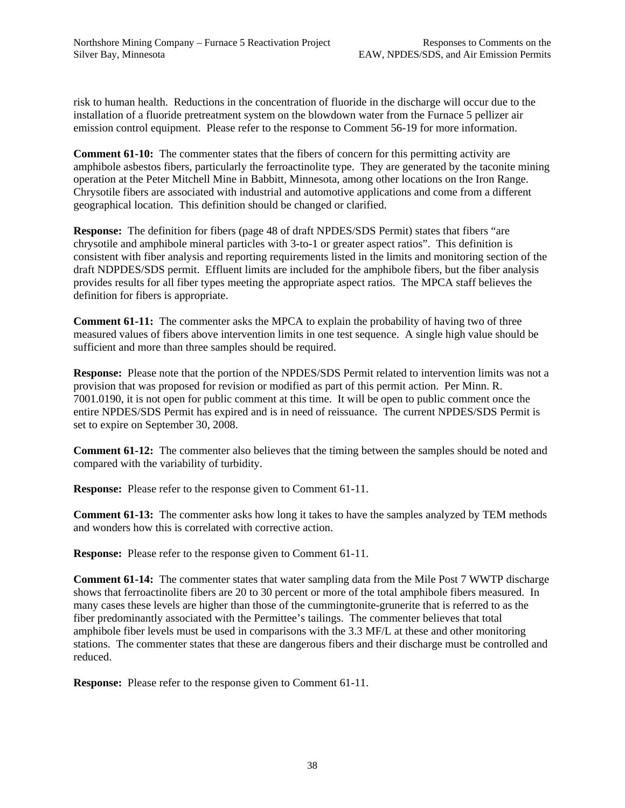risk to human health. Reductions in the concentration of fluoride in the discharge will occur due to the installation of a fluoride pretreatment system on the blowdown water from the Furnace 5 pellizer air emission control equipment. Please refer to the response to Comment 56-19 for more information.

**Comment 61-10:** The commenter states that the fibers of concern for this permitting activity are amphibole asbestos fibers, particularly the ferroactinolite type. They are generated by the taconite mining operation at the Peter Mitchell Mine in Babbitt, Minnesota, among other locations on the Iron Range. Chrysotile fibers are associated with industrial and automotive applications and come from a different geographical location. This definition should be changed or clarified.

**Response:** The definition for fibers (page 48 of draft NPDES/SDS Permit) states that fibers "are chrysotile and amphibole mineral particles with 3-to-1 or greater aspect ratios". This definition is consistent with fiber analysis and reporting requirements listed in the limits and monitoring section of the draft NDPDES/SDS permit. Effluent limits are included for the amphibole fibers, but the fiber analysis provides results for all fiber types meeting the appropriate aspect ratios. The MPCA staff believes the definition for fibers is appropriate.

**Comment 61-11:** The commenter asks the MPCA to explain the probability of having two of three measured values of fibers above intervention limits in one test sequence. A single high value should be sufficient and more than three samples should be required.

**Response:** Please note that the portion of the NPDES/SDS Permit related to intervention limits was not a provision that was proposed for revision or modified as part of this permit action. Per Minn. R. 7001.0190, it is not open for public comment at this time. It will be open to public comment once the entire NPDES/SDS Permit has expired and is in need of reissuance. The current NPDES/SDS Permit is set to expire on September 30, 2008.

**Comment 61-12:** The commenter also believes that the timing between the samples should be noted and compared with the variability of turbidity.

**Response:** Please refer to the response given to Comment 61-11.

**Comment 61-13:** The commenter asks how long it takes to have the samples analyzed by TEM methods and wonders how this is correlated with corrective action.

**Response:** Please refer to the response given to Comment 61-11.

**Comment 61-14:** The commenter states that water sampling data from the Mile Post 7 WWTP discharge shows that ferroactinolite fibers are 20 to 30 percent or more of the total amphibole fibers measured. In many cases these levels are higher than those of the cummingtonite-grunerite that is referred to as the fiber predominantly associated with the Permittee's tailings. The commenter believes that total amphibole fiber levels must be used in comparisons with the 3.3 MF/L at these and other monitoring stations. The commenter states that these are dangerous fibers and their discharge must be controlled and reduced.

**Response:** Please refer to the response given to Comment 61-11.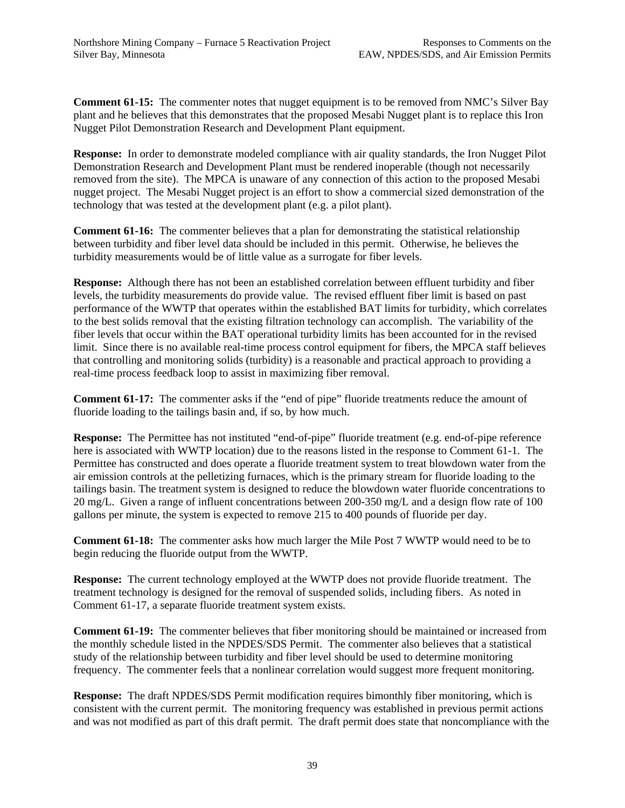**Comment 61-15:** The commenter notes that nugget equipment is to be removed from NMC's Silver Bay plant and he believes that this demonstrates that the proposed Mesabi Nugget plant is to replace this Iron Nugget Pilot Demonstration Research and Development Plant equipment.

**Response:** In order to demonstrate modeled compliance with air quality standards, the Iron Nugget Pilot Demonstration Research and Development Plant must be rendered inoperable (though not necessarily removed from the site). The MPCA is unaware of any connection of this action to the proposed Mesabi nugget project. The Mesabi Nugget project is an effort to show a commercial sized demonstration of the technology that was tested at the development plant (e.g. a pilot plant).

**Comment 61-16:** The commenter believes that a plan for demonstrating the statistical relationship between turbidity and fiber level data should be included in this permit. Otherwise, he believes the turbidity measurements would be of little value as a surrogate for fiber levels.

**Response:** Although there has not been an established correlation between effluent turbidity and fiber levels, the turbidity measurements do provide value. The revised effluent fiber limit is based on past performance of the WWTP that operates within the established BAT limits for turbidity, which correlates to the best solids removal that the existing filtration technology can accomplish. The variability of the fiber levels that occur within the BAT operational turbidity limits has been accounted for in the revised limit. Since there is no available real-time process control equipment for fibers, the MPCA staff believes that controlling and monitoring solids (turbidity) is a reasonable and practical approach to providing a real-time process feedback loop to assist in maximizing fiber removal.

**Comment 61-17:** The commenter asks if the "end of pipe" fluoride treatments reduce the amount of fluoride loading to the tailings basin and, if so, by how much.

**Response:** The Permittee has not instituted "end-of-pipe" fluoride treatment (e.g. end-of-pipe reference here is associated with WWTP location) due to the reasons listed in the response to Comment 61-1. The Permittee has constructed and does operate a fluoride treatment system to treat blowdown water from the air emission controls at the pelletizing furnaces, which is the primary stream for fluoride loading to the tailings basin. The treatment system is designed to reduce the blowdown water fluoride concentrations to 20 mg/L. Given a range of influent concentrations between 200-350 mg/L and a design flow rate of 100 gallons per minute, the system is expected to remove 215 to 400 pounds of fluoride per day.

**Comment 61-18:** The commenter asks how much larger the Mile Post 7 WWTP would need to be to begin reducing the fluoride output from the WWTP.

**Response:** The current technology employed at the WWTP does not provide fluoride treatment. The treatment technology is designed for the removal of suspended solids, including fibers. As noted in Comment 61-17, a separate fluoride treatment system exists.

**Comment 61-19:** The commenter believes that fiber monitoring should be maintained or increased from the monthly schedule listed in the NPDES/SDS Permit. The commenter also believes that a statistical study of the relationship between turbidity and fiber level should be used to determine monitoring frequency. The commenter feels that a nonlinear correlation would suggest more frequent monitoring.

**Response:** The draft NPDES/SDS Permit modification requires bimonthly fiber monitoring, which is consistent with the current permit. The monitoring frequency was established in previous permit actions and was not modified as part of this draft permit. The draft permit does state that noncompliance with the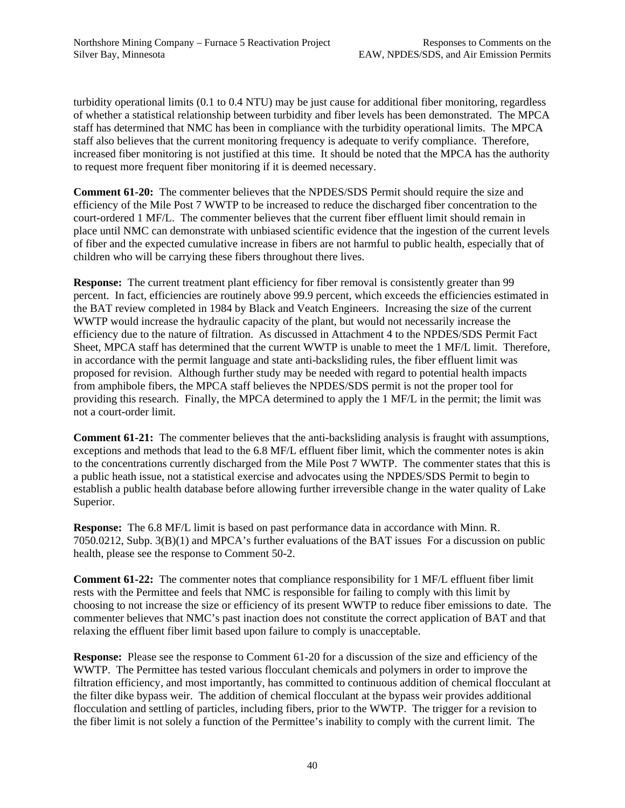turbidity operational limits (0.1 to 0.4 NTU) may be just cause for additional fiber monitoring, regardless of whether a statistical relationship between turbidity and fiber levels has been demonstrated. The MPCA staff has determined that NMC has been in compliance with the turbidity operational limits. The MPCA staff also believes that the current monitoring frequency is adequate to verify compliance. Therefore, increased fiber monitoring is not justified at this time. It should be noted that the MPCA has the authority to request more frequent fiber monitoring if it is deemed necessary.

**Comment 61-20:** The commenter believes that the NPDES/SDS Permit should require the size and efficiency of the Mile Post 7 WWTP to be increased to reduce the discharged fiber concentration to the court-ordered 1 MF/L. The commenter believes that the current fiber effluent limit should remain in place until NMC can demonstrate with unbiased scientific evidence that the ingestion of the current levels of fiber and the expected cumulative increase in fibers are not harmful to public health, especially that of children who will be carrying these fibers throughout there lives.

**Response:** The current treatment plant efficiency for fiber removal is consistently greater than 99 percent. In fact, efficiencies are routinely above 99.9 percent, which exceeds the efficiencies estimated in the BAT review completed in 1984 by Black and Veatch Engineers. Increasing the size of the current WWTP would increase the hydraulic capacity of the plant, but would not necessarily increase the efficiency due to the nature of filtration. As discussed in Attachment 4 to the NPDES/SDS Permit Fact Sheet, MPCA staff has determined that the current WWTP is unable to meet the 1 MF/L limit. Therefore, in accordance with the permit language and state anti-backsliding rules, the fiber effluent limit was proposed for revision. Although further study may be needed with regard to potential health impacts from amphibole fibers, the MPCA staff believes the NPDES/SDS permit is not the proper tool for providing this research. Finally, the MPCA determined to apply the 1 MF/L in the permit; the limit was not a court-order limit.

**Comment 61-21:** The commenter believes that the anti-backsliding analysis is fraught with assumptions, exceptions and methods that lead to the 6.8 MF/L effluent fiber limit, which the commenter notes is akin to the concentrations currently discharged from the Mile Post 7 WWTP. The commenter states that this is a public heath issue, not a statistical exercise and advocates using the NPDES/SDS Permit to begin to establish a public health database before allowing further irreversible change in the water quality of Lake Superior.

**Response:** The 6.8 MF/L limit is based on past performance data in accordance with Minn. R. 7050.0212, Subp. 3(B)(1) and MPCA's further evaluations of the BAT issues For a discussion on public health, please see the response to Comment 50-2.

**Comment 61-22:** The commenter notes that compliance responsibility for 1 MF/L effluent fiber limit rests with the Permittee and feels that NMC is responsible for failing to comply with this limit by choosing to not increase the size or efficiency of its present WWTP to reduce fiber emissions to date. The commenter believes that NMC's past inaction does not constitute the correct application of BAT and that relaxing the effluent fiber limit based upon failure to comply is unacceptable.

**Response:** Please see the response to Comment 61-20 for a discussion of the size and efficiency of the WWTP. The Permittee has tested various flocculant chemicals and polymers in order to improve the filtration efficiency, and most importantly, has committed to continuous addition of chemical flocculant at the filter dike bypass weir. The addition of chemical flocculant at the bypass weir provides additional flocculation and settling of particles, including fibers, prior to the WWTP. The trigger for a revision to the fiber limit is not solely a function of the Permittee's inability to comply with the current limit. The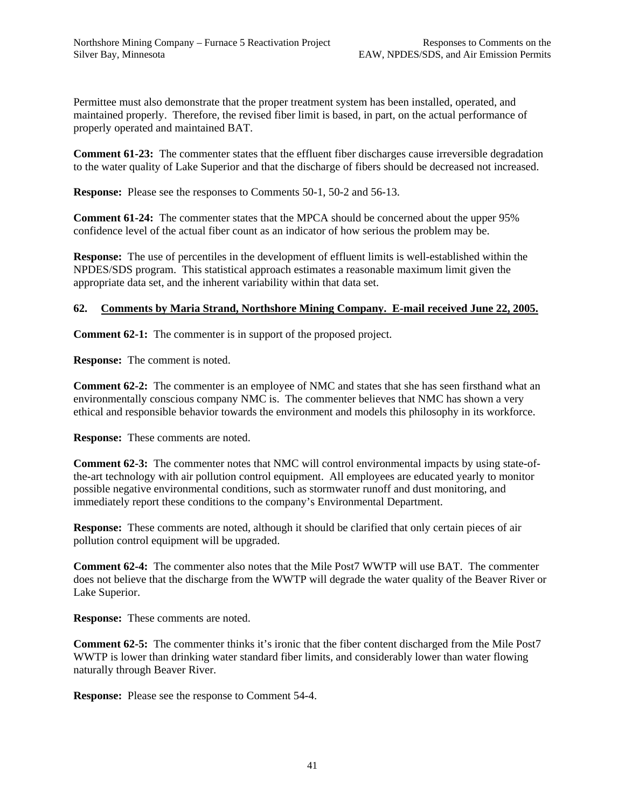Permittee must also demonstrate that the proper treatment system has been installed, operated, and maintained properly. Therefore, the revised fiber limit is based, in part, on the actual performance of properly operated and maintained BAT.

**Comment 61-23:** The commenter states that the effluent fiber discharges cause irreversible degradation to the water quality of Lake Superior and that the discharge of fibers should be decreased not increased.

**Response:** Please see the responses to Comments 50-1, 50-2 and 56-13.

**Comment 61-24:** The commenter states that the MPCA should be concerned about the upper 95% confidence level of the actual fiber count as an indicator of how serious the problem may be.

**Response:** The use of percentiles in the development of effluent limits is well-established within the NPDES/SDS program.This statistical approach estimates a reasonable maximum limit given the appropriate data set, and the inherent variability within that data set.

# **62. Comments by Maria Strand, Northshore Mining Company. E-mail received June 22, 2005.**

**Comment 62-1:** The commenter is in support of the proposed project.

**Response:** The comment is noted.

**Comment 62-2:** The commenter is an employee of NMC and states that she has seen firsthand what an environmentally conscious company NMC is. The commenter believes that NMC has shown a very ethical and responsible behavior towards the environment and models this philosophy in its workforce.

**Response:** These comments are noted.

**Comment 62-3:** The commenter notes that NMC will control environmental impacts by using state-ofthe-art technology with air pollution control equipment. All employees are educated yearly to monitor possible negative environmental conditions, such as stormwater runoff and dust monitoring, and immediately report these conditions to the company's Environmental Department.

**Response:** These comments are noted, although it should be clarified that only certain pieces of air pollution control equipment will be upgraded.

**Comment 62-4:** The commenter also notes that the Mile Post7 WWTP will use BAT. The commenter does not believe that the discharge from the WWTP will degrade the water quality of the Beaver River or Lake Superior.

**Response:** These comments are noted.

**Comment 62-5:** The commenter thinks it's ironic that the fiber content discharged from the Mile Post7 WWTP is lower than drinking water standard fiber limits, and considerably lower than water flowing naturally through Beaver River.

**Response:** Please see the response to Comment 54-4.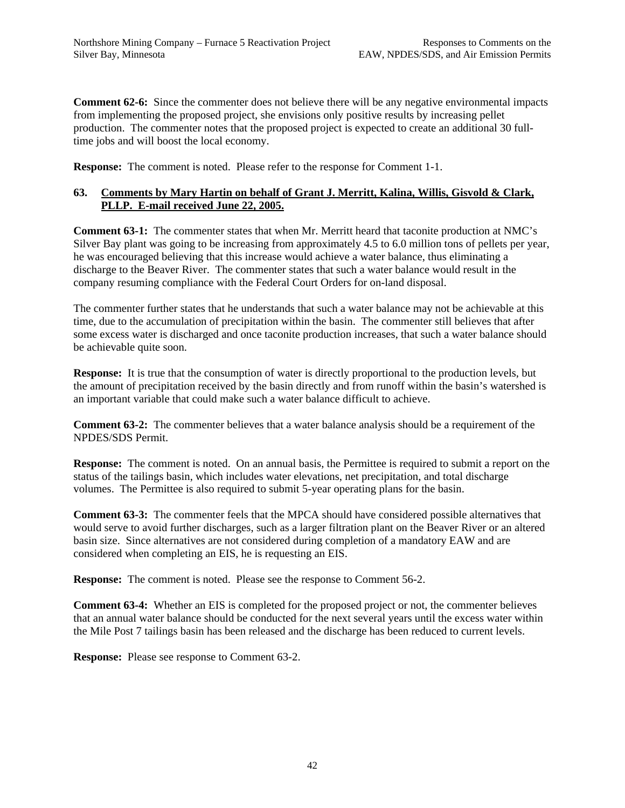**Comment 62-6:** Since the commenter does not believe there will be any negative environmental impacts from implementing the proposed project, she envisions only positive results by increasing pellet production. The commenter notes that the proposed project is expected to create an additional 30 fulltime jobs and will boost the local economy.

**Response:** The comment is noted. Please refer to the response for Comment 1-1.

## **63. Comments by Mary Hartin on behalf of Grant J. Merritt, Kalina, Willis, Gisvold & Clark, PLLP. E-mail received June 22, 2005.**

**Comment 63-1:** The commenter states that when Mr. Merritt heard that taconite production at NMC's Silver Bay plant was going to be increasing from approximately 4.5 to 6.0 million tons of pellets per year, he was encouraged believing that this increase would achieve a water balance, thus eliminating a discharge to the Beaver River. The commenter states that such a water balance would result in the company resuming compliance with the Federal Court Orders for on-land disposal.

The commenter further states that he understands that such a water balance may not be achievable at this time, due to the accumulation of precipitation within the basin. The commenter still believes that after some excess water is discharged and once taconite production increases, that such a water balance should be achievable quite soon.

**Response:** It is true that the consumption of water is directly proportional to the production levels, but the amount of precipitation received by the basin directly and from runoff within the basin's watershed is an important variable that could make such a water balance difficult to achieve.

**Comment 63-2:** The commenter believes that a water balance analysis should be a requirement of the NPDES/SDS Permit.

**Response:** The comment is noted. On an annual basis, the Permittee is required to submit a report on the status of the tailings basin, which includes water elevations, net precipitation, and total discharge volumes. The Permittee is also required to submit 5-year operating plans for the basin.

**Comment 63-3:** The commenter feels that the MPCA should have considered possible alternatives that would serve to avoid further discharges, such as a larger filtration plant on the Beaver River or an altered basin size. Since alternatives are not considered during completion of a mandatory EAW and are considered when completing an EIS, he is requesting an EIS.

**Response:** The comment is noted. Please see the response to Comment 56-2.

**Comment 63-4:** Whether an EIS is completed for the proposed project or not, the commenter believes that an annual water balance should be conducted for the next several years until the excess water within the Mile Post 7 tailings basin has been released and the discharge has been reduced to current levels.

**Response:** Please see response to Comment 63-2.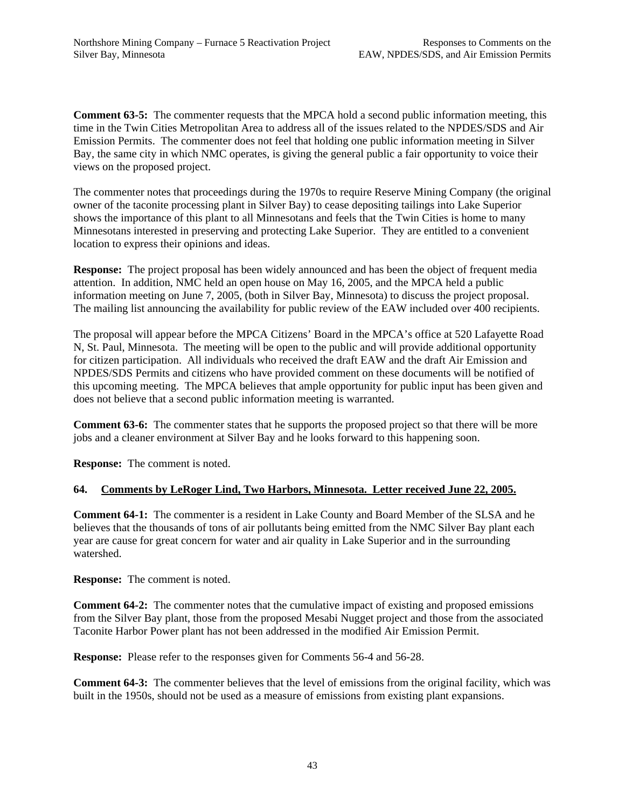**Comment 63-5:** The commenter requests that the MPCA hold a second public information meeting, this time in the Twin Cities Metropolitan Area to address all of the issues related to the NPDES/SDS and Air Emission Permits. The commenter does not feel that holding one public information meeting in Silver Bay, the same city in which NMC operates, is giving the general public a fair opportunity to voice their views on the proposed project.

The commenter notes that proceedings during the 1970s to require Reserve Mining Company (the original owner of the taconite processing plant in Silver Bay) to cease depositing tailings into Lake Superior shows the importance of this plant to all Minnesotans and feels that the Twin Cities is home to many Minnesotans interested in preserving and protecting Lake Superior. They are entitled to a convenient location to express their opinions and ideas.

**Response:** The project proposal has been widely announced and has been the object of frequent media attention. In addition, NMC held an open house on May 16, 2005, and the MPCA held a public information meeting on June 7, 2005, (both in Silver Bay, Minnesota) to discuss the project proposal. The mailing list announcing the availability for public review of the EAW included over 400 recipients.

The proposal will appear before the MPCA Citizens' Board in the MPCA's office at 520 Lafayette Road N, St. Paul, Minnesota. The meeting will be open to the public and will provide additional opportunity for citizen participation. All individuals who received the draft EAW and the draft Air Emission and NPDES/SDS Permits and citizens who have provided comment on these documents will be notified of this upcoming meeting. The MPCA believes that ample opportunity for public input has been given and does not believe that a second public information meeting is warranted.

**Comment 63-6:** The commenter states that he supports the proposed project so that there will be more jobs and a cleaner environment at Silver Bay and he looks forward to this happening soon.

**Response:** The comment is noted.

# **64. Comments by LeRoger Lind, Two Harbors, Minnesota. Letter received June 22, 2005.**

**Comment 64-1:** The commenter is a resident in Lake County and Board Member of the SLSA and he believes that the thousands of tons of air pollutants being emitted from the NMC Silver Bay plant each year are cause for great concern for water and air quality in Lake Superior and in the surrounding watershed.

**Response:** The comment is noted.

**Comment 64-2:** The commenter notes that the cumulative impact of existing and proposed emissions from the Silver Bay plant, those from the proposed Mesabi Nugget project and those from the associated Taconite Harbor Power plant has not been addressed in the modified Air Emission Permit.

**Response:** Please refer to the responses given for Comments 56-4 and 56-28.

**Comment 64-3:** The commenter believes that the level of emissions from the original facility, which was built in the 1950s, should not be used as a measure of emissions from existing plant expansions.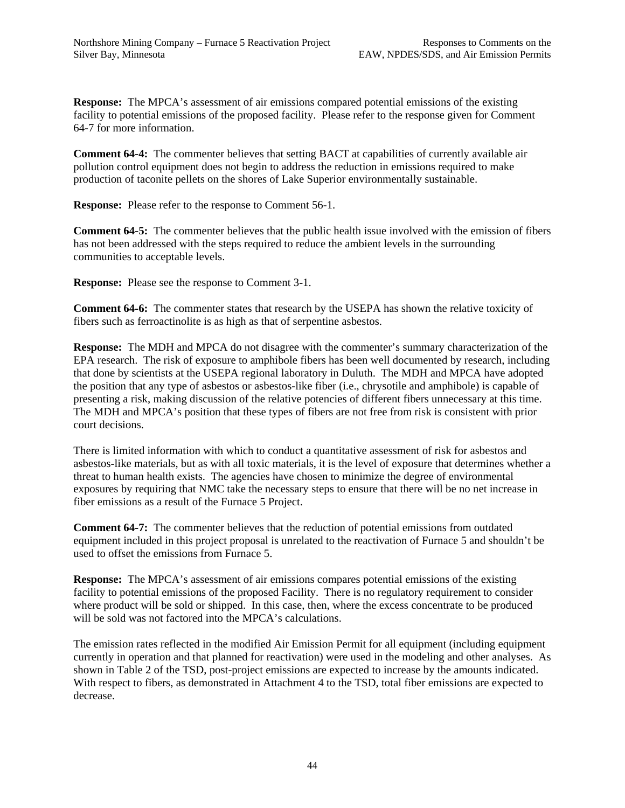**Response:** The MPCA's assessment of air emissions compared potential emissions of the existing facility to potential emissions of the proposed facility. Please refer to the response given for Comment 64-7 for more information.

**Comment 64-4:** The commenter believes that setting BACT at capabilities of currently available air pollution control equipment does not begin to address the reduction in emissions required to make production of taconite pellets on the shores of Lake Superior environmentally sustainable.

**Response:** Please refer to the response to Comment 56-1.

**Comment 64-5:** The commenter believes that the public health issue involved with the emission of fibers has not been addressed with the steps required to reduce the ambient levels in the surrounding communities to acceptable levels.

**Response:** Please see the response to Comment 3-1.

**Comment 64-6:** The commenter states that research by the USEPA has shown the relative toxicity of fibers such as ferroactinolite is as high as that of serpentine asbestos.

**Response:** The MDH and MPCA do not disagree with the commenter's summary characterization of the EPA research. The risk of exposure to amphibole fibers has been well documented by research, including that done by scientists at the USEPA regional laboratory in Duluth. The MDH and MPCA have adopted the position that any type of asbestos or asbestos-like fiber (i.e., chrysotile and amphibole) is capable of presenting a risk, making discussion of the relative potencies of different fibers unnecessary at this time. The MDH and MPCA's position that these types of fibers are not free from risk is consistent with prior court decisions.

There is limited information with which to conduct a quantitative assessment of risk for asbestos and asbestos-like materials, but as with all toxic materials, it is the level of exposure that determines whether a threat to human health exists. The agencies have chosen to minimize the degree of environmental exposures by requiring that NMC take the necessary steps to ensure that there will be no net increase in fiber emissions as a result of the Furnace 5 Project.

**Comment 64-7:** The commenter believes that the reduction of potential emissions from outdated equipment included in this project proposal is unrelated to the reactivation of Furnace 5 and shouldn't be used to offset the emissions from Furnace 5.

**Response:** The MPCA's assessment of air emissions compares potential emissions of the existing facility to potential emissions of the proposed Facility. There is no regulatory requirement to consider where product will be sold or shipped. In this case, then, where the excess concentrate to be produced will be sold was not factored into the MPCA's calculations.

The emission rates reflected in the modified Air Emission Permit for all equipment (including equipment currently in operation and that planned for reactivation) were used in the modeling and other analyses. As shown in Table 2 of the TSD, post-project emissions are expected to increase by the amounts indicated. With respect to fibers, as demonstrated in Attachment 4 to the TSD, total fiber emissions are expected to decrease.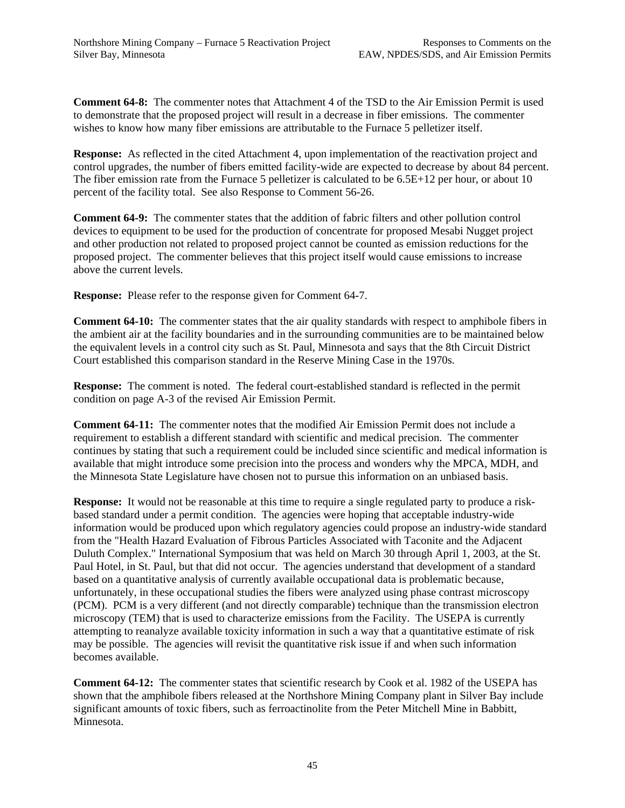**Comment 64-8:** The commenter notes that Attachment 4 of the TSD to the Air Emission Permit is used to demonstrate that the proposed project will result in a decrease in fiber emissions. The commenter wishes to know how many fiber emissions are attributable to the Furnace 5 pelletizer itself.

**Response:** As reflected in the cited Attachment 4, upon implementation of the reactivation project and control upgrades, the number of fibers emitted facility-wide are expected to decrease by about 84 percent. The fiber emission rate from the Furnace 5 pelletizer is calculated to be 6.5E+12 per hour, or about 10 percent of the facility total. See also Response to Comment 56-26.

**Comment 64-9:** The commenter states that the addition of fabric filters and other pollution control devices to equipment to be used for the production of concentrate for proposed Mesabi Nugget project and other production not related to proposed project cannot be counted as emission reductions for the proposed project. The commenter believes that this project itself would cause emissions to increase above the current levels.

**Response:** Please refer to the response given for Comment 64-7.

**Comment 64-10:** The commenter states that the air quality standards with respect to amphibole fibers in the ambient air at the facility boundaries and in the surrounding communities are to be maintained below the equivalent levels in a control city such as St. Paul, Minnesota and says that the 8th Circuit District Court established this comparison standard in the Reserve Mining Case in the 1970s.

**Response:** The comment is noted. The federal court-established standard is reflected in the permit condition on page A-3 of the revised Air Emission Permit.

**Comment 64-11:** The commenter notes that the modified Air Emission Permit does not include a requirement to establish a different standard with scientific and medical precision. The commenter continues by stating that such a requirement could be included since scientific and medical information is available that might introduce some precision into the process and wonders why the MPCA, MDH, and the Minnesota State Legislature have chosen not to pursue this information on an unbiased basis.

**Response:** It would not be reasonable at this time to require a single regulated party to produce a riskbased standard under a permit condition. The agencies were hoping that acceptable industry-wide information would be produced upon which regulatory agencies could propose an industry-wide standard from the "Health Hazard Evaluation of Fibrous Particles Associated with Taconite and the Adjacent Duluth Complex." International Symposium that was held on March 30 through April 1, 2003, at the St. Paul Hotel, in St. Paul, but that did not occur. The agencies understand that development of a standard based on a quantitative analysis of currently available occupational data is problematic because, unfortunately, in these occupational studies the fibers were analyzed using phase contrast microscopy (PCM). PCM is a very different (and not directly comparable) technique than the transmission electron microscopy (TEM) that is used to characterize emissions from the Facility. The USEPA is currently attempting to reanalyze available toxicity information in such a way that a quantitative estimate of risk may be possible. The agencies will revisit the quantitative risk issue if and when such information becomes available.

**Comment 64-12:** The commenter states that scientific research by Cook et al. 1982 of the USEPA has shown that the amphibole fibers released at the Northshore Mining Company plant in Silver Bay include significant amounts of toxic fibers, such as ferroactinolite from the Peter Mitchell Mine in Babbitt, Minnesota.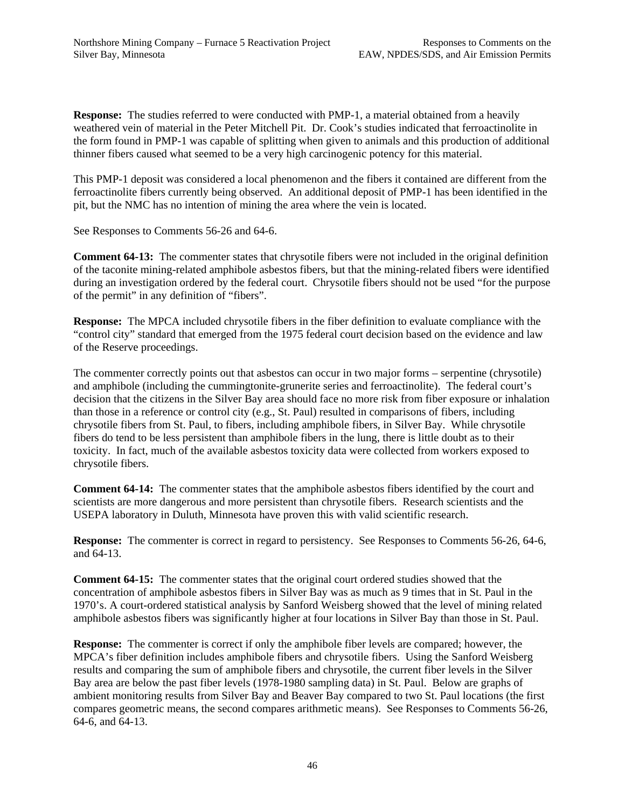**Response:** The studies referred to were conducted with PMP-1, a material obtained from a heavily weathered vein of material in the Peter Mitchell Pit. Dr. Cook's studies indicated that ferroactinolite in the form found in PMP-1 was capable of splitting when given to animals and this production of additional thinner fibers caused what seemed to be a very high carcinogenic potency for this material.

This PMP-1 deposit was considered a local phenomenon and the fibers it contained are different from the ferroactinolite fibers currently being observed. An additional deposit of PMP-1 has been identified in the pit, but the NMC has no intention of mining the area where the vein is located.

See Responses to Comments 56-26 and 64-6.

**Comment 64-13:** The commenter states that chrysotile fibers were not included in the original definition of the taconite mining-related amphibole asbestos fibers, but that the mining-related fibers were identified during an investigation ordered by the federal court. Chrysotile fibers should not be used "for the purpose of the permit" in any definition of "fibers".

**Response:** The MPCA included chrysotile fibers in the fiber definition to evaluate compliance with the "control city" standard that emerged from the 1975 federal court decision based on the evidence and law of the Reserve proceedings.

The commenter correctly points out that asbestos can occur in two major forms – serpentine (chrysotile) and amphibole (including the cummingtonite-grunerite series and ferroactinolite). The federal court's decision that the citizens in the Silver Bay area should face no more risk from fiber exposure or inhalation than those in a reference or control city (e.g., St. Paul) resulted in comparisons of fibers, including chrysotile fibers from St. Paul, to fibers, including amphibole fibers, in Silver Bay. While chrysotile fibers do tend to be less persistent than amphibole fibers in the lung, there is little doubt as to their toxicity. In fact, much of the available asbestos toxicity data were collected from workers exposed to chrysotile fibers.

**Comment 64-14:** The commenter states that the amphibole asbestos fibers identified by the court and scientists are more dangerous and more persistent than chrysotile fibers. Research scientists and the USEPA laboratory in Duluth, Minnesota have proven this with valid scientific research.

**Response:** The commenter is correct in regard to persistency. See Responses to Comments 56-26, 64-6, and 64-13.

**Comment 64-15:** The commenter states that the original court ordered studies showed that the concentration of amphibole asbestos fibers in Silver Bay was as much as 9 times that in St. Paul in the 1970's. A court-ordered statistical analysis by Sanford Weisberg showed that the level of mining related amphibole asbestos fibers was significantly higher at four locations in Silver Bay than those in St. Paul.

**Response:** The commenter is correct if only the amphibole fiber levels are compared; however, the MPCA's fiber definition includes amphibole fibers and chrysotile fibers. Using the Sanford Weisberg results and comparing the sum of amphibole fibers and chrysotile, the current fiber levels in the Silver Bay area are below the past fiber levels (1978-1980 sampling data) in St. Paul. Below are graphs of ambient monitoring results from Silver Bay and Beaver Bay compared to two St. Paul locations (the first compares geometric means, the second compares arithmetic means). See Responses to Comments 56-26, 64-6, and 64-13.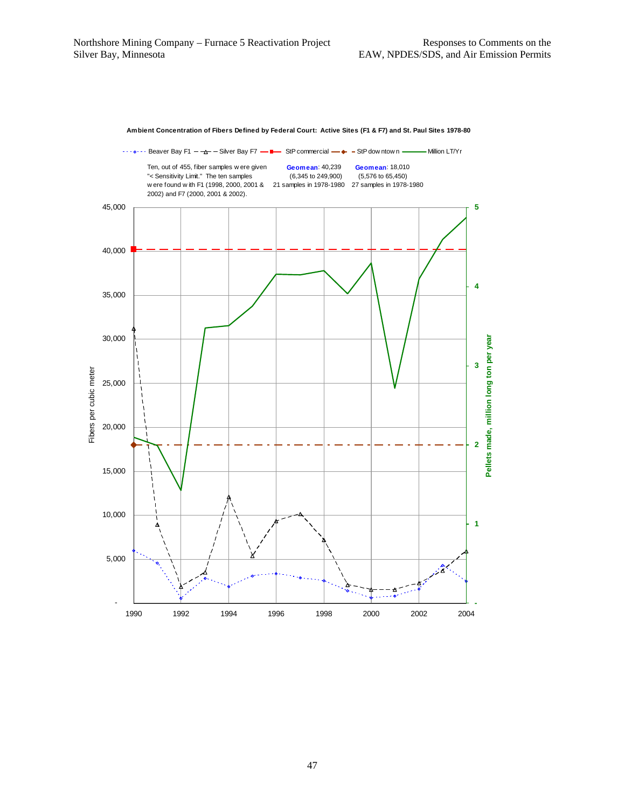

**Ambient Concentration of Fibers Defined by Federal Court: Active Sites (F1 & F7) and St. Paul Sites 1978-80**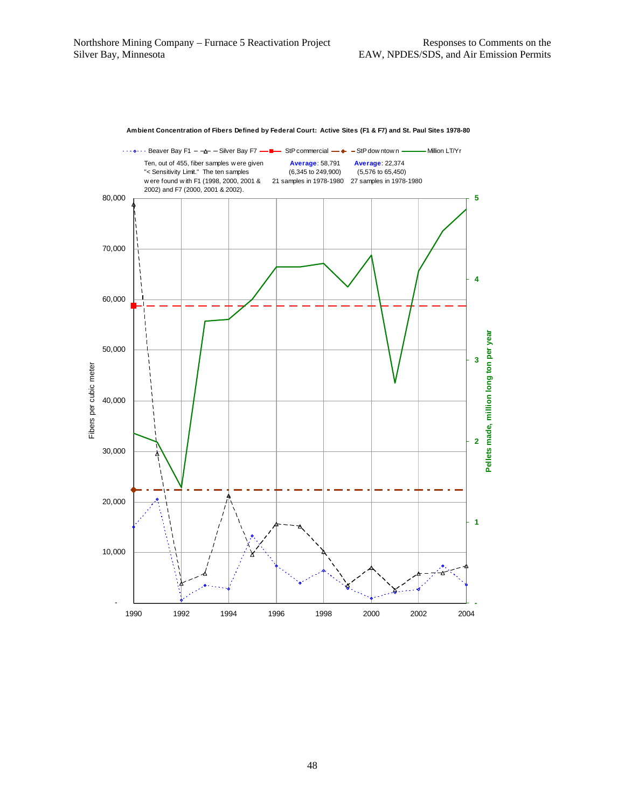

#### **Ambient Concentration of Fibers Defined by Federal Court: Active Sites (F1 & F7) and St. Paul Sites 1978-80**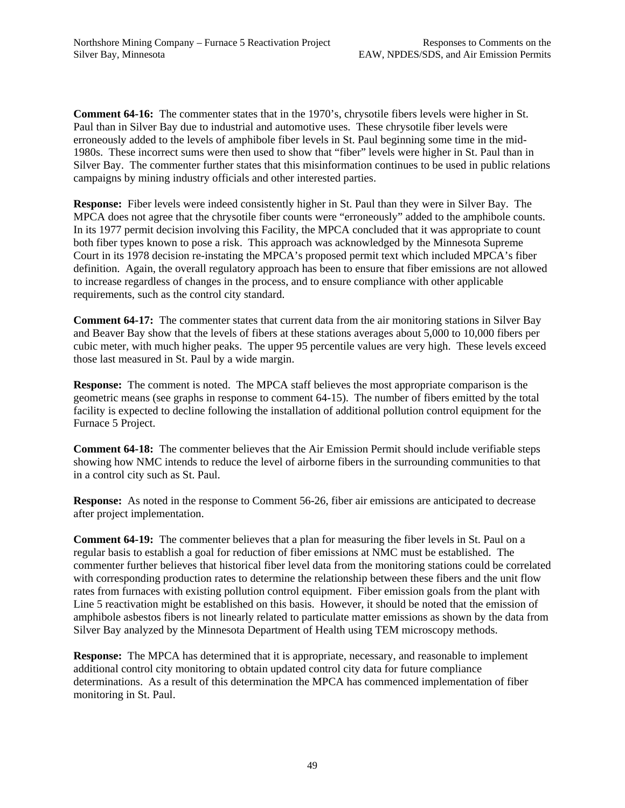**Comment 64-16:** The commenter states that in the 1970's, chrysotile fibers levels were higher in St. Paul than in Silver Bay due to industrial and automotive uses. These chrysotile fiber levels were erroneously added to the levels of amphibole fiber levels in St. Paul beginning some time in the mid-1980s. These incorrect sums were then used to show that "fiber" levels were higher in St. Paul than in Silver Bay. The commenter further states that this misinformation continues to be used in public relations campaigns by mining industry officials and other interested parties.

**Response:** Fiber levels were indeed consistently higher in St. Paul than they were in Silver Bay. The MPCA does not agree that the chrysotile fiber counts were "erroneously" added to the amphibole counts. In its 1977 permit decision involving this Facility, the MPCA concluded that it was appropriate to count both fiber types known to pose a risk. This approach was acknowledged by the Minnesota Supreme Court in its 1978 decision re-instating the MPCA's proposed permit text which included MPCA's fiber definition. Again, the overall regulatory approach has been to ensure that fiber emissions are not allowed to increase regardless of changes in the process, and to ensure compliance with other applicable requirements, such as the control city standard.

**Comment 64-17:** The commenter states that current data from the air monitoring stations in Silver Bay and Beaver Bay show that the levels of fibers at these stations averages about 5,000 to 10,000 fibers per cubic meter, with much higher peaks. The upper 95 percentile values are very high. These levels exceed those last measured in St. Paul by a wide margin.

**Response:** The comment is noted. The MPCA staff believes the most appropriate comparison is the geometric means (see graphs in response to comment 64-15). The number of fibers emitted by the total facility is expected to decline following the installation of additional pollution control equipment for the Furnace 5 Project.

**Comment 64-18:** The commenter believes that the Air Emission Permit should include verifiable steps showing how NMC intends to reduce the level of airborne fibers in the surrounding communities to that in a control city such as St. Paul.

**Response:** As noted in the response to Comment 56-26, fiber air emissions are anticipated to decrease after project implementation.

**Comment 64-19:** The commenter believes that a plan for measuring the fiber levels in St. Paul on a regular basis to establish a goal for reduction of fiber emissions at NMC must be established. The commenter further believes that historical fiber level data from the monitoring stations could be correlated with corresponding production rates to determine the relationship between these fibers and the unit flow rates from furnaces with existing pollution control equipment. Fiber emission goals from the plant with Line 5 reactivation might be established on this basis. However, it should be noted that the emission of amphibole asbestos fibers is not linearly related to particulate matter emissions as shown by the data from Silver Bay analyzed by the Minnesota Department of Health using TEM microscopy methods.

**Response:** The MPCA has determined that it is appropriate, necessary, and reasonable to implement additional control city monitoring to obtain updated control city data for future compliance determinations. As a result of this determination the MPCA has commenced implementation of fiber monitoring in St. Paul.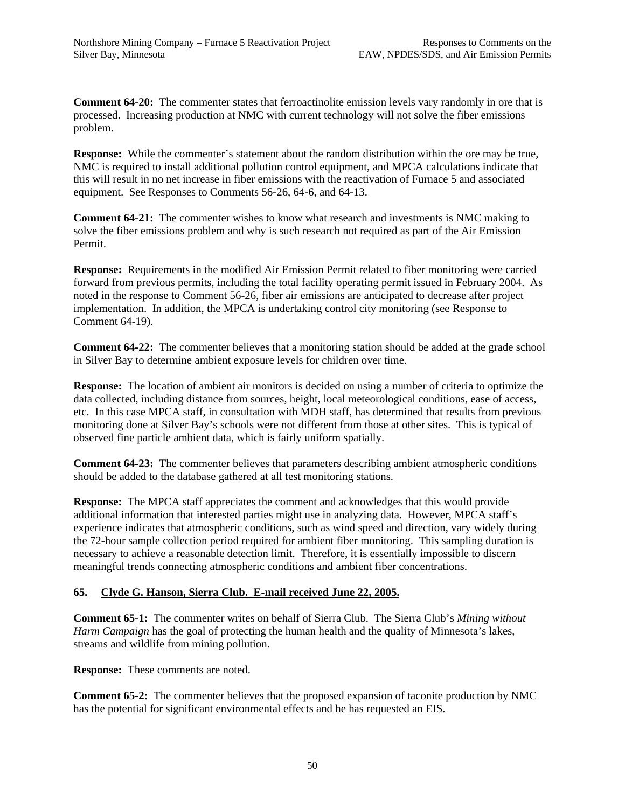**Comment 64-20:** The commenter states that ferroactinolite emission levels vary randomly in ore that is processed. Increasing production at NMC with current technology will not solve the fiber emissions problem.

**Response:** While the commenter's statement about the random distribution within the ore may be true, NMC is required to install additional pollution control equipment, and MPCA calculations indicate that this will result in no net increase in fiber emissions with the reactivation of Furnace 5 and associated equipment. See Responses to Comments 56-26, 64-6, and 64-13.

**Comment 64-21:** The commenter wishes to know what research and investments is NMC making to solve the fiber emissions problem and why is such research not required as part of the Air Emission Permit.

**Response:** Requirements in the modified Air Emission Permit related to fiber monitoring were carried forward from previous permits, including the total facility operating permit issued in February 2004. As noted in the response to Comment 56-26, fiber air emissions are anticipated to decrease after project implementation. In addition, the MPCA is undertaking control city monitoring (see Response to Comment 64-19).

**Comment 64-22:** The commenter believes that a monitoring station should be added at the grade school in Silver Bay to determine ambient exposure levels for children over time.

**Response:** The location of ambient air monitors is decided on using a number of criteria to optimize the data collected, including distance from sources, height, local meteorological conditions, ease of access, etc. In this case MPCA staff, in consultation with MDH staff, has determined that results from previous monitoring done at Silver Bay's schools were not different from those at other sites. This is typical of observed fine particle ambient data, which is fairly uniform spatially.

**Comment 64-23:** The commenter believes that parameters describing ambient atmospheric conditions should be added to the database gathered at all test monitoring stations.

**Response:** The MPCA staff appreciates the comment and acknowledges that this would provide additional information that interested parties might use in analyzing data. However, MPCA staff's experience indicates that atmospheric conditions, such as wind speed and direction, vary widely during the 72-hour sample collection period required for ambient fiber monitoring. This sampling duration is necessary to achieve a reasonable detection limit. Therefore, it is essentially impossible to discern meaningful trends connecting atmospheric conditions and ambient fiber concentrations.

# **65. Clyde G. Hanson, Sierra Club. E-mail received June 22, 2005.**

**Comment 65-1:** The commenter writes on behalf of Sierra Club. The Sierra Club's *Mining without Harm Campaign* has the goal of protecting the human health and the quality of Minnesota's lakes, streams and wildlife from mining pollution.

**Response:** These comments are noted.

**Comment 65-2:** The commenter believes that the proposed expansion of taconite production by NMC has the potential for significant environmental effects and he has requested an EIS.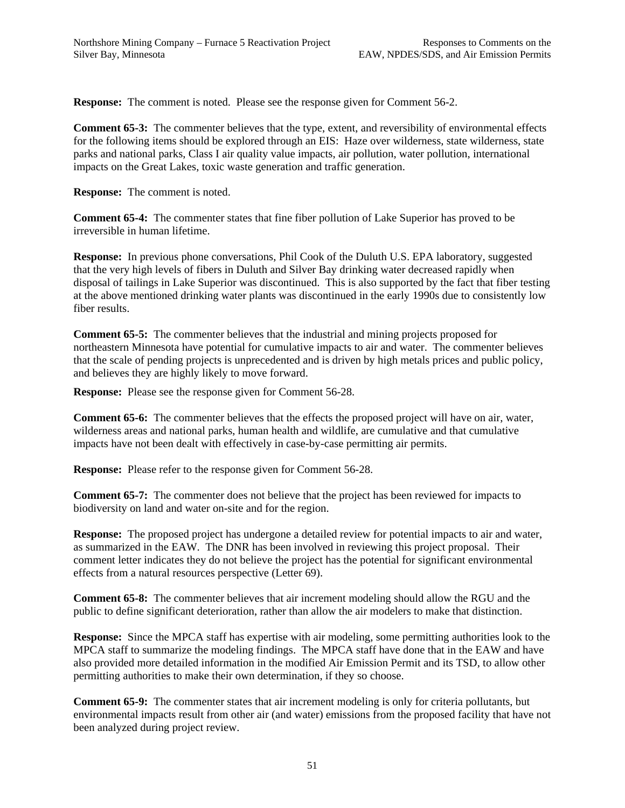**Response:** The comment is noted. Please see the response given for Comment 56-2.

**Comment 65-3:** The commenter believes that the type, extent, and reversibility of environmental effects for the following items should be explored through an EIS: Haze over wilderness, state wilderness, state parks and national parks, Class I air quality value impacts, air pollution, water pollution, international impacts on the Great Lakes, toxic waste generation and traffic generation.

**Response:** The comment is noted.

**Comment 65-4:** The commenter states that fine fiber pollution of Lake Superior has proved to be irreversible in human lifetime.

**Response:** In previous phone conversations, Phil Cook of the Duluth U.S. EPA laboratory, suggested that the very high levels of fibers in Duluth and Silver Bay drinking water decreased rapidly when disposal of tailings in Lake Superior was discontinued. This is also supported by the fact that fiber testing at the above mentioned drinking water plants was discontinued in the early 1990s due to consistently low fiber results.

**Comment 65-5:** The commenter believes that the industrial and mining projects proposed for northeastern Minnesota have potential for cumulative impacts to air and water. The commenter believes that the scale of pending projects is unprecedented and is driven by high metals prices and public policy, and believes they are highly likely to move forward.

**Response:** Please see the response given for Comment 56-28.

**Comment 65-6:** The commenter believes that the effects the proposed project will have on air, water, wilderness areas and national parks, human health and wildlife, are cumulative and that cumulative impacts have not been dealt with effectively in case-by-case permitting air permits.

**Response:** Please refer to the response given for Comment 56-28.

**Comment 65-7:** The commenter does not believe that the project has been reviewed for impacts to biodiversity on land and water on-site and for the region.

**Response:** The proposed project has undergone a detailed review for potential impacts to air and water, as summarized in the EAW. The DNR has been involved in reviewing this project proposal. Their comment letter indicates they do not believe the project has the potential for significant environmental effects from a natural resources perspective (Letter 69).

**Comment 65-8:** The commenter believes that air increment modeling should allow the RGU and the public to define significant deterioration, rather than allow the air modelers to make that distinction.

**Response:** Since the MPCA staff has expertise with air modeling, some permitting authorities look to the MPCA staff to summarize the modeling findings. The MPCA staff have done that in the EAW and have also provided more detailed information in the modified Air Emission Permit and its TSD, to allow other permitting authorities to make their own determination, if they so choose.

**Comment 65-9:** The commenter states that air increment modeling is only for criteria pollutants, but environmental impacts result from other air (and water) emissions from the proposed facility that have not been analyzed during project review.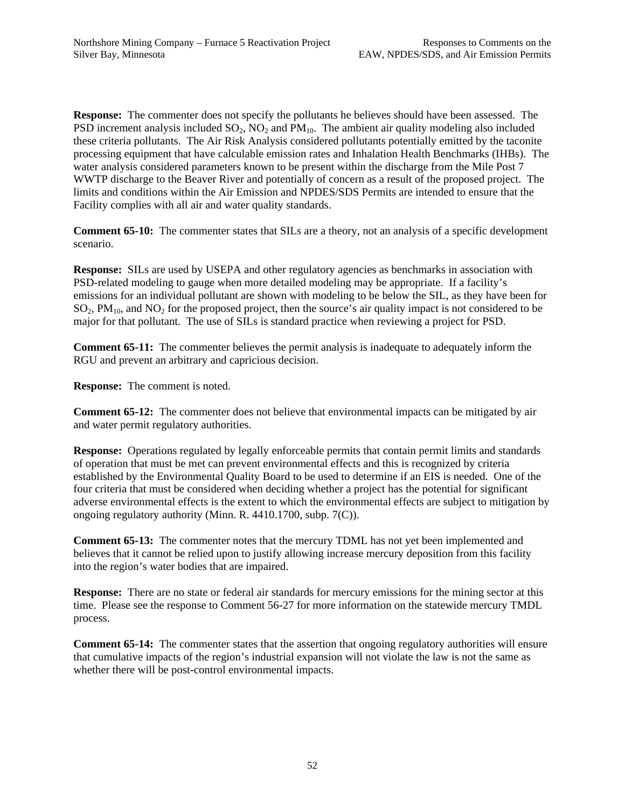**Response:** The commenter does not specify the pollutants he believes should have been assessed.The PSD increment analysis included  $SO_2$ ,  $NO_2$  and  $PM_{10}$ . The ambient air quality modeling also included these criteria pollutants. The Air Risk Analysis considered pollutants potentially emitted by the taconite processing equipment that have calculable emission rates and Inhalation Health Benchmarks (IHBs). The water analysis considered parameters known to be present within the discharge from the Mile Post 7 WWTP discharge to the Beaver River and potentially of concern as a result of the proposed project. The limits and conditions within the Air Emission and NPDES/SDS Permits are intended to ensure that the Facility complies with all air and water quality standards.

**Comment 65-10:** The commenter states that SILs are a theory, not an analysis of a specific development scenario.

**Response:** SILs are used by USEPA and other regulatory agencies as benchmarks in association with PSD-related modeling to gauge when more detailed modeling may be appropriate. If a facility's emissions for an individual pollutant are shown with modeling to be below the SIL, as they have been for  $SO<sub>2</sub>$ , PM<sub>10</sub>, and NO<sub>2</sub> for the proposed project, then the source's air quality impact is not considered to be major for that pollutant. The use of SILs is standard practice when reviewing a project for PSD.

**Comment 65-11:** The commenter believes the permit analysis is inadequate to adequately inform the RGU and prevent an arbitrary and capricious decision.

**Response:** The comment is noted.

**Comment 65-12:** The commenter does not believe that environmental impacts can be mitigated by air and water permit regulatory authorities.

**Response:** Operations regulated by legally enforceable permits that contain permit limits and standards of operation that must be met can prevent environmental effects and this is recognized by criteria established by the Environmental Quality Board to be used to determine if an EIS is needed. One of the four criteria that must be considered when deciding whether a project has the potential for significant adverse environmental effects is the extent to which the environmental effects are subject to mitigation by ongoing regulatory authority (Minn. R. 4410.1700, subp. 7(C)).

**Comment 65-13:** The commenter notes that the mercury TDML has not yet been implemented and believes that it cannot be relied upon to justify allowing increase mercury deposition from this facility into the region's water bodies that are impaired.

**Response:** There are no state or federal air standards for mercury emissions for the mining sector at this time. Please see the response to Comment 56-27 for more information on the statewide mercury TMDL process.

**Comment 65-14:** The commenter states that the assertion that ongoing regulatory authorities will ensure that cumulative impacts of the region's industrial expansion will not violate the law is not the same as whether there will be post-control environmental impacts.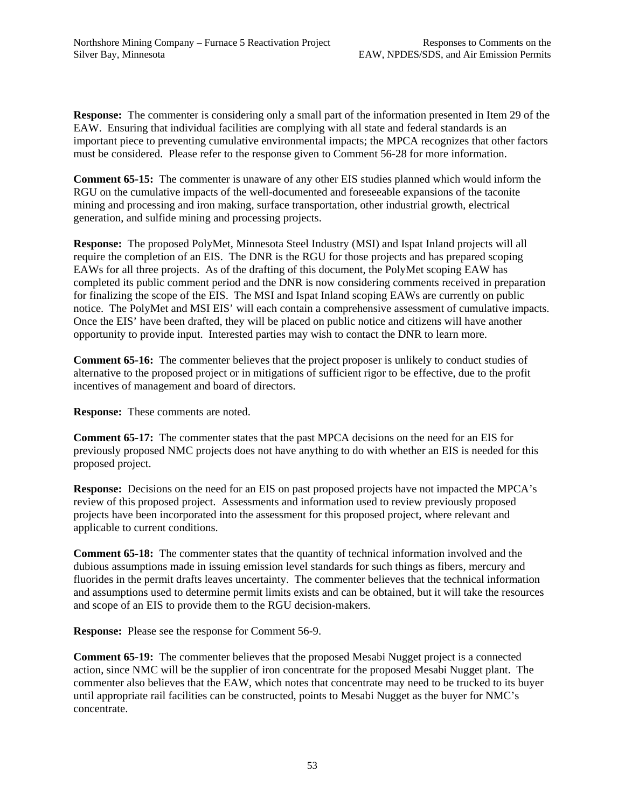**Response:** The commenter is considering only a small part of the information presented in Item 29 of the EAW. Ensuring that individual facilities are complying with all state and federal standards is an important piece to preventing cumulative environmental impacts; the MPCA recognizes that other factors must be considered. Please refer to the response given to Comment 56-28 for more information.

**Comment 65-15:** The commenter is unaware of any other EIS studies planned which would inform the RGU on the cumulative impacts of the well-documented and foreseeable expansions of the taconite mining and processing and iron making, surface transportation, other industrial growth, electrical generation, and sulfide mining and processing projects.

**Response:** The proposed PolyMet, Minnesota Steel Industry (MSI) and Ispat Inland projects will all require the completion of an EIS. The DNR is the RGU for those projects and has prepared scoping EAWs for all three projects. As of the drafting of this document, the PolyMet scoping EAW has completed its public comment period and the DNR is now considering comments received in preparation for finalizing the scope of the EIS. The MSI and Ispat Inland scoping EAWs are currently on public notice. The PolyMet and MSI EIS' will each contain a comprehensive assessment of cumulative impacts. Once the EIS' have been drafted, they will be placed on public notice and citizens will have another opportunity to provide input. Interested parties may wish to contact the DNR to learn more.

**Comment 65-16:** The commenter believes that the project proposer is unlikely to conduct studies of alternative to the proposed project or in mitigations of sufficient rigor to be effective, due to the profit incentives of management and board of directors.

**Response:** These comments are noted.

**Comment 65-17:** The commenter states that the past MPCA decisions on the need for an EIS for previously proposed NMC projects does not have anything to do with whether an EIS is needed for this proposed project.

**Response:** Decisions on the need for an EIS on past proposed projects have not impacted the MPCA's review of this proposed project. Assessments and information used to review previously proposed projects have been incorporated into the assessment for this proposed project, where relevant and applicable to current conditions.

**Comment 65-18:** The commenter states that the quantity of technical information involved and the dubious assumptions made in issuing emission level standards for such things as fibers, mercury and fluorides in the permit drafts leaves uncertainty. The commenter believes that the technical information and assumptions used to determine permit limits exists and can be obtained, but it will take the resources and scope of an EIS to provide them to the RGU decision-makers.

**Response:** Please see the response for Comment 56-9.

**Comment 65-19:** The commenter believes that the proposed Mesabi Nugget project is a connected action, since NMC will be the supplier of iron concentrate for the proposed Mesabi Nugget plant. The commenter also believes that the EAW, which notes that concentrate may need to be trucked to its buyer until appropriate rail facilities can be constructed, points to Mesabi Nugget as the buyer for NMC's concentrate.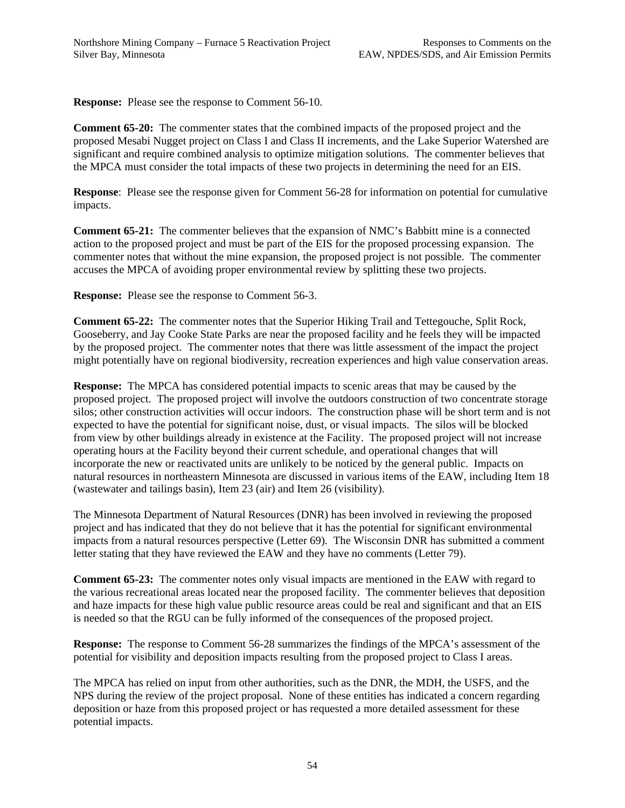**Response:** Please see the response to Comment 56-10.

**Comment 65-20:** The commenter states that the combined impacts of the proposed project and the proposed Mesabi Nugget project on Class I and Class II increments, and the Lake Superior Watershed are significant and require combined analysis to optimize mitigation solutions. The commenter believes that the MPCA must consider the total impacts of these two projects in determining the need for an EIS.

**Response**: Please see the response given for Comment 56-28 for information on potential for cumulative impacts.

**Comment 65-21:** The commenter believes that the expansion of NMC's Babbitt mine is a connected action to the proposed project and must be part of the EIS for the proposed processing expansion. The commenter notes that without the mine expansion, the proposed project is not possible. The commenter accuses the MPCA of avoiding proper environmental review by splitting these two projects.

**Response:** Please see the response to Comment 56-3.

**Comment 65-22:** The commenter notes that the Superior Hiking Trail and Tettegouche, Split Rock, Gooseberry, and Jay Cooke State Parks are near the proposed facility and he feels they will be impacted by the proposed project. The commenter notes that there was little assessment of the impact the project might potentially have on regional biodiversity, recreation experiences and high value conservation areas.

**Response:** The MPCA has considered potential impacts to scenic areas that may be caused by the proposed project. The proposed project will involve the outdoors construction of two concentrate storage silos; other construction activities will occur indoors. The construction phase will be short term and is not expected to have the potential for significant noise, dust, or visual impacts. The silos will be blocked from view by other buildings already in existence at the Facility. The proposed project will not increase operating hours at the Facility beyond their current schedule, and operational changes that will incorporate the new or reactivated units are unlikely to be noticed by the general public. Impacts on natural resources in northeastern Minnesota are discussed in various items of the EAW, including Item 18 (wastewater and tailings basin), Item 23 (air) and Item 26 (visibility).

The Minnesota Department of Natural Resources (DNR) has been involved in reviewing the proposed project and has indicated that they do not believe that it has the potential for significant environmental impacts from a natural resources perspective (Letter 69). The Wisconsin DNR has submitted a comment letter stating that they have reviewed the EAW and they have no comments (Letter 79).

**Comment 65-23:** The commenter notes only visual impacts are mentioned in the EAW with regard to the various recreational areas located near the proposed facility. The commenter believes that deposition and haze impacts for these high value public resource areas could be real and significant and that an EIS is needed so that the RGU can be fully informed of the consequences of the proposed project.

**Response:** The response to Comment 56-28 summarizes the findings of the MPCA's assessment of the potential for visibility and deposition impacts resulting from the proposed project to Class I areas.

The MPCA has relied on input from other authorities, such as the DNR, the MDH, the USFS, and the NPS during the review of the project proposal. None of these entities has indicated a concern regarding deposition or haze from this proposed project or has requested a more detailed assessment for these potential impacts.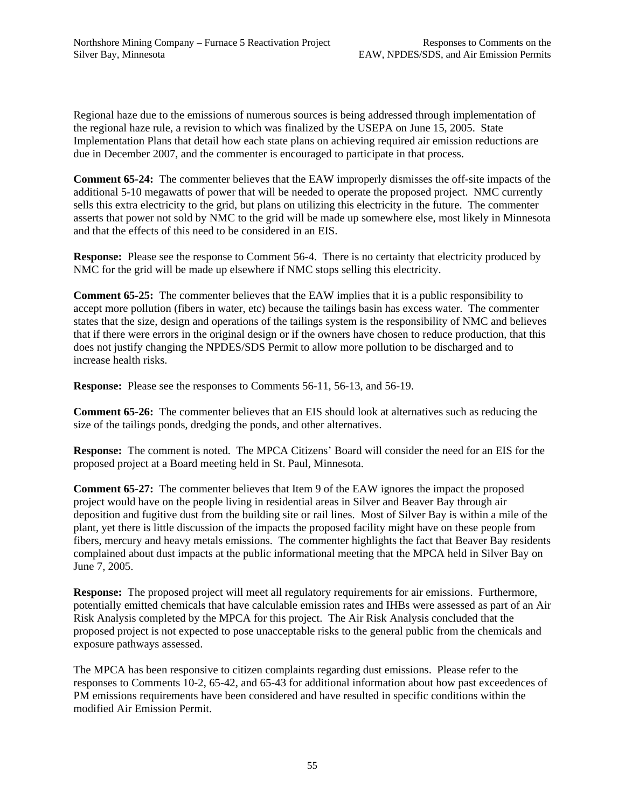Regional haze due to the emissions of numerous sources is being addressed through implementation of the regional haze rule, a revision to which was finalized by the USEPA on June 15, 2005. State Implementation Plans that detail how each state plans on achieving required air emission reductions are due in December 2007, and the commenter is encouraged to participate in that process.

**Comment 65-24:** The commenter believes that the EAW improperly dismisses the off-site impacts of the additional 5-10 megawatts of power that will be needed to operate the proposed project. NMC currently sells this extra electricity to the grid, but plans on utilizing this electricity in the future. The commenter asserts that power not sold by NMC to the grid will be made up somewhere else, most likely in Minnesota and that the effects of this need to be considered in an EIS.

**Response:** Please see the response to Comment 56-4. There is no certainty that electricity produced by NMC for the grid will be made up elsewhere if NMC stops selling this electricity.

**Comment 65-25:** The commenter believes that the EAW implies that it is a public responsibility to accept more pollution (fibers in water, etc) because the tailings basin has excess water. The commenter states that the size, design and operations of the tailings system is the responsibility of NMC and believes that if there were errors in the original design or if the owners have chosen to reduce production, that this does not justify changing the NPDES/SDS Permit to allow more pollution to be discharged and to increase health risks.

**Response:** Please see the responses to Comments 56-11, 56-13, and 56-19.

**Comment 65-26:** The commenter believes that an EIS should look at alternatives such as reducing the size of the tailings ponds, dredging the ponds, and other alternatives.

**Response:** The comment is noted. The MPCA Citizens' Board will consider the need for an EIS for the proposed project at a Board meeting held in St. Paul, Minnesota.

**Comment 65-27:** The commenter believes that Item 9 of the EAW ignores the impact the proposed project would have on the people living in residential areas in Silver and Beaver Bay through air deposition and fugitive dust from the building site or rail lines. Most of Silver Bay is within a mile of the plant, yet there is little discussion of the impacts the proposed facility might have on these people from fibers, mercury and heavy metals emissions. The commenter highlights the fact that Beaver Bay residents complained about dust impacts at the public informational meeting that the MPCA held in Silver Bay on June 7, 2005.

**Response:** The proposed project will meet all regulatory requirements for air emissions. Furthermore, potentially emitted chemicals that have calculable emission rates and IHBs were assessed as part of an Air Risk Analysis completed by the MPCA for this project. The Air Risk Analysis concluded that the proposed project is not expected to pose unacceptable risks to the general public from the chemicals and exposure pathways assessed.

The MPCA has been responsive to citizen complaints regarding dust emissions. Please refer to the responses to Comments 10-2, 65-42, and 65-43 for additional information about how past exceedences of PM emissions requirements have been considered and have resulted in specific conditions within the modified Air Emission Permit.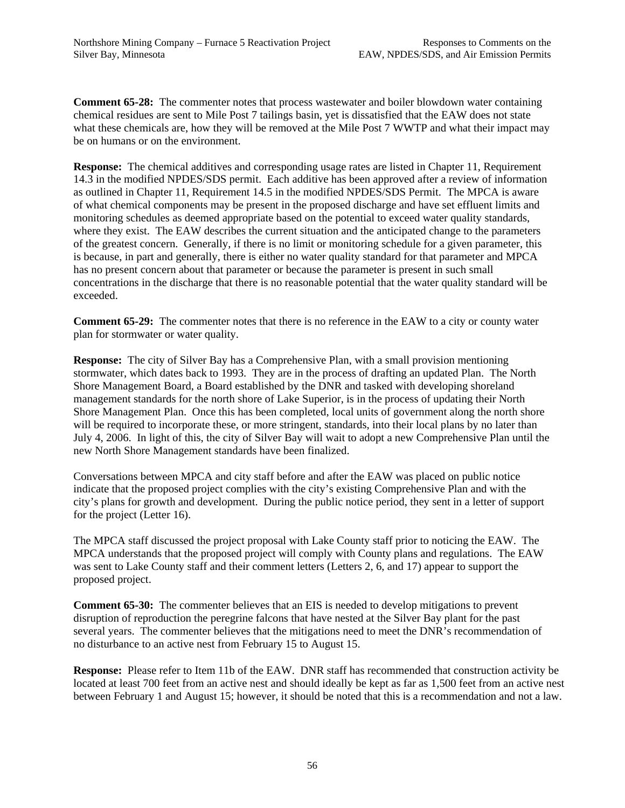**Comment 65-28:** The commenter notes that process wastewater and boiler blowdown water containing chemical residues are sent to Mile Post 7 tailings basin, yet is dissatisfied that the EAW does not state what these chemicals are, how they will be removed at the Mile Post 7 WWTP and what their impact may be on humans or on the environment.

**Response:** The chemical additives and corresponding usage rates are listed in Chapter 11, Requirement 14.3 in the modified NPDES/SDS permit. Each additive has been approved after a review of information as outlined in Chapter 11, Requirement 14.5 in the modified NPDES/SDS Permit. The MPCA is aware of what chemical components may be present in the proposed discharge and have set effluent limits and monitoring schedules as deemed appropriate based on the potential to exceed water quality standards, where they exist. The EAW describes the current situation and the anticipated change to the parameters of the greatest concern. Generally, if there is no limit or monitoring schedule for a given parameter, this is because, in part and generally, there is either no water quality standard for that parameter and MPCA has no present concern about that parameter or because the parameter is present in such small concentrations in the discharge that there is no reasonable potential that the water quality standard will be exceeded.

**Comment 65-29:** The commenter notes that there is no reference in the EAW to a city or county water plan for stormwater or water quality.

**Response:** The city of Silver Bay has a Comprehensive Plan, with a small provision mentioning stormwater, which dates back to 1993. They are in the process of drafting an updated Plan. The North Shore Management Board, a Board established by the DNR and tasked with developing shoreland management standards for the north shore of Lake Superior, is in the process of updating their North Shore Management Plan. Once this has been completed, local units of government along the north shore will be required to incorporate these, or more stringent, standards, into their local plans by no later than July 4, 2006. In light of this, the city of Silver Bay will wait to adopt a new Comprehensive Plan until the new North Shore Management standards have been finalized.

Conversations between MPCA and city staff before and after the EAW was placed on public notice indicate that the proposed project complies with the city's existing Comprehensive Plan and with the city's plans for growth and development. During the public notice period, they sent in a letter of support for the project (Letter 16).

The MPCA staff discussed the project proposal with Lake County staff prior to noticing the EAW. The MPCA understands that the proposed project will comply with County plans and regulations. The EAW was sent to Lake County staff and their comment letters (Letters 2, 6, and 17) appear to support the proposed project.

**Comment 65-30:** The commenter believes that an EIS is needed to develop mitigations to prevent disruption of reproduction the peregrine falcons that have nested at the Silver Bay plant for the past several years. The commenter believes that the mitigations need to meet the DNR's recommendation of no disturbance to an active nest from February 15 to August 15.

**Response:** Please refer to Item 11b of the EAW. DNR staff has recommended that construction activity be located at least 700 feet from an active nest and should ideally be kept as far as 1,500 feet from an active nest between February 1 and August 15; however, it should be noted that this is a recommendation and not a law.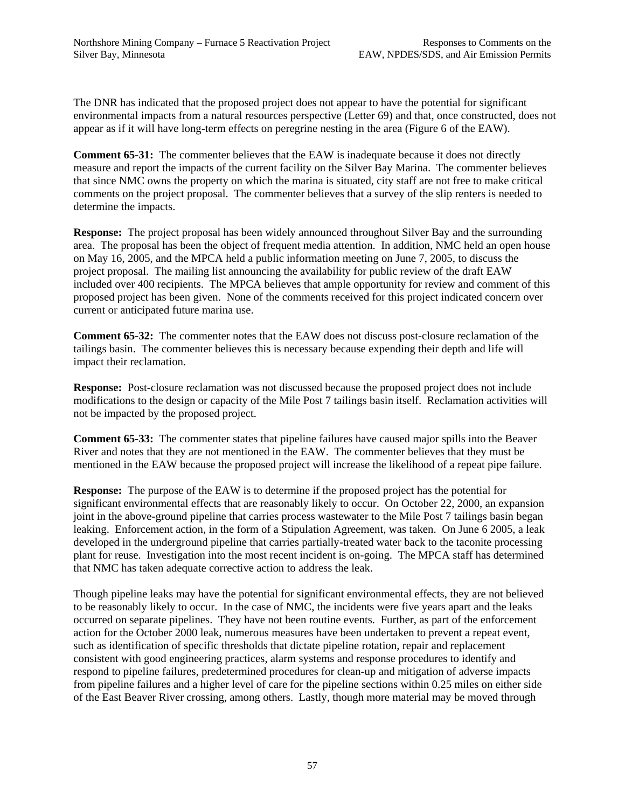The DNR has indicated that the proposed project does not appear to have the potential for significant environmental impacts from a natural resources perspective (Letter 69) and that, once constructed, does not appear as if it will have long-term effects on peregrine nesting in the area (Figure 6 of the EAW).

**Comment 65-31:** The commenter believes that the EAW is inadequate because it does not directly measure and report the impacts of the current facility on the Silver Bay Marina. The commenter believes that since NMC owns the property on which the marina is situated, city staff are not free to make critical comments on the project proposal. The commenter believes that a survey of the slip renters is needed to determine the impacts.

**Response:** The project proposal has been widely announced throughout Silver Bay and the surrounding area. The proposal has been the object of frequent media attention. In addition, NMC held an open house on May 16, 2005, and the MPCA held a public information meeting on June 7, 2005, to discuss the project proposal. The mailing list announcing the availability for public review of the draft EAW included over 400 recipients. The MPCA believes that ample opportunity for review and comment of this proposed project has been given. None of the comments received for this project indicated concern over current or anticipated future marina use.

**Comment 65-32:** The commenter notes that the EAW does not discuss post-closure reclamation of the tailings basin. The commenter believes this is necessary because expending their depth and life will impact their reclamation.

**Response:** Post-closure reclamation was not discussed because the proposed project does not include modifications to the design or capacity of the Mile Post 7 tailings basin itself. Reclamation activities will not be impacted by the proposed project.

**Comment 65-33:** The commenter states that pipeline failures have caused major spills into the Beaver River and notes that they are not mentioned in the EAW. The commenter believes that they must be mentioned in the EAW because the proposed project will increase the likelihood of a repeat pipe failure.

**Response:** The purpose of the EAW is to determine if the proposed project has the potential for significant environmental effects that are reasonably likely to occur. On October 22, 2000, an expansion joint in the above-ground pipeline that carries process wastewater to the Mile Post 7 tailings basin began leaking. Enforcement action, in the form of a Stipulation Agreement, was taken. On June 6 2005, a leak developed in the underground pipeline that carries partially-treated water back to the taconite processing plant for reuse. Investigation into the most recent incident is on-going. The MPCA staff has determined that NMC has taken adequate corrective action to address the leak.

Though pipeline leaks may have the potential for significant environmental effects, they are not believed to be reasonably likely to occur. In the case of NMC, the incidents were five years apart and the leaks occurred on separate pipelines. They have not been routine events. Further, as part of the enforcement action for the October 2000 leak, numerous measures have been undertaken to prevent a repeat event, such as identification of specific thresholds that dictate pipeline rotation, repair and replacement consistent with good engineering practices, alarm systems and response procedures to identify and respond to pipeline failures, predetermined procedures for clean-up and mitigation of adverse impacts from pipeline failures and a higher level of care for the pipeline sections within 0.25 miles on either side of the East Beaver River crossing, among others. Lastly, though more material may be moved through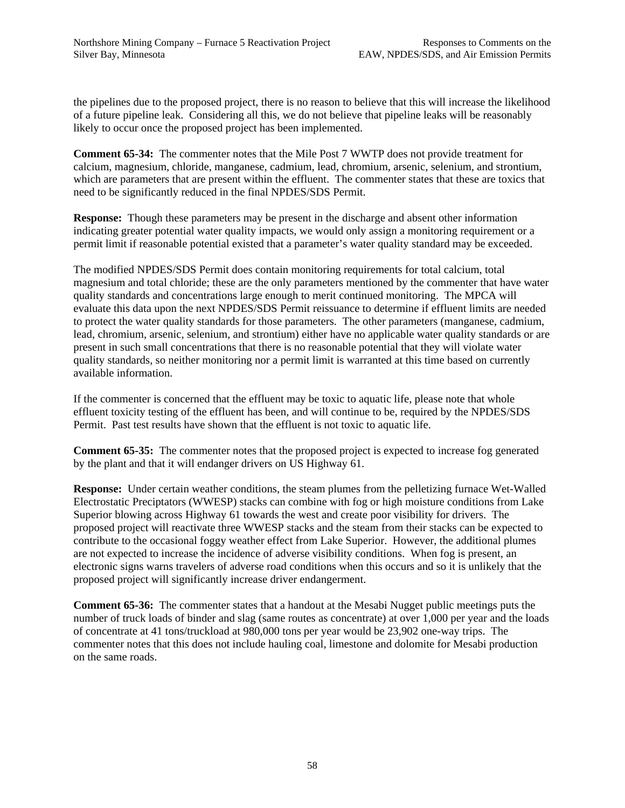the pipelines due to the proposed project, there is no reason to believe that this will increase the likelihood of a future pipeline leak. Considering all this, we do not believe that pipeline leaks will be reasonably likely to occur once the proposed project has been implemented.

**Comment 65-34:** The commenter notes that the Mile Post 7 WWTP does not provide treatment for calcium, magnesium, chloride, manganese, cadmium, lead, chromium, arsenic, selenium, and strontium, which are parameters that are present within the effluent. The commenter states that these are toxics that need to be significantly reduced in the final NPDES/SDS Permit.

**Response:** Though these parameters may be present in the discharge and absent other information indicating greater potential water quality impacts, we would only assign a monitoring requirement or a permit limit if reasonable potential existed that a parameter's water quality standard may be exceeded.

The modified NPDES/SDS Permit does contain monitoring requirements for total calcium, total magnesium and total chloride; these are the only parameters mentioned by the commenter that have water quality standards and concentrations large enough to merit continued monitoring. The MPCA will evaluate this data upon the next NPDES/SDS Permit reissuance to determine if effluent limits are needed to protect the water quality standards for those parameters. The other parameters (manganese, cadmium, lead, chromium, arsenic, selenium, and strontium) either have no applicable water quality standards or are present in such small concentrations that there is no reasonable potential that they will violate water quality standards, so neither monitoring nor a permit limit is warranted at this time based on currently available information.

If the commenter is concerned that the effluent may be toxic to aquatic life, please note that whole effluent toxicity testing of the effluent has been, and will continue to be, required by the NPDES/SDS Permit. Past test results have shown that the effluent is not toxic to aquatic life.

**Comment 65-35:** The commenter notes that the proposed project is expected to increase fog generated by the plant and that it will endanger drivers on US Highway 61.

**Response:** Under certain weather conditions, the steam plumes from the pelletizing furnace Wet-Walled Electrostatic Preciptators (WWESP) stacks can combine with fog or high moisture conditions from Lake Superior blowing across Highway 61 towards the west and create poor visibility for drivers. The proposed project will reactivate three WWESP stacks and the steam from their stacks can be expected to contribute to the occasional foggy weather effect from Lake Superior. However, the additional plumes are not expected to increase the incidence of adverse visibility conditions. When fog is present, an electronic signs warns travelers of adverse road conditions when this occurs and so it is unlikely that the proposed project will significantly increase driver endangerment.

**Comment 65-36:** The commenter states that a handout at the Mesabi Nugget public meetings puts the number of truck loads of binder and slag (same routes as concentrate) at over 1,000 per year and the loads of concentrate at 41 tons/truckload at 980,000 tons per year would be 23,902 one-way trips. The commenter notes that this does not include hauling coal, limestone and dolomite for Mesabi production on the same roads.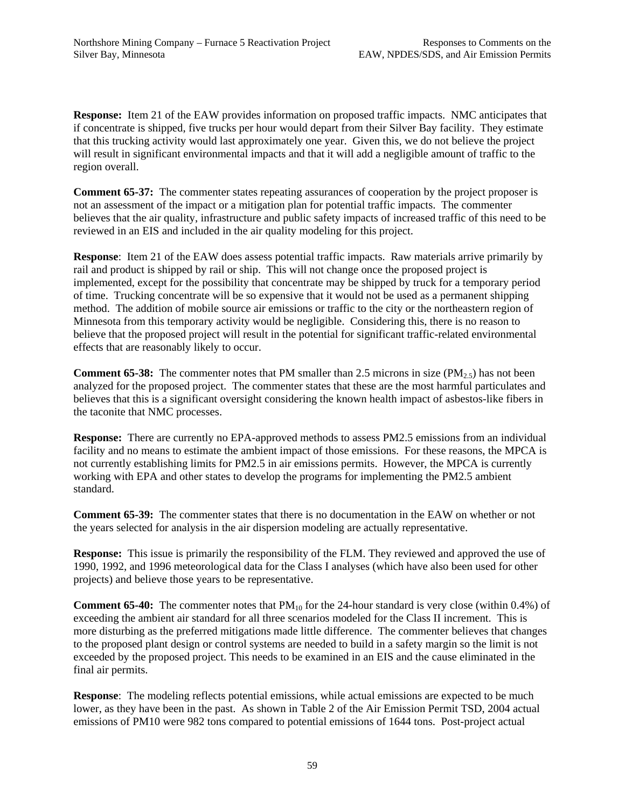**Response:** Item 21 of the EAW provides information on proposed traffic impacts. NMC anticipates that if concentrate is shipped, five trucks per hour would depart from their Silver Bay facility. They estimate that this trucking activity would last approximately one year. Given this, we do not believe the project will result in significant environmental impacts and that it will add a negligible amount of traffic to the region overall.

**Comment 65-37:** The commenter states repeating assurances of cooperation by the project proposer is not an assessment of the impact or a mitigation plan for potential traffic impacts. The commenter believes that the air quality, infrastructure and public safety impacts of increased traffic of this need to be reviewed in an EIS and included in the air quality modeling for this project.

**Response**: Item 21 of the EAW does assess potential traffic impacts. Raw materials arrive primarily by rail and product is shipped by rail or ship. This will not change once the proposed project is implemented, except for the possibility that concentrate may be shipped by truck for a temporary period of time. Trucking concentrate will be so expensive that it would not be used as a permanent shipping method. The addition of mobile source air emissions or traffic to the city or the northeastern region of Minnesota from this temporary activity would be negligible. Considering this, there is no reason to believe that the proposed project will result in the potential for significant traffic-related environmental effects that are reasonably likely to occur.

**Comment 65-38:** The commenter notes that PM smaller than 2.5 microns in size ( $PM_{2.5}$ ) has not been analyzed for the proposed project. The commenter states that these are the most harmful particulates and believes that this is a significant oversight considering the known health impact of asbestos-like fibers in the taconite that NMC processes.

**Response:** There are currently no EPA-approved methods to assess PM2.5 emissions from an individual facility and no means to estimate the ambient impact of those emissions. For these reasons, the MPCA is not currently establishing limits for PM2.5 in air emissions permits. However, the MPCA is currently working with EPA and other states to develop the programs for implementing the PM2.5 ambient standard.

**Comment 65-39:** The commenter states that there is no documentation in the EAW on whether or not the years selected for analysis in the air dispersion modeling are actually representative.

**Response:** This issue is primarily the responsibility of the FLM. They reviewed and approved the use of 1990, 1992, and 1996 meteorological data for the Class I analyses (which have also been used for other projects) and believe those years to be representative.

**Comment 65-40:** The commenter notes that PM<sub>10</sub> for the 24-hour standard is very close (within 0.4%) of exceeding the ambient air standard for all three scenarios modeled for the Class II increment. This is more disturbing as the preferred mitigations made little difference. The commenter believes that changes to the proposed plant design or control systems are needed to build in a safety margin so the limit is not exceeded by the proposed project. This needs to be examined in an EIS and the cause eliminated in the final air permits.

**Response**: The modeling reflects potential emissions, while actual emissions are expected to be much lower, as they have been in the past. As shown in Table 2 of the Air Emission Permit TSD, 2004 actual emissions of PM10 were 982 tons compared to potential emissions of 1644 tons. Post-project actual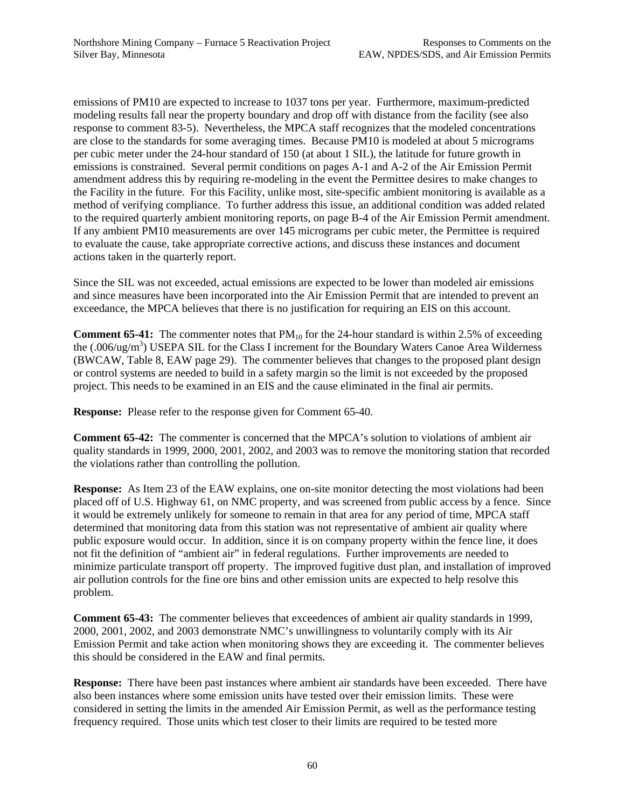emissions of PM10 are expected to increase to 1037 tons per year. Furthermore, maximum-predicted modeling results fall near the property boundary and drop off with distance from the facility (see also response to comment 83-5). Nevertheless, the MPCA staff recognizes that the modeled concentrations are close to the standards for some averaging times. Because PM10 is modeled at about 5 micrograms per cubic meter under the 24-hour standard of 150 (at about 1 SIL), the latitude for future growth in emissions is constrained. Several permit conditions on pages A-1 and A-2 of the Air Emission Permit amendment address this by requiring re-modeling in the event the Permittee desires to make changes to the Facility in the future. For this Facility, unlike most, site-specific ambient monitoring is available as a method of verifying compliance. To further address this issue, an additional condition was added related to the required quarterly ambient monitoring reports, on page B-4 of the Air Emission Permit amendment. If any ambient PM10 measurements are over 145 micrograms per cubic meter, the Permittee is required to evaluate the cause, take appropriate corrective actions, and discuss these instances and document actions taken in the quarterly report.

Since the SIL was not exceeded, actual emissions are expected to be lower than modeled air emissions and since measures have been incorporated into the Air Emission Permit that are intended to prevent an exceedance, the MPCA believes that there is no justification for requiring an EIS on this account.

**Comment 65-41:** The commenter notes that  $PM_{10}$  for the 24-hour standard is within 2.5% of exceeding the (.006/ug/m<sup>3</sup>) USEPA SIL for the Class I increment for the Boundary Waters Canoe Area Wilderness (BWCAW, Table 8, EAW page 29). The commenter believes that changes to the proposed plant design or control systems are needed to build in a safety margin so the limit is not exceeded by the proposed project. This needs to be examined in an EIS and the cause eliminated in the final air permits.

**Response:** Please refer to the response given for Comment 65-40.

**Comment 65-42:** The commenter is concerned that the MPCA's solution to violations of ambient air quality standards in 1999, 2000, 2001, 2002, and 2003 was to remove the monitoring station that recorded the violations rather than controlling the pollution.

**Response:** As Item 23 of the EAW explains, one on-site monitor detecting the most violations had been placed off of U.S. Highway 61, on NMC property, and was screened from public access by a fence. Since it would be extremely unlikely for someone to remain in that area for any period of time, MPCA staff determined that monitoring data from this station was not representative of ambient air quality where public exposure would occur. In addition, since it is on company property within the fence line, it does not fit the definition of "ambient air" in federal regulations. Further improvements are needed to minimize particulate transport off property. The improved fugitive dust plan, and installation of improved air pollution controls for the fine ore bins and other emission units are expected to help resolve this problem.

**Comment 65-43:** The commenter believes that exceedences of ambient air quality standards in 1999, 2000, 2001, 2002, and 2003 demonstrate NMC's unwillingness to voluntarily comply with its Air Emission Permit and take action when monitoring shows they are exceeding it. The commenter believes this should be considered in the EAW and final permits.

**Response:** There have been past instances where ambient air standards have been exceeded. There have also been instances where some emission units have tested over their emission limits. These were considered in setting the limits in the amended Air Emission Permit, as well as the performance testing frequency required. Those units which test closer to their limits are required to be tested more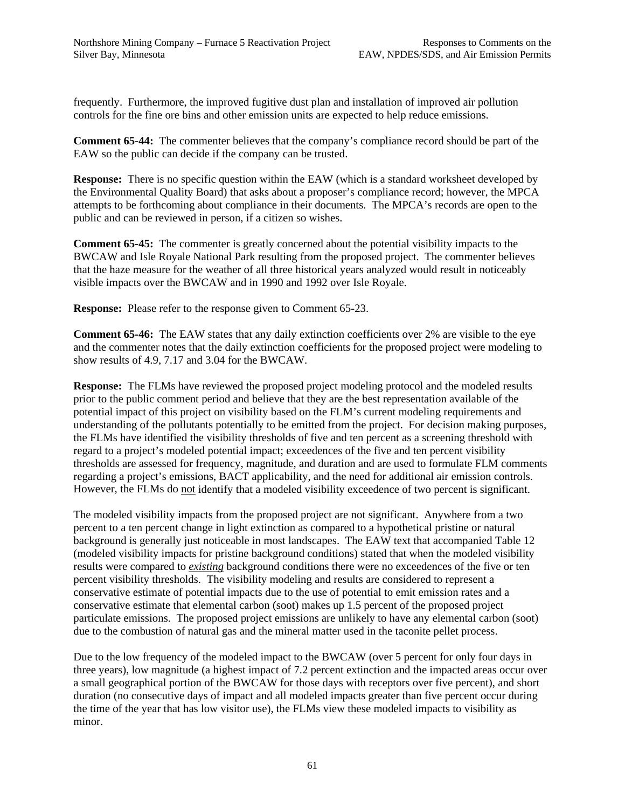frequently. Furthermore, the improved fugitive dust plan and installation of improved air pollution controls for the fine ore bins and other emission units are expected to help reduce emissions.

**Comment 65-44:** The commenter believes that the company's compliance record should be part of the EAW so the public can decide if the company can be trusted.

**Response:** There is no specific question within the EAW (which is a standard worksheet developed by the Environmental Quality Board) that asks about a proposer's compliance record; however, the MPCA attempts to be forthcoming about compliance in their documents. The MPCA's records are open to the public and can be reviewed in person, if a citizen so wishes.

**Comment 65-45:** The commenter is greatly concerned about the potential visibility impacts to the BWCAW and Isle Royale National Park resulting from the proposed project. The commenter believes that the haze measure for the weather of all three historical years analyzed would result in noticeably visible impacts over the BWCAW and in 1990 and 1992 over Isle Royale.

**Response:** Please refer to the response given to Comment 65-23.

**Comment 65-46:** The EAW states that any daily extinction coefficients over 2% are visible to the eye and the commenter notes that the daily extinction coefficients for the proposed project were modeling to show results of 4.9, 7.17 and 3.04 for the BWCAW.

**Response:** The FLMs have reviewed the proposed project modeling protocol and the modeled results prior to the public comment period and believe that they are the best representation available of the potential impact of this project on visibility based on the FLM's current modeling requirements and understanding of the pollutants potentially to be emitted from the project. For decision making purposes, the FLMs have identified the visibility thresholds of five and ten percent as a screening threshold with regard to a project's modeled potential impact; exceedences of the five and ten percent visibility thresholds are assessed for frequency, magnitude, and duration and are used to formulate FLM comments regarding a project's emissions, BACT applicability, and the need for additional air emission controls. However, the FLMs do not identify that a modeled visibility exceedence of two percent is significant.

The modeled visibility impacts from the proposed project are not significant. Anywhere from a two percent to a ten percent change in light extinction as compared to a hypothetical pristine or natural background is generally just noticeable in most landscapes. The EAW text that accompanied Table 12 (modeled visibility impacts for pristine background conditions) stated that when the modeled visibility results were compared to *existing* background conditions there were no exceedences of the five or ten percent visibility thresholds. The visibility modeling and results are considered to represent a conservative estimate of potential impacts due to the use of potential to emit emission rates and a conservative estimate that elemental carbon (soot) makes up 1.5 percent of the proposed project particulate emissions. The proposed project emissions are unlikely to have any elemental carbon (soot) due to the combustion of natural gas and the mineral matter used in the taconite pellet process.

Due to the low frequency of the modeled impact to the BWCAW (over 5 percent for only four days in three years), low magnitude (a highest impact of 7.2 percent extinction and the impacted areas occur over a small geographical portion of the BWCAW for those days with receptors over five percent), and short duration (no consecutive days of impact and all modeled impacts greater than five percent occur during the time of the year that has low visitor use), the FLMs view these modeled impacts to visibility as minor.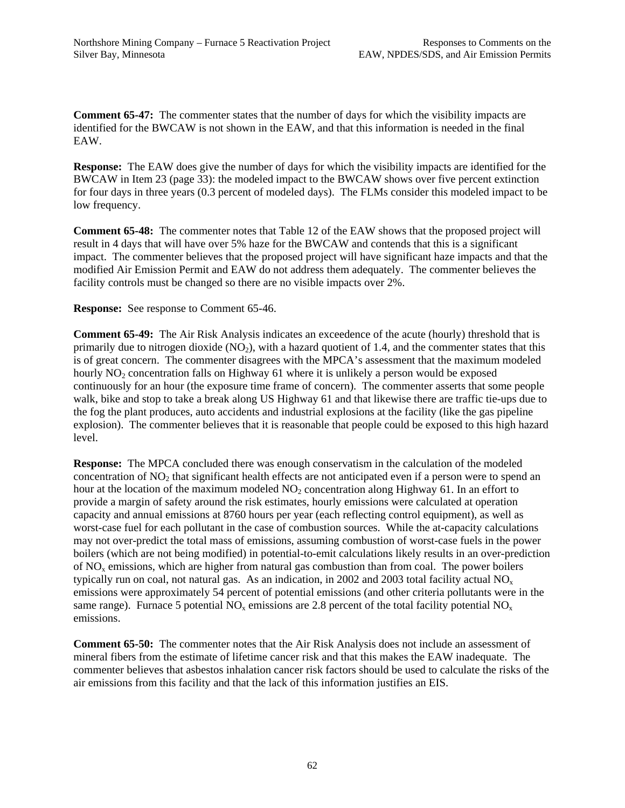**Comment 65-47:** The commenter states that the number of days for which the visibility impacts are identified for the BWCAW is not shown in the EAW, and that this information is needed in the final EAW.

**Response:** The EAW does give the number of days for which the visibility impacts are identified for the BWCAW in Item 23 (page 33): the modeled impact to the BWCAW shows over five percent extinction for four days in three years (0.3 percent of modeled days). The FLMs consider this modeled impact to be low frequency.

**Comment 65-48:** The commenter notes that Table 12 of the EAW shows that the proposed project will result in 4 days that will have over 5% haze for the BWCAW and contends that this is a significant impact. The commenter believes that the proposed project will have significant haze impacts and that the modified Air Emission Permit and EAW do not address them adequately. The commenter believes the facility controls must be changed so there are no visible impacts over 2%.

**Response:** See response to Comment 65-46.

**Comment 65-49:** The Air Risk Analysis indicates an exceedence of the acute (hourly) threshold that is primarily due to nitrogen dioxide  $(NO<sub>2</sub>)$ , with a hazard quotient of 1.4, and the commenter states that this is of great concern. The commenter disagrees with the MPCA's assessment that the maximum modeled hourly  $NO<sub>2</sub>$  concentration falls on Highway 61 where it is unlikely a person would be exposed continuously for an hour (the exposure time frame of concern). The commenter asserts that some people walk, bike and stop to take a break along US Highway 61 and that likewise there are traffic tie-ups due to the fog the plant produces, auto accidents and industrial explosions at the facility (like the gas pipeline explosion). The commenter believes that it is reasonable that people could be exposed to this high hazard level.

**Response:** The MPCA concluded there was enough conservatism in the calculation of the modeled concentration of NO<sub>2</sub> that significant health effects are not anticipated even if a person were to spend an hour at the location of the maximum modeled  $NO<sub>2</sub>$  concentration along Highway 61. In an effort to provide a margin of safety around the risk estimates, hourly emissions were calculated at operation capacity and annual emissions at 8760 hours per year (each reflecting control equipment), as well as worst-case fuel for each pollutant in the case of combustion sources. While the at-capacity calculations may not over-predict the total mass of emissions, assuming combustion of worst-case fuels in the power boilers (which are not being modified) in potential-to-emit calculations likely results in an over-prediction of  $NO<sub>x</sub>$  emissions, which are higher from natural gas combustion than from coal. The power boilers typically run on coal, not natural gas. As an indication, in 2002 and 2003 total facility actual  $NO<sub>x</sub>$ emissions were approximately 54 percent of potential emissions (and other criteria pollutants were in the same range). Furnace 5 potential  $NO_x$  emissions are 2.8 percent of the total facility potential  $NO_x$ emissions.

**Comment 65-50:** The commenter notes that the Air Risk Analysis does not include an assessment of mineral fibers from the estimate of lifetime cancer risk and that this makes the EAW inadequate. The commenter believes that asbestos inhalation cancer risk factors should be used to calculate the risks of the air emissions from this facility and that the lack of this information justifies an EIS.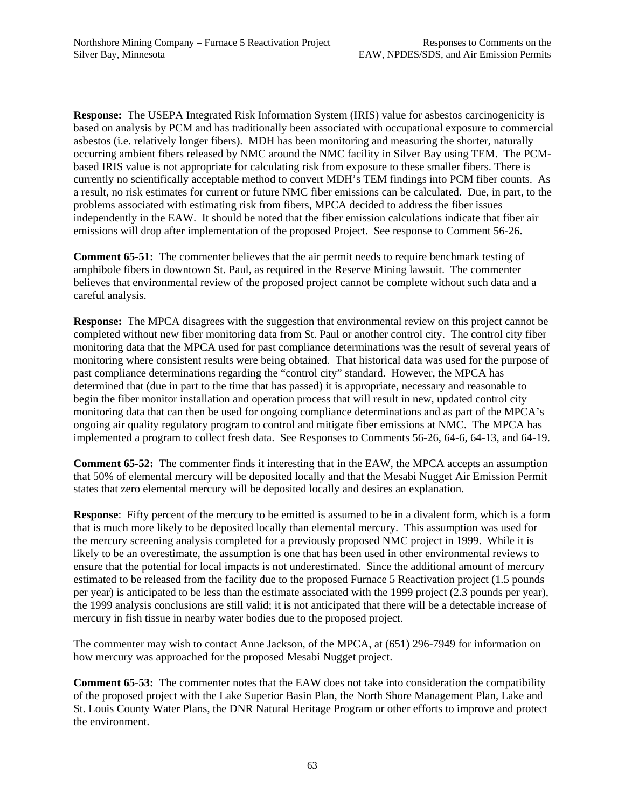**Response:** The USEPA Integrated Risk Information System (IRIS) value for asbestos carcinogenicity is based on analysis by PCM and has traditionally been associated with occupational exposure to commercial asbestos (i.e. relatively longer fibers). MDH has been monitoring and measuring the shorter, naturally occurring ambient fibers released by NMC around the NMC facility in Silver Bay using TEM. The PCMbased IRIS value is not appropriate for calculating risk from exposure to these smaller fibers. There is currently no scientifically acceptable method to convert MDH's TEM findings into PCM fiber counts. As a result, no risk estimates for current or future NMC fiber emissions can be calculated. Due, in part, to the problems associated with estimating risk from fibers, MPCA decided to address the fiber issues independently in the EAW. It should be noted that the fiber emission calculations indicate that fiber air emissions will drop after implementation of the proposed Project. See response to Comment 56-26.

**Comment 65-51:** The commenter believes that the air permit needs to require benchmark testing of amphibole fibers in downtown St. Paul, as required in the Reserve Mining lawsuit. The commenter believes that environmental review of the proposed project cannot be complete without such data and a careful analysis.

**Response:** The MPCA disagrees with the suggestion that environmental review on this project cannot be completed without new fiber monitoring data from St. Paul or another control city. The control city fiber monitoring data that the MPCA used for past compliance determinations was the result of several years of monitoring where consistent results were being obtained. That historical data was used for the purpose of past compliance determinations regarding the "control city" standard. However, the MPCA has determined that (due in part to the time that has passed) it is appropriate, necessary and reasonable to begin the fiber monitor installation and operation process that will result in new, updated control city monitoring data that can then be used for ongoing compliance determinations and as part of the MPCA's ongoing air quality regulatory program to control and mitigate fiber emissions at NMC. The MPCA has implemented a program to collect fresh data. See Responses to Comments 56-26, 64-6, 64-13, and 64-19.

**Comment 65-52:** The commenter finds it interesting that in the EAW, the MPCA accepts an assumption that 50% of elemental mercury will be deposited locally and that the Mesabi Nugget Air Emission Permit states that zero elemental mercury will be deposited locally and desires an explanation.

**Response**: Fifty percent of the mercury to be emitted is assumed to be in a divalent form, which is a form that is much more likely to be deposited locally than elemental mercury. This assumption was used for the mercury screening analysis completed for a previously proposed NMC project in 1999. While it is likely to be an overestimate, the assumption is one that has been used in other environmental reviews to ensure that the potential for local impacts is not underestimated. Since the additional amount of mercury estimated to be released from the facility due to the proposed Furnace 5 Reactivation project (1.5 pounds per year) is anticipated to be less than the estimate associated with the 1999 project (2.3 pounds per year), the 1999 analysis conclusions are still valid; it is not anticipated that there will be a detectable increase of mercury in fish tissue in nearby water bodies due to the proposed project.

The commenter may wish to contact Anne Jackson, of the MPCA, at (651) 296-7949 for information on how mercury was approached for the proposed Mesabi Nugget project.

**Comment 65-53:** The commenter notes that the EAW does not take into consideration the compatibility of the proposed project with the Lake Superior Basin Plan, the North Shore Management Plan, Lake and St. Louis County Water Plans, the DNR Natural Heritage Program or other efforts to improve and protect the environment.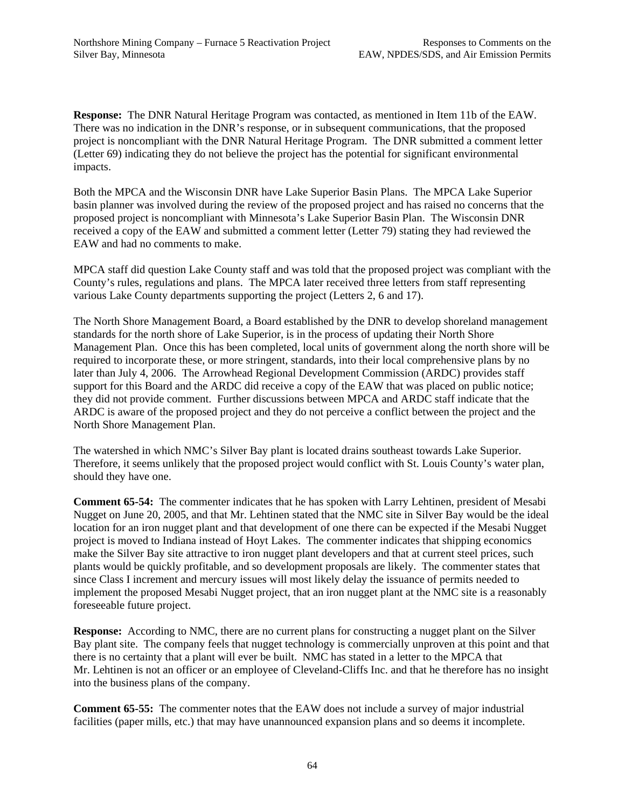**Response:** The DNR Natural Heritage Program was contacted, as mentioned in Item 11b of the EAW. There was no indication in the DNR's response, or in subsequent communications, that the proposed project is noncompliant with the DNR Natural Heritage Program. The DNR submitted a comment letter (Letter 69) indicating they do not believe the project has the potential for significant environmental impacts.

Both the MPCA and the Wisconsin DNR have Lake Superior Basin Plans. The MPCA Lake Superior basin planner was involved during the review of the proposed project and has raised no concerns that the proposed project is noncompliant with Minnesota's Lake Superior Basin Plan. The Wisconsin DNR received a copy of the EAW and submitted a comment letter (Letter 79) stating they had reviewed the EAW and had no comments to make.

MPCA staff did question Lake County staff and was told that the proposed project was compliant with the County's rules, regulations and plans. The MPCA later received three letters from staff representing various Lake County departments supporting the project (Letters 2, 6 and 17).

The North Shore Management Board, a Board established by the DNR to develop shoreland management standards for the north shore of Lake Superior, is in the process of updating their North Shore Management Plan. Once this has been completed, local units of government along the north shore will be required to incorporate these, or more stringent, standards, into their local comprehensive plans by no later than July 4, 2006. The Arrowhead Regional Development Commission (ARDC) provides staff support for this Board and the ARDC did receive a copy of the EAW that was placed on public notice; they did not provide comment. Further discussions between MPCA and ARDC staff indicate that the ARDC is aware of the proposed project and they do not perceive a conflict between the project and the North Shore Management Plan.

The watershed in which NMC's Silver Bay plant is located drains southeast towards Lake Superior. Therefore, it seems unlikely that the proposed project would conflict with St. Louis County's water plan, should they have one.

**Comment 65-54:** The commenter indicates that he has spoken with Larry Lehtinen, president of Mesabi Nugget on June 20, 2005, and that Mr. Lehtinen stated that the NMC site in Silver Bay would be the ideal location for an iron nugget plant and that development of one there can be expected if the Mesabi Nugget project is moved to Indiana instead of Hoyt Lakes. The commenter indicates that shipping economics make the Silver Bay site attractive to iron nugget plant developers and that at current steel prices, such plants would be quickly profitable, and so development proposals are likely. The commenter states that since Class I increment and mercury issues will most likely delay the issuance of permits needed to implement the proposed Mesabi Nugget project, that an iron nugget plant at the NMC site is a reasonably foreseeable future project.

**Response:** According to NMC, there are no current plans for constructing a nugget plant on the Silver Bay plant site. The company feels that nugget technology is commercially unproven at this point and that there is no certainty that a plant will ever be built. NMC has stated in a letter to the MPCA that Mr. Lehtinen is not an officer or an employee of Cleveland-Cliffs Inc. and that he therefore has no insight into the business plans of the company.

**Comment 65-55:** The commenter notes that the EAW does not include a survey of major industrial facilities (paper mills, etc.) that may have unannounced expansion plans and so deems it incomplete.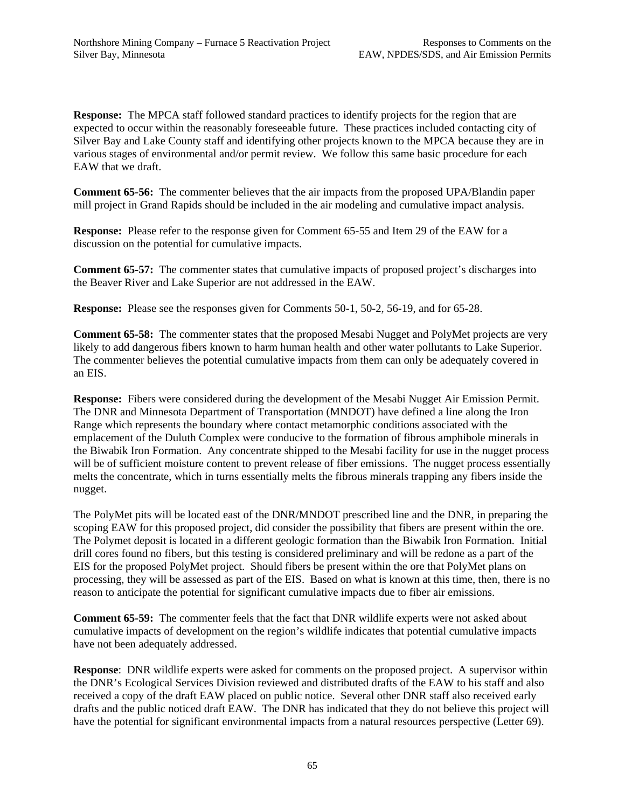**Response:** The MPCA staff followed standard practices to identify projects for the region that are expected to occur within the reasonably foreseeable future. These practices included contacting city of Silver Bay and Lake County staff and identifying other projects known to the MPCA because they are in various stages of environmental and/or permit review. We follow this same basic procedure for each EAW that we draft.

**Comment 65-56:** The commenter believes that the air impacts from the proposed UPA/Blandin paper mill project in Grand Rapids should be included in the air modeling and cumulative impact analysis.

**Response:** Please refer to the response given for Comment 65-55 and Item 29 of the EAW for a discussion on the potential for cumulative impacts.

**Comment 65-57:** The commenter states that cumulative impacts of proposed project's discharges into the Beaver River and Lake Superior are not addressed in the EAW.

**Response:** Please see the responses given for Comments 50-1, 50-2, 56-19, and for 65-28.

**Comment 65-58:** The commenter states that the proposed Mesabi Nugget and PolyMet projects are very likely to add dangerous fibers known to harm human health and other water pollutants to Lake Superior. The commenter believes the potential cumulative impacts from them can only be adequately covered in an EIS.

**Response:** Fibers were considered during the development of the Mesabi Nugget Air Emission Permit. The DNR and Minnesota Department of Transportation (MNDOT) have defined a line along the Iron Range which represents the boundary where contact metamorphic conditions associated with the emplacement of the Duluth Complex were conducive to the formation of fibrous amphibole minerals in the Biwabik Iron Formation. Any concentrate shipped to the Mesabi facility for use in the nugget process will be of sufficient moisture content to prevent release of fiber emissions. The nugget process essentially melts the concentrate, which in turns essentially melts the fibrous minerals trapping any fibers inside the nugget.

The PolyMet pits will be located east of the DNR/MNDOT prescribed line and the DNR, in preparing the scoping EAW for this proposed project, did consider the possibility that fibers are present within the ore. The Polymet deposit is located in a different geologic formation than the Biwabik Iron Formation. Initial drill cores found no fibers, but this testing is considered preliminary and will be redone as a part of the EIS for the proposed PolyMet project. Should fibers be present within the ore that PolyMet plans on processing, they will be assessed as part of the EIS. Based on what is known at this time, then, there is no reason to anticipate the potential for significant cumulative impacts due to fiber air emissions.

**Comment 65-59:** The commenter feels that the fact that DNR wildlife experts were not asked about cumulative impacts of development on the region's wildlife indicates that potential cumulative impacts have not been adequately addressed.

**Response**: DNR wildlife experts were asked for comments on the proposed project. A supervisor within the DNR's Ecological Services Division reviewed and distributed drafts of the EAW to his staff and also received a copy of the draft EAW placed on public notice. Several other DNR staff also received early drafts and the public noticed draft EAW. The DNR has indicated that they do not believe this project will have the potential for significant environmental impacts from a natural resources perspective (Letter 69).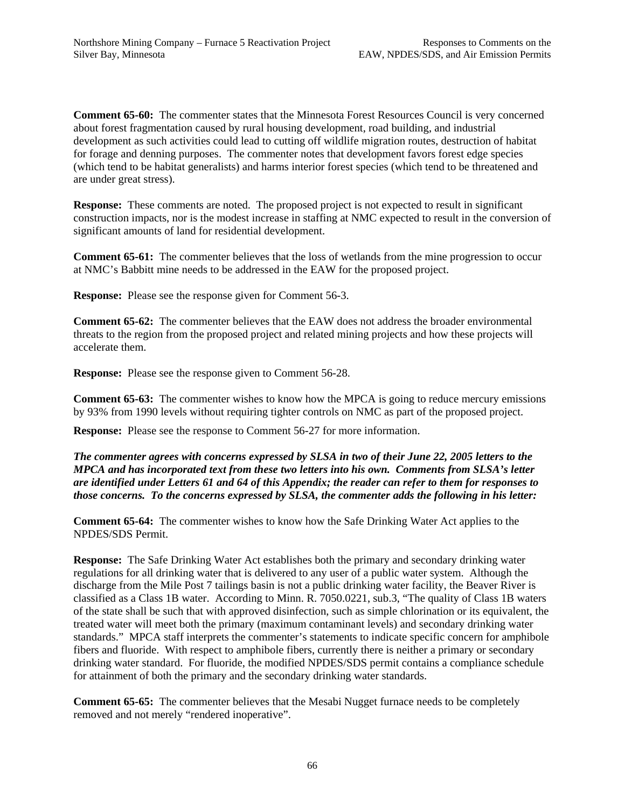**Comment 65-60:** The commenter states that the Minnesota Forest Resources Council is very concerned about forest fragmentation caused by rural housing development, road building, and industrial development as such activities could lead to cutting off wildlife migration routes, destruction of habitat for forage and denning purposes. The commenter notes that development favors forest edge species (which tend to be habitat generalists) and harms interior forest species (which tend to be threatened and are under great stress).

**Response:** These comments are noted. The proposed project is not expected to result in significant construction impacts, nor is the modest increase in staffing at NMC expected to result in the conversion of significant amounts of land for residential development.

**Comment 65-61:** The commenter believes that the loss of wetlands from the mine progression to occur at NMC's Babbitt mine needs to be addressed in the EAW for the proposed project.

**Response:** Please see the response given for Comment 56-3.

**Comment 65-62:** The commenter believes that the EAW does not address the broader environmental threats to the region from the proposed project and related mining projects and how these projects will accelerate them.

**Response:** Please see the response given to Comment 56-28.

**Comment 65-63:** The commenter wishes to know how the MPCA is going to reduce mercury emissions by 93% from 1990 levels without requiring tighter controls on NMC as part of the proposed project.

**Response:** Please see the response to Comment 56-27 for more information.

*The commenter agrees with concerns expressed by SLSA in two of their June 22, 2005 letters to the MPCA and has incorporated text from these two letters into his own. Comments from SLSA's letter are identified under Letters 61 and 64 of this Appendix; the reader can refer to them for responses to those concerns. To the concerns expressed by SLSA, the commenter adds the following in his letter:* 

**Comment 65-64:** The commenter wishes to know how the Safe Drinking Water Act applies to the NPDES/SDS Permit.

**Response:** The Safe Drinking Water Act establishes both the primary and secondary drinking water regulations for all drinking water that is delivered to any user of a public water system. Although the discharge from the Mile Post 7 tailings basin is not a public drinking water facility, the Beaver River is classified as a Class 1B water. According to Minn. R. 7050.0221, sub.3, "The quality of Class 1B waters of the state shall be such that with approved disinfection, such as simple chlorination or its equivalent, the treated water will meet both the primary (maximum contaminant levels) and secondary drinking water standards." MPCA staff interprets the commenter's statements to indicate specific concern for amphibole fibers and fluoride. With respect to amphibole fibers, currently there is neither a primary or secondary drinking water standard. For fluoride, the modified NPDES/SDS permit contains a compliance schedule for attainment of both the primary and the secondary drinking water standards.

**Comment 65-65:** The commenter believes that the Mesabi Nugget furnace needs to be completely removed and not merely "rendered inoperative".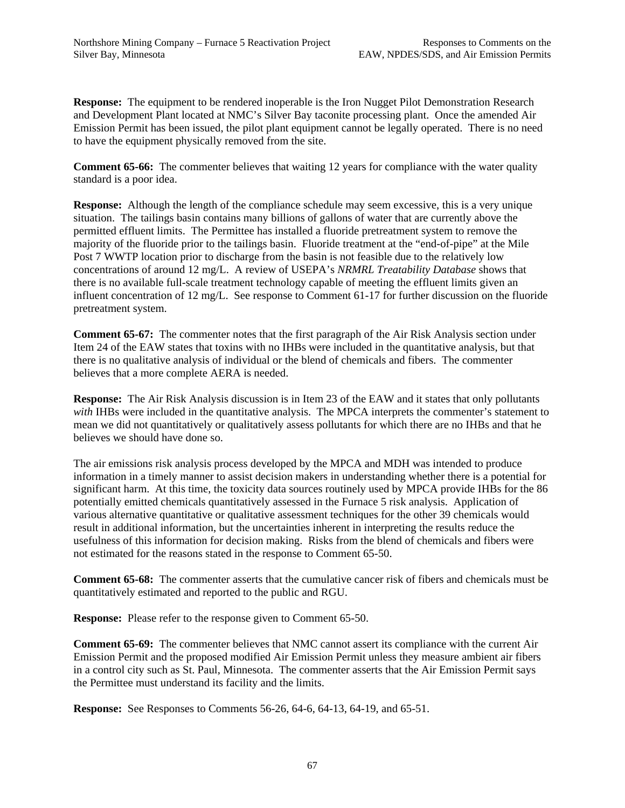**Response:** The equipment to be rendered inoperable is the Iron Nugget Pilot Demonstration Research and Development Plant located at NMC's Silver Bay taconite processing plant. Once the amended Air Emission Permit has been issued, the pilot plant equipment cannot be legally operated. There is no need to have the equipment physically removed from the site.

**Comment 65-66:** The commenter believes that waiting 12 years for compliance with the water quality standard is a poor idea.

**Response:** Although the length of the compliance schedule may seem excessive, this is a very unique situation. The tailings basin contains many billions of gallons of water that are currently above the permitted effluent limits. The Permittee has installed a fluoride pretreatment system to remove the majority of the fluoride prior to the tailings basin. Fluoride treatment at the "end-of-pipe" at the Mile Post 7 WWTP location prior to discharge from the basin is not feasible due to the relatively low concentrations of around 12 mg/L. A review of USEPA's *NRMRL Treatability Database* shows that there is no available full-scale treatment technology capable of meeting the effluent limits given an influent concentration of 12 mg/L. See response to Comment 61-17 for further discussion on the fluoride pretreatment system.

**Comment 65-67:** The commenter notes that the first paragraph of the Air Risk Analysis section under Item 24 of the EAW states that toxins with no IHBs were included in the quantitative analysis, but that there is no qualitative analysis of individual or the blend of chemicals and fibers. The commenter believes that a more complete AERA is needed.

**Response:** The Air Risk Analysis discussion is in Item 23 of the EAW and it states that only pollutants *with* IHBs were included in the quantitative analysis. The MPCA interprets the commenter's statement to mean we did not quantitatively or qualitatively assess pollutants for which there are no IHBs and that he believes we should have done so.

The air emissions risk analysis process developed by the MPCA and MDH was intended to produce information in a timely manner to assist decision makers in understanding whether there is a potential for significant harm. At this time, the toxicity data sources routinely used by MPCA provide IHBs for the 86 potentially emitted chemicals quantitatively assessed in the Furnace 5 risk analysis. Application of various alternative quantitative or qualitative assessment techniques for the other 39 chemicals would result in additional information, but the uncertainties inherent in interpreting the results reduce the usefulness of this information for decision making. Risks from the blend of chemicals and fibers were not estimated for the reasons stated in the response to Comment 65-50.

**Comment 65-68:** The commenter asserts that the cumulative cancer risk of fibers and chemicals must be quantitatively estimated and reported to the public and RGU.

**Response:** Please refer to the response given to Comment 65-50.

**Comment 65-69:** The commenter believes that NMC cannot assert its compliance with the current Air Emission Permit and the proposed modified Air Emission Permit unless they measure ambient air fibers in a control city such as St. Paul, Minnesota. The commenter asserts that the Air Emission Permit says the Permittee must understand its facility and the limits.

**Response:** See Responses to Comments 56-26, 64-6, 64-13, 64-19, and 65-51.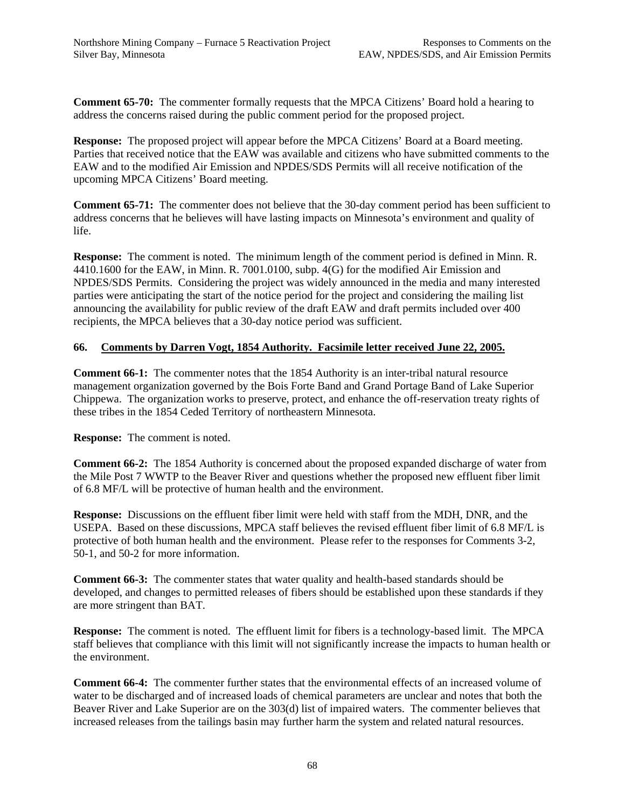**Comment 65-70:** The commenter formally requests that the MPCA Citizens' Board hold a hearing to address the concerns raised during the public comment period for the proposed project.

**Response:** The proposed project will appear before the MPCA Citizens' Board at a Board meeting. Parties that received notice that the EAW was available and citizens who have submitted comments to the EAW and to the modified Air Emission and NPDES/SDS Permits will all receive notification of the upcoming MPCA Citizens' Board meeting.

**Comment 65-71:** The commenter does not believe that the 30-day comment period has been sufficient to address concerns that he believes will have lasting impacts on Minnesota's environment and quality of life.

**Response:** The comment is noted. The minimum length of the comment period is defined in Minn. R. 4410.1600 for the EAW, in Minn. R. 7001.0100, subp. 4(G) for the modified Air Emission and NPDES/SDS Permits. Considering the project was widely announced in the media and many interested parties were anticipating the start of the notice period for the project and considering the mailing list announcing the availability for public review of the draft EAW and draft permits included over 400 recipients, the MPCA believes that a 30-day notice period was sufficient.

## **66. Comments by Darren Vogt, 1854 Authority. Facsimile letter received June 22, 2005.**

**Comment 66-1:** The commenter notes that the 1854 Authority is an inter-tribal natural resource management organization governed by the Bois Forte Band and Grand Portage Band of Lake Superior Chippewa. The organization works to preserve, protect, and enhance the off-reservation treaty rights of these tribes in the 1854 Ceded Territory of northeastern Minnesota.

**Response:** The comment is noted.

**Comment 66-2:** The 1854 Authority is concerned about the proposed expanded discharge of water from the Mile Post 7 WWTP to the Beaver River and questions whether the proposed new effluent fiber limit of 6.8 MF/L will be protective of human health and the environment.

**Response:** Discussions on the effluent fiber limit were held with staff from the MDH, DNR, and the USEPA. Based on these discussions, MPCA staff believes the revised effluent fiber limit of 6.8 MF/L is protective of both human health and the environment. Please refer to the responses for Comments 3-2, 50-1, and 50-2 for more information.

**Comment 66-3:** The commenter states that water quality and health-based standards should be developed, and changes to permitted releases of fibers should be established upon these standards if they are more stringent than BAT.

**Response:** The comment is noted. The effluent limit for fibers is a technology-based limit. The MPCA staff believes that compliance with this limit will not significantly increase the impacts to human health or the environment.

**Comment 66-4:** The commenter further states that the environmental effects of an increased volume of water to be discharged and of increased loads of chemical parameters are unclear and notes that both the Beaver River and Lake Superior are on the 303(d) list of impaired waters. The commenter believes that increased releases from the tailings basin may further harm the system and related natural resources.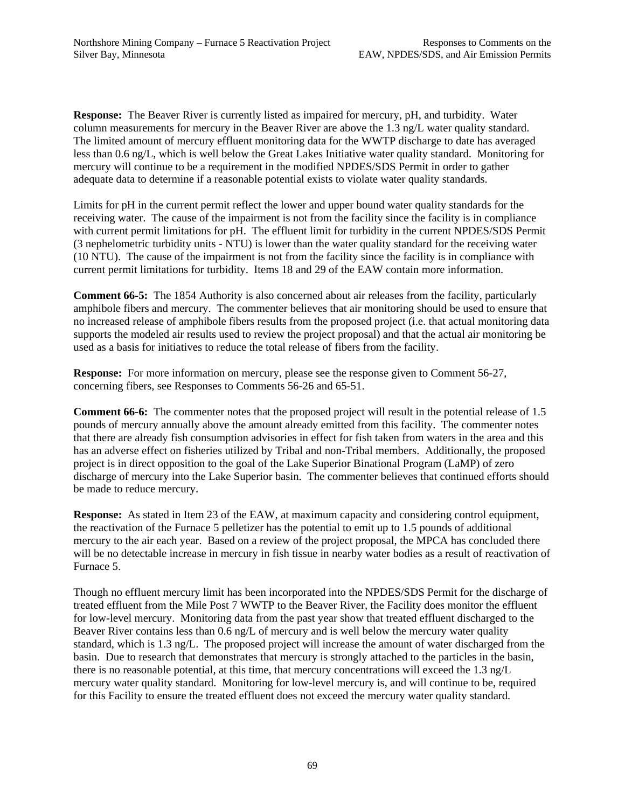**Response:** The Beaver River is currently listed as impaired for mercury, pH, and turbidity. Water column measurements for mercury in the Beaver River are above the 1.3 ng/L water quality standard. The limited amount of mercury effluent monitoring data for the WWTP discharge to date has averaged less than 0.6 ng/L, which is well below the Great Lakes Initiative water quality standard. Monitoring for mercury will continue to be a requirement in the modified NPDES/SDS Permit in order to gather adequate data to determine if a reasonable potential exists to violate water quality standards.

Limits for pH in the current permit reflect the lower and upper bound water quality standards for the receiving water. The cause of the impairment is not from the facility since the facility is in compliance with current permit limitations for pH. The effluent limit for turbidity in the current NPDES/SDS Permit (3 nephelometric turbidity units - NTU) is lower than the water quality standard for the receiving water (10 NTU). The cause of the impairment is not from the facility since the facility is in compliance with current permit limitations for turbidity. Items 18 and 29 of the EAW contain more information.

**Comment 66-5:** The 1854 Authority is also concerned about air releases from the facility, particularly amphibole fibers and mercury. The commenter believes that air monitoring should be used to ensure that no increased release of amphibole fibers results from the proposed project (i.e. that actual monitoring data supports the modeled air results used to review the project proposal) and that the actual air monitoring be used as a basis for initiatives to reduce the total release of fibers from the facility.

**Response:** For more information on mercury, please see the response given to Comment 56-27, concerning fibers, see Responses to Comments 56-26 and 65-51.

**Comment 66-6:** The commenter notes that the proposed project will result in the potential release of 1.5 pounds of mercury annually above the amount already emitted from this facility. The commenter notes that there are already fish consumption advisories in effect for fish taken from waters in the area and this has an adverse effect on fisheries utilized by Tribal and non-Tribal members. Additionally, the proposed project is in direct opposition to the goal of the Lake Superior Binational Program (LaMP) of zero discharge of mercury into the Lake Superior basin. The commenter believes that continued efforts should be made to reduce mercury.

**Response:** As stated in Item 23 of the EAW, at maximum capacity and considering control equipment, the reactivation of the Furnace 5 pelletizer has the potential to emit up to 1.5 pounds of additional mercury to the air each year. Based on a review of the project proposal, the MPCA has concluded there will be no detectable increase in mercury in fish tissue in nearby water bodies as a result of reactivation of Furnace 5.

Though no effluent mercury limit has been incorporated into the NPDES/SDS Permit for the discharge of treated effluent from the Mile Post 7 WWTP to the Beaver River, the Facility does monitor the effluent for low-level mercury. Monitoring data from the past year show that treated effluent discharged to the Beaver River contains less than 0.6 ng/L of mercury and is well below the mercury water quality standard, which is 1.3 ng/L. The proposed project will increase the amount of water discharged from the basin. Due to research that demonstrates that mercury is strongly attached to the particles in the basin, there is no reasonable potential, at this time, that mercury concentrations will exceed the 1.3 ng/L mercury water quality standard. Monitoring for low-level mercury is, and will continue to be, required for this Facility to ensure the treated effluent does not exceed the mercury water quality standard.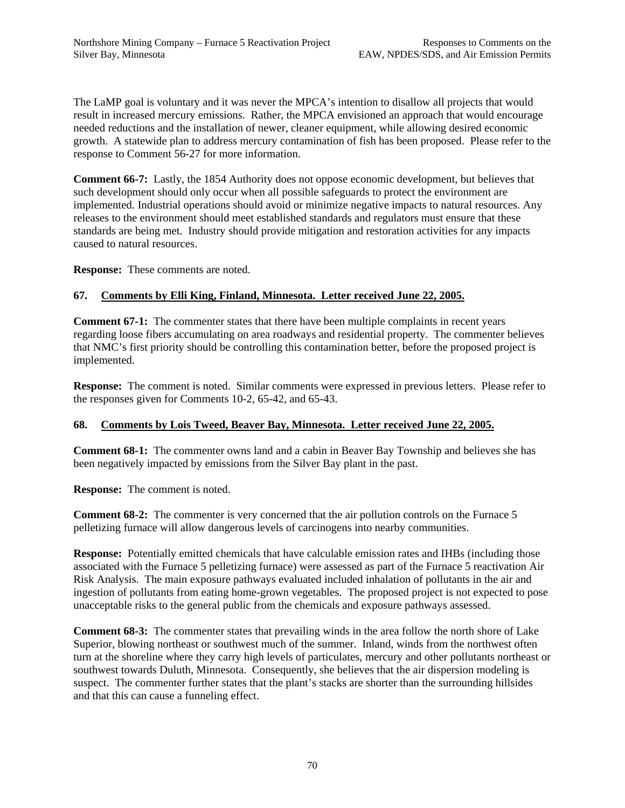The LaMP goal is voluntary and it was never the MPCA's intention to disallow all projects that would result in increased mercury emissions. Rather, the MPCA envisioned an approach that would encourage needed reductions and the installation of newer, cleaner equipment, while allowing desired economic growth. A statewide plan to address mercury contamination of fish has been proposed. Please refer to the response to Comment 56-27 for more information.

**Comment 66-7:** Lastly, the 1854 Authority does not oppose economic development, but believes that such development should only occur when all possible safeguards to protect the environment are implemented. Industrial operations should avoid or minimize negative impacts to natural resources. Any releases to the environment should meet established standards and regulators must ensure that these standards are being met. Industry should provide mitigation and restoration activities for any impacts caused to natural resources.

**Response:** These comments are noted.

# **67. Comments by Elli King, Finland, Minnesota. Letter received June 22, 2005.**

**Comment 67-1:** The commenter states that there have been multiple complaints in recent years regarding loose fibers accumulating on area roadways and residential property. The commenter believes that NMC's first priority should be controlling this contamination better, before the proposed project is implemented.

**Response:** The comment is noted. Similar comments were expressed in previous letters. Please refer to the responses given for Comments 10-2, 65-42, and 65-43.

# **68. Comments by Lois Tweed, Beaver Bay, Minnesota. Letter received June 22, 2005.**

**Comment 68-1:** The commenter owns land and a cabin in Beaver Bay Township and believes she has been negatively impacted by emissions from the Silver Bay plant in the past.

**Response:** The comment is noted.

**Comment 68-2:** The commenter is very concerned that the air pollution controls on the Furnace 5 pelletizing furnace will allow dangerous levels of carcinogens into nearby communities.

**Response:** Potentially emitted chemicals that have calculable emission rates and IHBs (including those associated with the Furnace 5 pelletizing furnace) were assessed as part of the Furnace 5 reactivation Air Risk Analysis. The main exposure pathways evaluated included inhalation of pollutants in the air and ingestion of pollutants from eating home-grown vegetables. The proposed project is not expected to pose unacceptable risks to the general public from the chemicals and exposure pathways assessed.

**Comment 68-3:** The commenter states that prevailing winds in the area follow the north shore of Lake Superior, blowing northeast or southwest much of the summer. Inland, winds from the northwest often turn at the shoreline where they carry high levels of particulates, mercury and other pollutants northeast or southwest towards Duluth, Minnesota. Consequently, she believes that the air dispersion modeling is suspect. The commenter further states that the plant's stacks are shorter than the surrounding hillsides and that this can cause a funneling effect.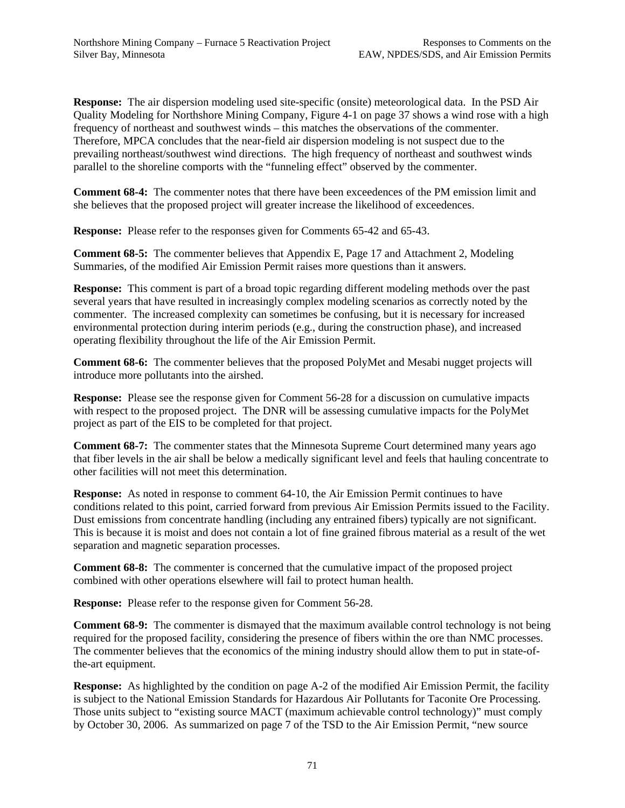**Response:** The air dispersion modeling used site-specific (onsite) meteorological data. In the PSD Air Quality Modeling for Northshore Mining Company, Figure 4-1 on page 37 shows a wind rose with a high frequency of northeast and southwest winds – this matches the observations of the commenter. Therefore, MPCA concludes that the near-field air dispersion modeling is not suspect due to the prevailing northeast/southwest wind directions. The high frequency of northeast and southwest winds parallel to the shoreline comports with the "funneling effect" observed by the commenter.

**Comment 68-4:** The commenter notes that there have been exceedences of the PM emission limit and she believes that the proposed project will greater increase the likelihood of exceedences.

**Response:** Please refer to the responses given for Comments 65-42 and 65-43.

**Comment 68-5:** The commenter believes that Appendix E, Page 17 and Attachment 2, Modeling Summaries, of the modified Air Emission Permit raises more questions than it answers.

**Response:** This comment is part of a broad topic regarding different modeling methods over the past several years that have resulted in increasingly complex modeling scenarios as correctly noted by the commenter. The increased complexity can sometimes be confusing, but it is necessary for increased environmental protection during interim periods (e.g., during the construction phase), and increased operating flexibility throughout the life of the Air Emission Permit.

**Comment 68-6:** The commenter believes that the proposed PolyMet and Mesabi nugget projects will introduce more pollutants into the airshed.

**Response:** Please see the response given for Comment 56-28 for a discussion on cumulative impacts with respect to the proposed project. The DNR will be assessing cumulative impacts for the PolyMet project as part of the EIS to be completed for that project.

**Comment 68-7:** The commenter states that the Minnesota Supreme Court determined many years ago that fiber levels in the air shall be below a medically significant level and feels that hauling concentrate to other facilities will not meet this determination.

**Response:** As noted in response to comment 64-10, the Air Emission Permit continues to have conditions related to this point, carried forward from previous Air Emission Permits issued to the Facility. Dust emissions from concentrate handling (including any entrained fibers) typically are not significant. This is because it is moist and does not contain a lot of fine grained fibrous material as a result of the wet separation and magnetic separation processes.

**Comment 68-8:** The commenter is concerned that the cumulative impact of the proposed project combined with other operations elsewhere will fail to protect human health.

**Response:** Please refer to the response given for Comment 56-28.

**Comment 68-9:** The commenter is dismayed that the maximum available control technology is not being required for the proposed facility, considering the presence of fibers within the ore than NMC processes. The commenter believes that the economics of the mining industry should allow them to put in state-ofthe-art equipment.

**Response:** As highlighted by the condition on page A-2 of the modified Air Emission Permit, the facility is subject to the National Emission Standards for Hazardous Air Pollutants for Taconite Ore Processing. Those units subject to "existing source MACT (maximum achievable control technology)" must comply by October 30, 2006. As summarized on page 7 of the TSD to the Air Emission Permit, "new source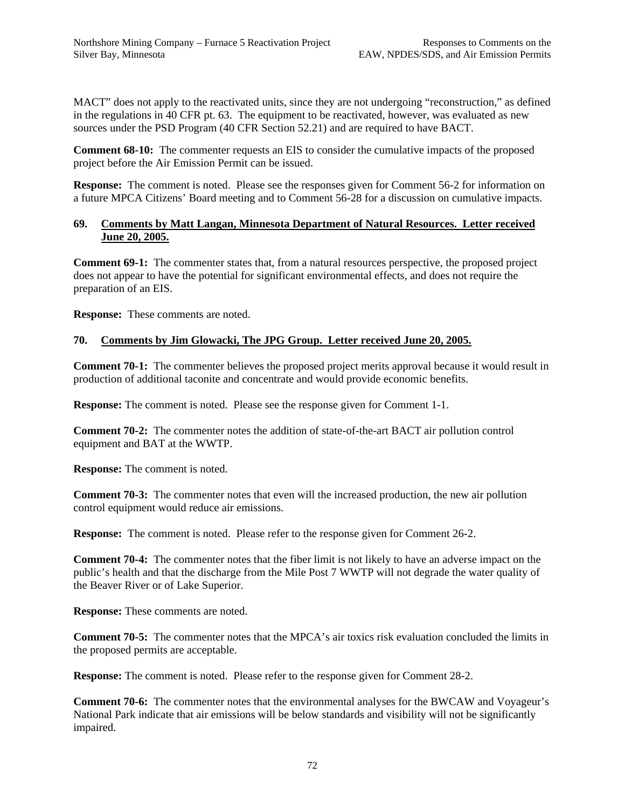MACT" does not apply to the reactivated units, since they are not undergoing "reconstruction," as defined in the regulations in 40 CFR pt. 63. The equipment to be reactivated, however, was evaluated as new sources under the PSD Program (40 CFR Section 52.21) and are required to have BACT.

**Comment 68-10:** The commenter requests an EIS to consider the cumulative impacts of the proposed project before the Air Emission Permit can be issued.

**Response:** The comment is noted. Please see the responses given for Comment 56-2 for information on a future MPCA Citizens' Board meeting and to Comment 56-28 for a discussion on cumulative impacts.

### **69. Comments by Matt Langan, Minnesota Department of Natural Resources. Letter received June 20, 2005.**

**Comment 69-1:** The commenter states that, from a natural resources perspective, the proposed project does not appear to have the potential for significant environmental effects, and does not require the preparation of an EIS.

**Response:** These comments are noted.

## **70. Comments by Jim Glowacki, The JPG Group. Letter received June 20, 2005.**

**Comment 70-1:** The commenter believes the proposed project merits approval because it would result in production of additional taconite and concentrate and would provide economic benefits.

**Response:** The comment is noted. Please see the response given for Comment 1-1.

**Comment 70-2:** The commenter notes the addition of state-of-the-art BACT air pollution control equipment and BAT at the WWTP.

**Response:** The comment is noted.

**Comment 70-3:** The commenter notes that even will the increased production, the new air pollution control equipment would reduce air emissions.

**Response:** The comment is noted. Please refer to the response given for Comment 26-2.

**Comment 70-4:** The commenter notes that the fiber limit is not likely to have an adverse impact on the public's health and that the discharge from the Mile Post 7 WWTP will not degrade the water quality of the Beaver River or of Lake Superior.

**Response:** These comments are noted.

**Comment 70-5:** The commenter notes that the MPCA's air toxics risk evaluation concluded the limits in the proposed permits are acceptable.

**Response:** The comment is noted. Please refer to the response given for Comment 28-2.

**Comment 70-6:** The commenter notes that the environmental analyses for the BWCAW and Voyageur's National Park indicate that air emissions will be below standards and visibility will not be significantly impaired.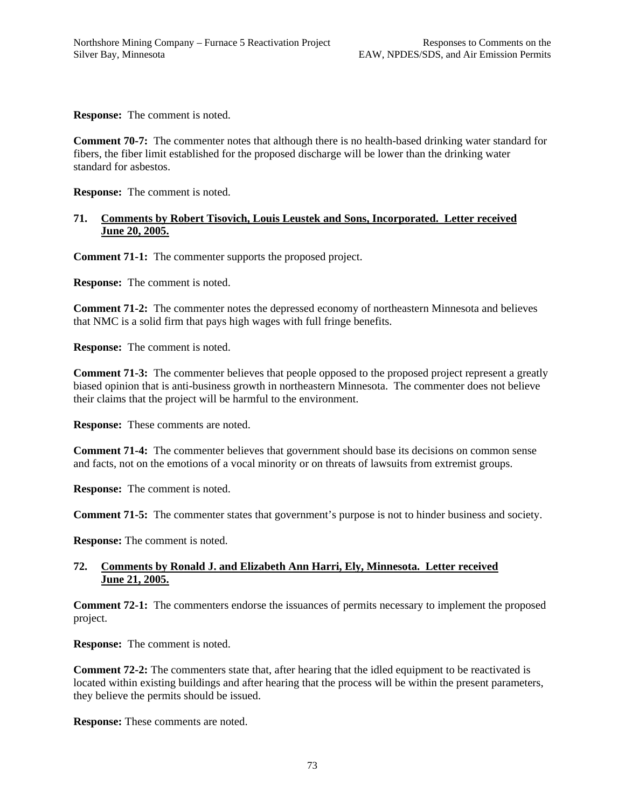**Response:** The comment is noted.

**Comment 70-7:** The commenter notes that although there is no health-based drinking water standard for fibers, the fiber limit established for the proposed discharge will be lower than the drinking water standard for asbestos.

**Response:** The comment is noted.

#### **71. Comments by Robert Tisovich, Louis Leustek and Sons, Incorporated. Letter received June 20, 2005.**

**Comment 71-1:** The commenter supports the proposed project.

**Response:** The comment is noted.

**Comment 71-2:** The commenter notes the depressed economy of northeastern Minnesota and believes that NMC is a solid firm that pays high wages with full fringe benefits.

**Response:** The comment is noted.

**Comment 71-3:** The commenter believes that people opposed to the proposed project represent a greatly biased opinion that is anti-business growth in northeastern Minnesota. The commenter does not believe their claims that the project will be harmful to the environment.

**Response:** These comments are noted.

**Comment 71-4:** The commenter believes that government should base its decisions on common sense and facts, not on the emotions of a vocal minority or on threats of lawsuits from extremist groups.

**Response:** The comment is noted.

**Comment 71-5:** The commenter states that government's purpose is not to hinder business and society.

**Response:** The comment is noted.

### **72. Comments by Ronald J. and Elizabeth Ann Harri, Ely, Minnesota. Letter received June 21, 2005.**

**Comment 72-1:** The commenters endorse the issuances of permits necessary to implement the proposed project.

**Response:** The comment is noted.

**Comment 72-2:** The commenters state that, after hearing that the idled equipment to be reactivated is located within existing buildings and after hearing that the process will be within the present parameters, they believe the permits should be issued.

**Response:** These comments are noted.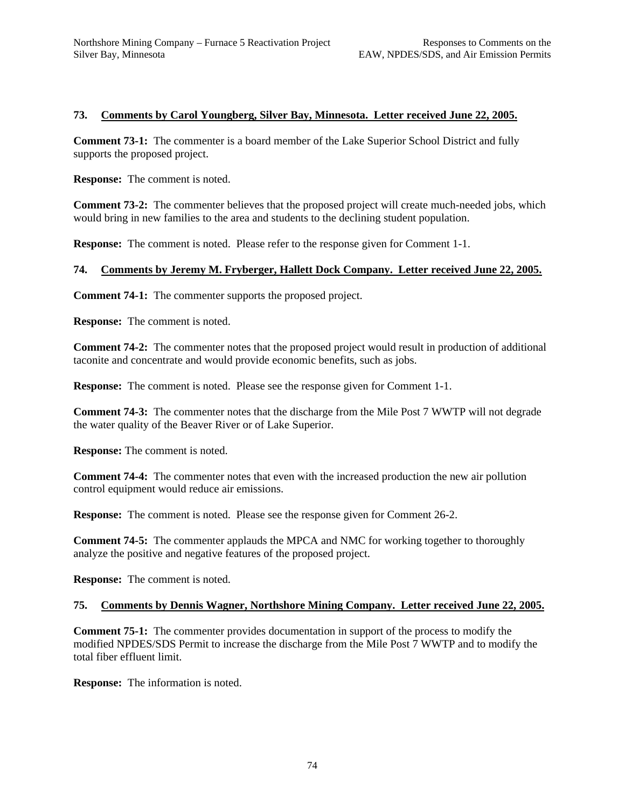### **73. Comments by Carol Youngberg, Silver Bay, Minnesota. Letter received June 22, 2005.**

**Comment 73-1:** The commenter is a board member of the Lake Superior School District and fully supports the proposed project.

**Response:** The comment is noted.

**Comment 73-2:** The commenter believes that the proposed project will create much-needed jobs, which would bring in new families to the area and students to the declining student population.

**Response:** The comment is noted. Please refer to the response given for Comment 1-1.

#### **74. Comments by Jeremy M. Fryberger, Hallett Dock Company. Letter received June 22, 2005.**

**Comment 74-1:** The commenter supports the proposed project.

**Response:** The comment is noted.

**Comment 74-2:** The commenter notes that the proposed project would result in production of additional taconite and concentrate and would provide economic benefits, such as jobs.

**Response:** The comment is noted. Please see the response given for Comment 1-1.

**Comment 74-3:** The commenter notes that the discharge from the Mile Post 7 WWTP will not degrade the water quality of the Beaver River or of Lake Superior.

**Response:** The comment is noted.

**Comment 74-4:** The commenter notes that even with the increased production the new air pollution control equipment would reduce air emissions.

**Response:** The comment is noted. Please see the response given for Comment 26-2.

**Comment 74-5:** The commenter applauds the MPCA and NMC for working together to thoroughly analyze the positive and negative features of the proposed project.

**Response:** The comment is noted.

#### **75. Comments by Dennis Wagner, Northshore Mining Company. Letter received June 22, 2005.**

**Comment 75-1:** The commenter provides documentation in support of the process to modify the modified NPDES/SDS Permit to increase the discharge from the Mile Post 7 WWTP and to modify the total fiber effluent limit.

**Response:** The information is noted.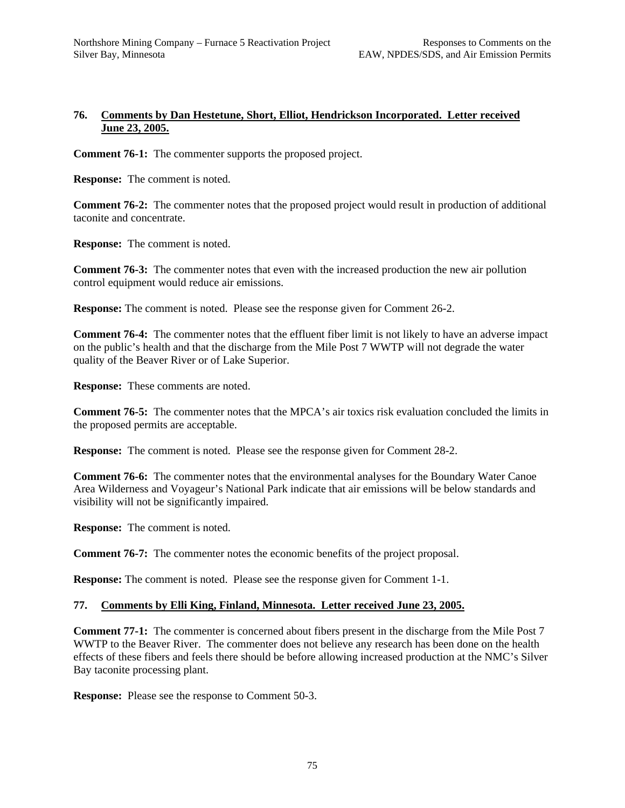## **76. Comments by Dan Hestetune, Short, Elliot, Hendrickson Incorporated. Letter received June 23, 2005.**

**Comment 76-1:** The commenter supports the proposed project.

**Response:** The comment is noted.

**Comment 76-2:** The commenter notes that the proposed project would result in production of additional taconite and concentrate.

**Response:** The comment is noted.

**Comment 76-3:** The commenter notes that even with the increased production the new air pollution control equipment would reduce air emissions.

**Response:** The comment is noted. Please see the response given for Comment 26-2.

**Comment 76-4:** The commenter notes that the effluent fiber limit is not likely to have an adverse impact on the public's health and that the discharge from the Mile Post 7 WWTP will not degrade the water quality of the Beaver River or of Lake Superior.

**Response:** These comments are noted.

**Comment 76-5:** The commenter notes that the MPCA's air toxics risk evaluation concluded the limits in the proposed permits are acceptable.

**Response:** The comment is noted. Please see the response given for Comment 28-2.

**Comment 76-6:** The commenter notes that the environmental analyses for the Boundary Water Canoe Area Wilderness and Voyageur's National Park indicate that air emissions will be below standards and visibility will not be significantly impaired.

**Response:** The comment is noted.

**Comment 76-7:** The commenter notes the economic benefits of the project proposal.

**Response:** The comment is noted. Please see the response given for Comment 1-1.

#### **77. Comments by Elli King, Finland, Minnesota. Letter received June 23, 2005.**

**Comment 77-1:** The commenter is concerned about fibers present in the discharge from the Mile Post 7 WWTP to the Beaver River. The commenter does not believe any research has been done on the health effects of these fibers and feels there should be before allowing increased production at the NMC's Silver Bay taconite processing plant.

**Response:** Please see the response to Comment 50-3.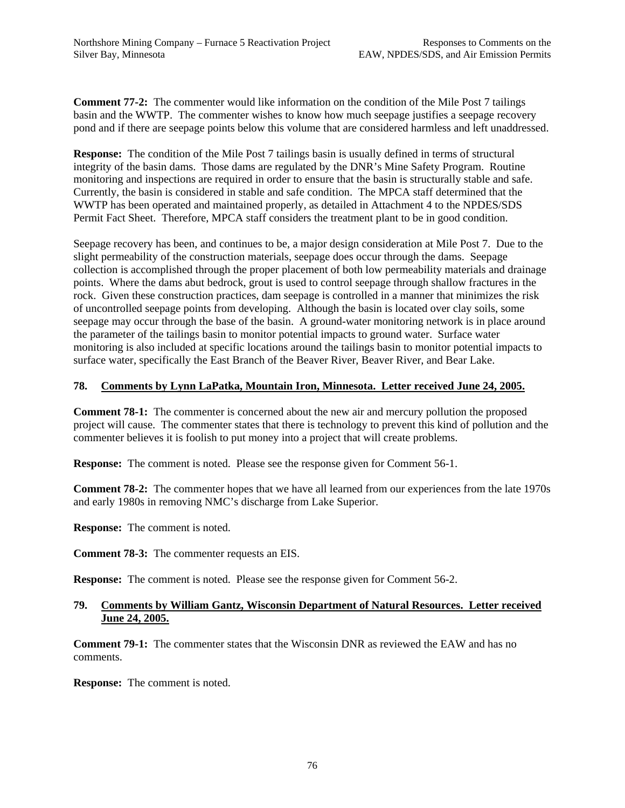**Comment 77-2:** The commenter would like information on the condition of the Mile Post 7 tailings basin and the WWTP. The commenter wishes to know how much seepage justifies a seepage recovery pond and if there are seepage points below this volume that are considered harmless and left unaddressed.

**Response:** The condition of the Mile Post 7 tailings basin is usually defined in terms of structural integrity of the basin dams. Those dams are regulated by the DNR's Mine Safety Program. Routine monitoring and inspections are required in order to ensure that the basin is structurally stable and safe. Currently, the basin is considered in stable and safe condition. The MPCA staff determined that the WWTP has been operated and maintained properly, as detailed in Attachment 4 to the NPDES/SDS Permit Fact Sheet. Therefore, MPCA staff considers the treatment plant to be in good condition.

Seepage recovery has been, and continues to be, a major design consideration at Mile Post 7. Due to the slight permeability of the construction materials, seepage does occur through the dams. Seepage collection is accomplished through the proper placement of both low permeability materials and drainage points. Where the dams abut bedrock, grout is used to control seepage through shallow fractures in the rock. Given these construction practices, dam seepage is controlled in a manner that minimizes the risk of uncontrolled seepage points from developing. Although the basin is located over clay soils, some seepage may occur through the base of the basin. A ground-water monitoring network is in place around the parameter of the tailings basin to monitor potential impacts to ground water. Surface water monitoring is also included at specific locations around the tailings basin to monitor potential impacts to surface water, specifically the East Branch of the Beaver River, Beaver River, and Bear Lake.

## **78. Comments by Lynn LaPatka, Mountain Iron, Minnesota. Letter received June 24, 2005.**

**Comment 78-1:** The commenter is concerned about the new air and mercury pollution the proposed project will cause. The commenter states that there is technology to prevent this kind of pollution and the commenter believes it is foolish to put money into a project that will create problems.

**Response:** The comment is noted. Please see the response given for Comment 56-1.

**Comment 78-2:** The commenter hopes that we have all learned from our experiences from the late 1970s and early 1980s in removing NMC's discharge from Lake Superior.

**Response:** The comment is noted.

**Comment 78-3:** The commenter requests an EIS.

**Response:** The comment is noted. Please see the response given for Comment 56-2.

### **79. Comments by William Gantz, Wisconsin Department of Natural Resources. Letter received June 24, 2005.**

**Comment 79-1:** The commenter states that the Wisconsin DNR as reviewed the EAW and has no comments.

**Response:** The comment is noted.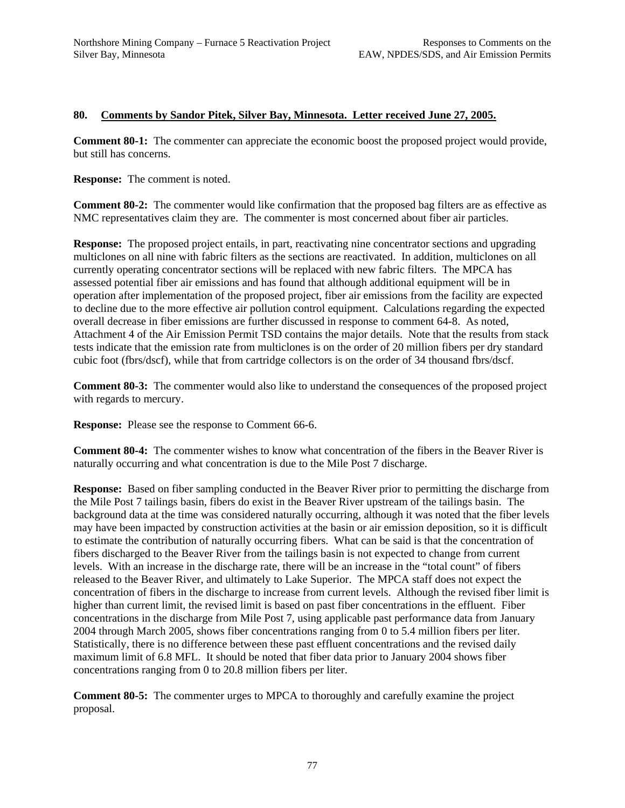### **80. Comments by Sandor Pitek, Silver Bay, Minnesota. Letter received June 27, 2005.**

**Comment 80-1:** The commenter can appreciate the economic boost the proposed project would provide, but still has concerns.

**Response:** The comment is noted.

**Comment 80-2:** The commenter would like confirmation that the proposed bag filters are as effective as NMC representatives claim they are. The commenter is most concerned about fiber air particles.

**Response:** The proposed project entails, in part, reactivating nine concentrator sections and upgrading multiclones on all nine with fabric filters as the sections are reactivated. In addition, multiclones on all currently operating concentrator sections will be replaced with new fabric filters. The MPCA has assessed potential fiber air emissions and has found that although additional equipment will be in operation after implementation of the proposed project, fiber air emissions from the facility are expected to decline due to the more effective air pollution control equipment. Calculations regarding the expected overall decrease in fiber emissions are further discussed in response to comment 64-8. As noted, Attachment 4 of the Air Emission Permit TSD contains the major details. Note that the results from stack tests indicate that the emission rate from multiclones is on the order of 20 million fibers per dry standard cubic foot (fbrs/dscf), while that from cartridge collectors is on the order of 34 thousand fbrs/dscf.

**Comment 80-3:** The commenter would also like to understand the consequences of the proposed project with regards to mercury.

**Response:** Please see the response to Comment 66-6.

**Comment 80-4:** The commenter wishes to know what concentration of the fibers in the Beaver River is naturally occurring and what concentration is due to the Mile Post 7 discharge.

**Response:** Based on fiber sampling conducted in the Beaver River prior to permitting the discharge from the Mile Post 7 tailings basin, fibers do exist in the Beaver River upstream of the tailings basin. The background data at the time was considered naturally occurring, although it was noted that the fiber levels may have been impacted by construction activities at the basin or air emission deposition, so it is difficult to estimate the contribution of naturally occurring fibers. What can be said is that the concentration of fibers discharged to the Beaver River from the tailings basin is not expected to change from current levels. With an increase in the discharge rate, there will be an increase in the "total count" of fibers released to the Beaver River, and ultimately to Lake Superior. The MPCA staff does not expect the concentration of fibers in the discharge to increase from current levels. Although the revised fiber limit is higher than current limit, the revised limit is based on past fiber concentrations in the effluent. Fiber concentrations in the discharge from Mile Post 7, using applicable past performance data from January 2004 through March 2005, shows fiber concentrations ranging from 0 to 5.4 million fibers per liter. Statistically, there is no difference between these past effluent concentrations and the revised daily maximum limit of 6.8 MFL. It should be noted that fiber data prior to January 2004 shows fiber concentrations ranging from 0 to 20.8 million fibers per liter.

**Comment 80-5:** The commenter urges to MPCA to thoroughly and carefully examine the project proposal.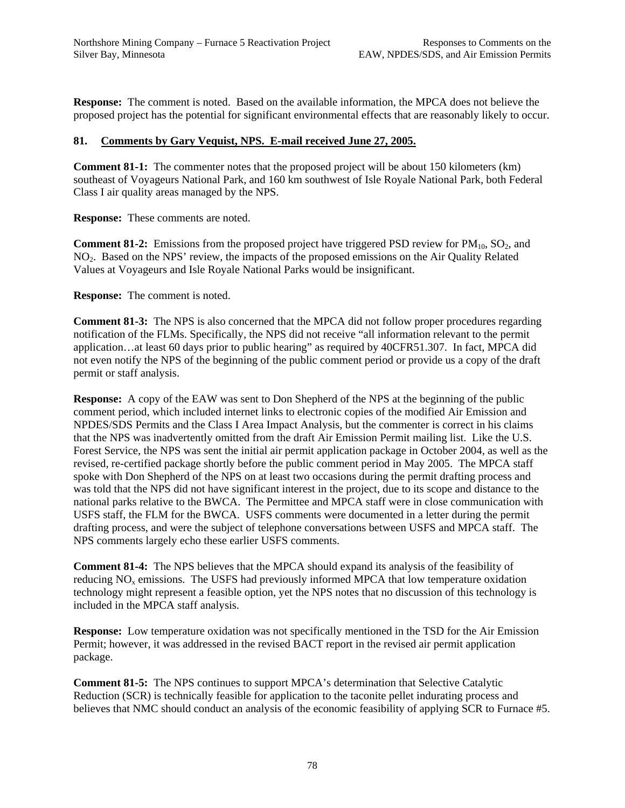**Response:** The comment is noted. Based on the available information, the MPCA does not believe the proposed project has the potential for significant environmental effects that are reasonably likely to occur.

## **81. Comments by Gary Vequist, NPS. E-mail received June 27, 2005.**

**Comment 81-1:** The commenter notes that the proposed project will be about 150 kilometers (km) southeast of Voyageurs National Park, and 160 km southwest of Isle Royale National Park, both Federal Class I air quality areas managed by the NPS.

**Response:** These comments are noted.

**Comment 81-2:** Emissions from the proposed project have triggered PSD review for  $PM_{10}$ , SO<sub>2</sub>, and NO2. Based on the NPS' review, the impacts of the proposed emissions on the Air Quality Related Values at Voyageurs and Isle Royale National Parks would be insignificant.

**Response:** The comment is noted.

**Comment 81-3:** The NPS is also concerned that the MPCA did not follow proper procedures regarding notification of the FLMs. Specifically, the NPS did not receive "all information relevant to the permit application…at least 60 days prior to public hearing" as required by 40CFR51.307. In fact, MPCA did not even notify the NPS of the beginning of the public comment period or provide us a copy of the draft permit or staff analysis.

**Response:** A copy of the EAW was sent to Don Shepherd of the NPS at the beginning of the public comment period, which included internet links to electronic copies of the modified Air Emission and NPDES/SDS Permits and the Class I Area Impact Analysis, but the commenter is correct in his claims that the NPS was inadvertently omitted from the draft Air Emission Permit mailing list. Like the U.S. Forest Service, the NPS was sent the initial air permit application package in October 2004, as well as the revised, re-certified package shortly before the public comment period in May 2005. The MPCA staff spoke with Don Shepherd of the NPS on at least two occasions during the permit drafting process and was told that the NPS did not have significant interest in the project, due to its scope and distance to the national parks relative to the BWCA. The Permittee and MPCA staff were in close communication with USFS staff, the FLM for the BWCA. USFS comments were documented in a letter during the permit drafting process, and were the subject of telephone conversations between USFS and MPCA staff. The NPS comments largely echo these earlier USFS comments.

**Comment 81-4:** The NPS believes that the MPCA should expand its analysis of the feasibility of reducing NO<sub>y</sub> emissions. The USFS had previously informed MPCA that low temperature oxidation technology might represent a feasible option, yet the NPS notes that no discussion of this technology is included in the MPCA staff analysis.

**Response:** Low temperature oxidation was not specifically mentioned in the TSD for the Air Emission Permit; however, it was addressed in the revised BACT report in the revised air permit application package.

**Comment 81-5:** The NPS continues to support MPCA's determination that Selective Catalytic Reduction (SCR) is technically feasible for application to the taconite pellet indurating process and believes that NMC should conduct an analysis of the economic feasibility of applying SCR to Furnace #5.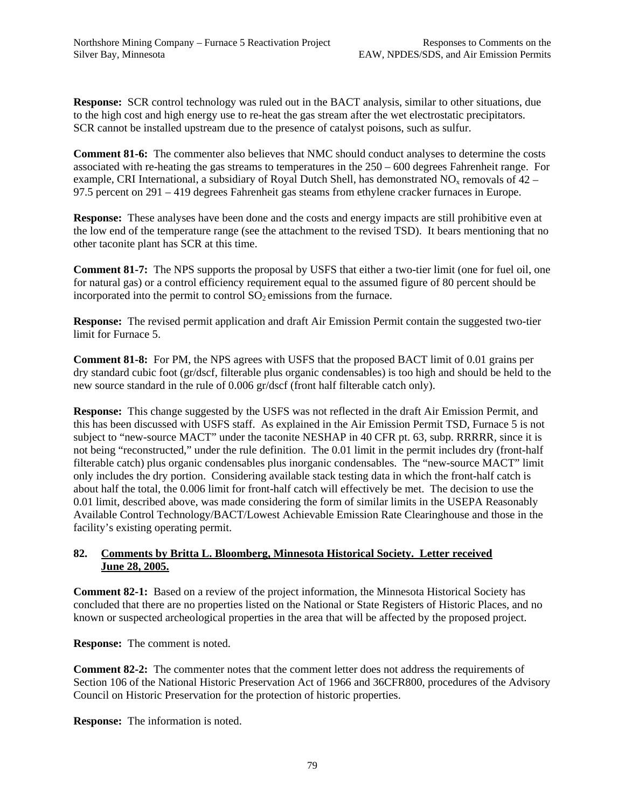**Response:** SCR control technology was ruled out in the BACT analysis, similar to other situations, due to the high cost and high energy use to re-heat the gas stream after the wet electrostatic precipitators. SCR cannot be installed upstream due to the presence of catalyst poisons, such as sulfur.

**Comment 81-6:** The commenter also believes that NMC should conduct analyses to determine the costs associated with re-heating the gas streams to temperatures in the 250 – 600 degrees Fahrenheit range. For example, CRI International, a subsidiary of Royal Dutch Shell, has demonstrated  $NO<sub>x</sub>$  removals of 42 – 97.5 percent on 291 – 419 degrees Fahrenheit gas steams from ethylene cracker furnaces in Europe.

**Response:** These analyses have been done and the costs and energy impacts are still prohibitive even at the low end of the temperature range (see the attachment to the revised TSD). It bears mentioning that no other taconite plant has SCR at this time.

**Comment 81-7:** The NPS supports the proposal by USFS that either a two-tier limit (one for fuel oil, one for natural gas) or a control efficiency requirement equal to the assumed figure of 80 percent should be incorporated into the permit to control  $SO<sub>2</sub>$  emissions from the furnace.

**Response:** The revised permit application and draft Air Emission Permit contain the suggested two-tier limit for Furnace 5.

**Comment 81-8:** For PM, the NPS agrees with USFS that the proposed BACT limit of 0.01 grains per dry standard cubic foot (gr/dscf, filterable plus organic condensables) is too high and should be held to the new source standard in the rule of 0.006 gr/dscf (front half filterable catch only).

**Response:** This change suggested by the USFS was not reflected in the draft Air Emission Permit, and this has been discussed with USFS staff. As explained in the Air Emission Permit TSD, Furnace 5 is not subject to "new-source MACT" under the taconite NESHAP in 40 CFR pt. 63, subp. RRRRR, since it is not being "reconstructed," under the rule definition. The 0.01 limit in the permit includes dry (front-half filterable catch) plus organic condensables plus inorganic condensables. The "new-source MACT" limit only includes the dry portion. Considering available stack testing data in which the front-half catch is about half the total, the 0.006 limit for front-half catch will effectively be met. The decision to use the 0.01 limit, described above, was made considering the form of similar limits in the USEPA Reasonably Available Control Technology/BACT/Lowest Achievable Emission Rate Clearinghouse and those in the facility's existing operating permit.

## **82. Comments by Britta L. Bloomberg, Minnesota Historical Society. Letter received June 28, 2005.**

**Comment 82-1:** Based on a review of the project information, the Minnesota Historical Society has concluded that there are no properties listed on the National or State Registers of Historic Places, and no known or suspected archeological properties in the area that will be affected by the proposed project.

**Response:** The comment is noted.

**Comment 82-2:** The commenter notes that the comment letter does not address the requirements of Section 106 of the National Historic Preservation Act of 1966 and 36CFR800, procedures of the Advisory Council on Historic Preservation for the protection of historic properties.

**Response:** The information is noted.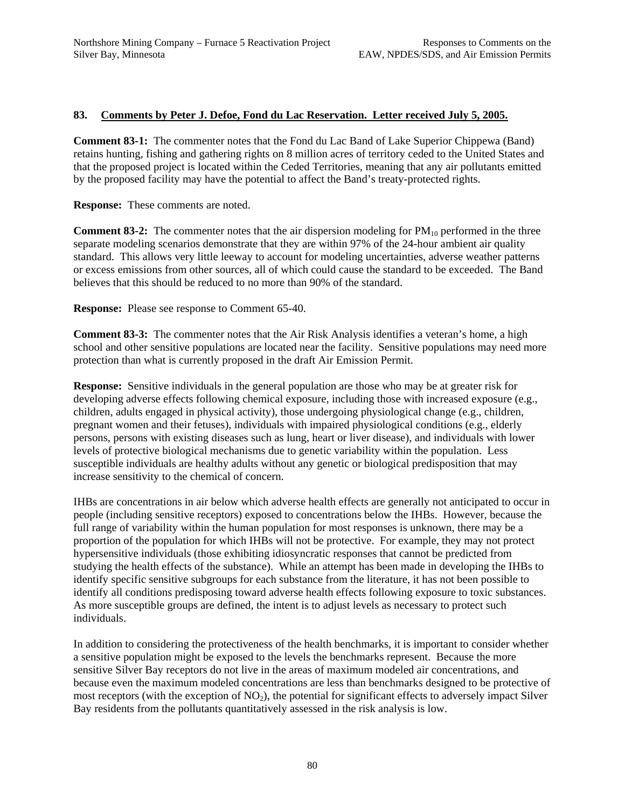## **83. Comments by Peter J. Defoe, Fond du Lac Reservation. Letter received July 5, 2005.**

**Comment 83-1:** The commenter notes that the Fond du Lac Band of Lake Superior Chippewa (Band) retains hunting, fishing and gathering rights on 8 million acres of territory ceded to the United States and that the proposed project is located within the Ceded Territories, meaning that any air pollutants emitted by the proposed facility may have the potential to affect the Band's treaty-protected rights.

**Response:** These comments are noted.

**Comment 83-2:** The commenter notes that the air dispersion modeling for  $PM_{10}$  performed in the three separate modeling scenarios demonstrate that they are within 97% of the 24-hour ambient air quality standard. This allows very little leeway to account for modeling uncertainties, adverse weather patterns or excess emissions from other sources, all of which could cause the standard to be exceeded. The Band believes that this should be reduced to no more than 90% of the standard.

**Response:** Please see response to Comment 65-40.

**Comment 83-3:** The commenter notes that the Air Risk Analysis identifies a veteran's home, a high school and other sensitive populations are located near the facility. Sensitive populations may need more protection than what is currently proposed in the draft Air Emission Permit.

**Response:** Sensitive individuals in the general population are those who may be at greater risk for developing adverse effects following chemical exposure, including those with increased exposure (e.g., children, adults engaged in physical activity), those undergoing physiological change (e.g., children, pregnant women and their fetuses), individuals with impaired physiological conditions (e.g., elderly persons, persons with existing diseases such as lung, heart or liver disease), and individuals with lower levels of protective biological mechanisms due to genetic variability within the population. Less susceptible individuals are healthy adults without any genetic or biological predisposition that may increase sensitivity to the chemical of concern.

IHBs are concentrations in air below which adverse health effects are generally not anticipated to occur in people (including sensitive receptors) exposed to concentrations below the IHBs. However, because the full range of variability within the human population for most responses is unknown, there may be a proportion of the population for which IHBs will not be protective. For example, they may not protect hypersensitive individuals (those exhibiting idiosyncratic responses that cannot be predicted from studying the health effects of the substance). While an attempt has been made in developing the IHBs to identify specific sensitive subgroups for each substance from the literature, it has not been possible to identify all conditions predisposing toward adverse health effects following exposure to toxic substances. As more susceptible groups are defined, the intent is to adjust levels as necessary to protect such individuals.

In addition to considering the protectiveness of the health benchmarks, it is important to consider whether a sensitive population might be exposed to the levels the benchmarks represent. Because the more sensitive Silver Bay receptors do not live in the areas of maximum modeled air concentrations, and because even the maximum modeled concentrations are less than benchmarks designed to be protective of most receptors (with the exception of  $NO<sub>2</sub>$ ), the potential for significant effects to adversely impact Silver Bay residents from the pollutants quantitatively assessed in the risk analysis is low.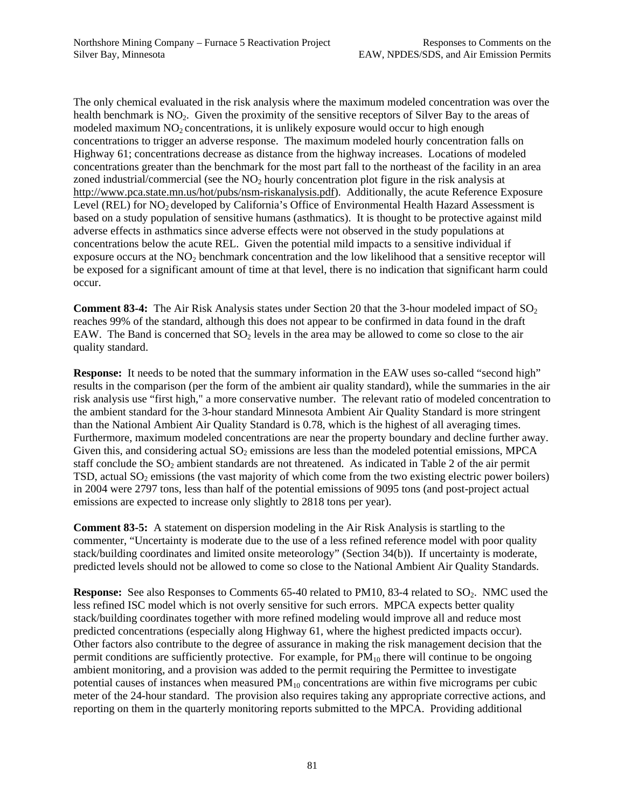The only chemical evaluated in the risk analysis where the maximum modeled concentration was over the health benchmark is NO<sub>2</sub>. Given the proximity of the sensitive receptors of Silver Bay to the areas of modeled maximum  $NO<sub>2</sub>$  concentrations, it is unlikely exposure would occur to high enough concentrations to trigger an adverse response. The maximum modeled hourly concentration falls on Highway 61; concentrations decrease as distance from the highway increases. Locations of modeled concentrations greater than the benchmark for the most part fall to the northeast of the facility in an area zoned industrial/commercial (see the  $NO<sub>2</sub>$  hourly concentration plot figure in the risk analysis at http://www.pca.state.mn.us/hot/pubs/nsm-riskanalysis.pdf). Additionally, the acute Reference Exposure Level (REL) for NO<sub>2</sub> developed by California's Office of Environmental Health Hazard Assessment is based on a study population of sensitive humans (asthmatics). It is thought to be protective against mild adverse effects in asthmatics since adverse effects were not observed in the study populations at concentrations below the acute REL. Given the potential mild impacts to a sensitive individual if exposure occurs at the  $NO<sub>2</sub>$  benchmark concentration and the low likelihood that a sensitive receptor will be exposed for a significant amount of time at that level, there is no indication that significant harm could occur.

**Comment 83-4:** The Air Risk Analysis states under Section 20 that the 3-hour modeled impact of SO<sub>2</sub> reaches 99% of the standard, although this does not appear to be confirmed in data found in the draft EAW. The Band is concerned that  $SO<sub>2</sub>$  levels in the area may be allowed to come so close to the air quality standard.

**Response:** It needs to be noted that the summary information in the EAW uses so-called "second high" results in the comparison (per the form of the ambient air quality standard), while the summaries in the air risk analysis use "first high," a more conservative number. The relevant ratio of modeled concentration to the ambient standard for the 3-hour standard Minnesota Ambient Air Quality Standard is more stringent than the National Ambient Air Quality Standard is 0.78, which is the highest of all averaging times. Furthermore, maximum modeled concentrations are near the property boundary and decline further away. Given this, and considering actual  $SO<sub>2</sub>$  emissions are less than the modeled potential emissions, MPCA staff conclude the  $SO<sub>2</sub>$  ambient standards are not threatened. As indicated in Table 2 of the air permit TSD, actual SO<sub>2</sub> emissions (the vast majority of which come from the two existing electric power boilers) in 2004 were 2797 tons, less than half of the potential emissions of 9095 tons (and post-project actual emissions are expected to increase only slightly to 2818 tons per year).

**Comment 83-5:** A statement on dispersion modeling in the Air Risk Analysis is startling to the commenter, "Uncertainty is moderate due to the use of a less refined reference model with poor quality stack/building coordinates and limited onsite meteorology" (Section 34(b)). If uncertainty is moderate, predicted levels should not be allowed to come so close to the National Ambient Air Quality Standards.

**Response:** See also Responses to Comments 65-40 related to PM10, 83-4 related to SO<sub>2</sub>. NMC used the less refined ISC model which is not overly sensitive for such errors. MPCA expects better quality stack/building coordinates together with more refined modeling would improve all and reduce most predicted concentrations (especially along Highway 61, where the highest predicted impacts occur). Other factors also contribute to the degree of assurance in making the risk management decision that the permit conditions are sufficiently protective. For example, for  $PM_{10}$  there will continue to be ongoing ambient monitoring, and a provision was added to the permit requiring the Permittee to investigate potential causes of instances when measured  $PM_{10}$  concentrations are within five micrograms per cubic meter of the 24-hour standard. The provision also requires taking any appropriate corrective actions, and reporting on them in the quarterly monitoring reports submitted to the MPCA. Providing additional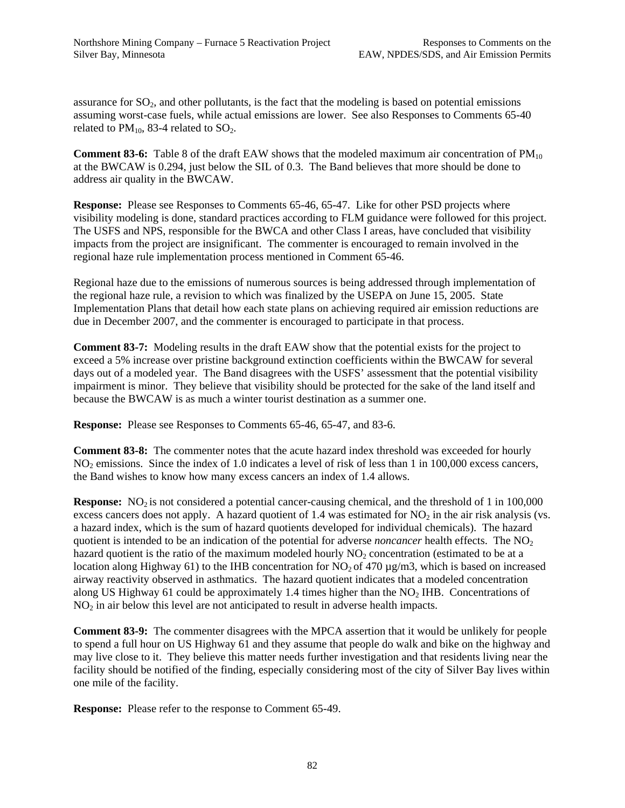assurance for  $SO_2$ , and other pollutants, is the fact that the modeling is based on potential emissions assuming worst-case fuels, while actual emissions are lower. See also Responses to Comments 65-40 related to  $PM_{10}$ , 83-4 related to  $SO_2$ .

**Comment 83-6:** Table 8 of the draft EAW shows that the modeled maximum air concentration of PM<sub>10</sub> at the BWCAW is 0.294, just below the SIL of 0.3. The Band believes that more should be done to address air quality in the BWCAW.

**Response:** Please see Responses to Comments 65-46, 65-47. Like for other PSD projects where visibility modeling is done, standard practices according to FLM guidance were followed for this project. The USFS and NPS, responsible for the BWCA and other Class I areas, have concluded that visibility impacts from the project are insignificant. The commenter is encouraged to remain involved in the regional haze rule implementation process mentioned in Comment 65-46.

Regional haze due to the emissions of numerous sources is being addressed through implementation of the regional haze rule, a revision to which was finalized by the USEPA on June 15, 2005. State Implementation Plans that detail how each state plans on achieving required air emission reductions are due in December 2007, and the commenter is encouraged to participate in that process.

**Comment 83-7:** Modeling results in the draft EAW show that the potential exists for the project to exceed a 5% increase over pristine background extinction coefficients within the BWCAW for several days out of a modeled year. The Band disagrees with the USFS' assessment that the potential visibility impairment is minor. They believe that visibility should be protected for the sake of the land itself and because the BWCAW is as much a winter tourist destination as a summer one.

**Response:** Please see Responses to Comments 65-46, 65-47, and 83-6.

**Comment 83-8:** The commenter notes that the acute hazard index threshold was exceeded for hourly NO<sub>2</sub> emissions. Since the index of 1.0 indicates a level of risk of less than 1 in 100,000 excess cancers, the Band wishes to know how many excess cancers an index of 1.4 allows.

**Response:** NO<sub>2</sub> is not considered a potential cancer-causing chemical, and the threshold of 1 in 100,000 excess cancers does not apply. A hazard quotient of 1.4 was estimated for  $NO<sub>2</sub>$  in the air risk analysis (vs. a hazard index, which is the sum of hazard quotients developed for individual chemicals). The hazard quotient is intended to be an indication of the potential for adverse *noncancer* health effects. The NO<sub>2</sub> hazard quotient is the ratio of the maximum modeled hourly  $NO<sub>2</sub>$  concentration (estimated to be at a location along Highway 61) to the IHB concentration for  $NO_2$  of 470  $\mu$ g/m3, which is based on increased airway reactivity observed in asthmatics. The hazard quotient indicates that a modeled concentration along US Highway 61 could be approximately 1.4 times higher than the  $NO<sub>2</sub>$  IHB. Concentrations of  $NO<sub>2</sub>$  in air below this level are not anticipated to result in adverse health impacts.

**Comment 83-9:** The commenter disagrees with the MPCA assertion that it would be unlikely for people to spend a full hour on US Highway 61 and they assume that people do walk and bike on the highway and may live close to it. They believe this matter needs further investigation and that residents living near the facility should be notified of the finding, especially considering most of the city of Silver Bay lives within one mile of the facility.

**Response:** Please refer to the response to Comment 65-49.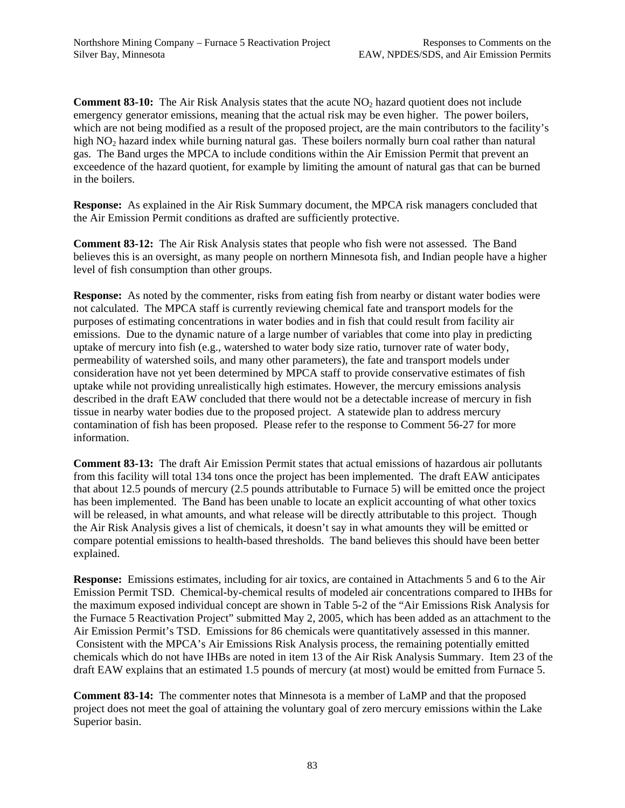**Comment 83-10:** The Air Risk Analysis states that the acute NO<sub>2</sub> hazard quotient does not include emergency generator emissions, meaning that the actual risk may be even higher. The power boilers, which are not being modified as a result of the proposed project, are the main contributors to the facility's high NO<sub>2</sub> hazard index while burning natural gas. These boilers normally burn coal rather than natural gas. The Band urges the MPCA to include conditions within the Air Emission Permit that prevent an exceedence of the hazard quotient, for example by limiting the amount of natural gas that can be burned in the boilers.

**Response:** As explained in the Air Risk Summary document, the MPCA risk managers concluded that the Air Emission Permit conditions as drafted are sufficiently protective.

**Comment 83-12:** The Air Risk Analysis states that people who fish were not assessed. The Band believes this is an oversight, as many people on northern Minnesota fish, and Indian people have a higher level of fish consumption than other groups.

**Response:** As noted by the commenter, risks from eating fish from nearby or distant water bodies were not calculated. The MPCA staff is currently reviewing chemical fate and transport models for the purposes of estimating concentrations in water bodies and in fish that could result from facility air emissions. Due to the dynamic nature of a large number of variables that come into play in predicting uptake of mercury into fish (e.g., watershed to water body size ratio, turnover rate of water body, permeability of watershed soils, and many other parameters), the fate and transport models under consideration have not yet been determined by MPCA staff to provide conservative estimates of fish uptake while not providing unrealistically high estimates. However, the mercury emissions analysis described in the draft EAW concluded that there would not be a detectable increase of mercury in fish tissue in nearby water bodies due to the proposed project. A statewide plan to address mercury contamination of fish has been proposed. Please refer to the response to Comment 56-27 for more information.

**Comment 83-13:** The draft Air Emission Permit states that actual emissions of hazardous air pollutants from this facility will total 134 tons once the project has been implemented. The draft EAW anticipates that about 12.5 pounds of mercury (2.5 pounds attributable to Furnace 5) will be emitted once the project has been implemented. The Band has been unable to locate an explicit accounting of what other toxics will be released, in what amounts, and what release will be directly attributable to this project. Though the Air Risk Analysis gives a list of chemicals, it doesn't say in what amounts they will be emitted or compare potential emissions to health-based thresholds. The band believes this should have been better explained.

**Response:** Emissions estimates, including for air toxics, are contained in Attachments 5 and 6 to the Air Emission Permit TSD. Chemical-by-chemical results of modeled air concentrations compared to IHBs for the maximum exposed individual concept are shown in Table 5-2 of the "Air Emissions Risk Analysis for the Furnace 5 Reactivation Project" submitted May 2, 2005, which has been added as an attachment to the Air Emission Permit's TSD. Emissions for 86 chemicals were quantitatively assessed in this manner. Consistent with the MPCA's Air Emissions Risk Analysis process, the remaining potentially emitted chemicals which do not have IHBs are noted in item 13 of the Air Risk Analysis Summary. Item 23 of the draft EAW explains that an estimated 1.5 pounds of mercury (at most) would be emitted from Furnace 5.

**Comment 83-14:** The commenter notes that Minnesota is a member of LaMP and that the proposed project does not meet the goal of attaining the voluntary goal of zero mercury emissions within the Lake Superior basin.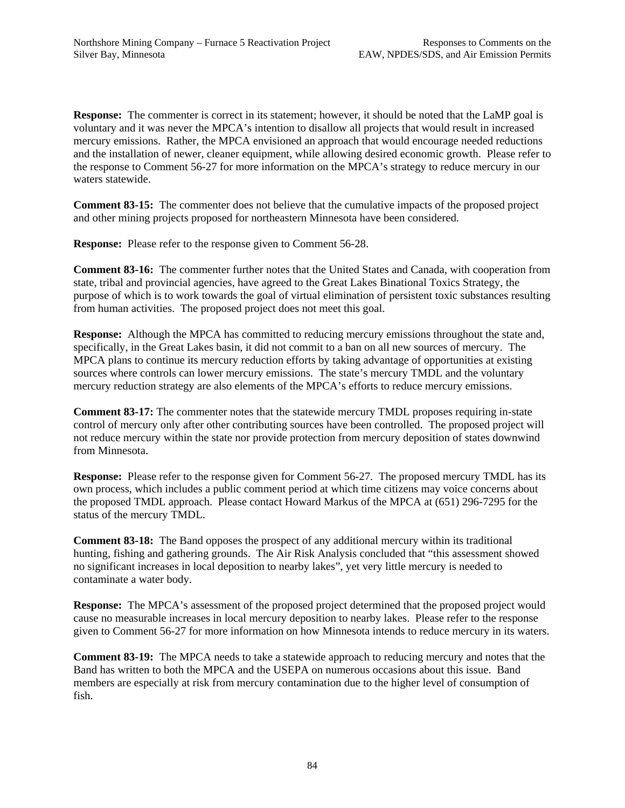**Response:** The commenter is correct in its statement; however, it should be noted that the LaMP goal is voluntary and it was never the MPCA's intention to disallow all projects that would result in increased mercury emissions. Rather, the MPCA envisioned an approach that would encourage needed reductions and the installation of newer, cleaner equipment, while allowing desired economic growth. Please refer to the response to Comment 56-27 for more information on the MPCA's strategy to reduce mercury in our waters statewide.

**Comment 83-15:** The commenter does not believe that the cumulative impacts of the proposed project and other mining projects proposed for northeastern Minnesota have been considered.

**Response:** Please refer to the response given to Comment 56-28.

**Comment 83-16:** The commenter further notes that the United States and Canada, with cooperation from state, tribal and provincial agencies, have agreed to the Great Lakes Binational Toxics Strategy, the purpose of which is to work towards the goal of virtual elimination of persistent toxic substances resulting from human activities. The proposed project does not meet this goal.

**Response:** Although the MPCA has committed to reducing mercury emissions throughout the state and, specifically, in the Great Lakes basin, it did not commit to a ban on all new sources of mercury. The MPCA plans to continue its mercury reduction efforts by taking advantage of opportunities at existing sources where controls can lower mercury emissions. The state's mercury TMDL and the voluntary mercury reduction strategy are also elements of the MPCA's efforts to reduce mercury emissions.

**Comment 83-17:** The commenter notes that the statewide mercury TMDL proposes requiring in-state control of mercury only after other contributing sources have been controlled. The proposed project will not reduce mercury within the state nor provide protection from mercury deposition of states downwind from Minnesota.

**Response:** Please refer to the response given for Comment 56-27. The proposed mercury TMDL has its own process, which includes a public comment period at which time citizens may voice concerns about the proposed TMDL approach. Please contact Howard Markus of the MPCA at (651) 296-7295 for the status of the mercury TMDL.

**Comment 83-18:** The Band opposes the prospect of any additional mercury within its traditional hunting, fishing and gathering grounds. The Air Risk Analysis concluded that "this assessment showed no significant increases in local deposition to nearby lakes", yet very little mercury is needed to contaminate a water body.

**Response:** The MPCA's assessment of the proposed project determined that the proposed project would cause no measurable increases in local mercury deposition to nearby lakes. Please refer to the response given to Comment 56-27 for more information on how Minnesota intends to reduce mercury in its waters.

**Comment 83-19:** The MPCA needs to take a statewide approach to reducing mercury and notes that the Band has written to both the MPCA and the USEPA on numerous occasions about this issue. Band members are especially at risk from mercury contamination due to the higher level of consumption of fish.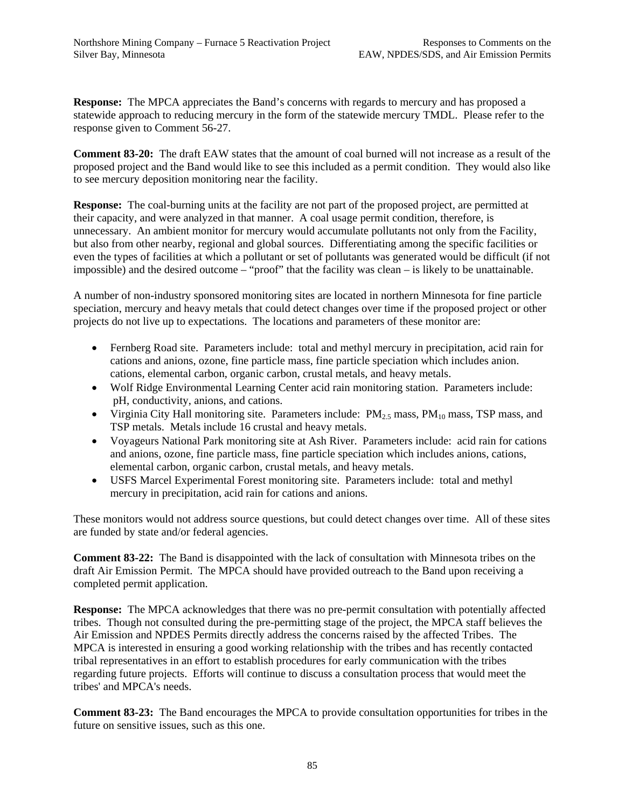**Response:** The MPCA appreciates the Band's concerns with regards to mercury and has proposed a statewide approach to reducing mercury in the form of the statewide mercury TMDL. Please refer to the response given to Comment 56-27.

**Comment 83-20:** The draft EAW states that the amount of coal burned will not increase as a result of the proposed project and the Band would like to see this included as a permit condition. They would also like to see mercury deposition monitoring near the facility.

**Response:** The coal-burning units at the facility are not part of the proposed project, are permitted at their capacity, and were analyzed in that manner. A coal usage permit condition, therefore, is unnecessary. An ambient monitor for mercury would accumulate pollutants not only from the Facility, but also from other nearby, regional and global sources. Differentiating among the specific facilities or even the types of facilities at which a pollutant or set of pollutants was generated would be difficult (if not impossible) and the desired outcome – "proof" that the facility was clean – is likely to be unattainable.

A number of non-industry sponsored monitoring sites are located in northern Minnesota for fine particle speciation, mercury and heavy metals that could detect changes over time if the proposed project or other projects do not live up to expectations. The locations and parameters of these monitor are:

- Fernberg Road site. Parameters include: total and methyl mercury in precipitation, acid rain for cations and anions, ozone, fine particle mass, fine particle speciation which includes anion. cations, elemental carbon, organic carbon, crustal metals, and heavy metals.
- Wolf Ridge Environmental Learning Center acid rain monitoring station. Parameters include: pH, conductivity, anions, and cations.
- Virginia City Hall monitoring site. Parameters include:  $PM_{2.5}$  mass,  $PM_{10}$  mass, TSP mass, and TSP metals. Metals include 16 crustal and heavy metals.
- Voyageurs National Park monitoring site at Ash River. Parameters include: acid rain for cations and anions, ozone, fine particle mass, fine particle speciation which includes anions, cations, elemental carbon, organic carbon, crustal metals, and heavy metals.
- USFS Marcel Experimental Forest monitoring site. Parameters include: total and methyl mercury in precipitation, acid rain for cations and anions.

These monitors would not address source questions, but could detect changes over time. All of these sites are funded by state and/or federal agencies.

**Comment 83-22:** The Band is disappointed with the lack of consultation with Minnesota tribes on the draft Air Emission Permit. The MPCA should have provided outreach to the Band upon receiving a completed permit application.

**Response:** The MPCA acknowledges that there was no pre-permit consultation with potentially affected tribes. Though not consulted during the pre-permitting stage of the project, the MPCA staff believes the Air Emission and NPDES Permits directly address the concerns raised by the affected Tribes. The MPCA is interested in ensuring a good working relationship with the tribes and has recently contacted tribal representatives in an effort to establish procedures for early communication with the tribes regarding future projects. Efforts will continue to discuss a consultation process that would meet the tribes' and MPCA's needs.

**Comment 83-23:** The Band encourages the MPCA to provide consultation opportunities for tribes in the future on sensitive issues, such as this one.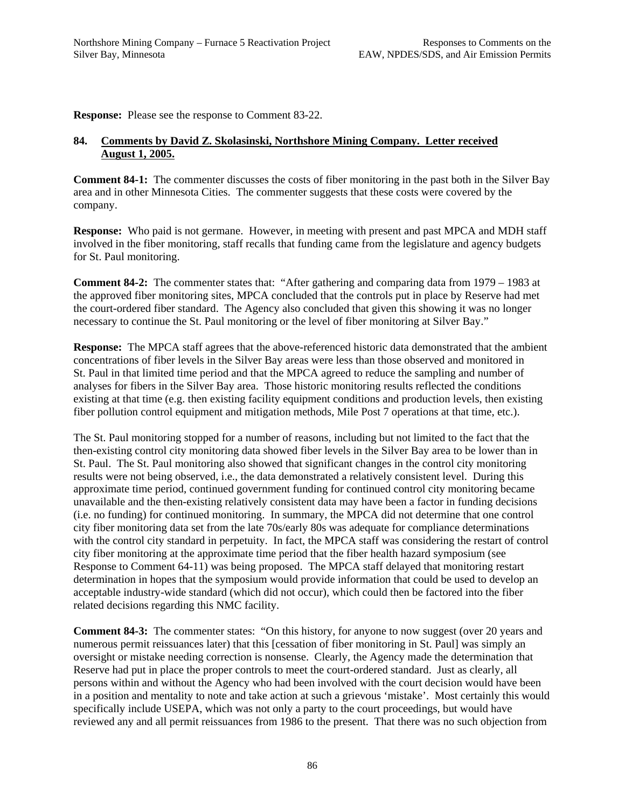**Response:** Please see the response to Comment 83-22.

### **84. Comments by David Z. Skolasinski, Northshore Mining Company. Letter received August 1, 2005.**

**Comment 84-1:** The commenter discusses the costs of fiber monitoring in the past both in the Silver Bay area and in other Minnesota Cities. The commenter suggests that these costs were covered by the company.

**Response:** Who paid is not germane. However, in meeting with present and past MPCA and MDH staff involved in the fiber monitoring, staff recalls that funding came from the legislature and agency budgets for St. Paul monitoring.

**Comment 84-2:** The commenter states that: "After gathering and comparing data from 1979 – 1983 at the approved fiber monitoring sites, MPCA concluded that the controls put in place by Reserve had met the court-ordered fiber standard. The Agency also concluded that given this showing it was no longer necessary to continue the St. Paul monitoring or the level of fiber monitoring at Silver Bay."

**Response:** The MPCA staff agrees that the above-referenced historic data demonstrated that the ambient concentrations of fiber levels in the Silver Bay areas were less than those observed and monitored in St. Paul in that limited time period and that the MPCA agreed to reduce the sampling and number of analyses for fibers in the Silver Bay area. Those historic monitoring results reflected the conditions existing at that time (e.g. then existing facility equipment conditions and production levels, then existing fiber pollution control equipment and mitigation methods, Mile Post 7 operations at that time, etc.).

The St. Paul monitoring stopped for a number of reasons, including but not limited to the fact that the then-existing control city monitoring data showed fiber levels in the Silver Bay area to be lower than in St. Paul. The St. Paul monitoring also showed that significant changes in the control city monitoring results were not being observed, i.e., the data demonstrated a relatively consistent level. During this approximate time period, continued government funding for continued control city monitoring became unavailable and the then-existing relatively consistent data may have been a factor in funding decisions (i.e. no funding) for continued monitoring. In summary, the MPCA did not determine that one control city fiber monitoring data set from the late 70s/early 80s was adequate for compliance determinations with the control city standard in perpetuity. In fact, the MPCA staff was considering the restart of control city fiber monitoring at the approximate time period that the fiber health hazard symposium (see Response to Comment 64-11) was being proposed. The MPCA staff delayed that monitoring restart determination in hopes that the symposium would provide information that could be used to develop an acceptable industry-wide standard (which did not occur), which could then be factored into the fiber related decisions regarding this NMC facility.

**Comment 84-3:** The commenter states: "On this history, for anyone to now suggest (over 20 years and numerous permit reissuances later) that this [cessation of fiber monitoring in St. Paul] was simply an oversight or mistake needing correction is nonsense. Clearly, the Agency made the determination that Reserve had put in place the proper controls to meet the court-ordered standard. Just as clearly, all persons within and without the Agency who had been involved with the court decision would have been in a position and mentality to note and take action at such a grievous 'mistake'. Most certainly this would specifically include USEPA, which was not only a party to the court proceedings, but would have reviewed any and all permit reissuances from 1986 to the present. That there was no such objection from